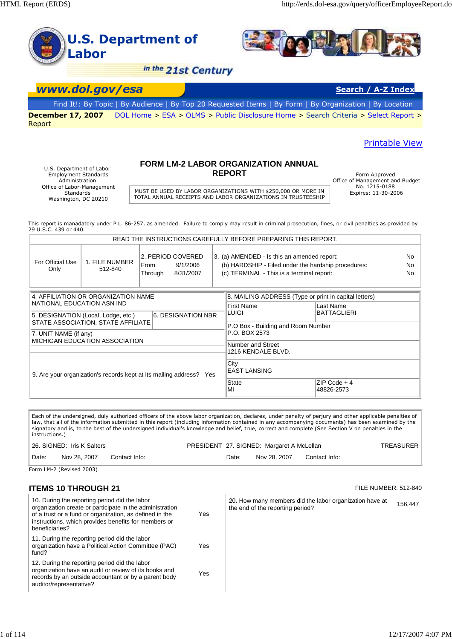

Employment Standards Administration Office of Labor-Management Standards Washington, DC 20210

# **REPORT** Form Approved

Office of Management and Budget No. 1215-0188<br>Expires: 11-30-2006

MUST BE USED BY LABOR ORGANIZATIONS WITH \$250,000 OR MORE IN TOTAL ANNUAL RECEIPTS AND LABOR ORGANIZATIONS IN TRUSTEESHIP

This report is manadatory under P.L. 86-257, as amended. Failure to comply may result in criminal prosecution, fines, or civil penalties as provided by 29 U.S.C. 439 or 440.

|                                                                     |                                    |                 |                                                       |                             | READ THE INSTRUCTIONS CAREFULLY BEFORE PREPARING THIS REPORT.                                                                                   |  |  |
|---------------------------------------------------------------------|------------------------------------|-----------------|-------------------------------------------------------|-----------------------------|-------------------------------------------------------------------------------------------------------------------------------------------------|--|--|
| For Official Use<br>Only                                            | 1. FILE NUMBER<br>512-840          | From<br>Through | 2. PERIOD COVERED<br>9/1/2006<br>8/31/2007            |                             | 3. (a) AMENDED - Is this an amended report:<br>(b) HARDSHIP - Filed under the hardship procedures:<br>(c) TERMINAL - This is a terminal report: |  |  |
| 4. AFFILIATION OR ORGANIZATION NAME                                 |                                    |                 | 8. MAILING ADDRESS (Type or print in capital letters) |                             |                                                                                                                                                 |  |  |
| NATIONAL EDUCATION ASN IND                                          |                                    |                 |                                                       | <b>First Name</b>           | Last Name                                                                                                                                       |  |  |
| 5. DESIGNATION (Local, Lodge, etc.)<br><b>6. DESIGNATION NBR</b>    |                                    |                 |                                                       | LUIGI                       | <b>BATTAGLIERI</b>                                                                                                                              |  |  |
|                                                                     | STATE ASSOCIATION, STATE AFFILIATE |                 |                                                       |                             | P.O Box - Building and Room Number<br>P.O. BOX 2573<br>Number and Street                                                                        |  |  |
| 7. UNIT NAME (if any)                                               |                                    |                 |                                                       |                             |                                                                                                                                                 |  |  |
|                                                                     | MICHIGAN EDUCATION ASSOCIATION     |                 |                                                       |                             |                                                                                                                                                 |  |  |
|                                                                     |                                    |                 |                                                       |                             | 1216 KENDALE BLVD.                                                                                                                              |  |  |
| 9. Are your organization's records kept at its mailing address? Yes |                                    |                 |                                                       | City<br><b>EAST LANSING</b> |                                                                                                                                                 |  |  |
|                                                                     |                                    |                 |                                                       | <b>State</b><br>MI          | $ZIP Code + 4$<br>48826-2573                                                                                                                    |  |  |

Each of the undersigned, duly authorized officers of the above labor organization, declares, under penalty of perjury and other applicable penalties of law, that all of the information submitted in this report (including information contained in any accompanying documents) has been examined by the<br>signatory and is, to the best of the undersigned individual's knowledge and instructions.)

| 26. SIGNED: Iris K Salters |              | PRESIDENT 27. SIGNED: Margaret A McLellan |       |              | <b>TREASURER</b> |  |
|----------------------------|--------------|-------------------------------------------|-------|--------------|------------------|--|
| Date:                      | Nov 28, 2007 | Contact Info:                             | Date: | Nov 28, 2007 | Contact Info:    |  |

Form LM-2 (Revised 2003)

#### **ITEMS 10 THROUGH 21 FILE NUMBER: 512-840**

| 10. During the reporting period did the labor<br>organization create or participate in the administration<br>Yes<br>of a trust or a fund or organization, as defined in the<br>instructions, which provides benefits for members or<br>beneficiaries? | 20. How many members did the labor organization have at<br>the end of the reporting period? | 156,447 |
|-------------------------------------------------------------------------------------------------------------------------------------------------------------------------------------------------------------------------------------------------------|---------------------------------------------------------------------------------------------|---------|
| 11. During the reporting period did the labor<br>organization have a Political Action Committee (PAC)<br>Yes<br>fund?                                                                                                                                 |                                                                                             |         |
| 12. During the reporting period did the labor<br>organization have an audit or review of its books and<br>Yes<br>records by an outside accountant or by a parent body<br>auditor/representative?                                                      |                                                                                             |         |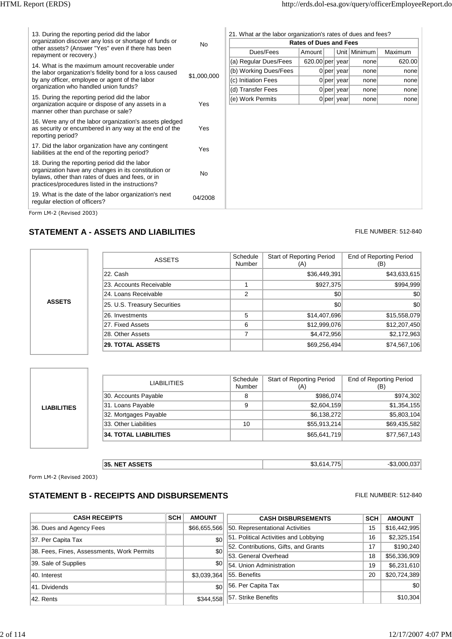|                                                        | 13. During the reporting period did the labor                                                                                                                                                                 |             | 21. What ar the labor organization's rates of dues and fees? |                   |  |              |                |         |
|--------------------------------------------------------|---------------------------------------------------------------------------------------------------------------------------------------------------------------------------------------------------------------|-------------|--------------------------------------------------------------|-------------------|--|--------------|----------------|---------|
| organization discover any loss or shortage of funds or |                                                                                                                                                                                                               | <b>No</b>   | <b>Rates of Dues and Fees</b>                                |                   |  |              |                |         |
|                                                        | other assets? (Answer "Yes" even if there has been<br>repayment or recovery.)                                                                                                                                 |             | Dues/Fees                                                    | Amount            |  |              | Unit   Minimum | Maximum |
|                                                        | 14. What is the maximum amount recoverable under                                                                                                                                                              |             | (a) Regular Dues/Fees                                        | $620.00$ per year |  |              | none           | 620.00  |
|                                                        | the labor organization's fidelity bond for a loss caused                                                                                                                                                      |             | (b) Working Dues/Fees                                        |                   |  | 0 per year   | none           | none    |
|                                                        | by any officer, employee or agent of the labor                                                                                                                                                                | \$1,000,000 | (c) Initiation Fees                                          |                   |  | $0$ per year | none           | none    |
|                                                        | organization who handled union funds?                                                                                                                                                                         |             | (d) Transfer Fees                                            |                   |  | $0$ per year | none           | none    |
|                                                        | 15. During the reporting period did the labor                                                                                                                                                                 |             | (e) Work Permits                                             |                   |  | $0$ per year | none           | none    |
|                                                        | organization acquire or dispose of any assets in a<br>manner other than purchase or sale?                                                                                                                     | Yes         |                                                              |                   |  |              |                |         |
|                                                        | 16. Were any of the labor organization's assets pledged<br>as security or encumbered in any way at the end of the<br>reporting period?                                                                        | Yes         |                                                              |                   |  |              |                |         |
|                                                        | 17. Did the labor organization have any contingent<br>liabilities at the end of the reporting period?                                                                                                         | Yes         |                                                              |                   |  |              |                |         |
|                                                        | 18. During the reporting period did the labor<br>organization have any changes in its constitution or<br>bylaws, other than rates of dues and fees, or in<br>practices/procedures listed in the instructions? | <b>No</b>   |                                                              |                   |  |              |                |         |
|                                                        | 19. What is the date of the labor organization's next<br>regular election of officers?                                                                                                                        | 04/2008     |                                                              |                   |  |              |                |         |
|                                                        | Form LM-2 (Revised 2003)                                                                                                                                                                                      |             |                                                              |                   |  |              |                |         |

#### **STATEMENT A - ASSETS AND LIABILITIES** FILE NUMBER: 512-840

|               | ASSETS                       | Schedule<br>Number | Start of Reporting Period<br>(A) | <b>End of Reporting Period</b><br>(B) |
|---------------|------------------------------|--------------------|----------------------------------|---------------------------------------|
|               | 22. Cash                     |                    | \$36,449,391                     | \$43,633,615                          |
|               | 23. Accounts Receivable      |                    | \$927,375                        | \$994,999                             |
|               | 24. Loans Receivable         | 2                  | \$0                              | \$0                                   |
| <b>ASSETS</b> | 25. U.S. Treasury Securities |                    | \$0                              | \$0                                   |
|               | 26. Investments              | 5                  | \$14,407,696                     | \$15,558,079                          |
|               | 27. Fixed Assets             | 6                  | \$12,999,076                     | \$12,207,450                          |
|               | 28. Other Assets             | 7                  | \$4,472,956                      | \$2,172,963                           |
|               | <b>29. TOTAL ASSETS</b>      |                    | \$69,256,494                     | \$74,567,106                          |

| 31. Loans Payable<br><b>LIABILITIES</b> | <b>LIABILITIES</b>           | Schedule<br>Number | <b>Start of Reporting Period</b><br>(A) | <b>End of Reporting Period</b><br>(B) |
|-----------------------------------------|------------------------------|--------------------|-----------------------------------------|---------------------------------------|
|                                         | 30. Accounts Payable         | 8                  | \$986,074                               | \$974,302                             |
|                                         |                              | 9                  | \$2,604,159                             | \$1,354,155                           |
|                                         | 32. Mortgages Payable        |                    | \$6,138,272                             | \$5,803,104                           |
|                                         | 33. Other Liabilities        | 10                 | \$55,913,214                            | \$69,435,582                          |
|                                         | <b>34. TOTAL LIABILITIES</b> |                    | \$65,641,719                            | \$77,567,143                          |
|                                         |                              |                    |                                         |                                       |

| <b>ACCETC</b><br>35.<br>NE <sub>1</sub><br>ASSE<br>. .<br>___ | $\rightarrow$<br>m r<br>. .<br>77<br>. n. 1 | .027<br>റററ<br>$\mathbf{r}$<br>ר.ה.<br>. |
|---------------------------------------------------------------|---------------------------------------------|------------------------------------------|
|---------------------------------------------------------------|---------------------------------------------|------------------------------------------|

Form LM-2 (Revised 2003)

#### **STATEMENT B - RECEIPTS AND DISBURSEMENTS** FILE NUMBER: 512-840

| <b>CASH RECEIPTS</b>                       | <b>SCH</b> | <b>AMOUNT</b> | <b>CASH DISBURSEMENTS</b>             | <b>SCH</b> | <b>AMOUNT</b> |
|--------------------------------------------|------------|---------------|---------------------------------------|------------|---------------|
| 36. Dues and Agency Fees                   |            | \$66,655,566  | 50. Representational Activities       | 15         | \$16,442,995  |
| 37. Per Capita Tax                         |            | \$0           | 51. Political Activities and Lobbying | 16         | \$2,325,154   |
| 38. Fees, Fines, Assessments, Work Permits |            | \$0           | 52. Contributions, Gifts, and Grants  | 17         | \$190,240     |
|                                            |            |               | 53. General Overhead                  | 18         | \$56,336,909  |
| 39. Sale of Supplies                       |            | \$0           | 54. Union Administration              | 19         | \$6,231,610   |
| 40. Interest                               |            | \$3,039,364   | 55. Benefits                          | 20         | \$20,724,389  |
| 41. Dividends                              |            | \$0           | 56. Per Capita Tax                    |            | \$0           |
| 42. Rents                                  |            | \$344,558     | 57. Strike Benefits                   |            | \$10,304      |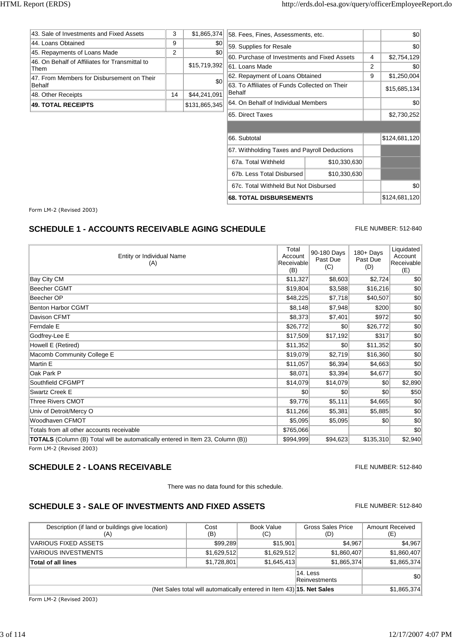|                                                |    |                  | 65. Direct Taxes                              |   | \$2,730,252  |
|------------------------------------------------|----|------------------|-----------------------------------------------|---|--------------|
| <b>49. TOTAL RECEIPTS</b>                      |    | \$131,865,345    | 64. On Behalf of Individual Members           |   | \$0          |
| 48. Other Receipts                             | 14 | \$44,241,091     | Behalf                                        |   |              |
| <b>Behalf</b>                                  |    | \$0              | 63. To Affiliates of Funds Collected on Their |   | \$15,685,134 |
| 47. From Members for Disbursement on Their     |    |                  | 62. Repayment of Loans Obtained               | 9 | \$1,250,004  |
| Them                                           |    | \$15,719,392     | 61. Loans Made                                | 2 | \$0          |
| 46. On Behalf of Affiliates for Transmittal to |    |                  | 60. Purchase of Investments and Fixed Assets  | 4 | \$2,754,129  |
| 45. Repayments of Loans Made                   | 2  | S <sub>0</sub>   |                                               |   |              |
| 44. Loans Obtained                             | 9  | \$0 <sub>0</sub> | 59. Supplies for Resale                       |   | \$0          |
| 43. Sale of Investments and Fixed Assets       | 3  | \$1,865,374      | 58. Fees, Fines, Assessments, etc.            |   | \$0          |
|                                                |    |                  |                                               |   |              |

| 65. Direct Taxes                             |              |  | \$2,730,252   |
|----------------------------------------------|--------------|--|---------------|
|                                              |              |  |               |
| 66. Subtotal                                 |              |  | \$124,681,120 |
| 67. Withholding Taxes and Payroll Deductions |              |  |               |
| 67a. Total Withheld                          | \$10,330,630 |  |               |
| 67b. Less Total Disbursed<br>\$10,330,630    |              |  |               |
| 67c. Total Withheld But Not Disbursed        |              |  | \$0           |
| <b>68. TOTAL DISBURSEMENTS</b>               |              |  | \$124,681,120 |

Form LM-2 (Revised 2003)

#### **SCHEDULE 1 - ACCOUNTS RECEIVABLE AGING SCHEDULE** FILE NUMBER: 512-840

Entity or Individual Name (A) Total Account Receivable (B) 90-180 Days Past Due  $(C)$ 180+ Days Past Due (D) Liquidated Account Receivable (E) Totals from all other accounts receivable  $\sim$  60 **TOTALS** (Column (B) Total will be automatically entered in Item 23, Column (B))  $$994,999$  \$94,623 \$135,310 \$2,940 Bay City CM \$11,327 \$8,603 \$2,724 \$0 Beecher CGMT \$19,804 \$3,588 \$16,216 \$0 Beecher OP \$48,225 \$7,718 \$40,507 \$0 Benton Harbor CGMT **\$8,148** \$7,948 \$200 \$0 Davison CFMT \$8,373 \$7,401 \$972 \$0 Ferndale E \$26,772 \$0 \$26,772 \$0 Godfrey-Lee E \$17,509 \$17,192 \$317 \$0 Howell E (Retired) \$11,352 \$0 \$11,352 \$0 \$11,352 \$0 \$11,352 \$0 \$11,352 \$0 \$11,352 \$0 \$1.352 \$0 \$1.352 \$0 \$1.352 Macomb Community College E **619,079** \$19,079 \$2,719 \$16,360 \$0 Martin E \$11,057 \$6,394 \$4,663 \$0 Oak Park P \$8,071 \$3,394 \$4,677 \$0 Southfield CFGMPT  $$14,079$   $$14,079$   $$14,079$   $$0$   $$2,890$ Swartz Creek E \$0 \$0 \$0 \$50 Three Rivers CMOT **\$9,776** \$5,111 \$4,665 \$0 Univ of Detroit/Mercy O 60 and the University of the State of the State of State of State of State of State of State of State of State of State of State of State of State of State of State of State of State of State of Sta Woodhaven CFMOT \$5,095 \$5,095 \$0 \$0

Form LM-2 (Revised 2003)

#### **SCHEDULE 2 - LOANS RECEIVABLE EXECUTE AND A SCHEDULE 2 - LOANS RECEIVABLE**

There was no data found for this schedule.

#### **SCHEDULE 3 - SALE OF INVESTMENTS AND FIXED ASSETS** FILE NUMBER: 512-840

#### Description (if land or buildings give location) (A) Cost (B) Book Value (C) Gross Sales Price (D) Amount Received (E) **Total of all lines 81,865,374** \$1,865,374 \$1,865,374 \$1,865,374 VARIOUS FIXED ASSETS **\$2,901 \$4,967** \$4,967 \$4,967 \$4,967 \$4,967 \$4,967 \$4,967 \$4,967 \$4,967 \$4,967 \$4,967 \$4,967 \$4,967 \$4,967 \$4,967 \$4,967 \$4,967 \$4,967 \$4,967 \$4,967 \$4,967 \$4,967 \$1,968 \$1,968 \$1,968 \$1,968 \$1,968 \$1, VARIOUS INVESTMENTS **\$1,629,512** \$1,629,512 \$1,629,512 \$1,860,407 \$1,860,407 14. Less Reinvestments \$0 (Net Sales total will automatically entered in Item 43) **15. Net Sales** \$1,865,374

Form LM-2 (Revised 2003)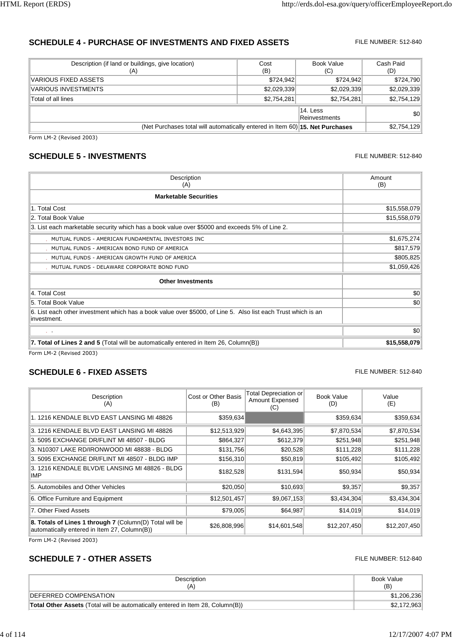#### **SCHEDULE 4 - PURCHASE OF INVESTMENTS AND FIXED ASSETS** FILE NUMBER: 512-840

| Description (if land or buildings, give location)<br>(A)                      | Cost<br>(B)               | Book Value<br>(C) | Cash Paid<br>(D) |
|-------------------------------------------------------------------------------|---------------------------|-------------------|------------------|
| VARIOUS FIXED ASSETS                                                          | \$724,942                 | \$724,942         | \$724,790        |
| <b>VARIOUS INVESTMENTS</b>                                                    | \$2,029,339               | \$2,029,339       | \$2,029,339      |
| Total of all lines                                                            | \$2,754,281               | \$2,754,281       | \$2,754,129      |
|                                                                               | 14. Less<br>Reinvestments | \$0               |                  |
| (Net Purchases total will automatically entered in Item 60) 15. Net Purchases |                           | \$2,754,129       |                  |

Form LM-2 (Revised 2003)

#### **SCHEDULE 5 - INVESTMENTS FILE NUMBER: 512-840**

#### **Description** (A) Amount (B) **Marketable Securities** 1. Total Cost \$15,558,079 2. Total Book Value \$15,558,079 3. List each marketable security which has a book value over \$5000 and exceeds 5% of Line 2. MUTUAL FUNDS - AMERICAN FUNDAMENTAL INVESTORS INC **1999 120 AU 120 AU 130 AU 130 AU 130 AU 140 AU 140 AU 140 AU** MUTUAL FUNDS - AMERICAN BOND FUND OF AMERICA **by the set of the set of the set of the set of the set of the set of the set of the set of the set of the set of the set of the set of the set of the set of the set of the set** MUTUAL FUNDS - AMERICAN GROWTH FUND OF AMERICA **\$805,825** (\$805,825) MUTUAL FUNDS - DELAWARE CORPORATE BOND FUND \$1,059,426 **Other Investments** 4. Total Cost \$0 5. Total Book Value \$0 6. List each other investment which has a book value over \$5000, of Line 5. Also list each Trust which is an investment. . The contract of the contract of the contract of the contract of the contract of the contract of the contract of the contract of the contract of the contract of the contract of the contract of the contract of the contrac **7. Total of Lines 2 and 5** (Total will be automatically entered in Item 26, Column(B)) **\$15,558,079**

Form LM-2 (Revised 2003)

### **SCHEDULE 6 - FIXED ASSETS FILE NUMBER: 512-840**

| Description<br>(A)                                                                                      | Cost or Other Basis<br>(B) | Total Depreciation or<br>Amount Expensed<br>(C) | Book Value<br>(D) | Value<br>(E) |
|---------------------------------------------------------------------------------------------------------|----------------------------|-------------------------------------------------|-------------------|--------------|
| 1. 1216 KENDALE BLVD EAST LANSING MI 48826                                                              | \$359,634                  |                                                 | \$359,634         | \$359,634    |
| 3. 1216 KENDALE BLVD EAST LANSING MI 48826                                                              | \$12,513,929               | \$4,643,395                                     | \$7,870,534       | \$7,870,534  |
| 3.5095 EXCHANGE DR/FLINT MI 48507 - BLDG                                                                | \$864,327                  | \$612,379                                       | \$251,948         | \$251,948    |
| 3. N10307 LAKE RD/IRONWOOD MI 48838 - BLDG                                                              | \$131,756                  | \$20,528                                        | \$111,228         | \$111,228    |
| 3.5095 EXCHANGE DR/FLINT MI 48507 - BLDG IMP                                                            | \$156,310                  | \$50,819                                        | \$105,492         | \$105,492    |
| 3. 1216 KENDALE BLVD/E LANSING MI 48826 - BLDG<br>IMP                                                   | \$182,528                  | \$131,594                                       | \$50,934          | \$50,934     |
| 5. Automobiles and Other Vehicles                                                                       | \$20,050                   | \$10,693                                        | \$9,357           | \$9,357      |
| 6. Office Furniture and Equipment                                                                       | \$12,501,457               | \$9,067,153                                     | \$3,434,304       | \$3,434,304  |
| 7. Other Fixed Assets                                                                                   | \$79,005                   | \$64,987                                        | \$14,019          | \$14,019     |
| 8. Totals of Lines 1 through 7 (Column(D) Total will be<br>automatically entered in Item 27, Column(B)) | \$26,808,996               | \$14,601,548                                    | \$12,207,450      | \$12,207,450 |

Form LM-2 (Revised 2003)

#### **SCHEDULE 7 - OTHER ASSETS FILE NUMBER: 512-840**

| Description                                                                           | Book Value  |
|---------------------------------------------------------------------------------------|-------------|
| (A)                                                                                   | (B)         |
| <b>IDEFERRED COMPENSATION</b>                                                         | \$1,206,236 |
| <b>Total Other Assets</b> (Total will be automatically entered in Item 28, Column(B)) | \$2,172,963 |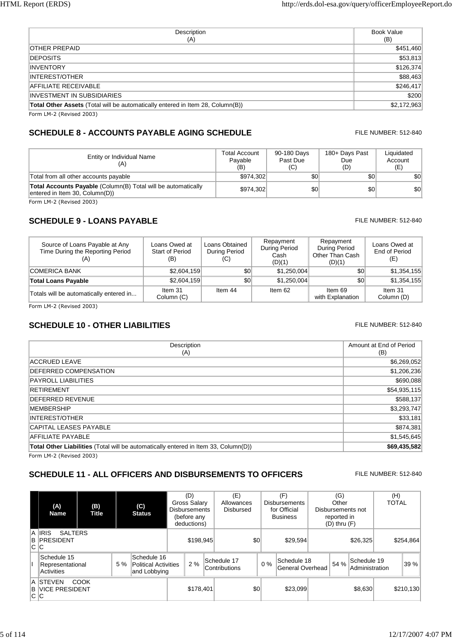| Description<br>(A)                                                             | Book Value<br>(B) |
|--------------------------------------------------------------------------------|-------------------|
| OTHER PREPAID                                                                  | \$451,460         |
| <b>DEPOSITS</b>                                                                | \$53,813          |
| <b>INVENTORY</b>                                                               | \$126,374         |
| <b>INTEREST/OTHER</b>                                                          | \$88,463          |
| <b>AFFILIATE RECEIVABLE</b>                                                    | \$246,417         |
| INVESTMENT IN SUBSIDIARIES                                                     | \$200             |
| Total Other Assets (Total will be automatically entered in Item 28, Column(B)) | \$2,172,963       |
| Form $IM-2$ (Peviced $2003$ )                                                  |                   |

Form LM-2 (Revised 2003)

# **SCHEDULE 8 - ACCOUNTS PAYABLE AGING SCHEDULE** FILE NUMBER: 512-840

| Entity or Individual Name<br>(A)                                                                | Total Account<br>Pavable<br>(B) | 90-180 Days<br>Past Due<br>(C) | 180+ Days Past<br>Due<br>(D) | Liquidated<br>Account<br>(E) |
|-------------------------------------------------------------------------------------------------|---------------------------------|--------------------------------|------------------------------|------------------------------|
| Total from all other accounts payable                                                           | \$974.302                       | \$0                            | \$0                          | \$0                          |
| Total Accounts Payable (Column(B) Total will be automatically<br>entered in Item 30, Column(D)) | \$974.302                       | \$0                            | \$0                          | \$0                          |

Form LM-2 (Revised 2003)

### **SCHEDULE 9 - LOANS PAYABLE FILE NUMBER: 512-840**

#### Source of Loans Payable at Any Time During the Reporting Period (A) Loans Owed at Start of Period (B) Loans Obtained During Period (C) Repayment During Period Cash  $(D)(1)$ Repayment During Period Other Than Cash (D)(1) Loans Owed at End of Period (E) **Total Loans Payable 62,604,159** \$2,604,159 \$0 \$1,250,004 \$0 \$1,354,155 Totals will be automatically entered in...  $\begin{bmatrix} \text{Item 31} \\ \text{Column 41} \end{bmatrix}$ Column (C) Item 44 Item 62 Item 69 with Explanation Item 31 Column (D) COMERICA BANK \$2,604,159 \$2,604,159 \$0 \$1,250,004 \$0 \$1,354,155

Form LM-2 (Revised 2003)

## **SCHEDULE 10 - OTHER LIABILITIES FILE NUMBER: 512-840**

| Description<br>(A)                                                                         | Amount at End of Period<br>(B) |
|--------------------------------------------------------------------------------------------|--------------------------------|
| ACCRUED LEAVE                                                                              | \$6,269,052                    |
| DEFERRED COMPENSATION                                                                      | \$1,206,236                    |
| PAYROLL LIABILITIES                                                                        | \$690,088                      |
| <b>RETIREMENT</b>                                                                          | \$54,935,115                   |
| <b>DEFERRED REVENUE</b>                                                                    | \$588,137                      |
| <b>MEMBERSHIP</b>                                                                          | \$3,293,747                    |
| <b>INTEREST/OTHER</b>                                                                      | \$33,181                       |
| <b>CAPITAL LEASES PAYABLE</b>                                                              | \$874,381                      |
| AFFILIATE PAYABLE                                                                          | \$1,545,645                    |
| <b>Total Other Liabilities</b> (Total will be automatically entered in Item 33, Column(D)) | \$69,435,582                   |
| Form IM.2 (David 2003)                                                                     |                                |

Form LM-2 (Revised 2003)

### **SCHEDULE 11 - ALL OFFICERS AND DISBURSEMENTS TO OFFICERS** FILE NUMBER: 512-840

| (A)<br><b>Name</b>                                    | (B)<br><b>Title</b> |    | $\mathbf{(C)}$<br><b>Status</b>                            |           | (D)<br>Gross Salary<br><b>Disbursements</b><br>(before any<br>deductions) |     | (E)<br>Allowances<br>Disbursed |          |       | (F)<br><b>Disbursements</b><br>for Official<br><b>Business</b> |          | (G)<br>Other<br>reported in<br>$(D)$ thru $(F)$ | Disbursements not             | (H)<br><b>TOTAL</b> |
|-------------------------------------------------------|---------------------|----|------------------------------------------------------------|-----------|---------------------------------------------------------------------------|-----|--------------------------------|----------|-------|----------------------------------------------------------------|----------|-------------------------------------------------|-------------------------------|---------------------|
| A IRIS<br><b>SALTERS</b><br><b>B PRESIDENT</b><br>C C |                     |    |                                                            |           | \$198,945                                                                 |     |                                | \$0      |       | \$29.594                                                       | \$26,325 |                                                 |                               | \$254,864           |
| Schedule 15<br>Representational<br>Activities         |                     | 5% | Schedule 16<br><b>Political Activities</b><br>and Lobbying |           | 2%                                                                        |     | Schedule 17<br>Contributions   |          | $0\%$ | Schedule 18<br>General Overhead                                |          | 54 %                                            | Schedule 19<br>Administration | 39 %                |
| A ISTEVEN<br><b>B VICE PRESIDENT</b><br>C IC          | COOK                |    |                                                            | \$178.401 |                                                                           | \$0 |                                | \$23,099 |       |                                                                |          | \$8,630                                         | \$210,130                     |                     |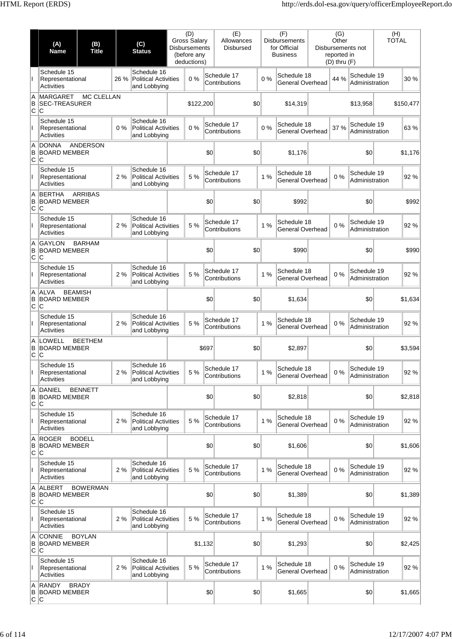|                | (A)<br>Name                                          | (B)<br><b>Title</b>                   |       | (C)<br><b>Status</b>                                       | (D)<br><b>Gross Salary</b><br><b>Disbursements</b><br>(before any<br>deductions) |           | (E)<br>Allowances<br><b>Disbursed</b> |    | (F)<br><b>Disbursements</b><br>for Official<br><b>Business</b> | (G)<br>Other<br>Disbursements not<br>reported in<br>$(D)$ thru $(F)$ |                               | (H)<br><b>TOTAL</b> |           |
|----------------|------------------------------------------------------|---------------------------------------|-------|------------------------------------------------------------|----------------------------------------------------------------------------------|-----------|---------------------------------------|----|----------------------------------------------------------------|----------------------------------------------------------------------|-------------------------------|---------------------|-----------|
|                | Schedule 15<br>Representational<br><b>Activities</b> |                                       | 26 %  | Schedule 16<br><b>Political Activities</b><br>and Lobbying | 0%                                                                               |           | Schedule 17<br>Contributions          | 0% | Schedule 18<br><b>General Overhead</b>                         | 44 %                                                                 | Schedule 19<br>Administration |                     | 30 %      |
| A<br>B<br>C    | <b>MARGARET</b><br><b>SEC-TREASURER</b><br>lC.       | MC CLELLAN                            |       |                                                            |                                                                                  | \$122,200 | \$0                                   |    | \$14,319                                                       |                                                                      | \$13,958                      |                     | \$150,477 |
|                | Schedule 15<br>Representational<br>Activities        |                                       | $0\%$ | Schedule 16<br><b>Political Activities</b><br>and Lobbying | 0%                                                                               |           | Schedule 17<br>Contributions          | 0% | Schedule 18<br>General Overhead                                | 37 %                                                                 | Schedule 19<br>Administration |                     | 63%       |
| A<br>B<br>C    | <b>DONNA</b><br><b>BOARD MEMBER</b><br>C             | <b>ANDERSON</b>                       |       |                                                            |                                                                                  | \$0       | \$0                                   |    | \$1,176                                                        |                                                                      | \$0                           |                     | \$1,176   |
|                | Schedule 15<br>Representational<br><b>Activities</b> |                                       | 2%    | Schedule 16<br><b>Political Activities</b><br>and Lobbying | 5 %                                                                              |           | Schedule 17<br>Contributions          | 1% | Schedule 18<br>General Overhead                                | 0%                                                                   | Schedule 19<br>Administration |                     | 92%       |
| Α<br>B<br>C    | <b>BERTHA</b><br><b>BOARD MEMBER</b><br>lC.          | <b>ARRIBAS</b>                        |       |                                                            |                                                                                  | \$0       | \$0                                   |    | \$992                                                          |                                                                      | \$0                           |                     | \$992     |
| T              | Schedule 15<br>Representational<br><b>Activities</b> |                                       | 2%    | Schedule 16<br><b>Political Activities</b><br>and Lobbying | 5 %                                                                              |           | Schedule 17<br>Contributions          | 1% | Schedule 18<br>General Overhead                                | 0%                                                                   | Schedule 19<br>Administration |                     | 92%       |
| A<br>B<br>C    | <b>GAYLON</b><br><b>BOARD MEMBER</b><br>C            | <b>BARHAM</b>                         |       |                                                            |                                                                                  | \$0       | \$0                                   |    | \$990                                                          |                                                                      | \$0                           |                     | \$990     |
|                | Schedule 15<br>Representational<br><b>Activities</b> |                                       | 2%    | Schedule 16<br><b>Political Activities</b><br>and Lobbying | 5 %                                                                              |           | Schedule 17<br>Contributions          | 1% | Schedule 18<br>General Overhead                                | 0%                                                                   | Schedule 19<br>Administration |                     | 92%       |
| Α<br>В<br>C C  | <b>ALVA</b>                                          | <b>BEAMISH</b><br><b>BOARD MEMBER</b> |       |                                                            | \$0                                                                              |           | \$0                                   |    | \$1,634                                                        |                                                                      | \$0                           |                     | \$1,634   |
| T              | Schedule 15<br>Representational<br><b>Activities</b> |                                       | 2%    | Schedule 16<br><b>Political Activities</b><br>and Lobbying | 5 %                                                                              |           | Schedule 17<br>Contributions          | 1% | Schedule 18<br>General Overhead                                | 0%                                                                   | Schedule 19<br>Administration |                     | 92%       |
| A<br>B<br>C    | <b>LOWELL</b><br><b>BOARD MEMBER</b><br>C            | <b>BEETHEM</b>                        |       |                                                            | \$697                                                                            |           | \$0                                   |    | \$2,897                                                        |                                                                      | \$0                           |                     | \$3,594   |
|                | Schedule 15<br>Representational<br>Activities        |                                       | 2%    | Schedule 16<br><b>Political Activities</b><br>and Lobbying | 5 %                                                                              |           | Schedule 17<br>Contributions          | 1% | Schedule 18<br><b>General Overhead</b>                         | 0%                                                                   | Schedule 19<br>Administration |                     | 92%       |
| Α<br>B<br>C    | <b>DANIEL</b><br><b>BOARD MEMBER</b><br>IС           | <b>BENNETT</b>                        |       |                                                            |                                                                                  | \$0       | \$0                                   |    | \$2,818                                                        |                                                                      | \$0                           |                     | \$2,818   |
| L              | Schedule 15<br>Representational<br><b>Activities</b> |                                       | 2%    | Schedule 16<br><b>Political Activities</b><br>and Lobbying | 5 %                                                                              |           | Schedule 17<br>Contributions          | 1% | Schedule 18<br>General Overhead                                | 0%                                                                   | Schedule 19<br>Administration |                     | 92%       |
| Α<br>B<br>C    | <b>ROGER</b><br><b>BOARD MEMBER</b><br>ΙC            | <b>BODELL</b>                         |       |                                                            |                                                                                  | \$0       | \$0                                   |    | \$1,606                                                        |                                                                      | \$0                           |                     | \$1,606   |
|                | Schedule 15<br>Representational<br>Activities        |                                       | 2%    | Schedule 16<br><b>Political Activities</b><br>and Lobbying | 5 %                                                                              |           | Schedule 17<br>Contributions          | 1% | Schedule 18<br>General Overhead                                | $0\%$                                                                | Schedule 19<br>Administration |                     | 92%       |
| Α<br>B<br>C    | <b>ALBERT</b><br><b>BOARD MEMBER</b><br>lC.          | <b>BOWERMAN</b>                       |       |                                                            |                                                                                  | \$0       | \$0                                   |    | \$1,389                                                        |                                                                      | \$0                           |                     | \$1,389   |
| T              | Schedule 15<br>Representational<br><b>Activities</b> |                                       | 2%    | Schedule 16<br><b>Political Activities</b><br>and Lobbying | 5 %                                                                              |           | Schedule 17<br>Contributions          | 1% | Schedule 18<br>General Overhead                                | 0%                                                                   | Schedule 19<br>Administration |                     | 92 %      |
| Α<br>B<br>C    | <b>CONNIE</b><br><b>BOARD MEMBER</b><br>C            | <b>BOYLAN</b>                         |       |                                                            |                                                                                  | \$1,132   | \$0                                   |    | \$1,293                                                        |                                                                      | \$0                           |                     | \$2,425   |
| L              | Schedule 15<br>Representational<br><b>Activities</b> |                                       | 2%    | Schedule 16<br><b>Political Activities</b><br>and Lobbying | 5 %                                                                              |           | Schedule 17<br>Contributions          | 1% | Schedule 18<br>General Overhead                                | 0%                                                                   | Schedule 19<br>Administration |                     | 92%       |
| Α<br>В<br> C C | <b>RANDY</b>                                         | <b>BRADY</b><br><b>BOARD MEMBER</b>   |       |                                                            |                                                                                  | \$0       | \$0                                   |    | \$1,665                                                        |                                                                      | \$0                           |                     | \$1,665   |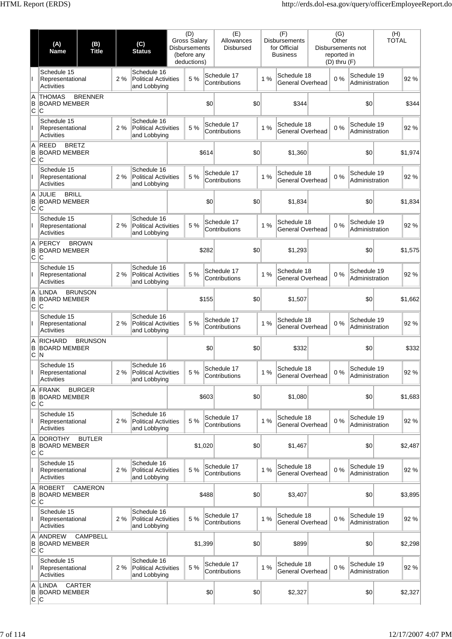|                | (A)<br>Name                                                | (B)<br><b>Title</b>                   |    | (C)<br><b>Status</b>                                       | <b>Gross Salary</b><br><b>Disbursements</b> | (D)<br>(before any<br>deductions) |       | (E)<br>Allowances<br><b>Disbursed</b> |    | (F)<br><b>Disbursements</b><br>for Official<br><b>Business</b> | (G)<br>Other<br>reported in<br>$(D)$ thru $(F)$ | Disbursements not             | (H)<br><b>TOTAL</b> |         |
|----------------|------------------------------------------------------------|---------------------------------------|----|------------------------------------------------------------|---------------------------------------------|-----------------------------------|-------|---------------------------------------|----|----------------------------------------------------------------|-------------------------------------------------|-------------------------------|---------------------|---------|
|                | Schedule 15<br>Representational<br><b>Activities</b>       |                                       | 2% | Schedule 16<br><b>Political Activities</b><br>and Lobbying |                                             | 5 %                               |       | Schedule 17<br>Contributions          | 1% | Schedule 18<br>General Overhead                                | 0%                                              | Schedule 19<br>Administration |                     | 92%     |
| Α<br>B<br>C    | <b>THOMAS</b><br><b>BOARD MEMBER</b><br>ΙC                 | <b>BRENNER</b>                        |    |                                                            |                                             |                                   | \$0   | \$0                                   |    | \$344                                                          |                                                 | \$0                           |                     | \$344   |
| T              | Schedule 15<br>Representational<br><b>Activities</b>       |                                       | 2% | Schedule 16<br><b>Political Activities</b><br>and Lobbying |                                             | 5 %                               |       | Schedule 17<br>Contributions          | 1% | Schedule 18<br>General Overhead                                | 0%                                              | Schedule 19<br>Administration |                     | 92%     |
| Α<br>B<br>C    | <b>REED</b><br><b>BRETZ</b><br><b>BOARD MEMBER</b><br>C    |                                       |    |                                                            |                                             |                                   | \$614 | \$0                                   |    | \$1,360                                                        |                                                 | \$0                           |                     | \$1,974 |
|                | Schedule 15<br>Representational<br><b>Activities</b>       |                                       | 2% | Schedule 16<br><b>Political Activities</b><br>and Lobbying |                                             | 5 %                               |       | Schedule 17<br>Contributions          | 1% | Schedule 18<br>General Overhead                                | 0%                                              | Schedule 19<br>Administration |                     | 92%     |
| A<br>B<br>C    | <b>BRILL</b><br><b>JULIE</b><br><b>BOARD MEMBER</b><br>lC. |                                       |    |                                                            |                                             |                                   | \$0   | \$0                                   |    | \$1,834                                                        |                                                 | \$0                           |                     | \$1,834 |
| T              | Schedule 15<br>Representational<br><b>Activities</b>       |                                       | 2% | Schedule 16<br><b>Political Activities</b><br>and Lobbying |                                             | 5 %                               |       | Schedule 17<br>Contributions          | 1% | Schedule 18<br>General Overhead                                | 0%                                              | Schedule 19<br>Administration |                     | 92%     |
| A<br>B<br>C    | <b>PERCY</b><br><b>BOARD MEMBER</b><br>C                   | <b>BROWN</b>                          |    |                                                            |                                             |                                   | \$282 | \$0                                   |    | \$1,293                                                        |                                                 | \$0                           |                     | \$1,575 |
|                | Schedule 15<br>Representational<br><b>Activities</b>       |                                       | 2% | Schedule 16<br><b>Political Activities</b><br>and Lobbying |                                             | 5 %                               |       | Schedule 17<br>Contributions          | 1% | Schedule 18<br>General Overhead                                | 0%                                              | Schedule 19<br>Administration |                     | 92%     |
| Α<br>В<br>C C  | <b>LINDA</b>                                               | <b>BRUNSON</b><br><b>BOARD MEMBER</b> |    |                                                            | \$155                                       |                                   |       | \$0                                   |    | \$1,507                                                        |                                                 | \$0                           |                     | \$1,662 |
| T              | Schedule 15<br>Representational<br><b>Activities</b>       |                                       | 2% | Schedule 16<br><b>Political Activities</b><br>and Lobbying |                                             | 5 %                               |       | Schedule 17<br>Contributions          | 1% | Schedule 18<br>General Overhead                                | 0%                                              | Schedule 19<br>Administration |                     | 92%     |
| A<br>В<br>C    | <b>RICHARD</b><br><b>BOARD MEMBER</b><br>'N                | <b>BRUNSON</b>                        |    |                                                            |                                             |                                   | \$0   | \$0                                   |    | \$332                                                          |                                                 | \$0                           |                     | \$332   |
|                | Schedule 15<br>Representational<br>Activities              |                                       | 2% | Schedule 16<br><b>Political Activities</b><br>and Lobbying |                                             | 5 %                               |       | Schedule 17<br>Contributions          | 1% | Schedule 18<br>General Overhead                                | 0%                                              | Schedule 19<br>Administration |                     | 92%     |
| Α<br>B<br>C    | <b>FRANK</b><br><b>BOARD MEMBER</b><br>ΙC                  | <b>BURGER</b>                         |    |                                                            |                                             |                                   | \$603 | \$0                                   |    | \$1,080                                                        |                                                 | \$0                           |                     | \$1,683 |
| L              | Schedule 15<br>Representational<br><b>Activities</b>       |                                       | 2% | Schedule 16<br><b>Political Activities</b><br>and Lobbying |                                             | 5 %                               |       | Schedule 17<br>Contributions          | 1% | Schedule 18<br>General Overhead                                | 0%                                              | Schedule 19<br>Administration |                     | 92%     |
| Α<br>B<br>C    | <b>DOROTHY</b><br><b>BOARD MEMBER</b><br>ΙC                | <b>BUTLER</b>                         |    |                                                            |                                             | \$1,020                           |       | \$0                                   |    | \$1,467                                                        |                                                 | \$0                           |                     | \$2,487 |
|                | Schedule 15<br>Representational<br><b>Activities</b>       |                                       | 2% | Schedule 16<br><b>Political Activities</b><br>and Lobbying |                                             | 5 %                               |       | Schedule 17<br>Contributions          | 1% | Schedule 18<br>General Overhead                                | 0%                                              | Schedule 19<br>Administration |                     | 92%     |
| Α<br>B<br>C    | <b>ROBERT</b><br><b>BOARD MEMBER</b><br>ΙC                 | <b>CAMERON</b>                        |    |                                                            |                                             |                                   | \$488 | \$0                                   |    | \$3,407                                                        |                                                 | \$0                           |                     | \$3,895 |
| T              | Schedule 15<br>Representational<br><b>Activities</b>       |                                       | 2% | Schedule 16<br><b>Political Activities</b><br>and Lobbying |                                             | 5 %                               |       | Schedule 17<br>Contributions          | 1% | Schedule 18<br>General Overhead                                | 0%                                              | Schedule 19<br>Administration |                     | 92 %    |
| Α<br>B<br>C    | <b>ANDREW</b><br><b>BOARD MEMBER</b><br>C                  | <b>CAMPBELL</b>                       |    |                                                            |                                             | \$1,399                           |       | \$0                                   |    | \$899                                                          |                                                 | \$0                           |                     | \$2,298 |
| L              | Schedule 15<br>Representational<br><b>Activities</b>       |                                       | 2% | Schedule 16<br><b>Political Activities</b><br>and Lobbying |                                             | 5 %                               |       | Schedule 17<br>Contributions          | 1% | Schedule 18<br>General Overhead                                | 0%                                              | Schedule 19<br>Administration |                     | 92%     |
| Α<br>В<br> C C | <b>LINDA</b>                                               | CARTER<br><b>BOARD MEMBER</b>         |    |                                                            |                                             |                                   | \$0   | \$0                                   |    | \$2,327                                                        |                                                 | \$0                           |                     | \$2,327 |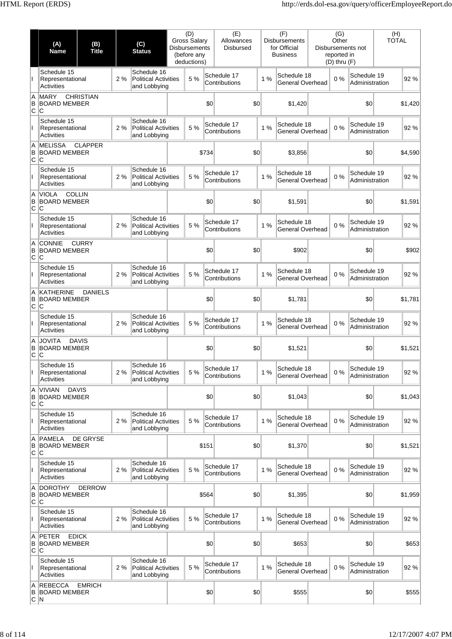|                 | (A)<br><b>Name</b>                                         | (B)<br>(C)<br><b>Title</b><br><b>Status</b> |    |                                                            | <b>Gross Salary</b><br>Disbursements | (D)<br>(before any<br>deductions) |       | (E)<br>Allowances<br><b>Disbursed</b> |    |    | (F)<br><b>Disbursements</b><br>for Official<br><b>Business</b> | (G)<br>Other<br>reported in<br>$(D)$ thru $(F)$ | Disbursements not             | (H)<br><b>TOTAL</b> |         |
|-----------------|------------------------------------------------------------|---------------------------------------------|----|------------------------------------------------------------|--------------------------------------|-----------------------------------|-------|---------------------------------------|----|----|----------------------------------------------------------------|-------------------------------------------------|-------------------------------|---------------------|---------|
|                 | Schedule 15<br>Representational<br><b>Activities</b>       |                                             | 2% | Schedule 16<br><b>Political Activities</b><br>and Lobbying |                                      | 5 %                               |       | Schedule 17<br>Contributions          |    | 1% | Schedule 18<br><b>General Overhead</b>                         | 0%                                              | Schedule 19<br>Administration |                     | 92%     |
| A<br>B<br>∣c ∣c | <b>MARY</b><br><b>BOARD MEMBER</b>                         | <b>CHRISTIAN</b>                            |    |                                                            |                                      |                                   | \$0   | \$0                                   |    |    | \$1,420                                                        |                                                 | \$0                           |                     | \$1,420 |
|                 | Schedule 15<br>Representational<br><b>Activities</b>       |                                             | 2% | Schedule 16<br><b>Political Activities</b><br>and Lobbying |                                      | 5 %                               |       | Schedule 17<br>Contributions          | 1% |    | Schedule 18<br><b>General Overhead</b>                         | 0%                                              | Schedule 19<br>Administration |                     | 92%     |
| A<br>B<br>C     | <b>MELISSA</b><br><b>BOARD MEMBER</b><br>lC                | <b>CLAPPER</b>                              |    |                                                            |                                      |                                   | \$734 | \$0                                   |    |    | \$3,856                                                        |                                                 | \$0                           |                     | \$4,590 |
|                 | Schedule 15<br>Representational<br>Activities              |                                             | 2% | Schedule 16<br><b>Political Activities</b><br>and Lobbying |                                      | 5 %                               |       | Schedule 17<br>Contributions          |    | 1% | Schedule 18<br>General Overhead                                | 0%                                              | Schedule 19<br>Administration |                     | 92%     |
| A<br>B<br>C     | <b>COLLIN</b><br><b>VIOLA</b><br><b>BOARD MEMBER</b><br>ΙC |                                             |    |                                                            |                                      |                                   | \$0   | \$0                                   |    |    | \$1,591                                                        |                                                 | \$0                           |                     | \$1,591 |
|                 | Schedule 15<br>Representational<br><b>Activities</b>       |                                             | 2% | Schedule 16<br><b>Political Activities</b><br>and Lobbying |                                      | 5 %                               |       | Schedule 17<br>Contributions          |    | 1% | Schedule 18<br>General Overhead                                | 0%                                              | Schedule 19<br>Administration |                     | 92%     |
| A<br>B<br>C     | <b>CONNIE</b><br><b>BOARD MEMBER</b><br>lC                 | <b>CURRY</b>                                |    |                                                            |                                      |                                   | \$0   | \$0                                   |    |    | \$902                                                          |                                                 | \$0                           |                     | \$902   |
|                 | Schedule 15<br>Representational<br><b>Activities</b>       |                                             | 2% | Schedule 16<br><b>Political Activities</b><br>and Lobbying |                                      | 5 %                               |       | Schedule 17<br>Contributions          | 1% |    | Schedule 18<br><b>General Overhead</b>                         | 0%                                              | Schedule 19<br>Administration |                     | 92%     |
| A<br>B<br> C C  | <b>KATHERINE</b><br><b>BOARD MEMBER</b>                    | <b>DANIELS</b>                              |    |                                                            |                                      |                                   | \$0   | \$0                                   |    |    | \$1,781                                                        |                                                 | \$0                           |                     | \$1,781 |
|                 | Schedule 15<br>Representational<br><b>Activities</b>       |                                             | 2% | Schedule 16<br><b>Political Activities</b><br>and Lobbying |                                      | 5 %                               |       | Schedule 17<br>Contributions          | 1% |    | Schedule 18<br><b>General Overhead</b>                         | 0%                                              | Schedule 19<br>Administration |                     | 92%     |
| A<br>в<br>C     | <b>JOVITA</b><br><b>DAVIS</b><br><b>BOARD MEMBER</b><br>ΙC |                                             |    |                                                            |                                      |                                   | \$0   | \$0                                   |    |    | \$1,521                                                        |                                                 | \$0                           |                     | \$1,521 |
|                 | Schedule 15<br>Representational<br>Activities              |                                             | 2% | Schedule 16<br><b>Political Activities</b><br>and Lobbying |                                      | 5 %                               |       | Schedule 17<br>Contributions          | 1% |    | Schedule 18<br><b>General Overhead</b>                         | 0%                                              | Schedule 19<br>Administration |                     | 92 %    |
| A<br>B<br>C     | <b>DAVIS</b><br><b>VIVIAN</b><br><b>BOARD MEMBER</b><br>ΙC |                                             |    |                                                            |                                      |                                   | \$0   | \$0                                   |    |    | \$1,043                                                        |                                                 | \$0                           |                     | \$1,043 |
| $\mathbf{I}$    | Schedule 15<br>Representational<br><b>Activities</b>       |                                             | 2% | Schedule 16<br><b>Political Activities</b><br>and Lobbying |                                      | 5 %                               |       | Schedule 17<br>Contributions          | 1% |    | Schedule 18<br>General Overhead                                | 0%                                              | Schedule 19<br>Administration |                     | 92 %    |
| A<br>B<br> c c  | <b>PAMELA</b><br><b>BOARD MEMBER</b>                       | DE GRYSE                                    |    |                                                            |                                      |                                   | \$151 | \$0                                   |    |    | \$1,370                                                        |                                                 | \$0                           |                     | \$1,521 |
|                 | Schedule 15<br>Representational<br>Activities              |                                             | 2% | Schedule 16<br><b>Political Activities</b><br>and Lobbying |                                      | 5 %                               |       | Schedule 17<br>Contributions          | 1% |    | Schedule 18<br>General Overhead                                | 0%                                              | Schedule 19<br>Administration |                     | 92 %    |
| A<br>B<br>C     | <b>DOROTHY</b><br><b>BOARD MEMBER</b><br>∣C                | <b>DERROW</b>                               |    |                                                            |                                      |                                   | \$564 | \$0                                   |    |    | \$1,395                                                        |                                                 | \$0                           |                     | \$1,959 |
| $\mathsf{I}$    | Schedule 15<br>Representational<br><b>Activities</b>       |                                             | 2% | Schedule 16<br><b>Political Activities</b><br>and Lobbying |                                      | 5 %                               |       | Schedule 17<br>Contributions          | 1% |    | Schedule 18<br>General Overhead                                | 0%                                              | Schedule 19<br>Administration |                     | 92%     |
| A<br>B<br>C     | PETER<br><b>EDICK</b><br><b>BOARD MEMBER</b><br>ΙC         |                                             |    |                                                            |                                      |                                   | \$0   | \$0                                   |    |    | \$653                                                          |                                                 | \$0                           |                     | \$653   |
| Ш               | Schedule 15<br>Representational<br><b>Activities</b>       |                                             | 2% | Schedule 16<br><b>Political Activities</b><br>and Lobbying |                                      | 5 %                               |       | Schedule 17<br>Contributions          | 1% |    | Schedule 18<br>General Overhead                                | 0%                                              | Schedule 19<br>Administration |                     | 92 %    |
| Α<br>B<br> C N  | REBECCA<br><b>BOARD MEMBER</b>                             | <b>EMRICH</b>                               |    |                                                            |                                      |                                   | \$0   | \$0                                   |    |    | \$555                                                          |                                                 | \$0                           |                     | \$555   |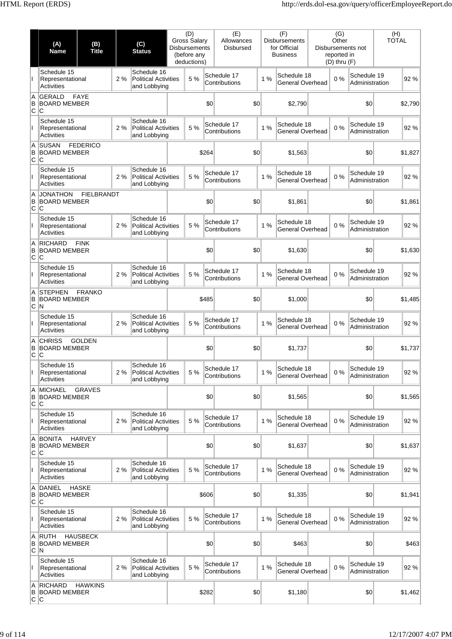|                 | (A)<br>Name                                          | (B)<br><b>Title</b>                   |     | (C)<br><b>Status</b>                                       | <b>Gross Salary</b><br><b>Disbursements</b> | (D)<br>(before any<br>deductions) |       | (E)<br>Allowances<br><b>Disbursed</b> |         | (F)<br><b>Disbursements</b><br>for Official<br><b>Business</b> | (G)<br>Other<br>reported in<br>$(D)$ thru $(F)$ | Disbursements not             | (H)<br><b>TOTAL</b> |         |
|-----------------|------------------------------------------------------|---------------------------------------|-----|------------------------------------------------------------|---------------------------------------------|-----------------------------------|-------|---------------------------------------|---------|----------------------------------------------------------------|-------------------------------------------------|-------------------------------|---------------------|---------|
|                 | Schedule 15<br>Representational<br>Activities        |                                       | 2%  | Schedule 16<br><b>Political Activities</b><br>and Lobbying |                                             | 5 %                               |       | Schedule 17<br>Contributions          | 1%      | Schedule 18<br>General Overhead                                | 0%                                              | Schedule 19<br>Administration |                     | 92%     |
| A<br>в<br>lc Ic | <b>GERALD</b><br><b>BOARD MEMBER</b>                 | <b>FAYE</b>                           |     |                                                            |                                             |                                   | \$0   | \$0                                   |         | \$2,790                                                        |                                                 | \$0                           |                     | \$2.790 |
| T               | Schedule 15<br>Representational<br><b>Activities</b> |                                       | 2%  | Schedule 16<br><b>Political Activities</b><br>and Lobbying |                                             | 5 %                               |       | Schedule 17<br>Contributions          | 1%      | Schedule 18<br>General Overhead                                | 0%                                              | Schedule 19<br>Administration |                     | 92%     |
| Α<br>B<br>C     | <b>SUSAN</b><br><b>BOARD MEMBER</b><br>ΙC            | <b>FEDERICO</b>                       |     |                                                            |                                             |                                   | \$264 | \$0                                   |         | \$1,563                                                        |                                                 | \$0                           |                     | \$1,827 |
|                 | Schedule 15<br>Representational<br><b>Activities</b> |                                       | 2%  | Schedule 16<br><b>Political Activities</b><br>and Lobbying |                                             | 5 %                               |       | Schedule 17<br>Contributions          | 1%      | Schedule 18<br>General Overhead                                | 0%                                              | Schedule 19<br>Administration |                     | 92%     |
| A<br>B<br>C     | <b>JONATHON</b><br><b>BOARD MEMBER</b><br><b>C</b>   | <b>FIELBRANDT</b>                     |     |                                                            |                                             |                                   | \$0   | \$0                                   |         | \$1,861                                                        |                                                 | \$0                           |                     | \$1,861 |
| T               | Schedule 15<br>Representational<br><b>Activities</b> |                                       | 2 % | Schedule 16<br><b>Political Activities</b><br>and Lobbying |                                             | 5 %                               |       | Schedule 17<br>Contributions          | 1%      | Schedule 18<br>General Overhead                                | 0%                                              | Schedule 19<br>Administration |                     | 92%     |
| A<br>B<br>lC.   | <b>RICHARD</b><br><b>BOARD MEMBER</b><br>lC.         | <b>FINK</b>                           |     |                                                            |                                             |                                   | \$0   | \$0                                   |         | \$1,630                                                        |                                                 | \$0                           |                     | \$1,630 |
|                 | Schedule 15<br>Representational<br><b>Activities</b> |                                       | 2%  | Schedule 16<br><b>Political Activities</b><br>and Lobbying |                                             | 5 %                               |       | Schedule 17<br>Contributions          | 1%      | Schedule 18<br>General Overhead                                | 0%                                              | Schedule 19<br>Administration |                     | 92%     |
| A<br>В<br>C N   | <b>STEPHEN</b>                                       | <b>FRANKO</b><br><b>BOARD MEMBER</b>  |     |                                                            |                                             |                                   | \$485 | \$0                                   |         | \$1,000                                                        |                                                 | \$0                           |                     | \$1,485 |
| L               | Schedule 15<br><b>Activities</b>                     | 2 %<br>Representational               |     | Schedule 16<br><b>Political Activities</b><br>and Lobbying |                                             | 5 %                               |       | Schedule 17<br>Contributions          | 1%      | Schedule 18<br>General Overhead                                | 0%                                              | Schedule 19<br>Administration |                     | 92%     |
| A<br>B<br>lC.   | <b>CHRISS</b><br><b>BOARD MEMBER</b><br>C            | <b>GOLDEN</b>                         |     |                                                            |                                             |                                   | \$0   | \$0                                   |         | \$1,737                                                        |                                                 | \$0                           |                     | \$1,737 |
|                 | Schedule 15<br>Representational<br>Activities        |                                       | 2%  | Schedule 16<br><b>Political Activities</b><br>and Lobbying | 5 %                                         |                                   |       | Schedule 17<br>Contributions          | 1%      | Schedule 18<br>General Overhead                                | 0%                                              | Schedule 19<br>Administration |                     | 92 %    |
| Α<br>B<br>C     | <b>MICHAEL</b><br><b>BOARD MEMBER</b><br>C           | <b>GRAVES</b>                         |     |                                                            |                                             |                                   | \$0   | \$0                                   |         | \$1,565                                                        |                                                 | \$0                           |                     | \$1,565 |
| L               | Schedule 15<br>Representational<br><b>Activities</b> |                                       | 2%  | Schedule 16<br><b>Political Activities</b><br>and Lobbying |                                             | 5 %                               |       | Schedule 17<br>Contributions          | 1%      | Schedule 18<br>General Overhead                                | 0%                                              | Schedule 19<br>Administration |                     | 92%     |
| Α<br>B<br>C     | <b>BONITA</b><br><b>BOARD MEMBER</b><br>ΙC           | <b>HARVEY</b>                         |     |                                                            |                                             |                                   | \$0   | \$0                                   |         | \$1,637                                                        |                                                 | \$0                           |                     | \$1,637 |
|                 | Schedule 15<br>Representational<br><b>Activities</b> |                                       | 2%  | Schedule 16<br><b>Political Activities</b><br>and Lobbying |                                             | 5 %                               |       | Schedule 17<br>Contributions          | 1%      | Schedule 18<br>General Overhead                                | 0%                                              | Schedule 19<br>Administration |                     | 92%     |
| Α<br>B<br>C     | <b>DANIEL</b><br>BOARD MEMBER<br>C                   | <b>HASKE</b>                          |     |                                                            |                                             |                                   | \$606 | \$0                                   |         | \$1,335                                                        |                                                 | \$0                           |                     | \$1,941 |
| L               | Schedule 15<br>Representational<br><b>Activities</b> |                                       | 2%  | Schedule 16<br><b>Political Activities</b><br>and Lobbying |                                             | 5 %                               |       | Schedule 17<br>Contributions          | 1%      | Schedule 18<br>General Overhead                                | 0%                                              | Schedule 19<br>Administration |                     | 92 %    |
| Α<br>B<br>C N   | <b>RUTH</b><br><b>BOARD MEMBER</b>                   | <b>HAUSBECK</b>                       |     |                                                            |                                             |                                   | \$0   | \$0                                   |         | \$463                                                          |                                                 | \$0                           |                     | \$463   |
| L               | Schedule 15<br>Representational<br><b>Activities</b> |                                       | 2%  | Schedule 16<br><b>Political Activities</b><br>and Lobbying |                                             | 5 %                               |       | Schedule 17<br>Contributions          | 1%      | Schedule 18<br>General Overhead                                | 0%                                              | Schedule 19<br>Administration |                     | 92%     |
| Α<br>B<br>C C   | <b>RICHARD</b>                                       | <b>HAWKINS</b><br><b>BOARD MEMBER</b> |     |                                                            | \$282                                       |                                   | \$0   |                                       | \$1,180 |                                                                | \$0                                             |                               | \$1,462             |         |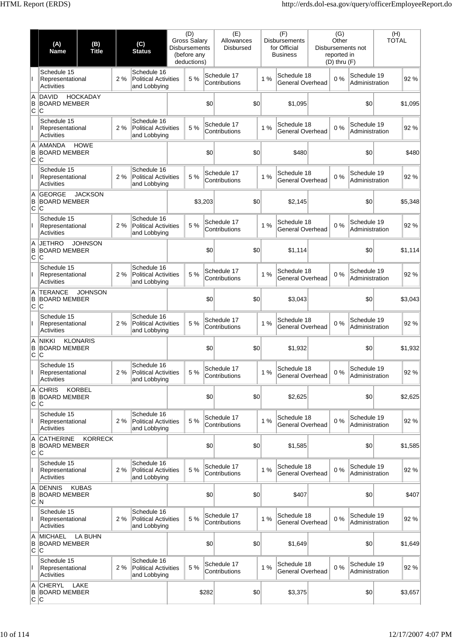|                 | (A)<br>Name                                          | (B)<br>(C)<br><b>Title</b><br><b>Status</b> |     |                                                            | <b>Gross Salary</b><br><b>Disbursements</b> | (D)<br>(before any<br>deductions) |       | (E)<br>Allowances<br><b>Disbursed</b> |  |    | (F)<br><b>Disbursements</b><br>for Official<br><b>Business</b> | (G)<br>Other<br>reported in<br>$(D)$ thru $(F)$ | Disbursements not             | (H)<br><b>TOTAL</b> |         |
|-----------------|------------------------------------------------------|---------------------------------------------|-----|------------------------------------------------------------|---------------------------------------------|-----------------------------------|-------|---------------------------------------|--|----|----------------------------------------------------------------|-------------------------------------------------|-------------------------------|---------------------|---------|
|                 | Schedule 15<br>Representational<br>Activities        |                                             | 2%  | Schedule 16<br><b>Political Activities</b><br>and Lobbying |                                             | 5 %                               |       | Schedule 17<br>Contributions          |  | 1% | Schedule 18<br>General Overhead                                | 0%                                              | Schedule 19<br>Administration |                     | 92%     |
| A<br>B<br>lc Ic | <b>DAVID</b><br><b>BOARD MEMBER</b>                  | <b>HOCKADAY</b>                             |     |                                                            |                                             |                                   | \$0   | \$0                                   |  |    | \$1,095                                                        |                                                 | \$0                           |                     | \$1,095 |
| T               | Schedule 15<br>Representational<br><b>Activities</b> |                                             | 2%  | Schedule 16<br><b>Political Activities</b><br>and Lobbying |                                             | 5 %                               |       | Schedule 17<br>Contributions          |  | 1% | Schedule 18<br>General Overhead                                | 0%                                              | Schedule 19<br>Administration |                     | 92%     |
| Α<br>B<br>C     | <b>AMANDA</b><br><b>BOARD MEMBER</b><br>ΙC           | <b>HOWE</b>                                 |     |                                                            |                                             |                                   | \$0   | \$0                                   |  |    | \$480                                                          |                                                 | \$0                           |                     | \$480   |
|                 | Schedule 15<br>Representational<br><b>Activities</b> |                                             | 2 % | Schedule 16<br><b>Political Activities</b><br>and Lobbying |                                             | 5 %                               |       | Schedule 17<br>Contributions          |  | 1% | Schedule 18<br>General Overhead                                | 0%                                              | Schedule 19<br>Administration |                     | 92%     |
| Α<br>B<br>C     | <b>GEORGE</b><br><b>BOARD MEMBER</b><br>lC           | <b>JACKSON</b>                              |     |                                                            |                                             | \$3,203                           |       | \$0                                   |  |    | \$2,145                                                        |                                                 | \$0                           |                     | \$5,348 |
| T               | Schedule 15<br>Representational<br><b>Activities</b> |                                             | 2 % | Schedule 16<br><b>Political Activities</b><br>and Lobbying |                                             | 5 %                               |       | Schedule 17<br>Contributions          |  | 1% | Schedule 18<br>General Overhead                                | 0%                                              | Schedule 19<br>Administration |                     | 92%     |
| A<br>B<br>C.    | <b>JETHRO</b><br><b>BOARD MEMBER</b><br>lC.          | <b>JOHNSON</b>                              |     |                                                            |                                             |                                   | \$0   | \$0                                   |  |    | \$1,114                                                        |                                                 | \$0                           |                     | \$1,114 |
|                 | Schedule 15<br>Representational<br><b>Activities</b> |                                             | 2%  | Schedule 16<br><b>Political Activities</b><br>and Lobbying |                                             | 5 %                               |       | Schedule 17<br>Contributions          |  | 1% | Schedule 18<br>General Overhead                                | 0%                                              | Schedule 19<br>Administration |                     | 92%     |
| A<br>B<br>C     | <b>TERANCE</b><br>ΙC                                 | <b>JOHNSON</b><br><b>BOARD MEMBER</b>       |     |                                                            | \$0                                         |                                   |       | \$0                                   |  |    | \$3,043                                                        |                                                 | \$0                           |                     | \$3,043 |
| T               | Schedule 15<br>Representational<br><b>Activities</b> |                                             | 2 % | Schedule 16<br><b>Political Activities</b><br>and Lobbying |                                             | 5 %                               |       | Schedule 17<br>Contributions          |  | 1% | Schedule 18<br>General Overhead                                | 0%                                              | Schedule 19<br>Administration |                     | 92%     |
| A<br>B<br>lC.   | <b>NIKKI</b><br><b>BOARD MEMBER</b><br>C             | <b>KLONARIS</b>                             |     |                                                            |                                             |                                   | \$0   | \$0                                   |  |    | \$1,932                                                        |                                                 | \$0                           |                     | \$1,932 |
|                 | Schedule 15<br>Representational<br>Activities        |                                             | 2%  | Schedule 16<br><b>Political Activities</b><br>and Lobbving |                                             | 5 %                               |       | Schedule 17<br>Contributions          |  | 1% | Schedule 18<br>General Overhead                                | 0%                                              | Schedule 19<br>Administration |                     | 92 %    |
| Α<br>B<br>C     | <b>CHRIS</b><br><b>BOARD MEMBER</b><br>C             | <b>KORBEL</b>                               |     |                                                            |                                             |                                   | \$0   | \$0                                   |  |    | \$2,625                                                        |                                                 | \$0                           |                     | \$2,625 |
| L               | Schedule 15<br>Representational<br><b>Activities</b> |                                             | 2%  | Schedule 16<br><b>Political Activities</b><br>and Lobbying |                                             | 5 %                               |       | Schedule 17<br>Contributions          |  | 1% | Schedule 18<br>General Overhead                                | 0%                                              | Schedule 19<br>Administration |                     | 92%     |
| Α<br>B<br>C.    | <b>CATHERINE</b><br><b>BOARD MEMBER</b><br>ΙC        | <b>KORRECK</b>                              |     |                                                            |                                             |                                   | \$0   | \$0                                   |  |    | \$1,585                                                        |                                                 | \$0                           |                     | \$1,585 |
|                 | Schedule 15<br>Representational<br><b>Activities</b> |                                             | 2%  | Schedule 16<br><b>Political Activities</b><br>and Lobbying |                                             | 5 %                               |       | Schedule 17<br>Contributions          |  | 1% | Schedule 18<br>General Overhead                                | 0%                                              | Schedule 19<br>Administration |                     | 92%     |
| Α<br>B<br>C N   | <b>DENNIS</b><br><b>BOARD MEMBER</b>                 | <b>KUBAS</b>                                |     |                                                            |                                             |                                   | \$0   | \$0                                   |  |    | \$407                                                          |                                                 | \$0                           |                     | \$407   |
| L               | Schedule 15<br>Representational<br><b>Activities</b> |                                             | 2%  | Schedule 16<br><b>Political Activities</b><br>and Lobbying |                                             | 5 %                               |       | Schedule 17<br>Contributions          |  | 1% | Schedule 18<br>General Overhead                                | 0%                                              | Schedule 19<br>Administration |                     | 92 %    |
| A<br>B<br>C     | <b>MICHAEL</b><br><b>BOARD MEMBER</b><br>IС          | <b>LA BUHN</b>                              |     |                                                            |                                             |                                   | \$0   | \$0                                   |  |    | \$1,649                                                        |                                                 | \$0                           |                     | \$1,649 |
| L               | Schedule 15<br>Representational<br><b>Activities</b> |                                             | 2%  | Schedule 16<br><b>Political Activities</b><br>and Lobbying |                                             | 5 %                               |       | Schedule 17<br>Contributions          |  | 1% | Schedule 18<br>General Overhead                                | 0%                                              | Schedule 19<br>Administration |                     | 92%     |
| Α<br>В<br> C C  | <b>CHERYL</b><br><b>BOARD MEMBER</b>                 | LAKE                                        |     |                                                            |                                             |                                   | \$282 | \$0                                   |  |    | \$3,375                                                        |                                                 | \$0                           |                     | \$3,657 |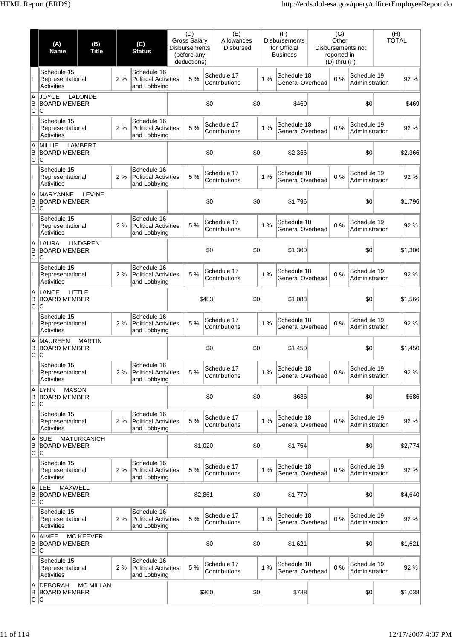|                 | (A)<br><b>Name</b>                                         | (B)<br>(C)<br><b>Title</b><br><b>Status</b>                      |    |                                                            |     | (D)<br><b>Gross Salary</b><br>Disbursements<br>(before any<br>deductions) |         | (E)<br>Allowances<br><b>Disbursed</b> |    | (F)<br><b>Disbursements</b><br>for Official<br><b>Business</b> | (G)<br>Other<br>reported in<br>$(D)$ thru $(F)$ | Disbursements not             | (H)<br><b>TOTAL</b> |         |
|-----------------|------------------------------------------------------------|------------------------------------------------------------------|----|------------------------------------------------------------|-----|---------------------------------------------------------------------------|---------|---------------------------------------|----|----------------------------------------------------------------|-------------------------------------------------|-------------------------------|---------------------|---------|
|                 | Schedule 15<br>Representational<br>Activities              |                                                                  | 2% | Schedule 16<br><b>Political Activities</b><br>and Lobbying |     | 5 %                                                                       |         | Schedule 17<br>Contributions          | 1% | Schedule 18<br><b>General Overhead</b>                         | 0%                                              | Schedule 19<br>Administration |                     | 92%     |
| A<br>в<br>∣c ∣c | <b>JOYCE</b><br><b>BOARD MEMBER</b>                        | <b>LALONDE</b>                                                   |    |                                                            |     |                                                                           | \$0     | \$0                                   |    | \$469                                                          |                                                 | \$0                           |                     | \$469   |
| L               | Schedule 15<br>Representational<br><b>Activities</b>       |                                                                  | 2% | Schedule 16<br><b>Political Activities</b><br>and Lobbying |     | 5 %                                                                       |         | Schedule 17<br>Contributions          | 1% | Schedule 18<br>General Overhead                                | 0%                                              | Schedule 19<br>Administration |                     | 92%     |
| A<br>B<br>C     | <b>MILLIE</b><br><b>BOARD MEMBER</b><br>lC                 | <b>LAMBERT</b>                                                   |    |                                                            |     |                                                                           | \$0     | \$0                                   |    | \$2,366                                                        |                                                 | \$0                           |                     | \$2,366 |
|                 | Schedule 15<br>Representational<br><b>Activities</b>       |                                                                  | 2% | Schedule 16<br><b>Political Activities</b><br>and Lobbying |     | 5 %                                                                       |         | Schedule 17<br>Contributions          | 1% | Schedule 18<br>General Overhead                                | 0%                                              | Schedule 19<br>Administration |                     | 92%     |
| A<br>B<br>Iс    | <b>MARYANNE</b><br><b>BOARD MEMBER</b><br><b>C</b>         | <b>LEVINE</b>                                                    |    |                                                            |     |                                                                           | \$0     | \$0                                   |    | \$1,796                                                        |                                                 | \$0                           |                     | \$1,796 |
|                 | Schedule 15<br>Representational<br><b>Activities</b>       |                                                                  | 2% | Schedule 16<br><b>Political Activities</b><br>and Lobbying |     | 5 %                                                                       |         | Schedule 17<br>Contributions          | 1% | Schedule 18<br>General Overhead                                | 0%                                              | Schedule 19<br>Administration |                     | 92%     |
| A<br>B<br> c c  | LAURA<br><b>BOARD MEMBER</b>                               | <b>LINDGREN</b>                                                  |    |                                                            |     |                                                                           | \$0     | \$0                                   |    | \$1,300                                                        |                                                 | \$0                           |                     | \$1,300 |
|                 | Schedule 15<br>Representational<br><b>Activities</b>       |                                                                  | 2% | Schedule 16<br><b>Political Activities</b><br>and Lobbying |     | 5 %                                                                       |         | Schedule 17<br>Contributions          | 1% | Schedule 18<br>General Overhead                                | 0%                                              | Schedule 19<br>Administration |                     | 92%     |
| A<br>B<br>C     | LANCE<br>ΙC                                                | LITTLE<br><b>BOARD MEMBER</b>                                    |    |                                                            |     |                                                                           | \$483   | \$0                                   |    | \$1,083                                                        |                                                 | \$0                           |                     | \$1,566 |
|                 | Schedule 15<br>Representational<br><b>Activities</b>       | Schedule 16<br>2%<br><b>Political Activities</b><br>and Lobbying |    |                                                            |     | 5 %                                                                       |         | Schedule 17<br>Contributions          | 1% | Schedule 18<br><b>General Overhead</b>                         | 0%                                              | Schedule 19<br>Administration |                     | 92%     |
| A<br>B<br>C     | <b>MAUREEN</b><br><b>BOARD MEMBER</b><br> C                | <b>MARTIN</b>                                                    |    |                                                            | \$0 |                                                                           |         | \$0                                   |    | \$1,450                                                        |                                                 | \$0                           |                     | \$1,450 |
|                 | Schedule 15<br>Representational<br>Activities              |                                                                  | 2% | Schedule 16<br><b>Political Activities</b><br>and Lobbying |     | 5 %                                                                       |         | Schedule 17<br>Contributions          | 1% | Schedule 18<br><b>General Overhead</b>                         | 0%                                              | Schedule 19<br>Administration |                     | 92 %    |
| A<br>B<br>C     | LYNN<br><b>MASON</b><br><b>BOARD MEMBER</b><br>∣C          |                                                                  |    |                                                            |     |                                                                           | \$0     | \$0                                   |    | \$686                                                          |                                                 | \$0                           |                     | \$686   |
| $\mathbf{I}$    | Schedule 15<br>Representational<br><b>Activities</b>       |                                                                  | 2% | Schedule 16<br><b>Political Activities</b><br>and Lobbying |     | 5 %                                                                       |         | Schedule 17<br>Contributions          | 1% | Schedule 18<br><b>General Overhead</b>                         | 0%                                              | Schedule 19<br>Administration |                     | 92 %    |
| A<br>B<br> c c  | <b>SUE</b><br><b>BOARD MEMBER</b>                          | <b>MATURKANICH</b>                                               |    |                                                            |     |                                                                           | \$1,020 | \$0                                   |    | \$1,754                                                        |                                                 | \$0                           |                     | \$2,774 |
|                 | Schedule 15<br>Representational<br>Activities              |                                                                  | 2% | Schedule 16<br><b>Political Activities</b><br>and Lobbying |     | 5 %                                                                       |         | Schedule 17<br>Contributions          | 1% | Schedule 18<br>General Overhead                                | 0%                                              | Schedule 19<br>Administration |                     | 92%     |
| A<br>B<br>C     | <b>MAXWELL</b><br><b>ILEE</b><br><b>BOARD MEMBER</b><br>ΙC |                                                                  |    |                                                            |     |                                                                           | \$2,861 | \$0                                   |    | \$1,779                                                        |                                                 | \$0                           |                     | \$4,640 |
| $\mathbf{I}$    | Schedule 15<br>Representational<br><b>Activities</b>       |                                                                  | 2% | Schedule 16<br><b>Political Activities</b><br>and Lobbying |     | 5 %                                                                       |         | Schedule 17<br>Contributions          | 1% | Schedule 18<br><b>General Overhead</b>                         | 0%                                              | Schedule 19<br>Administration |                     | 92 %    |
| A<br>B<br>C     | <b>AIMEE</b><br><b>BOARD MEMBER</b><br>ΙC                  | <b>MC KEEVER</b>                                                 |    |                                                            |     |                                                                           | \$0     | \$0                                   |    | \$1,621                                                        |                                                 | \$0                           |                     | \$1,621 |
| $\mathbf{L}$    | Schedule 15<br>Representational<br><b>Activities</b>       |                                                                  | 2% | Schedule 16<br><b>Political Activities</b><br>and Lobbying |     | 5 %                                                                       |         | Schedule 17<br>Contributions          | 1% | Schedule 18<br>General Overhead                                | 0%                                              | Schedule 19<br>Administration |                     | 92%     |
| Α<br>B<br> C C  | DEBORAH<br><b>BOARD MEMBER</b>                             | <b>MC MILLAN</b>                                                 |    |                                                            |     |                                                                           | \$300   | \$0                                   |    | \$738                                                          |                                                 | \$0                           |                     | \$1,038 |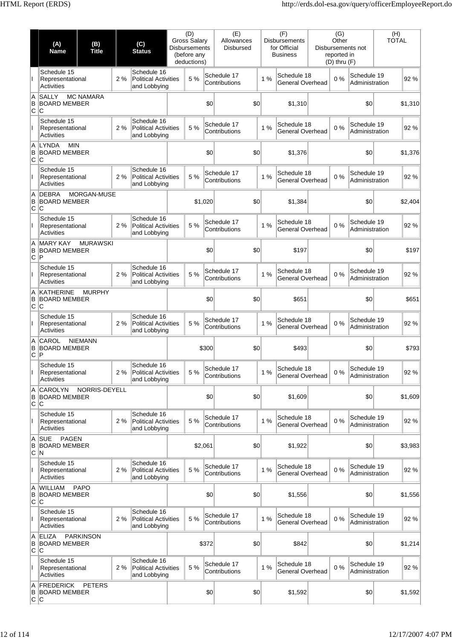|                 | (A)<br><b>Name</b>                                     | (B)<br><b>Title</b>                  |     | (C)<br><b>Status</b>                                       | (D)<br><b>Gross Salary</b><br><b>Disbursements</b><br>(before any<br>deductions) |         |       | (E)<br>Allowances<br><b>Disbursed</b> |  |    | (F)<br><b>Disbursements</b><br>for Official<br><b>Business</b> | (G)<br>Other<br>reported in<br>$(D)$ thru $(F)$ | Disbursements not             | (H)<br><b>TOTAL</b> |         |
|-----------------|--------------------------------------------------------|--------------------------------------|-----|------------------------------------------------------------|----------------------------------------------------------------------------------|---------|-------|---------------------------------------|--|----|----------------------------------------------------------------|-------------------------------------------------|-------------------------------|---------------------|---------|
|                 | Schedule 15<br>Representational<br><b>Activities</b>   |                                      | 2%  | Schedule 16<br><b>Political Activities</b><br>and Lobbying |                                                                                  | 5 %     |       | Schedule 17<br>Contributions          |  | 1% | Schedule 18<br>General Overhead                                | 0%                                              | Schedule 19<br>Administration |                     | 92%     |
| Α<br>B<br>C     | <b>SALLY</b><br><b>BOARD MEMBER</b><br>C               | <b>MC NAMARA</b>                     |     |                                                            |                                                                                  |         | \$0   | \$0                                   |  |    | \$1,310                                                        |                                                 | \$0                           |                     | \$1,310 |
| T               | Schedule 15<br>Representational<br><b>Activities</b>   |                                      | 2%  | Schedule 16<br><b>Political Activities</b><br>and Lobbying |                                                                                  | 5 %     |       | Schedule 17<br>Contributions          |  | 1% | Schedule 18<br>General Overhead                                | 0%                                              | Schedule 19<br>Administration |                     | 92%     |
| Α<br>B<br>lC.   | <b>LYNDA</b><br><b>MIN</b><br><b>BOARD MEMBER</b><br>C |                                      |     |                                                            |                                                                                  |         | \$0   | \$0                                   |  |    | \$1,376                                                        |                                                 | \$0                           |                     | \$1,376 |
|                 | Schedule 15<br>Representational<br><b>Activities</b>   |                                      | 2%  | Schedule 16<br><b>Political Activities</b><br>and Lobbying |                                                                                  | 5 %     |       | Schedule 17<br>Contributions          |  | 1% | Schedule 18<br>General Overhead                                | 0%                                              | Schedule 19<br>Administration |                     | 92%     |
| A<br>B<br>C     | <b>DEBRA</b><br><b>BOARD MEMBER</b><br>C               | MORGAN-MUSE                          |     |                                                            |                                                                                  | \$1,020 |       | \$0                                   |  |    | \$1,384                                                        |                                                 | \$0                           |                     | \$2,404 |
| L               | Schedule 15<br>Representational<br><b>Activities</b>   |                                      | 2 % | Schedule 16<br><b>Political Activities</b><br>and Lobbying |                                                                                  | 5 %     |       | Schedule 17<br>Contributions          |  | 1% | Schedule 18<br>General Overhead                                | 0%                                              | Schedule 19<br>Administration |                     | 92%     |
| A<br>B<br>∣C ∣P | <b>MARY KAY</b><br><b>BOARD MEMBER</b>                 | <b>MURAWSKI</b>                      |     |                                                            |                                                                                  |         | \$0   | \$0                                   |  |    | \$197                                                          |                                                 | \$0                           |                     | \$197   |
|                 | Schedule 15<br>Representational<br><b>Activities</b>   |                                      | 2%  | Schedule 16<br><b>Political Activities</b><br>and Lobbying |                                                                                  | 5 %     |       | Schedule 17<br>Contributions          |  | 1% | Schedule 18<br>General Overhead                                | 0%                                              | Schedule 19<br>Administration |                     | 92%     |
| A<br>В<br>C     | <b>KATHERINE</b><br>C                                  | <b>MURPHY</b><br><b>BOARD MEMBER</b> |     |                                                            |                                                                                  |         | \$0   | \$0                                   |  |    | \$651                                                          |                                                 | \$0                           |                     | \$651   |
| L               | Schedule 15<br>Representational<br><b>Activities</b>   |                                      | 2%  | Schedule 16<br><b>Political Activities</b><br>and Lobbying |                                                                                  | 5 %     |       | Schedule 17<br>Contributions          |  | 1% | Schedule 18<br>General Overhead                                | 0%                                              | Schedule 19<br>Administration |                     | 92%     |
| A<br>B<br>C     | CAROL<br><b>BOARD MEMBER</b><br>$\mathsf P$            | <b>NIEMANN</b>                       |     |                                                            | \$300                                                                            |         |       | \$0                                   |  |    | \$493                                                          |                                                 | \$0                           |                     | \$793   |
|                 | Schedule 15<br>Representational<br>Activities          |                                      | 2%  | Schedule 16<br><b>Political Activities</b><br>and Lobbying |                                                                                  | 5 %     |       | Schedule 17<br>Contributions          |  | 1% | Schedule 18<br>General Overhead                                | 0%                                              | Schedule 19<br>Administration |                     | 92 %    |
| Α<br>B<br>C.    | <b>CAROLYN</b><br><b>BOARD MEMBER</b><br>C             | NORRIS-DEYELL                        |     |                                                            |                                                                                  |         | \$0   | \$0                                   |  |    | \$1,609                                                        |                                                 | \$0                           |                     | \$1,609 |
| L               | Schedule 15<br>Representational<br><b>Activities</b>   |                                      | 2%  | Schedule 16<br><b>Political Activities</b><br>and Lobbying |                                                                                  | 5 %     |       | Schedule 17<br>Contributions          |  | 1% | Schedule 18<br>General Overhead                                | 0%                                              | Schedule 19<br>Administration |                     | 92 %    |
| Α<br>B<br>∣C ∣N | <b>SUE</b><br><b>PAGEN</b><br><b>BOARD MEMBER</b>      |                                      |     |                                                            |                                                                                  | \$2,061 |       | \$0                                   |  |    | \$1,922                                                        |                                                 | \$0                           |                     | \$3,983 |
|                 | Schedule 15<br>Representational<br><b>Activities</b>   |                                      | 2%  | Schedule 16<br><b>Political Activities</b><br>and Lobbying |                                                                                  | 5 %     |       | Schedule 17<br>Contributions          |  | 1% | Schedule 18<br>General Overhead                                | 0%                                              | Schedule 19<br>Administration |                     | 92%     |
| A<br>B<br>C     | <b>WILLIAM</b><br><b>BOARD MEMBER</b><br>C             | <b>PAPO</b>                          |     |                                                            |                                                                                  |         | \$0   | \$0                                   |  |    | \$1,556                                                        |                                                 | \$0                           |                     | \$1,556 |
| L               | Schedule 15<br>Representational<br><b>Activities</b>   |                                      | 2%  | Schedule 16<br><b>Political Activities</b><br>and Lobbying |                                                                                  | 5 %     |       | Schedule 17<br>Contributions          |  | 1% | Schedule 18<br>General Overhead                                | 0%                                              | Schedule 19<br>Administration |                     | 92 %    |
| Α<br>B<br>C.    | <b>ELIZA</b><br><b>BOARD MEMBER</b><br>lC.             | <b>PARKINSON</b>                     |     |                                                            |                                                                                  |         | \$372 | \$0                                   |  |    | \$842                                                          |                                                 | \$0                           |                     | \$1,214 |
| L               | Schedule 15<br>Representational<br>Activities          |                                      | 2%  | Schedule 16<br><b>Political Activities</b><br>and Lobbying |                                                                                  | 5 %     |       | Schedule 17<br>Contributions          |  | 1% | Schedule 18<br>General Overhead                                | 0%                                              | Schedule 19<br>Administration |                     | 92 %    |
| A<br> c c       | <b>FREDERICK</b><br><b>B BOARD MEMBER</b>              | <b>PETERS</b>                        |     |                                                            |                                                                                  |         | \$0   | \$0                                   |  |    | \$1,592                                                        |                                                 | \$0                           |                     | \$1,592 |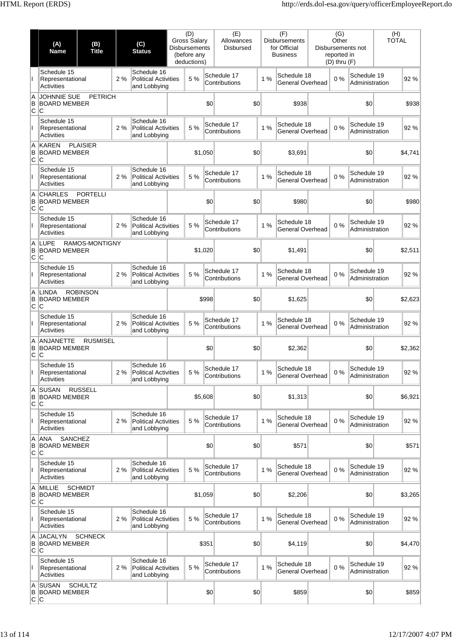|                 | (A)<br>Name                                          | (B)<br><b>Title</b> |     | (C)<br><b>Status</b>                                       | (D)<br><b>Gross Salary</b><br><b>Disbursements</b><br>(before any<br>deductions) |         |       | (E)<br>Allowances<br><b>Disbursed</b> |    | (F)<br><b>Disbursements</b><br>for Official<br><b>Business</b> | (G)<br>Other<br>reported in<br>$(D)$ thru $(F)$ | Disbursements not             | (H)<br><b>TOTAL</b> |         |
|-----------------|------------------------------------------------------|---------------------|-----|------------------------------------------------------------|----------------------------------------------------------------------------------|---------|-------|---------------------------------------|----|----------------------------------------------------------------|-------------------------------------------------|-------------------------------|---------------------|---------|
|                 | Schedule 15<br>Representational<br>Activities        |                     | 2%  | Schedule 16<br><b>Political Activities</b><br>and Lobbying |                                                                                  | 5 %     |       | Schedule 17<br>Contributions          | 1% | Schedule 18<br>General Overhead                                | 0%                                              | Schedule 19<br>Administration |                     | 92%     |
| A<br>B<br>lc Ic | JOHNNIE SUE<br><b>BOARD MEMBER</b>                   | <b>PETRICH</b>      |     |                                                            |                                                                                  |         | \$0   | \$0                                   |    | \$938                                                          |                                                 | \$0                           |                     | \$938   |
| T               | Schedule 15<br>Representational<br><b>Activities</b> |                     | 2%  | Schedule 16<br><b>Political Activities</b><br>and Lobbying |                                                                                  | 5 %     |       | Schedule 17<br>Contributions          | 1% | Schedule 18<br>General Overhead                                | 0%                                              | Schedule 19<br>Administration |                     | 92%     |
| Α<br>B<br>C     | <b>KAREN</b><br><b>BOARD MEMBER</b><br>ΙC            | <b>PLAISIER</b>     |     |                                                            |                                                                                  | \$1,050 |       | \$0                                   |    | \$3,691                                                        |                                                 | \$0                           |                     | \$4,741 |
|                 | Schedule 15<br>Representational<br><b>Activities</b> |                     | 2%  | Schedule 16<br><b>Political Activities</b><br>and Lobbying |                                                                                  | 5 %     |       | Schedule 17<br>Contributions          | 1% | Schedule 18<br>General Overhead                                | 0%                                              | Schedule 19<br>Administration |                     | 92%     |
| Α<br>B<br>C     | <b>CHARLES</b><br><b>BOARD MEMBER</b><br>lC.         | <b>PORTELLI</b>     |     |                                                            |                                                                                  |         | \$0   | \$0                                   |    | \$980                                                          |                                                 | \$0                           |                     | \$980   |
| T               | Schedule 15<br>Representational<br><b>Activities</b> |                     | 2 % | Schedule 16<br><b>Political Activities</b><br>and Lobbying |                                                                                  | 5 %     |       | Schedule 17<br>Contributions          | 1% | Schedule 18<br>General Overhead                                | 0%                                              | Schedule 19<br>Administration |                     | 92%     |
| A<br>B<br>C.    | LUPE<br><b>BOARD MEMBER</b><br>lC.                   | RAMOS-MONTIGNY      |     |                                                            |                                                                                  | \$1,020 |       | \$0                                   |    | \$1,491                                                        |                                                 | \$0                           |                     | \$2,511 |
|                 | Schedule 15<br>Representational<br>Activities        |                     | 2%  | Schedule 16<br><b>Political Activities</b><br>and Lobbying |                                                                                  | 5 %     |       | Schedule 17<br>Contributions          | 1% | Schedule 18<br>General Overhead                                | 0%                                              | Schedule 19<br>Administration |                     | 92%     |
| Α<br>B<br>C     | <b>LINDA</b><br><b>BOARD MEMBER</b><br>ΙC            | <b>ROBINSON</b>     |     |                                                            |                                                                                  |         | \$998 | \$0                                   |    | \$1,625                                                        |                                                 | \$0                           |                     | \$2,623 |
| L               | Schedule 15<br>Representational<br><b>Activities</b> |                     | 2%  | Schedule 16<br><b>Political Activities</b><br>and Lobbying |                                                                                  | 5 %     |       | Schedule 17<br>Contributions          | 1% | Schedule 18<br>General Overhead                                | 0%                                              | Schedule 19<br>Administration |                     | 92%     |
| A<br>B<br>lC.   | <b>ANJANETTE</b><br><b>BOARD MEMBER</b><br>C         | <b>RUSMISEL</b>     |     |                                                            |                                                                                  |         | \$0   | \$0                                   |    | \$2,362                                                        |                                                 | \$0                           |                     | \$2,362 |
|                 | Schedule 15<br>Representational<br>Activities        |                     | 2%  | Schedule 16<br><b>Political Activities</b><br>and Lobbying |                                                                                  | 5 %     |       | Schedule 17<br>Contributions          | 1% | Schedule 18<br>General Overhead                                | 0%                                              | Schedule 19<br>Administration |                     | 92 %    |
| Α<br>B<br>C     | <b>SUSAN</b><br><b>BOARD MEMBER</b><br>C             | <b>RUSSELL</b>      |     |                                                            |                                                                                  | \$5,608 |       | \$0                                   |    | \$1,313                                                        |                                                 | \$0                           |                     | \$6,921 |
| L               | Schedule 15<br>Representational<br><b>Activities</b> |                     | 2%  | Schedule 16<br><b>Political Activities</b><br>and Lobbying |                                                                                  | 5 %     |       | Schedule 17<br>Contributions          | 1% | Schedule 18<br>General Overhead                                | 0%                                              | Schedule 19<br>Administration |                     | 92%     |
| Α<br>B<br>C     | SANCHEZ<br>ANA<br><b>BOARD MEMBER</b><br>ΙC          |                     |     |                                                            |                                                                                  |         | \$0   | \$0                                   |    | \$571                                                          |                                                 | \$0                           |                     | \$571   |
|                 | Schedule 15<br>Representational<br><b>Activities</b> |                     | 2%  | Schedule 16<br><b>Political Activities</b><br>and Lobbying |                                                                                  | 5 %     |       | Schedule 17<br>Contributions          | 1% | Schedule 18<br>General Overhead                                | 0%                                              | Schedule 19<br>Administration |                     | 92%     |
| Α<br>B<br>C     | MILLIE<br><b>BOARD MEMBER</b><br>C                   | <b>SCHMIDT</b>      |     |                                                            |                                                                                  | \$1,059 |       | \$0                                   |    | \$2,206                                                        |                                                 | \$0                           |                     | \$3,265 |
| L               | Schedule 15<br>Representational<br><b>Activities</b> |                     | 2%  | Schedule 16<br><b>Political Activities</b><br>and Lobbying |                                                                                  | 5 %     |       | Schedule 17<br>Contributions          | 1% | Schedule 18<br>General Overhead                                | 0%                                              | Schedule 19<br>Administration |                     | 92 %    |
| Α<br>B<br>C     | <b>JACALYN</b><br><b>BOARD MEMBER</b><br>C           | <b>SCHNECK</b>      |     |                                                            |                                                                                  |         | \$351 | \$0                                   |    | \$4,119                                                        |                                                 | \$0                           |                     | \$4,470 |
| L               | Schedule 15<br>Representational<br><b>Activities</b> |                     | 2%  | Schedule 16<br><b>Political Activities</b><br>and Lobbying |                                                                                  | 5 %     |       | Schedule 17<br>Contributions          | 1% | Schedule 18<br>General Overhead                                | 0%                                              | Schedule 19<br>Administration |                     | 92%     |
| Α<br>В<br> C C  | <b>SUSAN</b><br><b>BOARD MEMBER</b>                  | <b>SCHULTZ</b>      |     |                                                            |                                                                                  |         | \$0   | \$0                                   |    | \$859                                                          |                                                 | \$0                           |                     | \$859   |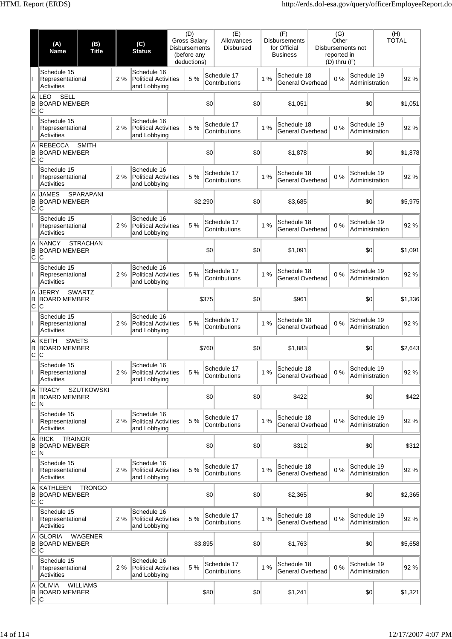|                 | (A)<br>Name                                              | (B)<br><b>Title</b> |     | (C)<br><b>Status</b>                                       | (D)<br><b>Gross Salary</b><br><b>Disbursements</b><br>(before any<br>deductions) |         |       | (E)<br>Allowances<br><b>Disbursed</b> |    | (F)<br><b>Disbursements</b><br>for Official<br><b>Business</b> | (G)<br>Other<br>reported in<br>$(D)$ thru $(F)$ | Disbursements not             | (H)<br><b>TOTAL</b> |         |
|-----------------|----------------------------------------------------------|---------------------|-----|------------------------------------------------------------|----------------------------------------------------------------------------------|---------|-------|---------------------------------------|----|----------------------------------------------------------------|-------------------------------------------------|-------------------------------|---------------------|---------|
|                 | Schedule 15<br>Representational<br>Activities            |                     | 2%  | Schedule 16<br><b>Political Activities</b><br>and Lobbying |                                                                                  | 5 %     |       | Schedule 17<br>Contributions          | 1% | Schedule 18<br>General Overhead                                | 0%                                              | Schedule 19<br>Administration |                     | 92%     |
| Α<br>B<br>lc Ic | LEO<br><b>SELL</b><br><b>BOARD MEMBER</b>                |                     |     |                                                            |                                                                                  |         | \$0   | \$0                                   |    | \$1,051                                                        |                                                 | \$0                           |                     | \$1,051 |
| T               | Schedule 15<br>Representational<br><b>Activities</b>     |                     | 2%  | Schedule 16<br><b>Political Activities</b><br>and Lobbying |                                                                                  | 5 %     |       | Schedule 17<br>Contributions          | 1% | Schedule 18<br>General Overhead                                | 0%                                              | Schedule 19<br>Administration |                     | 92%     |
| Α<br>B<br>C     | <b>REBECCA</b><br><b>BOARD MEMBER</b><br>ΙC              | <b>SMITH</b>        |     |                                                            |                                                                                  |         | \$0   | \$0                                   |    | \$1,878                                                        |                                                 | \$0                           |                     | \$1,878 |
|                 | Schedule 15<br>Representational<br><b>Activities</b>     |                     | 2%  | Schedule 16<br><b>Political Activities</b><br>and Lobbying |                                                                                  | 5 %     |       | Schedule 17<br>Contributions          | 1% | Schedule 18<br>General Overhead                                | 0%                                              | Schedule 19<br>Administration |                     | 92%     |
| A<br>B<br>C     | <b>JAMES</b><br><b>BOARD MEMBER</b><br>ΙC                | <b>SPARAPANI</b>    |     |                                                            |                                                                                  | \$2,290 |       | \$0                                   |    | \$3,685                                                        |                                                 | \$0                           |                     | \$5,975 |
| T               | Schedule 15<br>Representational<br><b>Activities</b>     |                     | 2 % | Schedule 16<br><b>Political Activities</b><br>and Lobbying |                                                                                  | 5 %     |       | Schedule 17<br>Contributions          | 1% | Schedule 18<br>General Overhead                                | 0%                                              | Schedule 19<br>Administration |                     | 92%     |
| A<br>B<br>lC.   | <b>NANCY</b><br><b>BOARD MEMBER</b><br>lC.               | <b>STRACHAN</b>     |     |                                                            |                                                                                  |         | \$0   | \$0                                   |    | \$1,091                                                        |                                                 | \$0                           |                     | \$1,091 |
|                 | Schedule 15<br>Representational<br><b>Activities</b>     |                     | 2%  | Schedule 16<br><b>Political Activities</b><br>and Lobbying |                                                                                  | 5 %     |       | Schedule 17<br>Contributions          | 1% | Schedule 18<br>General Overhead                                | 0%                                              | Schedule 19<br>Administration |                     | 92%     |
| A<br>B<br>C     | <b>JERRY</b><br><b>BOARD MEMBER</b><br>ΙC                | <b>SWARTZ</b>       |     |                                                            |                                                                                  |         | \$375 | \$0                                   |    | \$961                                                          |                                                 | \$0                           |                     | \$1,336 |
| L               | Schedule 15<br>Representational<br><b>Activities</b>     |                     | 2 % | Schedule 16<br><b>Political Activities</b><br>and Lobbying |                                                                                  | 5 %     |       | Schedule 17<br>Contributions          | 1% | Schedule 18<br>General Overhead                                | 0%                                              | Schedule 19<br>Administration |                     | 92%     |
| A<br>B<br>lC.   | <b>KEITH</b><br><b>SWETS</b><br><b>BOARD MEMBER</b><br>C |                     |     |                                                            |                                                                                  |         | \$760 | \$0                                   |    | \$1,883                                                        |                                                 | \$0                           |                     | \$2,643 |
|                 | Schedule 15<br>Representational<br><b>Activities</b>     |                     | 2%  | Schedule 16<br><b>Political Activities</b><br>and Lobbying |                                                                                  | 5 %     |       | Schedule 17<br>Contributions          | 1% | Schedule 18<br>General Overhead                                | 0%                                              | Schedule 19<br>Administration |                     | 92 %    |
| Α<br>B<br> C N  | <b>TRACY</b><br><b>BOARD MEMBER</b>                      | <b>SZUTKOWSKI</b>   |     |                                                            |                                                                                  |         | \$0   | \$0                                   |    | \$422                                                          |                                                 | \$0                           |                     | \$422   |
| L               | Schedule 15<br>Representational<br><b>Activities</b>     |                     | 2%  | Schedule 16<br><b>Political Activities</b><br>and Lobbying |                                                                                  | 5 %     |       | Schedule 17<br>Contributions          | 1% | Schedule 18<br>General Overhead                                | 0%                                              | Schedule 19<br>Administration |                     | 92%     |
| Α<br>B<br>∣C ∣N | <b>RICK</b><br><b>TRAINOR</b><br><b>BOARD MEMBER</b>     |                     |     |                                                            |                                                                                  |         | \$0   | \$0                                   |    | \$312                                                          |                                                 | \$0                           |                     | \$312   |
|                 | Schedule 15<br>Representational<br><b>Activities</b>     |                     | 2%  | Schedule 16<br><b>Political Activities</b><br>and Lobbying |                                                                                  | 5 %     |       | Schedule 17<br>Contributions          | 1% | Schedule 18<br>General Overhead                                | 0%                                              | Schedule 19<br>Administration |                     | 92%     |
| Α<br>B<br>C     | <b>KATHLEEN</b><br>BOARD MEMBER<br>IС                    | <b>TRONGO</b>       |     |                                                            |                                                                                  |         | \$0   | \$0                                   |    | \$2,365                                                        |                                                 | \$0                           |                     | \$2,365 |
| L               | Schedule 15<br>Representational<br><b>Activities</b>     |                     | 2%  | Schedule 16<br><b>Political Activities</b><br>and Lobbying |                                                                                  | 5 %     |       | Schedule 17<br>Contributions          | 1% | Schedule 18<br>General Overhead                                | 0%                                              | Schedule 19<br>Administration |                     | 92 %    |
| Α<br>B<br>C     | <b>GLORIA</b><br><b>BOARD MEMBER</b><br>IС               | WAGENER             |     |                                                            |                                                                                  | \$3,895 |       | \$0                                   |    | \$1,763                                                        |                                                 | \$0                           |                     | \$5,658 |
| L               | Schedule 15<br>Representational<br><b>Activities</b>     |                     | 2%  | Schedule 16<br><b>Political Activities</b><br>and Lobbying |                                                                                  | 5 %     |       | Schedule 17<br>Contributions          | 1% | Schedule 18<br>General Overhead                                | 0%                                              | Schedule 19<br>Administration |                     | 92%     |
| Α<br>В<br> C C  | <b>OLIVIA</b><br><b>BOARD MEMBER</b>                     | <b>WILLIAMS</b>     |     |                                                            |                                                                                  |         | \$80  | \$0                                   |    | \$1,241                                                        |                                                 | \$0                           |                     | \$1,321 |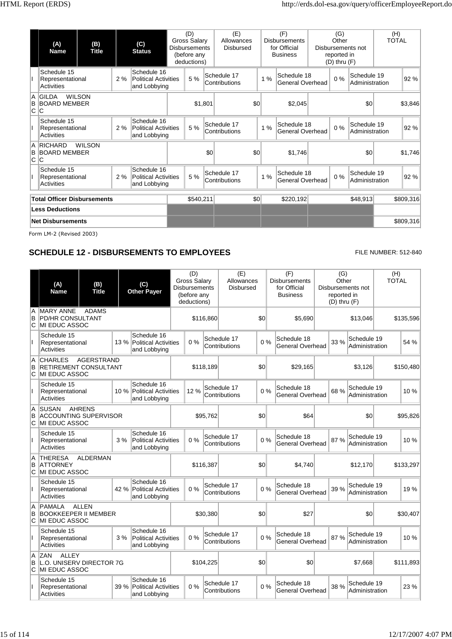|                | (A)<br><b>Name</b>                            | (B)<br><b>Title</b>                                                                             |    | (C)<br><b>Status</b>                                       | (D)<br><b>Gross Salary</b><br><b>Disbursements</b><br>(before any<br>deductions) |     | (E)<br>Allowances<br><b>Disbursed</b> |     |    | (F)<br><b>Disbursements</b><br>for Official<br><b>Business</b> | (G)<br>Other<br>reported in<br>$(D)$ thru $(F)$ | Disbursements not             | (H)<br><b>TOTAL</b> |           |
|----------------|-----------------------------------------------|-------------------------------------------------------------------------------------------------|----|------------------------------------------------------------|----------------------------------------------------------------------------------|-----|---------------------------------------|-----|----|----------------------------------------------------------------|-------------------------------------------------|-------------------------------|---------------------|-----------|
|                | Schedule 15<br>Representational<br>Activities |                                                                                                 | 2% | Schedule 16<br><b>Political Activities</b><br>and Lobbying | 5 %                                                                              |     | Schedule 17<br>Contributions          |     | 1% | Schedule 18<br>General Overhead                                | 0%                                              | Schedule 19<br>Administration |                     | 92%       |
| ΙA<br>B<br>C   | <b>GILDA</b><br>lC.                           | <b>WILSON</b><br><b>BOARD MEMBER</b><br>2%                                                      |    |                                                            | \$1,801                                                                          |     |                                       | \$0 |    | \$2,045                                                        |                                                 | \$0                           |                     | \$3,846   |
|                | Schedule 15<br>Activities                     | Schedule 16<br><b>Political Activities</b><br>Representational<br>and Lobbying<br><b>WILSON</b> |    |                                                            | 5 %                                                                              |     | Schedule 17<br>Contributions          |     | 1% | Schedule 18<br>General Overhead                                | 0%                                              | Schedule 19<br>Administration |                     | 92 %      |
| Α<br>B<br> C C | <b>RICHARD</b><br><b>BOARD MEMBER</b>         |                                                                                                 |    |                                                            |                                                                                  | \$0 |                                       | \$0 |    | \$1,746                                                        |                                                 | \$0                           |                     | \$1,746   |
|                | Schedule 15<br>Representational<br>Activities |                                                                                                 | 2% | Schedule 16<br><b>Political Activities</b><br>and Lobbying | 5 %                                                                              |     | Schedule 17<br>Contributions          |     | 1% | Schedule 18<br><b>General Overhead</b>                         | $0\%$                                           | Schedule 19<br>Administration |                     | 92 %      |
|                | <b>Total Officer Disbursements</b>            |                                                                                                 |    |                                                            | \$540,211                                                                        |     |                                       | \$0 |    | \$220,192                                                      |                                                 | \$48,913                      |                     | \$809,316 |
|                | <b>Less Deductions</b>                        |                                                                                                 |    |                                                            |                                                                                  |     |                                       |     |    |                                                                |                                                 |                               |                     |           |
|                | <b>Net Disbursements</b>                      |                                                                                                 |    |                                                            |                                                                                  |     |                                       |     |    |                                                                |                                                 |                               |                     | \$809,316 |
|                | Form LM-2 (Revised 2003)                      |                                                                                                 |    |                                                            |                                                                                  |     |                                       |     |    |                                                                |                                                 |                               |                     |           |

### **SCHEDULE 12 - DISBURSEMENTS TO EMPLOYEES** FILE NUMBER: 512-840

|             | (A)<br><b>Name</b>                                                        | (B)<br><b>Title</b> |      | (C)<br><b>Other Payer</b>                                  | (D)<br>Gross Salary<br><b>Disbursements</b><br>(before any<br>deductions) |           | (E)<br>Allowances<br><b>Disbursed</b> |     | (F)<br><b>Disbursements</b><br>for Official<br><b>Business</b> | (G)<br>Other<br>reported in<br>$(D)$ thru $(F)$ | Disbursements not             | (H)<br><b>TOTAL</b> |
|-------------|---------------------------------------------------------------------------|---------------------|------|------------------------------------------------------------|---------------------------------------------------------------------------|-----------|---------------------------------------|-----|----------------------------------------------------------------|-------------------------------------------------|-------------------------------|---------------------|
| A<br>B<br>C | <b>MARY ANNE</b><br><b>PD/HR CONSULTANT</b><br><b>IMI EDUC ASSOC</b>      | <b>ADAMS</b>        |      |                                                            |                                                                           | \$116,860 |                                       | \$0 | \$5,690                                                        |                                                 | \$13,046                      | \$135,596           |
|             | Schedule 15<br>Representational<br>Activities                             |                     |      | Schedule 16<br>13 % Political Activities<br>and Lobbying   | $0\%$                                                                     |           | Schedule 17<br>Contributions          | 0%  | Schedule 18<br>General Overhead                                | 33 %                                            | Schedule 19<br>Administration | 54 %                |
| Α<br>B<br>C | <b>CHARLES</b><br><b>RETIREMENT CONSULTANT</b><br>MI EDUC ASSOC           | <b>AGERSTRAND</b>   |      |                                                            |                                                                           | \$118,189 |                                       | \$0 | \$29,165                                                       |                                                 | \$3,126                       | \$150,480           |
|             | Schedule 15<br>Representational<br>Activities                             |                     | 10 % | Schedule 16<br><b>Political Activities</b><br>and Lobbying | 12 %                                                                      |           | Schedule 17<br>Contributions          | 0%  | Schedule 18<br><b>General Overhead</b>                         | 68 %                                            | Schedule 19<br>Administration | 10 %                |
| A<br>в<br>C | <b>SUSAN</b><br><b>ACCOUNTING SUPERVISOR</b><br>MI EDUC ASSOC             | <b>AHRENS</b>       |      |                                                            |                                                                           | \$95,762  |                                       | \$0 | \$64                                                           |                                                 | \$0                           | \$95,826            |
|             | Schedule 15<br>Representational<br><b>Activities</b>                      |                     | 3%   | Schedule 16<br><b>Political Activities</b><br>and Lobbying | 0%                                                                        |           | Schedule 17<br>Contributions          | 0%  | Schedule 18<br>General Overhead                                | 87%                                             | Schedule 19<br>Administration | 10 %                |
| A<br>B<br>C | <b>THERESA</b><br><b>ATTORNEY</b><br>MI EDUC ASSOC                        | <b>ALDERMAN</b>     |      |                                                            |                                                                           | \$116,387 |                                       | \$0 | \$4,740                                                        |                                                 | \$12,170                      | \$133,297           |
|             | Schedule 15<br>Representational<br><b>Activities</b>                      |                     | 42 % | Schedule 16<br><b>Political Activities</b><br>and Lobbying | $0\%$                                                                     |           | Schedule 17<br>Contributions          | 0%  | Schedule 18<br>General Overhead                                | 39 %                                            | Schedule 19<br>Administration | 19 %                |
| A<br>B<br>C | <b>PAMALA</b><br><b>BOOKKEEPER II MEMBER</b><br><b>MI EDUC ASSOC</b>      | <b>ALLEN</b>        |      |                                                            |                                                                           | \$30,380  |                                       | \$0 | \$27                                                           |                                                 | \$0                           | \$30,407            |
|             | Schedule 15<br>Representational<br><b>Activities</b>                      |                     | 3%   | Schedule 16<br><b>Political Activities</b><br>and Lobbying | 0%                                                                        |           | Schedule 17<br>Contributions          | 0%  | Schedule 18<br>General Overhead                                | 87%                                             | Schedule 19<br>Administration | 10%                 |
| Α<br>в      | <b>ZAN</b><br><b>ALLEY</b><br>L.O. UNISERV DIRECTOR 7G<br>C MI EDUC ASSOC |                     |      |                                                            |                                                                           | \$104,225 |                                       | \$0 | \$0                                                            |                                                 | \$7,668                       | \$111.893           |
|             | Schedule 15<br>Representational<br><b>Activities</b>                      |                     | 39 % | Schedule 16<br><b>Political Activities</b><br>and Lobbying | 0%                                                                        |           | Schedule 17<br>Contributions          | 0%  | Schedule 18<br>General Overhead                                | 38 %                                            | Schedule 19<br>Administration | 23 %                |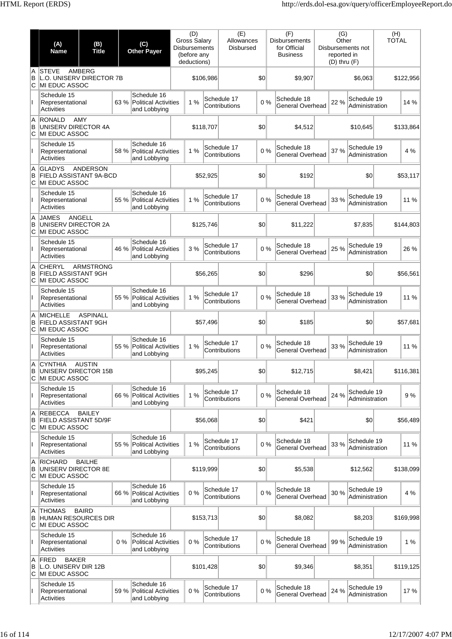|              | (A)<br><b>Name</b>                                              | (B)<br><b>Title</b>                            | (C)<br><b>Other Payer</b>                                           | (D)<br><b>Gross Salary</b><br><b>Disbursements</b><br>(before any<br>deductions) |           | (E)<br>Allowances<br><b>Disbursed</b> |              | (F)<br><b>Disbursements</b><br>for Official<br><b>Business</b> | (G)<br>Other<br>reported in<br>$(D)$ thru $(F)$ | Disbursements not             | (H)<br><b>TOTAL</b> |           |
|--------------|-----------------------------------------------------------------|------------------------------------------------|---------------------------------------------------------------------|----------------------------------------------------------------------------------|-----------|---------------------------------------|--------------|----------------------------------------------------------------|-------------------------------------------------|-------------------------------|---------------------|-----------|
| A<br>B<br>C  | <b>STEVE</b><br>L.O. UNISERV DIRECTOR 7B<br>MI EDUC ASSOC       | AMBERG                                         |                                                                     |                                                                                  | \$106,986 |                                       | \$0          | \$9,907                                                        |                                                 | \$6,063                       |                     | \$122,956 |
|              | Schedule 15<br>Representational<br>Activities                   |                                                | Schedule 16<br>63 %<br><b>Political Activities</b><br>and Lobbying  | 1%                                                                               |           | Schedule 17<br>Contributions          | 0%           | Schedule 18<br>General Overhead                                | 22 %                                            | Schedule 19<br>Administration |                     | 14 %      |
| A<br>B<br>C  | <b>RONALD</b><br>UNISERV DIRECTOR 4A<br>MI EDUC ASSOC           | AMY                                            |                                                                     |                                                                                  | \$118,707 |                                       | \$0          | \$4,512                                                        |                                                 | \$10,645                      |                     | \$133,864 |
| Ш            | Schedule 15<br>Representational<br>Activities                   |                                                | Schedule 16<br>58 %<br><b>Political Activities</b><br>and Lobbying  | 1%                                                                               |           | Schedule 17<br>Contributions          | 0%           | Schedule 18<br>General Overhead                                | 37 %                                            | Schedule 19<br>Administration |                     | 4 %       |
| A<br>B<br>C  | <b>GLADYS</b><br><b>FIELD ASSISTANT 9A-BCD</b><br>MI EDUC ASSOC | <b>ANDERSON</b>                                |                                                                     |                                                                                  | \$52,925  |                                       | \$0          | \$192                                                          |                                                 | \$0                           |                     | \$53,117  |
| Ш            | Schedule 15<br>Representational<br>Activities                   |                                                | Schedule 16<br>55 %<br><b>Political Activities</b><br>and Lobbying  | 1%                                                                               |           | Schedule 17<br>Contributions          | 0%           | Schedule 18<br>General Overhead                                | 33 %                                            | Schedule 19<br>Administration |                     | 11 %      |
| A<br>B<br>C  | <b>JAMES</b><br>UNISERV DIRECTOR 2A<br>MI EDUC ASSOC            | ANGELL                                         |                                                                     |                                                                                  | \$125,746 |                                       | \$0          | \$11,222                                                       |                                                 | \$7,835                       |                     | \$144,803 |
| Ш            | Schedule 15<br>Representational<br><b>Activities</b>            |                                                | Schedule 16<br>46 %<br><b>Political Activities</b><br>and Lobbying  | 3 %                                                                              |           | Schedule 17<br>Contributions          | 0%           | Schedule 18<br>General Overhead                                | 25 %                                            | Schedule 19<br>Administration |                     | 26 %      |
| A<br>B<br>С  | <b>CHERYL</b><br>MI EDUC ASSOC                                  | <b>ARMSTRONG</b><br>FIELD ASSISTANT 9GH        |                                                                     |                                                                                  | \$56,265  |                                       | \$0          | \$296                                                          |                                                 | \$0                           |                     | \$56,561  |
| Ш            | Schedule 15<br>Representational<br>Activities                   |                                                | Schedule 16<br><b>Political Activities</b><br>and Lobbying          | 1%                                                                               |           | Schedule 17<br>Contributions          | 0%           | Schedule 18<br>General Overhead                                | 33 %                                            | Schedule 19<br>Administration |                     | 11 %      |
| A<br>в<br>C  | <b>MICHELLE</b><br>MI EDUC ASSOC                                | 55 %<br><b>ASPINALL</b><br>FIELD ASSISTANT 9GH |                                                                     |                                                                                  | \$57,496  |                                       | \$0          | \$185                                                          |                                                 | \$0                           |                     | \$57,681  |
|              | Schedule 15<br>Representational<br><b>Activities</b>            |                                                | Schedule 16<br>55 %<br><b>Political Activities</b><br>and Lobbying  | 1%                                                                               |           | Schedule 17<br>Contributions          | 0%           | Schedule 18<br>General Overhead                                | 33 %                                            | Schedule 19<br>Administration |                     | 11 %      |
| A<br>В<br>C  | CYNTHIA<br>UNISERV DIRECTOR 15B<br>MI EDUC ASSOC                | <b>AUSTIN</b>                                  |                                                                     |                                                                                  | \$95,245  |                                       | $ 10\rangle$ | \$12,715                                                       |                                                 | \$8,421                       |                     | \$116,381 |
| $\mathbf{I}$ | Schedule 15<br>Representational<br><b>Activities</b>            |                                                | Schedule 16<br>66 %<br><b>Political Activities</b><br>and Lobbying  | 1%                                                                               |           | Schedule 17<br>Contributions          | 0%           | Schedule 18<br><b>General Overhead</b>                         | 24 %                                            | Schedule 19<br>Administration |                     | 9%        |
| A<br>В<br>C  | <b>REBECCA</b><br>FIELD ASSISTANT 5D/9F<br>MI EDUC ASSOC        | <b>BAILEY</b>                                  |                                                                     |                                                                                  | \$56,068  |                                       | \$0          | \$421                                                          |                                                 | \$0                           |                     | \$56,489  |
| L            | Schedule 15<br>Representational<br><b>Activities</b>            |                                                | Schedule 16<br>55 % Political Activities<br>and Lobbying            | 1%                                                                               |           | Schedule 17<br>Contributions          | 0%           | Schedule 18<br>General Overhead                                | 33 %                                            | Schedule 19<br>Administration |                     | 11 %      |
| A<br>B<br>С  | <b>RICHARD</b><br>UNISERV DIRECTOR 8E<br>MI EDUC ASSOC          | <b>BAILHE</b>                                  |                                                                     |                                                                                  | \$119,999 |                                       | \$0          | \$5,538                                                        |                                                 | \$12,562                      |                     | \$138,099 |
| $\mathbf{I}$ | Schedule 15<br>Representational<br>Activities                   |                                                | Schedule 16<br>66 %<br><b>Political Activities</b><br>and Lobbying  | 0%                                                                               |           | Schedule 17<br>Contributions          | 0%           | Schedule 18<br>General Overhead                                | 30 %                                            | Schedule 19<br>Administration |                     | 4 %       |
| A<br>В<br>С  | <b>THOMAS</b><br><b>HUMAN RESOURCES DIR</b><br>MI EDUC ASSOC    | <b>BAIRD</b>                                   |                                                                     |                                                                                  | \$153,713 |                                       | \$0          | \$8,082                                                        |                                                 | \$8,203                       |                     | \$169,998 |
|              | Schedule 15<br>Representational<br>Activities                   |                                                | Schedule 16<br>$0\%$<br><b>Political Activities</b><br>and Lobbying | 0%                                                                               |           | Schedule 17<br>Contributions          | 0%           | Schedule 18<br>General Overhead                                | 99 %                                            | Schedule 19<br>Administration |                     | 1%        |
| A<br>B<br>C  | <b>BAKER</b><br>FRED<br>L.O. UNISERV DIR 12B<br>MI EDUC ASSOC   |                                                |                                                                     |                                                                                  | \$101,428 |                                       | \$0          | \$9,346                                                        |                                                 | \$8,351                       |                     | \$119,125 |
| Ш            | Schedule 15<br>Representational<br>Activities                   |                                                | Schedule 16<br>59 %<br><b>Political Activities</b><br>and Lobbying  | 0%                                                                               |           | Schedule 17<br>Contributions          | 0%           | Schedule 18<br>General Overhead                                | 24 %                                            | Schedule 19<br>Administration |                     | 17%       |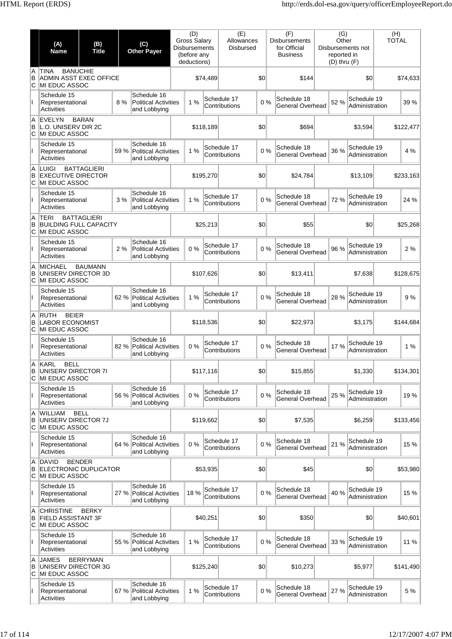|               | (A)<br><b>Name</b>                                                        | (B)<br><b>Title</b> |      | (C)<br><b>Other Payer</b>                                  | (D)<br><b>Gross Salary</b><br><b>Disbursements</b><br>(before any<br>deductions) |           | (E)<br>Allowances<br><b>Disbursed</b> |     | (F)<br><b>Disbursements</b><br>for Official<br><b>Business</b> | (G)<br>Other<br>reported in<br>$(D)$ thru $(F)$ | Disbursements not             | (H)<br><b>TOTAL</b> |           |
|---------------|---------------------------------------------------------------------------|---------------------|------|------------------------------------------------------------|----------------------------------------------------------------------------------|-----------|---------------------------------------|-----|----------------------------------------------------------------|-------------------------------------------------|-------------------------------|---------------------|-----------|
| A<br>B<br>ΙC  | <b>BANUCHIE</b><br><b>TINA</b><br>ADMIN ASST EXEC OFFICE<br>MI EDUC ASSOC |                     |      |                                                            |                                                                                  | \$74,489  |                                       | \$0 | \$144                                                          |                                                 | \$0                           |                     | \$74,633  |
|               | Schedule 15<br>Representational<br>Activities                             |                     | 8 %  | Schedule 16<br><b>Political Activities</b><br>and Lobbying | 1%                                                                               |           | Schedule 17<br>Contributions          | 0%  | Schedule 18<br><b>General Overhead</b>                         | 52 %                                            | Schedule 19<br>Administration |                     | 39 %      |
| A<br>B<br>С   | <b>EVELYN</b><br>L.O. UNISERV DIR 2C<br>MI EDUC ASSOC                     | <b>BARAN</b>        |      |                                                            |                                                                                  | \$118,189 |                                       | \$0 | \$694                                                          |                                                 | \$3,594                       |                     | \$122,477 |
|               | Schedule 15<br>Representational<br><b>Activities</b>                      |                     | 59 % | Schedule 16<br>Political Activities<br>and Lobbying        | 1%                                                                               |           | Schedule 17<br>Contributions          | 0%  | Schedule 18<br><b>General Overhead</b>                         | 36 %                                            | Schedule 19<br>Administration |                     | 4 %       |
| A<br>B<br>C   | <b>LUIGI</b><br><b>EXECUTIVE DIRECTOR</b><br>MI EDUC ASSOC                | <b>BATTAGLIERI</b>  |      |                                                            |                                                                                  | \$195,270 |                                       | \$0 | \$24,784                                                       |                                                 | \$13,109                      |                     | \$233,163 |
|               | Schedule 15<br>Representational<br><b>Activities</b>                      |                     | 3%   | Schedule 16<br><b>Political Activities</b><br>and Lobbying | 1 %                                                                              |           | Schedule 17<br>Contributions          | 0%  | Schedule 18<br>General Overhead                                | 72 %                                            | Schedule 19<br>Administration |                     | 24 %      |
| A<br>B<br>С   | TERI<br><b>BUILDING FULL CAPACITY</b><br>MI EDUC ASSOC                    | <b>BATTAGLIERI</b>  |      |                                                            |                                                                                  | \$25,213  |                                       | \$0 | \$55                                                           |                                                 | \$0                           |                     | \$25,268  |
|               | Schedule 15<br>Representational<br>Activities                             |                     | 2%   | Schedule 16<br><b>Political Activities</b><br>and Lobbying | 0%                                                                               |           | Schedule 17<br>Contributions          | 0%  | Schedule 18<br>General Overhead                                | 96 %                                            | Schedule 19<br>Administration |                     | 2 %       |
| A<br>B<br>C   | <b>MICHAEL</b><br>UNISERV DIRECTOR 3D<br>MI EDUC ASSOC                    | <b>BAUMANN</b>      |      |                                                            |                                                                                  | \$107,626 |                                       | \$0 | \$13,411                                                       |                                                 | \$7,638                       |                     | \$128,675 |
| Ш             | Schedule 15<br>Representational<br>Activities                             |                     | 62 % | Schedule 16<br>Political Activities<br>and Lobbying        | 1%                                                                               |           | Schedule 17<br>Contributions          | 0%  | Schedule 18<br><b>General Overhead</b>                         | 28 %                                            | Schedule 19<br>Administration |                     | 9%        |
| A<br>B<br>C   | <b>RUTH</b><br><b>BEIER</b><br><b>LABOR ECONOMIST</b><br>MI EDUC ASSOC    |                     |      |                                                            |                                                                                  | \$118,536 |                                       | \$0 | \$22,973                                                       |                                                 | \$3,175                       |                     | \$144,684 |
|               | Schedule 15<br>Representational<br>Activities                             |                     | 82%  | Schedule 16<br>Political Activities<br>and Lobbying        | 0%                                                                               |           | Schedule 17<br>Contributions          | 0%  | Schedule 18<br>General Overhead                                | 17 %                                            | Schedule 19<br>Administration |                     | 1%        |
| В<br>C        | A KARL<br><b>BELL</b><br>UNISERV DIRECTOR 7I<br>MI EDUC ASSOC             |                     |      |                                                            |                                                                                  | \$117,116 |                                       | \$0 | \$15,855                                                       |                                                 | \$1,330                       |                     | \$134,301 |
| $\mathbf{I}$  | Schedule 15<br>Representational<br>Activities                             |                     | 56 % | Schedule 16<br>Political Activities<br>and Lobbying        | 0%                                                                               |           | Schedule 17<br>Contributions          | 0%  | Schedule 18<br>General Overhead                                | 25 %                                            | Schedule 19<br>Administration |                     | 19%       |
| A<br>B<br>lC. | <b>WILLIAM</b><br>UNISERV DIRECTOR 7J<br>MI EDUC ASSOC                    | <b>BELL</b>         |      |                                                            |                                                                                  | \$119.662 |                                       | \$0 | \$7,535                                                        |                                                 | \$6,259                       |                     | \$133,456 |
| Ш             | Schedule 15<br>Representational<br><b>Activities</b>                      |                     |      | Schedule 16<br>64 % Political Activities<br>and Lobbying   | 0%                                                                               |           | Schedule 17<br>Contributions          | 0%  | Schedule 18<br>General Overhead                                | 21 %                                            | Schedule 19<br>Administration |                     | 15 %      |
| A<br>B<br>С   | <b>DAVID</b><br>ELECTRONIC DUPLICATOR<br>MI EDUC ASSOC                    | <b>BENDER</b>       |      |                                                            |                                                                                  | \$53,935  |                                       | \$0 | \$45                                                           |                                                 | \$0                           |                     | \$53,980  |
| Ш             | Schedule 15<br>Representational<br>Activities                             |                     | 27 % | Schedule 16<br>Political Activities<br>and Lobbying        | 18%                                                                              |           | Schedule 17<br>Contributions          | 0%  | Schedule 18<br>General Overhead                                | 40 %                                            | Schedule 19<br>Administration |                     | 15 %      |
| A<br>B<br>lC. | <b>CHRISTINE</b><br><b>FIELD ASSISTANT 3F</b><br>MI EDUC ASSOC            | <b>BERKY</b>        |      |                                                            |                                                                                  | \$40,251  |                                       | \$0 | \$350                                                          |                                                 | \$0                           |                     | \$40,601  |
|               | Schedule 15<br>Representational<br>Activities                             |                     | 55 % | Schedule 16<br>Political Activities<br>and Lobbying        | 1%                                                                               |           | Schedule 17<br>Contributions          | 0%  | Schedule 18<br>General Overhead                                | 33 %                                            | Schedule 19<br>Administration |                     | 11 %      |
| A<br>B<br>C   | <b>JAMES</b><br>UNISERV DIRECTOR 3G<br>MI EDUC ASSOC                      | <b>BERRYMAN</b>     |      |                                                            |                                                                                  | \$125,240 |                                       | \$0 | \$10,273                                                       |                                                 | \$5,977                       |                     | \$141,490 |
|               | Schedule 15<br>Representational<br><b>Activities</b>                      |                     |      | Schedule 16<br>67 % Political Activities<br>and Lobbying   | 1%                                                                               |           | Schedule 17<br>Contributions          | 0%  | Schedule 18<br>General Overhead                                | 27 %                                            | Schedule 19<br>Administration |                     | 5 %       |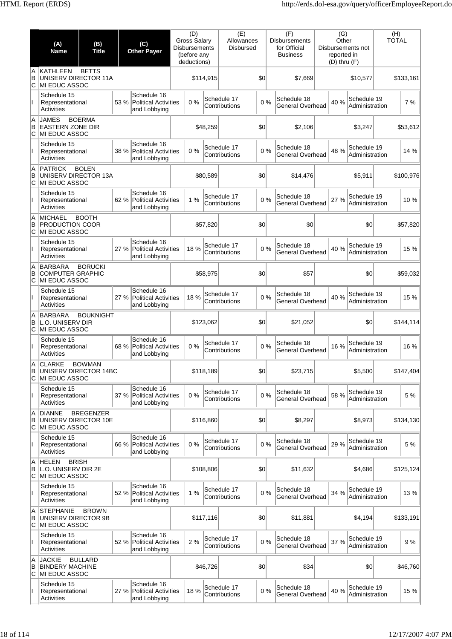|               | (A)<br><b>Name</b>                                                   | (B)<br><b>Title</b> |      | (C)<br><b>Other Payer</b>                                  | (D)<br><b>Gross Salary</b><br><b>Disbursements</b><br>(before any<br>deductions) |           | (E)<br>Allowances<br><b>Disbursed</b> |              | (F)<br><b>Disbursements</b><br>for Official<br><b>Business</b> | (G)<br>Other<br>reported in<br>$(D)$ thru $(F)$ | Disbursements not             | (H)<br><b>TOTAL</b> |           |
|---------------|----------------------------------------------------------------------|---------------------|------|------------------------------------------------------------|----------------------------------------------------------------------------------|-----------|---------------------------------------|--------------|----------------------------------------------------------------|-------------------------------------------------|-------------------------------|---------------------|-----------|
| A<br>B<br>ΙC  | KATHLEEN<br>UNISERV DIRECTOR 11A<br>MI EDUC ASSOC                    | <b>BETTS</b>        |      |                                                            |                                                                                  | \$114,915 |                                       | \$0          | \$7,669                                                        |                                                 | \$10,577                      |                     | \$133,161 |
|               | Schedule 15<br>Representational<br>Activities                        |                     | 53 % | Schedule 16<br><b>Political Activities</b><br>and Lobbying | 0%                                                                               |           | Schedule 17<br>Contributions          | 0%           | Schedule 18<br>General Overhead                                | 40 %                                            | Schedule 19<br>Administration |                     | 7 %       |
| A<br>B<br>C   | <b>JAMES</b><br><b>EASTERN ZONE DIR</b><br>MI EDUC ASSOC             | <b>BOERMA</b>       |      |                                                            |                                                                                  | \$48,259  |                                       | \$0          | \$2,106                                                        |                                                 | \$3,247                       |                     | \$53,612  |
|               | Schedule 15<br>Representational<br>Activities                        |                     | 38 % | Schedule 16<br>Political Activities<br>and Lobbying        | 0%                                                                               |           | Schedule 17<br>Contributions          | 0%           | Schedule 18<br>General Overhead                                | 48 %                                            | Schedule 19<br>Administration |                     | 14 %      |
| A<br>B<br>C   | <b>PATRICK</b><br>UNISERV DIRECTOR 13A<br>MI EDUC ASSOC              | <b>BOLEN</b>        |      |                                                            |                                                                                  | \$80,589  |                                       | \$0          | \$14,476                                                       |                                                 | \$5,911                       |                     | \$100,976 |
|               | Schedule 15<br>Representational<br>Activities                        |                     | 62 % | Schedule 16<br><b>Political Activities</b><br>and Lobbying | 1%                                                                               |           | Schedule 17<br>Contributions          | 0%           | Schedule 18<br><b>General Overhead</b>                         | 27 %                                            | Schedule 19<br>Administration |                     | 10%       |
| A<br>B<br>ΙC  | <b>MICHAEL</b><br><b>PRODUCTION COOR</b><br>MI EDUC ASSOC            | <b>BOOTH</b>        |      |                                                            |                                                                                  | \$57,820  |                                       | \$0          | \$0                                                            |                                                 | \$0                           |                     | \$57,820  |
|               | Schedule 15<br>Representational<br>Activities                        |                     | 27 % | Schedule 16<br>Political Activities<br>and Lobbying        | 18 %                                                                             |           | Schedule 17<br>Contributions          | 0%           | Schedule 18<br>General Overhead                                | 40 %                                            | Schedule 19<br>Administration |                     | 15 %      |
| A<br>B<br>С   | <b>BARBARA</b><br><b>COMPUTER GRAPHIC</b><br>MI EDUC ASSOC           | <b>BORUCKI</b>      |      |                                                            |                                                                                  | \$58,975  |                                       | \$0          | \$57                                                           |                                                 | \$0                           |                     | \$59,032  |
| Ш             | Schedule 15<br>Representational<br>Activities                        |                     | 27 % | Schedule 16<br><b>Political Activities</b><br>and Lobbying | 18 %                                                                             |           | Schedule 17<br>Contributions          | 0%           | Schedule 18<br>General Overhead                                | 40 %                                            | Schedule 19<br>Administration |                     | 15 %      |
| A<br>B<br>C   | <b>BARBARA</b><br><b>L.O. UNISERV DIR</b><br>MI EDUC ASSOC           | <b>BOUKNIGHT</b>    |      |                                                            |                                                                                  | \$123,062 |                                       | \$0          | \$21,052                                                       |                                                 | \$0                           |                     | \$144,114 |
|               | Schedule 15<br>Representational<br>Activities                        |                     | 68 % | Schedule 16<br>Political Activities<br>and Lobbying        | 0%                                                                               |           | Schedule 17<br>Contributions          | 0%           | Schedule 18<br>General Overhead                                | 16 %                                            | Schedule 19<br>Administration |                     | 16 %      |
| A<br>В<br>C   | <b>CLARKE</b><br>UNISERV DIRECTOR 14BC<br>MI EDUC ASSOC              | <b>BOWMAN</b>       |      |                                                            |                                                                                  | \$118,189 |                                       | $ 10\rangle$ | \$23,715                                                       |                                                 | \$5,500                       |                     | \$147,404 |
| $\mathbf{I}$  | Schedule 15<br>Representational<br>Activities                        |                     | 37 % | Schedule 16<br><b>Political Activities</b><br>and Lobbying | 0%                                                                               |           | Schedule 17<br>Contributions          | 0%           | Schedule 18<br><b>General Overhead</b>                         | 58 %                                            | Schedule 19<br>Administration |                     | 5 %       |
| A<br>B<br>ΙC  | <b>DIANNE</b><br>UNISERV DIRECTOR 10E<br>MI EDUC ASSOC               | <b>BREGENZER</b>    |      |                                                            |                                                                                  | \$116,860 |                                       | \$0          | \$8,297                                                        |                                                 | \$8,973                       |                     | \$134,130 |
| Ш             | Schedule 15<br>Representational<br>Activities                        |                     |      | Schedule 16<br>66 % Political Activities<br>and Lobbying   | 0%                                                                               |           | Schedule 17<br>Contributions          | 0%           | Schedule 18<br><b>General Overhead</b>                         | 29 %                                            | Schedule 19<br>Administration |                     | 5 %       |
| A<br>B<br>С   | <b>BRISH</b><br><b>HELEN</b><br>L.O. UNISERV DIR 2E<br>MI EDUC ASSOC |                     |      |                                                            |                                                                                  | \$108,806 |                                       | \$0          | \$11,632                                                       |                                                 | \$4,686                       |                     | \$125,124 |
| Ш.            | Schedule 15<br>Representational<br>Activities                        |                     | 52 % | Schedule 16<br><b>Political Activities</b><br>and Lobbying | 1%                                                                               |           | Schedule 17<br>Contributions          | 0%           | Schedule 18<br><b>General Overhead</b>                         | 34 %                                            | Schedule 19<br>Administration |                     | 13%       |
| A<br>B<br>lC. | <b>STEPHANIE</b><br>UNISERV DIRECTOR 9B<br>MI EDUC ASSOC             | <b>BROWN</b>        |      |                                                            |                                                                                  | \$117,116 |                                       | $ 10\rangle$ | \$11,881                                                       |                                                 | \$4,194                       |                     | \$133,191 |
|               | Schedule 15<br>Representational<br>Activities                        |                     |      | Schedule 16<br>52 % Political Activities<br>and Lobbying   | 2%                                                                               |           | Schedule 17<br>Contributions          | 0%           | Schedule 18<br><b>General Overhead</b>                         | 37 %                                            | Schedule 19<br>Administration |                     | 9%        |
| A<br>B<br>C   | <b>JACKIE</b><br><b>BINDERY MACHINE</b><br>MI EDUC ASSOC             | <b>BULLARD</b>      |      |                                                            |                                                                                  | \$46,726  |                                       | \$0          | \$34                                                           |                                                 | \$0                           |                     | \$46,760  |
| Ш             | Schedule 15<br>Representational<br>Activities                        |                     | 27 % | Schedule 16<br>Political Activities<br>and Lobbying        | 18 %                                                                             |           | Schedule 17<br>Contributions          | 0%           | Schedule 18<br>General Overhead                                | 40 %                                            | Schedule 19<br>Administration |                     | 15 %      |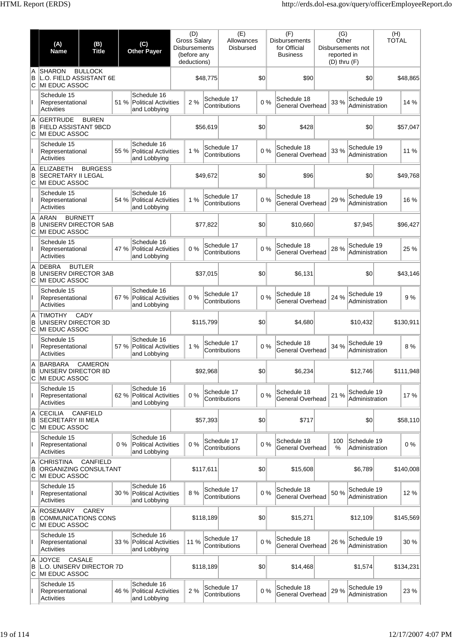|               | (A)<br><b>Name</b>                                              | (B)<br><b>Title</b> |       | (C)<br><b>Other Payer</b>                                  | (D)<br><b>Gross Salary</b><br><b>Disbursements</b><br>(before any<br>deductions) |           | (E)<br>Allowances<br><b>Disbursed</b> |     | (F)<br><b>Disbursements</b><br>for Official<br><b>Business</b> | (G)<br>Other<br>reported in<br>$(D)$ thru $(F)$ | Disbursements not             | (H)<br><b>TOTAL</b> |           |
|---------------|-----------------------------------------------------------------|---------------------|-------|------------------------------------------------------------|----------------------------------------------------------------------------------|-----------|---------------------------------------|-----|----------------------------------------------------------------|-------------------------------------------------|-------------------------------|---------------------|-----------|
| A<br>B<br>С   | <b>SHARON</b><br>L.O. FIELD ASSISTANT 6E<br>MI EDUC ASSOC       | <b>BULLOCK</b>      |       |                                                            |                                                                                  | \$48,775  |                                       | \$0 | \$90                                                           |                                                 | \$0                           |                     | \$48,865  |
|               | Schedule 15<br>Representational<br>Activities                   |                     | 51 %  | Schedule 16<br><b>Political Activities</b><br>and Lobbying | 2 %                                                                              |           | Schedule 17<br>Contributions          | 0%  | Schedule 18<br><b>General Overhead</b>                         | 33 %                                            | Schedule 19<br>Administration |                     | 14 %      |
| A<br>B<br>lC. | <b>GERTRUDE</b><br><b>FIELD ASSISTANT 9BCD</b><br>MI EDUC ASSOC | <b>BUREN</b>        |       |                                                            |                                                                                  | \$56,619  |                                       | \$0 | \$428                                                          |                                                 | \$0                           |                     | \$57,047  |
|               | Schedule 15<br>Representational<br>Activities                   |                     | 55 %  | Schedule 16<br>Political Activities<br>and Lobbying        | 1%                                                                               |           | Schedule 17<br>Contributions          | 0%  | Schedule 18<br><b>General Overhead</b>                         | 33 %                                            | Schedule 19<br>Administration |                     | 11 %      |
| A<br>B<br>C   | <b>ELIZABETH</b><br><b>SECRETARY II LEGAL</b><br>MI EDUC ASSOC  | <b>BURGESS</b>      |       |                                                            |                                                                                  | \$49,672  |                                       | \$0 | \$96                                                           |                                                 | \$0                           |                     | \$49,768  |
| Ш             | Schedule 15<br>Representational<br><b>Activities</b>            |                     | 54 %  | Schedule 16<br><b>Political Activities</b><br>and Lobbying | 1%                                                                               |           | Schedule 17<br>Contributions          | 0%  | Schedule 18<br><b>General Overhead</b>                         | 29 %                                            | Schedule 19<br>Administration |                     | 16 %      |
| A<br>B<br>С   | ARAN<br>UNISERV DIRECTOR 5AB<br>MI EDUC ASSOC                   | <b>BURNETT</b>      |       |                                                            |                                                                                  | \$77,822  |                                       | \$0 | \$10,660                                                       |                                                 | \$7,945                       |                     | \$96,427  |
|               | Schedule 15<br>Representational<br>Activities                   |                     | 47 %  | Schedule 16<br>Political Activities<br>and Lobbying        | 0%                                                                               |           | Schedule 17<br>Contributions          | 0%  | Schedule 18<br>General Overhead                                | 28 %                                            | Schedule 19<br>Administration |                     | 25 %      |
| A<br>B<br>C   | <b>DEBRA</b><br>UNISERV DIRECTOR 3AB<br>MI EDUC ASSOC           | <b>BUTLER</b>       |       |                                                            |                                                                                  | \$37,015  |                                       | \$0 | \$6,131                                                        |                                                 | \$0                           |                     | \$43,146  |
| Ш             | Schedule 15<br>Representational<br>Activities                   |                     | 67 %  | Schedule 16<br>Political Activities<br>and Lobbying        | 0%                                                                               |           | Schedule 17<br>Contributions          | 0%  | Schedule 18<br><b>General Overhead</b>                         | 24 %                                            | Schedule 19<br>Administration |                     | 9%        |
| A<br>B<br>C   | <b>TIMOTHY</b><br>UNISERV DIRECTOR 3D<br>MI EDUC ASSOC          | CADY                |       |                                                            |                                                                                  | \$115,799 |                                       | \$0 | \$4,680                                                        |                                                 | \$10,432                      |                     | \$130,911 |
|               | Schedule 15<br>Representational<br>Activities                   |                     | 57 %  | Schedule 16<br>Political Activities<br>and Lobbying        | 1%                                                                               |           | Schedule 17<br>Contributions          | 0%  | Schedule 18<br>General Overhead                                | 34 %                                            | Schedule 19<br>Administration |                     | 8 %       |
| A<br>В<br>C   | <b>BARBARA</b><br>UNISERV DIRECTOR 8D<br>MI EDUC ASSOC          | CAMERON             |       |                                                            |                                                                                  | \$92,968  |                                       | \$0 | \$6,234                                                        |                                                 | \$12,746                      |                     | \$111,948 |
| $\mathbf{I}$  | Schedule 15<br>Representational<br>Activities                   |                     | 62 %  | Schedule 16<br>Political Activities<br>and Lobbying        | 0%                                                                               |           | Schedule 17<br>Contributions          | 0%  | Schedule 18<br>General Overhead                                | 21 %                                            | Schedule 19<br>Administration |                     | 17%       |
| A<br>B<br>lC. | <b>CECILIA</b><br><b>SECRETARY III MEA</b><br>MI EDUC ASSOC     | <b>CANFIELD</b>     |       |                                                            |                                                                                  | \$57,393  |                                       | \$0 | \$717                                                          |                                                 | \$0                           |                     | \$58,110  |
| Ш             | Schedule 15<br>Representational<br><b>Activities</b>            |                     | $0\%$ | Schedule 16<br><b>Political Activities</b><br>and Lobbying | 0%                                                                               |           | Schedule 17<br>Contributions          | 0%  | Schedule 18<br>General Overhead                                | 100<br>%                                        | Schedule 19<br>Administration |                     | 0%        |
| A<br>B<br>lC. | <b>CHRISTINA</b><br>ORGANIZING CONSULTANT<br>MI EDUC ASSOC      | <b>CANFIELD</b>     |       |                                                            |                                                                                  | \$117,611 |                                       | \$0 | \$15,608                                                       |                                                 | \$6,789                       |                     | \$140,008 |
| Ш             | Schedule 15<br>Representational<br><b>Activities</b>            |                     | 30%   | Schedule 16<br>Political Activities<br>and Lobbying        | 8 %                                                                              |           | Schedule 17<br>Contributions          | 0%  | Schedule 18<br>General Overhead                                | 50 %                                            | Schedule 19<br>Administration |                     | 12 %      |
| A<br>B<br>lC. | <b>ROSEMARY</b><br><b>COMMUNICATIONS CONS</b><br>MI EDUC ASSOC  | <b>CAREY</b>        |       |                                                            |                                                                                  | \$118,189 |                                       | \$0 | \$15,271                                                       |                                                 | \$12,109                      |                     | \$145,569 |
|               | Schedule 15<br>Representational<br>Activities                   |                     | 33 %  | Schedule 16<br>Political Activities<br>and Lobbying        | 11 %                                                                             |           | Schedule 17<br>Contributions          | 0%  | Schedule 18<br>General Overhead                                | 26 %                                            | Schedule 19<br>Administration |                     | 30 %      |
| A<br>B<br>C   | <b>JOYCE</b><br>L.O. UNISERV DIRECTOR 7D<br>MI EDUC ASSOC       | <b>CASALE</b>       |       |                                                            |                                                                                  | \$118,189 |                                       | \$0 | \$14,468                                                       |                                                 | \$1,574                       |                     | \$134,231 |
|               | Schedule 15<br>Representational<br><b>Activities</b>            |                     | 46 %  | Schedule 16<br>Political Activities<br>and Lobbying        | 2 %                                                                              |           | Schedule 17<br>Contributions          | 0%  | Schedule 18<br>General Overhead                                | 29 %                                            | Schedule 19<br>Administration |                     | 23 %      |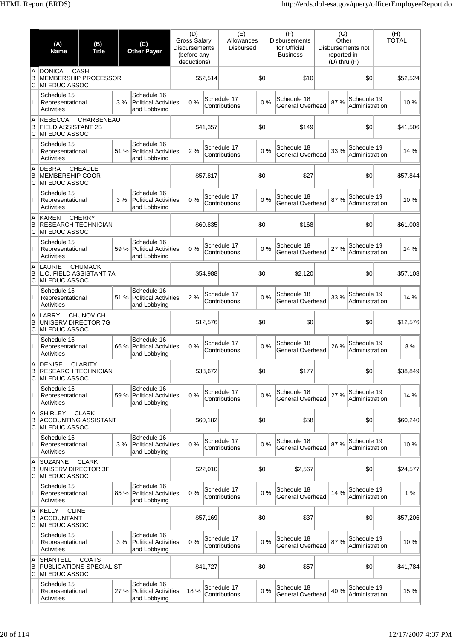|               | (A)<br><b>Name</b>                                                   | (B)<br><b>Title</b> |      | (C)<br><b>Other Payer</b>                                  | (D)<br>Gross Salary<br><b>Disbursements</b><br>(before any<br>deductions) |          | (E)<br>Allowances<br><b>Disbursed</b> |     | (F)<br><b>Disbursements</b><br>for Official<br><b>Business</b> | (G)<br>Other<br>reported in<br>$(D)$ thru $(F)$ | Disbursements not             | (H)<br><b>TOTAL</b> |          |
|---------------|----------------------------------------------------------------------|---------------------|------|------------------------------------------------------------|---------------------------------------------------------------------------|----------|---------------------------------------|-----|----------------------------------------------------------------|-------------------------------------------------|-------------------------------|---------------------|----------|
| A<br>B<br>ΙC  | <b>DONICA</b><br><b>MEMBERSHIP PROCESSOR</b><br><b>MI EDUC ASSOC</b> | CASH                |      |                                                            |                                                                           | \$52,514 |                                       | \$0 | \$10                                                           |                                                 | \$0                           |                     | \$52,524 |
|               | Schedule 15<br>Representational<br>Activities                        |                     | 3%   | Schedule 16<br><b>Political Activities</b><br>and Lobbying | 0%                                                                        |          | Schedule 17<br>Contributions          | 0%  | Schedule 18<br><b>General Overhead</b>                         | 87%                                             | Schedule 19<br>Administration |                     | 10 %     |
| A<br>B<br>С   | <b>REBECCA</b><br><b>FIELD ASSISTANT 2B</b><br>MI EDUC ASSOC         | CHARBENEAU          |      |                                                            |                                                                           | \$41,357 |                                       | \$0 | \$149                                                          |                                                 | \$0                           |                     | \$41,506 |
| Ш             | Schedule 15<br>Representational<br>Activities                        |                     | 51 % | Schedule 16<br><b>Political Activities</b><br>and Lobbying | 2%                                                                        |          | Schedule 17<br>Contributions          | 0%  | Schedule 18<br><b>General Overhead</b>                         | 33 %                                            | Schedule 19<br>Administration |                     | 14 %     |
| A<br>B<br>ΙC  | <b>DEBRA</b><br><b>MEMBERSHIP COOR</b><br>MI EDUC ASSOC              | <b>CHEADLE</b>      |      |                                                            |                                                                           | \$57,817 |                                       | \$0 | \$27                                                           |                                                 | \$0                           |                     | \$57,844 |
|               | Schedule 15<br>Representational<br>Activities                        |                     | 3%   | Schedule 16<br><b>Political Activities</b><br>and Lobbying | 0%                                                                        |          | Schedule 17<br>Contributions          | 0%  | Schedule 18<br><b>General Overhead</b>                         | 87 %                                            | Schedule 19<br>Administration |                     | 10 %     |
| A<br>B<br>IС  | <b>KAREN</b><br><b>RESEARCH TECHNICIAN</b><br><b>MI EDUC ASSOC</b>   | <b>CHERRY</b>       |      |                                                            |                                                                           | \$60,835 |                                       | \$0 | \$168                                                          |                                                 | \$0                           |                     | \$61,003 |
| Ш             | Schedule 15<br>Representational<br>Activities                        |                     | 59 % | Schedule 16<br>Political Activities<br>and Lobbying        | 0%                                                                        |          | Schedule 17<br>Contributions          | 0%  | Schedule 18<br><b>General Overhead</b>                         | 27 %                                            | Schedule 19<br>Administration |                     | 14 %     |
| A<br>B<br>lC. | <b>LAURIE</b><br>L.O. FIELD ASSISTANT 7A<br>MI EDUC ASSOC            | <b>CHUMACK</b>      |      |                                                            |                                                                           | \$54,988 |                                       | \$0 | \$2,120                                                        |                                                 | \$0                           |                     | \$57,108 |
| Ш             | Schedule 15<br>Representational<br>Activities                        |                     | 51 % | Schedule 16<br><b>Political Activities</b><br>and Lobbying | 2%                                                                        |          | Schedule 17<br>Contributions          | 0%  | Schedule 18<br><b>General Overhead</b>                         | 33 %                                            | Schedule 19<br>Administration |                     | 14 %     |
| A<br>B<br>С   | LARRY<br>UNISERV DIRECTOR 7G<br>MI EDUC ASSOC                        | <b>CHUNOVICH</b>    |      |                                                            |                                                                           | \$12,576 |                                       | \$0 | \$0                                                            |                                                 | \$0                           |                     | \$12,576 |
|               | Schedule 15<br>Representational<br><b>Activities</b>                 |                     | 66 % | Schedule 16<br><b>Political Activities</b><br>and Lobbying | 0%                                                                        |          | Schedule 17<br>Contributions          | 0%  | Schedule 18<br>General Overhead                                | 26 %                                            | Schedule 19<br>Administration |                     | 8 %      |
| A<br>в<br>C   | <b>DENISE</b><br><b>RESEARCH TECHNICIAN</b><br>MI EDUC ASSOC         | <b>CLARITY</b>      |      |                                                            |                                                                           | \$38,672 |                                       | \$0 | \$177                                                          |                                                 | \$0                           |                     | \$38,849 |
| Ш             | Schedule 15<br>Representational<br><b>Activities</b>                 |                     | 59 % | Schedule 16<br>Political Activities<br>and Lobbying        | 0%                                                                        |          | Schedule 17<br>Contributions          | 0%  | Schedule 18<br><b>General Overhead</b>                         | 27 %                                            | Schedule 19<br>Administration |                     | 14 %     |
| A<br>B<br>lC. | <b>SHIRLEY</b><br><b>ACCOUNTING ASSISTANT</b><br>MI EDUC ASSOC       | <b>CLARK</b>        |      |                                                            |                                                                           | \$60,182 |                                       | \$0 | \$58                                                           |                                                 | \$0                           |                     | \$60,240 |
| Ш             | Schedule 15<br>Representational<br>Activities                        |                     | 3%   | Schedule 16<br><b>Political Activities</b><br>and Lobbying | 0%                                                                        |          | Schedule 17<br>Contributions          | 0%  | Schedule 18<br>General Overhead                                | 87 %                                            | Schedule 19<br>Administration |                     | 10%      |
| A<br>B<br>С   | <b>SUZANNE</b><br>UNISERV DIRECTOR 3F<br>MI EDUC ASSOC               | <b>CLARK</b>        |      |                                                            |                                                                           | \$22,010 |                                       | \$0 | \$2,567                                                        |                                                 | \$0                           |                     | \$24,577 |
| $\mathbf{I}$  | Schedule 15<br>Representational<br><b>Activities</b>                 |                     | 85 % | Schedule 16<br>Political Activities<br>and Lobbying        | 0%                                                                        |          | Schedule 17<br>Contributions          | 0%  | Schedule 18<br>General Overhead                                | 14 %                                            | Schedule 19<br>Administration |                     | 1 %      |
| A<br>B<br>C   | <b>CLINE</b><br><b>KELLY</b><br><b>ACCOUNTANT</b><br>MI EDUC ASSOC   |                     |      |                                                            |                                                                           | \$57,169 |                                       | \$0 | \$37                                                           |                                                 | \$0                           |                     | \$57,206 |
|               | Schedule 15<br>Representational<br>Activities                        |                     | 3%   | Schedule 16<br><b>Political Activities</b><br>and Lobbying | 0%                                                                        |          | Schedule 17<br>Contributions          | 0%  | Schedule 18<br><b>General Overhead</b>                         | 87%                                             | Schedule 19<br>Administration |                     | 10%      |
| A<br>B<br>C   | <b>SHANTELL</b><br>PUBLICATIONS SPECIALIST<br>MI EDUC ASSOC          | <b>COATS</b>        |      |                                                            |                                                                           | \$41,727 |                                       | \$0 | \$57                                                           |                                                 | \$0                           |                     | \$41,784 |
|               | Schedule 15<br>Representational<br><b>Activities</b>                 |                     | 27 % | Schedule 16<br>Political Activities<br>and Lobbying        | 18 %                                                                      |          | Schedule 17<br>Contributions          | 0%  | Schedule 18<br><b>General Overhead</b>                         | 40 %                                            | Schedule 19<br>Administration |                     | 15 %     |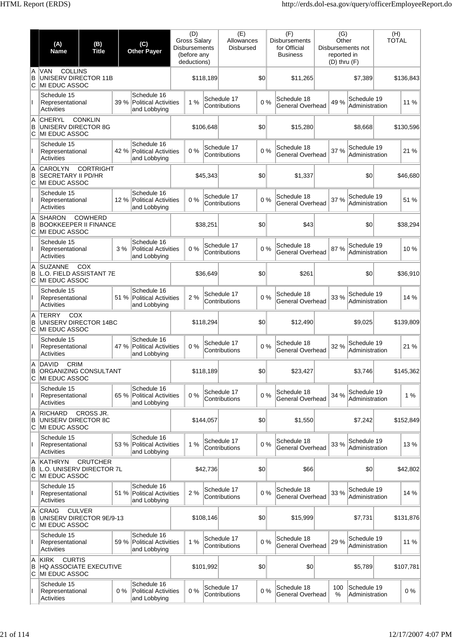|               | (A)<br><b>Name</b>                                                                    | (B)<br><b>Title</b> |       | (C)<br><b>Other Payer</b>                                  | Gross Salary<br><b>Disbursements</b> | (D)<br>(before any<br>deductions) |           | (E)<br>Allowances<br><b>Disbursed</b> |     | (F)<br><b>Disbursements</b><br>for Official<br><b>Business</b> | (G)<br>Other<br>reported in<br>$(D)$ thru $(F)$ | Disbursements not             | (H)<br><b>TOTAL</b> |           |
|---------------|---------------------------------------------------------------------------------------|---------------------|-------|------------------------------------------------------------|--------------------------------------|-----------------------------------|-----------|---------------------------------------|-----|----------------------------------------------------------------|-------------------------------------------------|-------------------------------|---------------------|-----------|
| A<br>B<br>C   | <b>COLLINS</b><br><b>VAN</b><br>UNISERV DIRECTOR 11B<br>MI EDUC ASSOC                 |                     |       |                                                            |                                      |                                   | \$118,189 |                                       | \$0 | \$11,265                                                       |                                                 | \$7,389                       |                     | \$136,843 |
|               | Schedule 15<br>Representational<br>Activities                                         |                     | 39 %  | Schedule 16<br><b>Political Activities</b><br>and Lobbying |                                      | 1%                                |           | Schedule 17<br>Contributions          | 0%  | Schedule 18<br><b>General Overhead</b>                         | 49 %                                            | Schedule 19<br>Administration |                     | 11 %      |
| A<br>B<br>C   | <b>CHERYL</b><br>UNISERV DIRECTOR 8G<br>MI EDUC ASSOC                                 | <b>CONKLIN</b>      |       |                                                            |                                      |                                   | \$106,648 |                                       | \$0 | \$15,280                                                       |                                                 | \$8,668                       |                     | \$130,596 |
|               | Schedule 15<br>Representational<br><b>Activities</b>                                  |                     |       | Schedule 16<br>42 % Political Activities<br>and Lobbying   |                                      | 0%                                |           | Schedule 17<br>Contributions          | 0%  | Schedule 18<br><b>General Overhead</b>                         | 37 %                                            | Schedule 19<br>Administration |                     | 21 %      |
| A<br>B<br>C   | <b>CAROLYN</b><br><b>SECRETARY II PD/HR</b><br>MI EDUC ASSOC                          | <b>CORTRIGHT</b>    |       |                                                            |                                      |                                   | \$45.343  |                                       | \$0 | \$1,337                                                        |                                                 | \$0                           |                     | \$46,680  |
| Ш             | Schedule 15<br>Representational<br>Activities                                         |                     | 12 %  | Schedule 16<br>Political Activities<br>and Lobbying        |                                      | 0%                                |           | Schedule 17<br>Contributions          | 0%  | Schedule 18<br>General Overhead                                | 37 %                                            | Schedule 19<br>Administration |                     | 51 %      |
| A<br>B<br>С   | <b>SHARON</b><br><b>BOOKKEEPER II FINANCE</b><br>MI EDUC ASSOC                        | COWHERD             |       |                                                            |                                      |                                   | \$38,251  |                                       | \$0 | \$43                                                           |                                                 | \$0                           |                     | \$38,294  |
|               | Schedule 15<br>Representational<br>Activities                                         |                     | 3%    | Schedule 16<br><b>Political Activities</b><br>and Lobbying |                                      | 0%                                |           | Schedule 17<br>Contributions          | 0%  | Schedule 18<br><b>General Overhead</b>                         | 87 %                                            | Schedule 19<br>Administration |                     | 10%       |
| A<br>B<br>C   | <b>SUZANNE</b><br>L.O. FIELD ASSISTANT 7E<br>MI EDUC ASSOC                            | COX                 |       |                                                            |                                      |                                   | \$36,649  |                                       | \$0 | \$261                                                          |                                                 | \$0                           |                     | \$36,910  |
| Ш.            | Schedule 15<br>Representational<br><b>Activities</b>                                  |                     | 51 %  | Schedule 16<br>Political Activities<br>and Lobbying        |                                      | 2%                                |           | Schedule 17<br>Contributions          | 0%  | Schedule 18<br><b>General Overhead</b>                         | 33 %                                            | Schedule 19<br>Administration |                     | 14 %      |
| A<br>B<br>С   | <b>TERRY</b><br>COX<br>UNISERV DIRECTOR 14BC<br>MI EDUC ASSOC                         |                     |       |                                                            |                                      |                                   | \$118,294 |                                       | \$0 | \$12,490                                                       |                                                 | \$9,025                       |                     | \$139,809 |
|               | Schedule 15<br>Representational<br>Activities                                         |                     | 47 %  | Schedule 16<br><b>Political Activities</b><br>and Lobbying |                                      | 0%                                |           | Schedule 17<br>Contributions          | 0%  | Schedule 18<br><b>General Overhead</b>                         | 32 %                                            | Schedule 19<br>Administration |                     | 21 %      |
| A.<br>В<br>C  | <b>DAVID</b><br><b>CRIM</b><br>ORGANIZING CONSULTANT<br>MI EDUC ASSOC                 |                     |       |                                                            |                                      |                                   | \$118,189 |                                       | \$0 | \$23,427                                                       |                                                 | \$3,746                       |                     | \$145,362 |
| Ш             | Schedule 15<br>Representational<br>Activities                                         |                     | 65 %  | Schedule 16<br>Political Activities<br>and Lobbying        |                                      | 0%                                |           | Schedule 17<br>Contributions          | 0%  | Schedule 18<br>General Overhead                                | 34 %                                            | Schedule 19<br>Administration |                     | 1%        |
| A<br>B<br>IС  | <b>RICHARD</b><br>UNISERV DIRECTOR 8C<br>MI EDUC ASSOC                                | CROSS JR.           |       |                                                            |                                      |                                   | \$144,057 |                                       | \$0 | \$1,550                                                        |                                                 | \$7,242                       |                     | \$152,849 |
|               | Schedule 15<br>Representational<br>Activities                                         |                     |       | Schedule 16<br>53 % Political Activities<br>and Lobbying   |                                      | 1%                                |           | Schedule 17<br>Contributions          | 0%  | Schedule 18<br><b>General Overhead</b>                         | 33 %                                            | Schedule 19<br>Administration |                     | 13%       |
| A<br>B<br>lC. | <b>KATHRYN</b><br>L.O. UNISERV DIRECTOR 7L<br>MI EDUC ASSOC                           | <b>CRUTCHER</b>     |       |                                                            |                                      |                                   | \$42,736  |                                       | \$0 | \$66                                                           |                                                 | \$0                           |                     | \$42,802  |
| Ш             | Schedule 15<br>Representational<br><b>Activities</b>                                  |                     |       | Schedule 16<br>51 % Political Activities<br>and Lobbying   |                                      | 2 %                               |           | Schedule 17<br>Contributions          | 0%  | Schedule 18<br><b>General Overhead</b>                         | 33 %                                            | Schedule 19<br>Administration |                     | 14 %      |
| A<br>B<br>IС  | <b>CRAIG</b><br>UNISERV DIRECTOR 9E/9-13<br>MI EDUC ASSOC                             | <b>CULVER</b>       |       |                                                            |                                      |                                   | \$108,146 |                                       | \$0 | \$15,999                                                       |                                                 | \$7,731                       |                     | \$131,876 |
| L             | Schedule 15<br>Representational<br>Activities                                         |                     | 59 %  | Schedule 16<br>Political Activities<br>and Lobbying        |                                      | 1%                                |           | Schedule 17<br>Contributions          | 0%  | Schedule 18<br><b>General Overhead</b>                         | 29 %                                            | Schedule 19<br>Administration |                     | 11 %      |
| A<br>B<br>C   | <b>CURTIS</b><br><b>KIRK</b><br><b>HQ ASSOCIATE EXECUTIVE</b><br><b>MI EDUC ASSOC</b> |                     |       |                                                            |                                      |                                   | \$101,992 |                                       | \$0 | \$0                                                            |                                                 | \$5,789                       |                     | \$107,781 |
|               | Schedule 15<br>Representational<br><b>Activities</b>                                  |                     | $0\%$ | Schedule 16<br><b>Political Activities</b><br>and Lobbying |                                      | 0%                                |           | Schedule 17<br>Contributions          | 0%  | Schedule 18<br>General Overhead                                | 100<br>$\%$                                     | Schedule 19<br>Administration |                     | 0%        |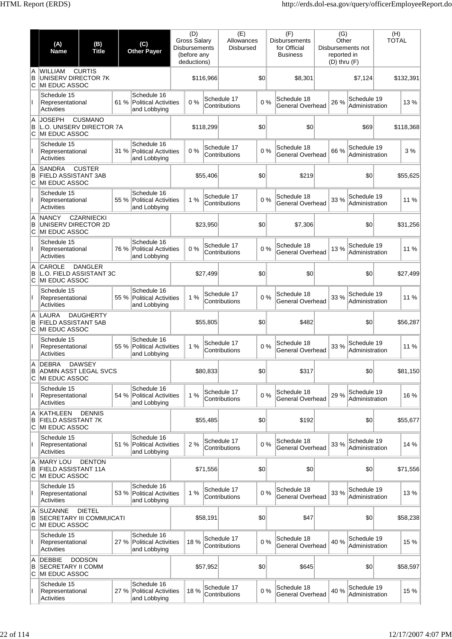|             | (A)<br><b>Name</b>                                                  | (B)<br><b>Title</b> |      | (C)<br><b>Other Payer</b>                                | (D)<br>Gross Salary<br><b>Disbursements</b><br>(before any<br>deductions) |           | (E)<br>Allowances<br><b>Disbursed</b> |     | (F)<br><b>Disbursements</b><br>for Official<br><b>Business</b> | (G)<br>Other<br>reported in | Disbursements not<br>$(D)$ thru $(F)$ | (H)<br><b>TOTAL</b> |
|-------------|---------------------------------------------------------------------|---------------------|------|----------------------------------------------------------|---------------------------------------------------------------------------|-----------|---------------------------------------|-----|----------------------------------------------------------------|-----------------------------|---------------------------------------|---------------------|
| A<br>B<br>C | <b>WILLIAM</b><br>UNISERV DIRECTOR 7K<br><b>MI EDUC ASSOC</b>       | <b>CURTIS</b>       |      |                                                          |                                                                           | \$116,966 |                                       | \$0 | \$8,301                                                        |                             | \$7.124                               | \$132,391           |
|             | Schedule 15<br>Representational<br><b>Activities</b>                |                     |      | Schedule 16<br>61 % Political Activities<br>and Lobbying | 0%                                                                        |           | Schedule 17<br>Contributions          | 0%  | Schedule 18<br>General Overhead                                | 26 %                        | Schedule 19<br>Administration         | 13 %                |
| A<br>B<br>C | <b>JOSEPH</b><br>L.O. UNISERV DIRECTOR 7A<br><b>MI EDUC ASSOC</b>   | <b>CUSMANO</b>      |      |                                                          |                                                                           | \$118,299 |                                       | \$0 | \$0                                                            |                             | \$69                                  | \$118,368           |
| T           | Schedule 15<br>Representational<br>Activities                       |                     |      | Schedule 16<br>31 % Political Activities<br>and Lobbying | 0%                                                                        |           | Schedule 17<br>Contributions          | 0%  | Schedule 18<br>General Overhead                                | 66 %                        | Schedule 19<br>Administration         | 3%                  |
| A<br>B<br>C | <b>SANDRA</b><br><b>FIELD ASSISTANT 3AB</b><br><b>MI EDUC ASSOC</b> | <b>CUSTER</b>       |      |                                                          |                                                                           | \$55,406  |                                       | \$0 | \$219                                                          |                             | \$0                                   | \$55,625            |
| L           | Schedule 15<br>Representational<br><b>Activities</b>                |                     |      | Schedule 16<br>55 % Political Activities<br>and Lobbying | 1%                                                                        |           | Schedule 17<br>Contributions          | 0%  | Schedule 18<br>General Overhead                                | 33 %                        | Schedule 19<br>Administration         | 11 %                |
| A<br>B<br>C | <b>NANCY</b><br>UNISERV DIRECTOR 2D<br>MI EDUC ASSOC                | <b>CZARNIECKI</b>   |      |                                                          |                                                                           | \$23,950  |                                       | \$0 | \$7,306                                                        |                             | \$0                                   | \$31,256            |
|             | Schedule 15<br>Representational<br>Activities                       |                     | 76 % | Schedule 16<br>Political Activities<br>and Lobbying      | 0%                                                                        |           | Schedule 17<br>Contributions          | 0%  | Schedule 18<br>General Overhead                                | 13%                         | Schedule 19<br>Administration         | 11 %                |
| A<br>B<br>C | <b>CAROLE</b><br>L.O. FIELD ASSISTANT 3C<br><b>MI EDUC ASSOC</b>    | <b>DANGLER</b>      |      |                                                          |                                                                           | \$27,499  |                                       | \$0 | \$0                                                            |                             | \$0                                   | \$27,499            |
| ı           | Schedule 15<br>Representational<br><b>Activities</b>                |                     |      | Schedule 16<br>55 % Political Activities<br>and Lobbying | 1%                                                                        |           | Schedule 17<br>Contributions          | 0%  | Schedule 18<br>General Overhead                                | 33 %                        | Schedule 19<br>Administration         | 11 %                |
| A<br>в<br>C | <b>LAURA</b><br><b>FIELD ASSISTANT 5AB</b><br>MI EDUC ASSOC         | <b>DAUGHERTY</b>    |      |                                                          |                                                                           | \$55,805  |                                       | \$0 | \$482                                                          |                             | \$0                                   | \$56,287            |
|             | Schedule 15<br>Representational<br>Activities                       |                     |      | Schedule 16<br>55 % Political Activities<br>and Lobbying | 1%                                                                        |           | Schedule 17<br>Contributions          | 0%  | Schedule 18<br>General Overhead                                | 33 %                        | Schedule 19<br>Administration         | 11 %                |
| Α<br>В<br>С | <b>DEBRA</b><br>ADMIN ASST LEGAL SVCS<br>MI EDUC ASSOC              | <b>DAWSEY</b>       |      |                                                          |                                                                           | \$80,833  |                                       | \$0 | \$317                                                          |                             | \$0                                   | \$81,150            |
| L           | Schedule 15<br>Representational<br><b>Activities</b>                |                     |      | Schedule 16<br>54 % Political Activities<br>and Lobbying | 1%                                                                        |           | Schedule 17<br>Contributions          | 0%  | Schedule 18<br>General Overhead                                | 29 %                        | Schedule 19<br>Administration         | 16 %                |
| Α<br>B<br>С | <b>KATHLEEN</b><br><b>FIELD ASSISTANT 7K</b><br>MI EDUC ASSOC       | <b>DENNIS</b>       |      |                                                          |                                                                           | \$55,485  |                                       | \$0 | \$192                                                          |                             | \$0                                   | \$55,677            |
|             | Schedule 15<br>Representational<br>Activities                       |                     | 51 % | Schedule 16<br>Political Activities<br>and Lobbying      | 2 %                                                                       |           | Schedule 17<br>Contributions          | 0%  | Schedule 18<br>General Overhead                                | 33 %                        | Schedule 19<br>Administration         | 14 %                |
| A<br>B<br>C | <b>MARY LOU</b><br><b>FIELD ASSISTANT 11A</b><br>MI EDUC ASSOC      | <b>DENTON</b>       |      |                                                          |                                                                           | \$71,556  |                                       | \$0 | \$0                                                            |                             | \$0                                   | \$71,556            |
| ı           | Schedule 15<br>Representational<br><b>Activities</b>                |                     |      | Schedule 16<br>53 % Political Activities<br>and Lobbying | 1%                                                                        |           | Schedule 17<br>Contributions          | 0%  | Schedule 18<br>General Overhead                                | 33 %                        | Schedule 19<br>Administration         | 13 %                |
| Α<br>В<br>С | <b>SUZANNE</b><br><b>SECRETARY III COMMUICATI</b><br>MI EDUC ASSOC  | <b>DIETEL</b>       |      |                                                          |                                                                           | \$58,191  |                                       | \$0 | \$47                                                           |                             | \$0                                   | \$58,238            |
| Ш           | Schedule 15<br>Representational<br>Activities                       |                     |      | Schedule 16<br>27 % Political Activities<br>and Lobbying | 18%                                                                       |           | Schedule 17<br>Contributions          | 0%  | Schedule 18<br>General Overhead                                | 40 %                        | Schedule 19<br>Administration         | 15 %                |
| A<br>B<br>С | <b>DEBBIE</b><br><b>SECRETARY II COMM</b><br>MI EDUC ASSOC          | <b>DODSON</b>       |      |                                                          |                                                                           | \$57,952  |                                       | \$0 | \$645                                                          |                             | \$0                                   | \$58,597            |
|             | Schedule 15<br>Representational<br><b>Activities</b>                |                     |      | Schedule 16<br>27 % Political Activities<br>and Lobbying | 18 %                                                                      |           | Schedule 17<br>Contributions          | 0%  | Schedule 18<br>General Overhead                                | 40 %                        | Schedule 19<br>Administration         | 15 %                |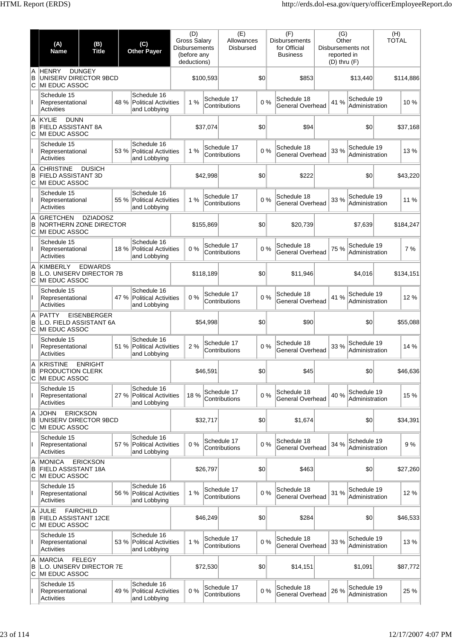|               | (A)<br><b>Name</b>                                                        | (B)<br><b>Title</b> |      | (C)<br><b>Other Payer</b>                                  | (D)<br><b>Gross Salary</b><br><b>Disbursements</b><br>(before any<br>deductions) |           | (E)<br>Allowances<br><b>Disbursed</b> |     | (F)<br>for Official | <b>Disbursements</b><br><b>Business</b> | (G)<br>Other<br>reported in<br>$(D)$ thru $(F)$ | Disbursements not             | (H)<br><b>TOTAL</b> |
|---------------|---------------------------------------------------------------------------|---------------------|------|------------------------------------------------------------|----------------------------------------------------------------------------------|-----------|---------------------------------------|-----|---------------------|-----------------------------------------|-------------------------------------------------|-------------------------------|---------------------|
| A<br>B<br>ΙC  | <b>HENRY</b><br>UNISERV DIRECTOR 9BCD<br>MI EDUC ASSOC                    | <b>DUNGEY</b>       |      |                                                            |                                                                                  | \$100,593 |                                       | \$0 |                     | \$853                                   |                                                 | \$13,440                      | \$114,886           |
|               | Schedule 15<br>Representational<br>Activities                             |                     | 48 % | Schedule 16<br><b>Political Activities</b><br>and Lobbying | 1%                                                                               |           | Schedule 17<br>Contributions          | 0%  |                     | Schedule 18<br>General Overhead         | 41 %                                            | Schedule 19<br>Administration | 10%                 |
| A<br>B<br>С   | <b>DUNN</b><br><b>KYLIE</b><br><b>FIELD ASSISTANT 8A</b><br>MI EDUC ASSOC |                     |      |                                                            |                                                                                  | \$37,074  |                                       | \$0 |                     | \$94                                    |                                                 | \$0                           | \$37,168            |
|               | Schedule 15<br>Representational<br>Activities                             |                     | 53%  | Schedule 16<br><b>Political Activities</b><br>and Lobbying | 1%                                                                               |           | Schedule 17<br>Contributions          | 0%  |                     | Schedule 18<br>General Overhead         | 33 %                                            | Schedule 19<br>Administration | 13%                 |
| A<br>B<br>C   | <b>CHRISTINE</b><br><b>FIELD ASSISTANT 3D</b><br>MI EDUC ASSOC            | <b>DUSICH</b>       |      |                                                            |                                                                                  | \$42,998  |                                       | \$0 |                     | \$222                                   |                                                 | \$0                           | \$43,220            |
|               | Schedule 15<br>Representational<br>Activities                             |                     | 55 % | Schedule 16<br><b>Political Activities</b><br>and Lobbying | 1%                                                                               |           | Schedule 17<br>Contributions          | 0%  |                     | Schedule 18<br>General Overhead         | 33 %                                            | Schedule 19<br>Administration | 11 %                |
| A<br>B<br>ΙC  | <b>GRETCHEN</b><br>NORTHERN ZONE DIRECTOR<br>MI EDUC ASSOC                | <b>DZIADOSZ</b>     |      |                                                            |                                                                                  | \$155,869 |                                       | \$0 |                     | \$20,739                                |                                                 | \$7,639                       | \$184,247           |
|               | Schedule 15<br>Representational<br>Activities                             |                     | 18%  | Schedule 16<br><b>Political Activities</b><br>and Lobbying | 0%                                                                               |           | Schedule 17<br>Contributions          | 0%  |                     | Schedule 18<br>General Overhead         | 75 %                                            | Schedule 19<br>Administration | 7%                  |
| A<br>B<br>C   | <b>KIMBERLY</b><br>L.O. UNISERV DIRECTOR 7B<br>MI EDUC ASSOC              | <b>EDWARDS</b>      |      |                                                            |                                                                                  | \$118,189 |                                       | \$0 |                     | \$11,946                                |                                                 | \$4,016                       | \$134,151           |
| Ш.            | Schedule 15<br>Representational<br>Activities                             |                     | 47 % | Schedule 16<br><b>Political Activities</b><br>and Lobbying | 0%                                                                               |           | Schedule 17<br>Contributions          | 0%  |                     | Schedule 18<br><b>General Overhead</b>  | 41 %                                            | Schedule 19<br>Administration | 12 %                |
| A<br>B<br>C   | <b>PATTY</b><br>L.O. FIELD ASSISTANT 6A<br>MI EDUC ASSOC                  | <b>EISENBERGER</b>  |      |                                                            |                                                                                  | \$54,998  |                                       | \$0 |                     | \$90                                    |                                                 | \$0                           | \$55,088            |
|               | Schedule 15<br>Representational<br>Activities                             |                     | 51 % | Schedule 16<br><b>Political Activities</b><br>and Lobbying | 2%                                                                               |           | Schedule 17<br>Contributions          | 0%  |                     | Schedule 18<br>General Overhead         | 33 %                                            | Schedule 19<br>Administration | 14 %                |
| в<br>C        | A KRISTINE<br><b>PRODUCTION CLERK</b><br>MI EDUC ASSOC                    | <b>ENRIGHT</b>      |      |                                                            |                                                                                  | \$46,591  |                                       | \$0 |                     | \$45                                    |                                                 | \$0                           | \$46,636            |
| $\mathbf{I}$  | Schedule 15<br>Representational<br>Activities                             |                     | 27 % | Schedule 16<br><b>Political Activities</b><br>and Lobbying | 18 %                                                                             |           | Schedule 17<br>Contributions          | 0%  |                     | Schedule 18<br>General Overhead         | 40 %                                            | Schedule 19<br>Administration | 15 %                |
| A<br>B<br>ΙC  | <b>JOHN</b><br>UNISERV DIRECTOR 9BCD<br>MI EDUC ASSOC                     | <b>ERICKSON</b>     |      |                                                            |                                                                                  | \$32,717  |                                       | \$0 |                     | \$1,674                                 |                                                 | \$0                           | \$34,391            |
|               | Schedule 15<br>Representational<br>Activities                             |                     | 57 % | Schedule 16<br><b>Political Activities</b><br>and Lobbying | 0%                                                                               |           | Schedule 17<br>Contributions          | 0%  |                     | Schedule 18<br>General Overhead         | 34 %                                            | Schedule 19<br>Administration | 9%                  |
| A<br>B<br>lC. | <b>MONICA</b><br>FIELD ASSISTANT 18A<br>MI EDUC ASSOC                     | <b>ERICKSON</b>     |      |                                                            |                                                                                  | \$26,797  |                                       | \$0 |                     | \$463                                   |                                                 | \$0                           | \$27,260            |
| Ш             | Schedule 15<br>Representational<br><b>Activities</b>                      |                     | 56 % | Schedule 16<br><b>Political Activities</b><br>and Lobbying | 1%                                                                               |           | Schedule 17<br>Contributions          | 0%  |                     | Schedule 18<br>General Overhead         | 31 %                                            | Schedule 19<br>Administration | 12%                 |
| A<br>B<br>С   | <b>JULIE</b><br><b>FIELD ASSISTANT 12CE</b><br>MI EDUC ASSOC              | <b>FAIRCHILD</b>    |      |                                                            |                                                                                  | \$46,249  |                                       | \$0 |                     | \$284                                   |                                                 | \$0                           | \$46,533            |
|               | Schedule 15<br>Representational<br>Activities                             |                     | 53 % | Schedule 16<br><b>Political Activities</b><br>and Lobbying | 1%                                                                               |           | Schedule 17<br>Contributions          | 0%  |                     | Schedule 18<br>General Overhead         | 33 %                                            | Schedule 19<br>Administration | 13%                 |
| A<br>B<br>C   | <b>MARCIA</b><br>L.O. UNISERV DIRECTOR 7E<br><b>MI EDUC ASSOC</b>         | <b>FELEGY</b>       |      |                                                            |                                                                                  | \$72,530  |                                       | \$0 |                     | \$14,151                                |                                                 | \$1,091                       | \$87,772            |
|               | Schedule 15<br>Representational<br>Activities                             |                     | 49 % | Schedule 16<br><b>Political Activities</b><br>and Lobbying | 0%                                                                               |           | Schedule 17<br>Contributions          | 0%  |                     | Schedule 18<br>General Overhead         | 26 %                                            | Schedule 19<br>Administration | 25 %                |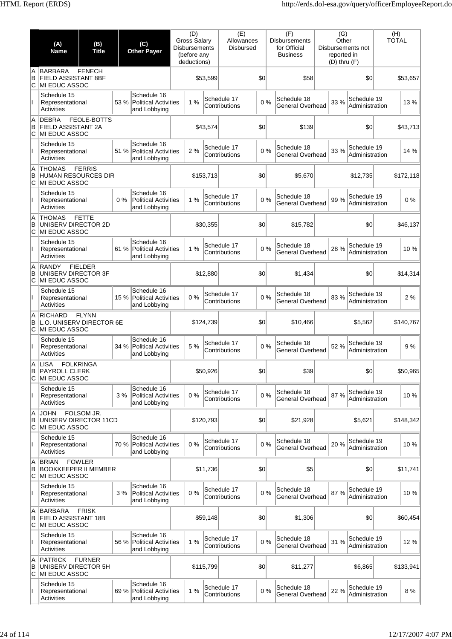|              | (A)<br><b>Name</b>                                            | (B)<br><b>Title</b>         |       | (C)<br><b>Other Payer</b>                                  | (D)<br><b>Gross Salary</b><br><b>Disbursements</b><br>(before any<br>deductions) |           | (E)<br>Allowances<br><b>Disbursed</b> |     | (F)<br><b>Disbursements</b><br>for Official<br><b>Business</b> | (G)<br>Other<br>reported in<br>$(D)$ thru $(F)$ | Disbursements not             | (H)<br><b>TOTAL</b> |           |
|--------------|---------------------------------------------------------------|-----------------------------|-------|------------------------------------------------------------|----------------------------------------------------------------------------------|-----------|---------------------------------------|-----|----------------------------------------------------------------|-------------------------------------------------|-------------------------------|---------------------|-----------|
| A<br>B<br>ΙC | <b>BARBARA</b><br>FIELD ASSISTANT 8BF<br>MI EDUC ASSOC        | <b>FENECH</b>               |       |                                                            |                                                                                  | \$53,599  |                                       | \$0 | \$58                                                           |                                                 | \$0                           |                     | \$53,657  |
|              | Schedule 15<br>Representational<br>Activities                 |                             | 53 %  | Schedule 16<br><b>Political Activities</b><br>and Lobbying | 1%                                                                               |           | Schedule 17<br>Contributions          | 0%  | Schedule 18<br>General Overhead                                | 33 %                                            | Schedule 19<br>Administration |                     | 13%       |
| A<br>B<br>С  | <b>DEBRA</b><br>FIELD ASSISTANT 2A<br>MI EDUC ASSOC           | FEOLE-BOTTS                 |       |                                                            |                                                                                  | \$43,574  |                                       | \$0 | \$139                                                          |                                                 | \$0                           |                     | \$43,713  |
|              | Schedule 15<br>Representational<br>Activities                 |                             | 51 %  | Schedule 16<br><b>Political Activities</b><br>and Lobbying | 2%                                                                               |           | Schedule 17<br>Contributions          | 0%  | Schedule 18<br>General Overhead                                | 33 %                                            | Schedule 19<br>Administration |                     | 14 %      |
| A<br>B<br>C  | <b>THOMAS</b><br>HUMAN RESOURCES DIR<br>MI EDUC ASSOC         | <b>FERRIS</b>               |       |                                                            |                                                                                  | \$153,713 |                                       | \$0 | \$5,670                                                        |                                                 | \$12,735                      |                     | \$172,118 |
|              | Schedule 15<br>Representational<br>Activities                 |                             | $0\%$ | Schedule 16<br><b>Political Activities</b><br>and Lobbying | 1%                                                                               |           | Schedule 17<br>Contributions          | 0%  | Schedule 18<br>General Overhead                                | 99 %                                            | Schedule 19<br>Administration |                     | 0%        |
| A<br>B<br>ΙC | <b>THOMAS</b><br>UNISERV DIRECTOR 2D<br>MI EDUC ASSOC         | <b>FETTE</b>                |       |                                                            |                                                                                  | \$30,355  |                                       | \$0 | \$15.782                                                       |                                                 | \$0                           |                     | \$46,137  |
|              | Schedule 15<br>Representational<br>Activities                 |                             | 61 %  | Schedule 16<br><b>Political Activities</b><br>and Lobbying | 1%                                                                               |           | Schedule 17<br>Contributions          | 0%  | Schedule 18<br>General Overhead                                | 28 %                                            | Schedule 19<br>Administration |                     | 10%       |
| A<br>B<br>С  | <b>RANDY</b><br>UNISERV DIRECTOR 3F<br>MI EDUC ASSOC          | <b>FIELDER</b>              |       |                                                            |                                                                                  | \$12,880  |                                       | \$0 | \$1,434                                                        |                                                 | \$0                           |                     | \$14,314  |
| Ш            | Schedule 15<br>Representational<br>Activities                 |                             | 15 %  | Schedule 16<br><b>Political Activities</b><br>and Lobbying | 0%                                                                               |           | Schedule 17<br>Contributions          | 0%  | Schedule 18<br>General Overhead                                | 83%                                             | Schedule 19<br>Administration |                     | 2%        |
| A<br>B<br>C  | <b>RICHARD</b><br>L.O. UNISERV DIRECTOR 6E<br>MI EDUC ASSOC   | <b>FLYNN</b>                |       |                                                            |                                                                                  | \$124,739 |                                       | \$0 | \$10,466                                                       |                                                 | \$5,562                       |                     | \$140,767 |
|              | Schedule 15<br>Representational<br>Activities                 |                             | 34 %  | Schedule 16<br><b>Political Activities</b><br>and Lobbying | 5 %                                                                              |           | Schedule 17<br>Contributions          | 0%  | Schedule 18<br>General Overhead                                | 52 %                                            | Schedule 19<br>Administration |                     | 9%        |
| в<br>C       | A LISA<br><b>PAYROLL CLERK</b><br>MI EDUC ASSOC               | <b>FOLKRINGA</b>            |       |                                                            |                                                                                  | \$50,926  |                                       | \$0 | \$39                                                           |                                                 | \$0                           |                     | \$50,965  |
| $\mathbf{I}$ | Schedule 15<br>Representational<br>Activities                 |                             | 3%    | Schedule 16<br><b>Political Activities</b><br>and Lobbying | 0%                                                                               |           | Schedule 17<br>Contributions          | 0%  | Schedule 18<br>General Overhead                                | 87 %                                            | Schedule 19<br>Administration |                     | 10%       |
| A<br>B<br>ΙC | <b>JOHN</b><br>UNISERV DIRECTOR 11CD<br>MI EDUC ASSOC         | FOLSOM JR.                  |       |                                                            |                                                                                  | \$120,793 |                                       | \$0 | \$21,928                                                       |                                                 | \$5,621                       |                     | \$148,342 |
|              | Schedule 15<br>Representational<br>Activities                 |                             | 70 %  | Schedule 16<br><b>Political Activities</b><br>and Lobbying | 0%                                                                               |           | Schedule 17<br>Contributions          | 0%  | Schedule 18<br>General Overhead                                | 20%                                             | Schedule 19<br>Administration |                     | 10%       |
| A<br>B<br>С  | <b>BRIAN</b><br><b>BOOKKEEPER II MEMBER</b><br>MI EDUC ASSOC  | <b>FOWLER</b>               |       |                                                            |                                                                                  | \$11,736  |                                       | \$0 | \$5                                                            |                                                 | \$0                           |                     | \$11,741  |
| Ш            | Schedule 15<br>Representational<br>Activities                 |                             | 3%    | Schedule 16<br><b>Political Activities</b><br>and Lobbying | 0%                                                                               |           | Schedule 17<br>Contributions          | 0%  | Schedule 18<br>General Overhead                                | 87%                                             | Schedule 19<br>Administration |                     | 10%       |
| A<br>B<br>С  | <b>BARBARA</b><br><b>FIELD ASSISTANT 18B</b><br>MI EDUC ASSOC | <b>FRISK</b>                |       |                                                            |                                                                                  | \$59,148  |                                       | \$0 | \$1,306                                                        |                                                 | \$0                           |                     | \$60,454  |
|              | Schedule 15<br>Representational<br>Activities                 |                             | 56 %  | Schedule 16<br><b>Political Activities</b><br>and Lobbying | 1%                                                                               |           | Schedule 17<br>Contributions          | 0%  | Schedule 18<br>General Overhead                                | 31 %                                            | Schedule 19<br>Administration |                     | 12 %      |
| A<br>B<br>C  | <b>PATRICK</b><br>MI EDUC ASSOC                               | <b>FURNER</b>               |       |                                                            |                                                                                  | \$115,799 |                                       | \$0 | \$11,277                                                       |                                                 | \$6,865                       |                     | \$133,941 |
|              | Schedule 15<br>Representational<br>Activities                 | UNISERV DIRECTOR 5H<br>69 % |       | Schedule 16<br><b>Political Activities</b><br>and Lobbying | 1%                                                                               |           | Schedule 17<br>Contributions          | 0%  | Schedule 18<br>General Overhead                                | 22 %                                            | Schedule 19<br>Administration |                     | 8%        |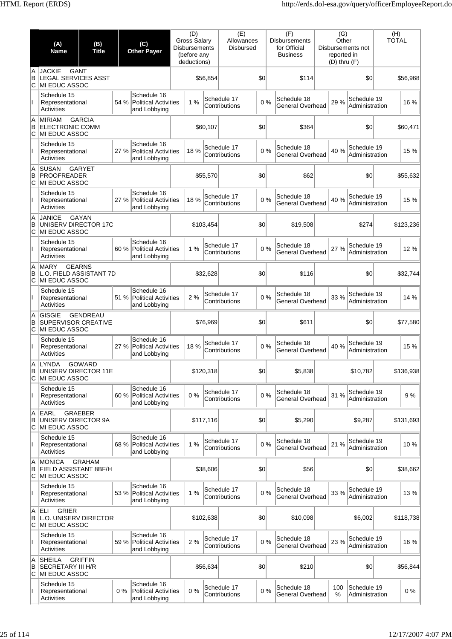|               | (A)<br><b>Name</b>                                                  | (B)<br><b>Title</b>                      | (C)<br><b>Other Payer</b>                                          | (D)<br><b>Gross Salary</b><br><b>Disbursements</b><br>(before any<br>deductions) |           | (E)<br>Allowances<br><b>Disbursed</b> |     | (F)<br><b>Disbursements</b><br>for Official<br><b>Business</b> | (G)<br>Other<br>reported in<br>$(D)$ thru $(F)$ | Disbursements not             | (H)<br><b>TOTAL</b> |
|---------------|---------------------------------------------------------------------|------------------------------------------|--------------------------------------------------------------------|----------------------------------------------------------------------------------|-----------|---------------------------------------|-----|----------------------------------------------------------------|-------------------------------------------------|-------------------------------|---------------------|
| A<br>B<br>ΙC  | <b>JACKIE</b><br><b>LEGAL SERVICES ASST</b><br><b>MI EDUC ASSOC</b> | <b>GANT</b>                              |                                                                    |                                                                                  | \$56,854  |                                       | \$0 | \$114                                                          |                                                 | \$0                           | \$56.968            |
|               | Schedule 15<br>Representational<br>Activities                       |                                          | Schedule 16<br>54 %<br><b>Political Activities</b><br>and Lobbying | 1%                                                                               |           | Schedule 17<br>Contributions          | 0%  | Schedule 18<br>General Overhead                                | 29 %                                            | Schedule 19<br>Administration | 16 %                |
| A<br>B<br>lc. | <b>MIRIAM</b><br><b>ELECTRONIC COMM</b><br>MI EDUC ASSOC            | <b>GARCIA</b>                            |                                                                    |                                                                                  | \$60,107  |                                       | \$0 | \$364                                                          |                                                 | \$0                           | \$60,471            |
|               | Schedule 15<br>Representational<br><b>Activities</b>                |                                          | Schedule 16<br>27 %<br><b>Political Activities</b><br>and Lobbying | 18 %                                                                             |           | Schedule 17<br>Contributions          | 0%  | Schedule 18<br>General Overhead                                | 40 %                                            | Schedule 19<br>Administration | 15 %                |
| A<br>B<br>ΙC  | <b>SUSAN</b><br><b>PROOFREADER</b><br>MI EDUC ASSOC                 | <b>GARYET</b>                            |                                                                    |                                                                                  | \$55,570  |                                       | \$0 | \$62                                                           |                                                 | \$0                           | \$55,632            |
|               | Schedule 15<br>Representational<br>Activities                       |                                          | Schedule 16<br>27 %<br><b>Political Activities</b><br>and Lobbying | 18 %                                                                             |           | Schedule 17<br>Contributions          | 0%  | Schedule 18<br>General Overhead                                | 40 %                                            | Schedule 19<br>Administration | 15 %                |
| A<br>B<br>IС  | <b>JANICE</b><br>UNISERV DIRECTOR 17C<br><b>MI EDUC ASSOC</b>       | <b>GAYAN</b>                             |                                                                    |                                                                                  | \$103,454 |                                       | \$0 | \$19,508                                                       |                                                 | \$274                         | \$123,236           |
|               | Schedule 15<br>Representational<br>Activities                       |                                          | Schedule 16<br>60 %<br><b>Political Activities</b><br>and Lobbying | 1%                                                                               |           | Schedule 17<br>Contributions          | 0%  | Schedule 18<br>General Overhead                                | 27 %                                            | Schedule 19<br>Administration | 12%                 |
| A<br>B<br>lC. | <b>MARY</b><br>MI EDUC ASSOC                                        | <b>GEARNS</b><br>L.O. FIELD ASSISTANT 7D |                                                                    |                                                                                  | \$32,628  |                                       | \$0 | \$116                                                          |                                                 | \$0                           | \$32,744            |
|               | Schedule 15<br>Representational<br>Activities                       |                                          | Schedule 16<br>51 %<br><b>Political Activities</b><br>and Lobbying | 2%                                                                               |           | Schedule 17<br>Contributions          | 0%  | Schedule 18<br>General Overhead                                | 33 %                                            | Schedule 19<br>Administration | 14 %                |
| A<br>B<br>С   | <b>GISGIE</b><br><b>SUPERVISOR CREATIVE</b><br>MI EDUC ASSOC        | <b>GENDREAU</b>                          |                                                                    |                                                                                  | \$76,969  |                                       | \$0 | \$611                                                          |                                                 | \$0                           | \$77,580            |
|               | Schedule 15<br>Representational<br>Activities                       |                                          | Schedule 16<br><b>Political Activities</b><br>27 %<br>and Lobbying | 18%                                                                              |           | Schedule 17<br>Contributions          | 0%  | Schedule 18<br>General Overhead                                | 40 %                                            | Schedule 19<br>Administration | 15 %                |
| A<br>В<br>C   | <b>LYNDA</b><br>UNISERV DIRECTOR 11E<br>MI EDUC ASSOC               | <b>GOWARD</b>                            |                                                                    |                                                                                  | \$120,318 |                                       | \$0 | \$5,838                                                        |                                                 | \$10,782                      | \$136,938           |
| Ш             | Schedule 15<br>Representational<br>Activities                       |                                          | Schedule 16<br>60 %<br><b>Political Activities</b><br>and Lobbying | 0%                                                                               |           | Schedule 17<br>Contributions          | 0%  | Schedule 18<br>General Overhead                                | 31 %                                            | Schedule 19<br>Administration | 9%                  |
| A<br>B<br>IС  | <b>EARL</b><br>UNISERV DIRECTOR 9A<br><b>MI EDUC ASSOC</b>          | <b>GRAEBER</b>                           |                                                                    |                                                                                  | \$117,116 |                                       | \$0 | \$5,290                                                        |                                                 | \$9,287                       | \$131,693           |
|               | Schedule 15<br>Representational<br>Activities                       |                                          | Schedule 16<br>68 %<br><b>Political Activities</b><br>and Lobbying | 1%                                                                               |           | Schedule 17<br>Contributions          | 0%  | Schedule 18<br>General Overhead                                | 21 %                                            | Schedule 19<br>Administration | 10%                 |
| A<br>B<br>С   | <b>MONICA</b><br><b>FIELD ASSISTANT 8BF/H</b><br>MI EDUC ASSOC      | <b>GRAHAM</b>                            |                                                                    |                                                                                  | \$38,606  |                                       | \$0 | \$56                                                           |                                                 | \$0                           | \$38,662            |
| Ш             | Schedule 15<br>Representational<br>Activities                       |                                          | Schedule 16<br>53 %<br><b>Political Activities</b><br>and Lobbying | 1%                                                                               |           | Schedule 17<br>Contributions          | 0%  | Schedule 18<br>General Overhead                                | 33 %                                            | Schedule 19<br>Administration | 13%                 |
| A<br>B<br>С   | ELI<br><b>GRIER</b><br>L.O. UNISERV DIRECTOR<br>MI EDUC ASSOC       |                                          |                                                                    |                                                                                  | \$102,638 |                                       | \$0 | \$10,098                                                       |                                                 | \$6,002                       | \$118,738           |
|               | Schedule 15<br>Representational<br>Activities                       |                                          | Schedule 16<br>59 %<br><b>Political Activities</b><br>and Lobbying | 2 %                                                                              |           | Schedule 17<br>Contributions          | 0%  | Schedule 18<br>General Overhead                                | 23 %                                            | Schedule 19<br>Administration | 16 %                |
| A<br>B<br>C   | <b>SHEILA</b><br><b>SECRETARY III H/R</b><br>MI EDUC ASSOC          | <b>GRIFFIN</b>                           |                                                                    |                                                                                  | \$56,634  |                                       | \$0 | \$210                                                          |                                                 | \$0                           | \$56,844            |
|               | Schedule 15<br>Representational<br>Activities                       |                                          | Schedule 16<br>0%<br><b>Political Activities</b><br>and Lobbying   | 0%                                                                               |           | Schedule 17<br>Contributions          | 0%  | Schedule 18<br>General Overhead                                | 100<br>%                                        | Schedule 19<br>Administration | 0%                  |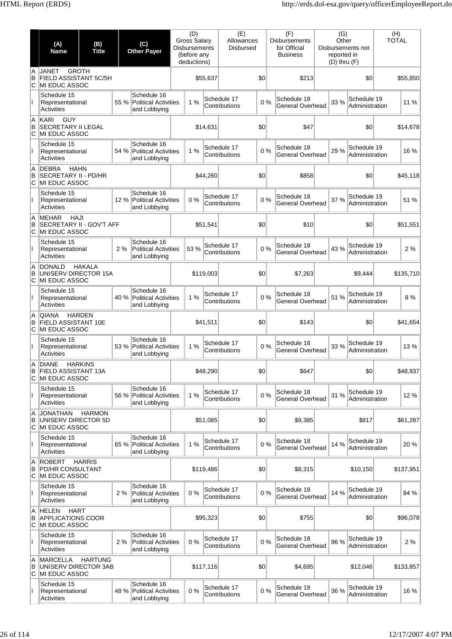|              | (A)<br><b>Name</b>                                                       | (B)<br><b>Title</b> |      | (C)<br><b>Other Payer</b>                                  | (D)<br><b>Gross Salary</b><br><b>Disbursements</b><br>(before any<br>deductions) |           | (E)<br>Allowances<br><b>Disbursed</b> |       | (F)<br><b>Disbursements</b><br>for Official<br><b>Business</b> | (G)<br>Other<br>reported in<br>$(D)$ thru $(F)$ | Disbursements not             | (H)<br><b>TOTAL</b> |
|--------------|--------------------------------------------------------------------------|---------------------|------|------------------------------------------------------------|----------------------------------------------------------------------------------|-----------|---------------------------------------|-------|----------------------------------------------------------------|-------------------------------------------------|-------------------------------|---------------------|
| A<br>B<br>C  | <b>JANET</b><br>FIELD ASSISTANT 5C/5H<br>MI EDUC ASSOC                   | <b>GROTH</b>        |      |                                                            |                                                                                  | \$55,637  |                                       | \$0   | \$213                                                          |                                                 | \$0                           | \$55,850            |
| $\mathbf{I}$ | Schedule 15<br>Representational<br>Activities                            |                     | 55 % | Schedule 16<br><b>Political Activities</b><br>and Lobbying | 1%                                                                               |           | Schedule 17<br>Contributions          | 0%    | Schedule 18<br><b>General Overhead</b>                         | 33 %                                            | Schedule 19<br>Administration | 11 %                |
| A<br>B<br>C  | <b>GUY</b><br>KARI<br><b>SECRETARY II LEGAL</b><br>MI EDUC ASSOC         |                     |      |                                                            |                                                                                  | \$14,631  |                                       | \$0   | \$47                                                           |                                                 | \$0                           | \$14,678            |
| Ш            | Schedule 15<br>Representational<br>Activities                            |                     | 54 % | Schedule 16<br><b>Political Activities</b><br>and Lobbying | 1%                                                                               |           | Schedule 17<br>Contributions          | 0%    | Schedule 18<br>General Overhead                                | 29 %                                            | Schedule 19<br>Administration | 16 %                |
| A<br>B<br>C  | <b>DEBRA</b><br><b>HAHN</b><br>SECRETARY II - PD/HR<br>MI EDUC ASSOC     |                     |      |                                                            |                                                                                  | \$44,260  |                                       | \$0   | \$858                                                          |                                                 | \$0                           | \$45,118            |
| $\mathsf{I}$ | Schedule 15<br>Representational<br>Activities                            |                     | 12%  | Schedule 16<br><b>Political Activities</b><br>and Lobbying | 0%                                                                               |           | Schedule 17<br>Contributions          | 0%    | Schedule 18<br>General Overhead                                | 37 %                                            | Schedule 19<br>Administration | 51 %                |
| A<br>B<br>C  | <b>HAJI</b><br><b>MEHAR</b><br>SECRETARY II - GOV'T AFF<br>MI EDUC ASSOC |                     |      |                                                            |                                                                                  | \$51,541  |                                       | \$0   | \$10                                                           |                                                 | \$0                           | \$51,551            |
| Ш            | Schedule 15<br>Representational<br><b>Activities</b>                     |                     | 2%   | Schedule 16<br><b>Political Activities</b><br>and Lobbying | 53 %                                                                             |           | Schedule 17<br>Contributions          | 0%    | Schedule 18<br>General Overhead                                | 43 %                                            | Schedule 19<br>Administration | 2%                  |
| A<br>B<br>С  | <b>DONALD</b><br>UNISERV DIRECTOR 15A<br>MI EDUC ASSOC                   | <b>HAKALA</b>       |      |                                                            |                                                                                  | \$119,003 |                                       | \$0   | \$7,263                                                        |                                                 | \$9,444                       | \$135,710           |
| Ш            | Schedule 15<br>Representational<br>Activities                            |                     | 40 % | Schedule 16<br><b>Political Activities</b><br>and Lobbying | 1%                                                                               |           | Schedule 17<br>Contributions          | 0%    | Schedule 18<br><b>General Overhead</b>                         | 51 %                                            | Schedule 19<br>Administration | 8 %                 |
| A<br>в<br>C  | <b>QIANA</b><br>FIELD ASSISTANT 10E<br>MI EDUC ASSOC                     | <b>HARDEN</b>       |      |                                                            |                                                                                  | \$41,511  |                                       | \$0   | \$143                                                          |                                                 | \$0                           | \$41.654            |
|              | Schedule 15<br>Representational<br>Activities                            |                     | 53 % | Schedule 16<br><b>Political Activities</b><br>and Lobbying | 1%                                                                               |           | Schedule 17<br>Contributions          | 0%    | Schedule 18<br>General Overhead                                | 33 %                                            | Schedule 19<br>Administration | 13%                 |
| A<br>В<br>C  | DIANE<br><b>FIELD ASSISTANT 13A</b><br>MI EDUC ASSOC                     | <b>HARKINS</b>      |      |                                                            |                                                                                  | \$48,290  |                                       | \$0   | \$647                                                          |                                                 | \$0                           | \$48,937            |
| $\mathbf{I}$ | Schedule 15<br>Representational<br>Activities                            |                     | 56 % | Schedule 16<br><b>Political Activities</b><br>and Lobbying | 1%                                                                               |           | Schedule 17<br>Contributions          | 0%    | Schedule 18<br>General Overhead                                | 31 %                                            | Schedule 19<br>Administration | 12%                 |
| A<br>B<br>C  | <b>JONATHAN</b><br>UNISERV DIRECTOR 5D<br>MI EDUC ASSOC                  | <b>HARMON</b>       |      |                                                            |                                                                                  | \$51,085  |                                       | \$0   | \$9,385                                                        |                                                 | \$817                         | \$61,287            |
| L            | Schedule 15<br>Representational<br>Activities                            |                     | 65 % | Schedule 16<br><b>Political Activities</b><br>and Lobbying | 1%                                                                               |           | Schedule 17<br>Contributions          | 0%    | Schedule 18<br>General Overhead                                | 14 %                                            | Schedule 19<br>Administration | 20%                 |
| A<br>B<br>С  | <b>ROBERT</b><br><b>PD/HR CONSULTANT</b><br>MI EDUC ASSOC                | <b>HARRIS</b>       |      |                                                            |                                                                                  | \$119,486 |                                       | \$0   | \$8,315                                                        |                                                 | \$10,150                      | \$137,951           |
| $\mathbf{I}$ | Schedule 15<br>Representational<br>Activities                            |                     | 2%   | Schedule 16<br><b>Political Activities</b><br>and Lobbying | 0%                                                                               |           | Schedule 17<br>Contributions          | 0%    | Schedule 18<br>General Overhead                                | 14 %                                            | Schedule 19<br>Administration | 84 %                |
| A<br>В<br>С  | <b>HELEN</b><br><b>HART</b><br><b>APPLICATIONS COOR</b><br>MI EDUC ASSOC |                     |      |                                                            |                                                                                  | \$95,323  |                                       | \$0   | \$755                                                          |                                                 | \$0                           | \$96,078            |
|              | Schedule 15<br>Representational<br>Activities                            |                     | 2%   | Schedule 16<br><b>Political Activities</b><br>and Lobbying | 0%                                                                               |           | Schedule 17<br>Contributions          | 0%    | Schedule 18<br>General Overhead                                | 96 %                                            | Schedule 19<br>Administration | 2%                  |
| A<br>B<br>С  | <b>MARCELLA</b><br>UNISERV DIRECTOR 3AB<br>MI EDUC ASSOC                 | <b>HARTUNG</b>      |      |                                                            |                                                                                  | \$117,116 |                                       | \$0   | \$4,695                                                        |                                                 | \$12,046                      | \$133,857           |
| Ш            | Schedule 15<br>Representational<br>Activities                            |                     | 48 % | Schedule 16<br><b>Political Activities</b><br>and Lobbying | 0%                                                                               |           | Schedule 17<br>Contributions          | $0\%$ | Schedule 18<br>General Overhead                                | 36 %                                            | Schedule 19<br>Administration | 16 %                |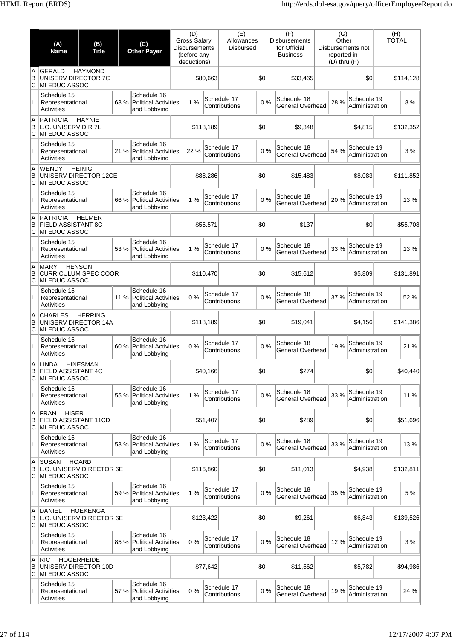|              | (A)<br><b>Name</b>                                                   | (B)<br><b>Title</b> |      | (C)<br><b>Other Payer</b>                                  | (D)<br><b>Gross Salary</b><br><b>Disbursements</b><br>(before any<br>deductions) |           | (E)<br>Allowances<br><b>Disbursed</b> |     | (F)<br><b>Disbursements</b><br>for Official<br><b>Business</b> | (G)<br>Other<br>reported in<br>$(D)$ thru $(F)$ | Disbursements not             | (H)<br><b>TOTAL</b> |           |
|--------------|----------------------------------------------------------------------|---------------------|------|------------------------------------------------------------|----------------------------------------------------------------------------------|-----------|---------------------------------------|-----|----------------------------------------------------------------|-------------------------------------------------|-------------------------------|---------------------|-----------|
| A<br>B<br>C  | <b>GERALD</b><br>UNISERV DIRECTOR 7C<br>MI EDUC ASSOC                | <b>HAYMOND</b>      |      |                                                            |                                                                                  | \$80,663  |                                       | \$0 | \$33,465                                                       |                                                 | \$0                           |                     | \$114,128 |
|              | Schedule 15<br>Representational<br><b>Activities</b>                 |                     | 63 % | Schedule 16<br><b>Political Activities</b><br>and Lobbying | 1%                                                                               |           | Schedule 17<br>Contributions          | 0%  | Schedule 18<br><b>General Overhead</b>                         | 28 %                                            | Schedule 19<br>Administration |                     | 8 %       |
| A<br>B<br>C  | PATRICIA<br>L.O. UNISERV DIR 7L<br>MI EDUC ASSOC                     | <b>HAYNIE</b>       |      |                                                            |                                                                                  | \$118,189 |                                       | \$0 | \$9,348                                                        |                                                 | \$4,815                       |                     | \$132,352 |
|              | Schedule 15<br>Representational<br><b>Activities</b>                 |                     |      | Schedule 16<br>21 % Political Activities<br>and Lobbying   | 22 %                                                                             |           | Schedule 17<br>Contributions          | 0%  | Schedule 18<br>General Overhead                                | 54 %                                            | Schedule 19<br>Administration |                     | 3%        |
| A<br>B<br>C  | <b>WENDY</b><br>UNISERV DIRECTOR 12CE<br>MI EDUC ASSOC               | <b>HEINIG</b>       |      |                                                            |                                                                                  | \$88,286  |                                       | \$0 | \$15,483                                                       |                                                 | \$8,083                       |                     | \$111,852 |
| L            | Schedule 15<br>Representational<br>Activities                        |                     | 66 % | Schedule 16<br><b>Political Activities</b><br>and Lobbying | 1%                                                                               |           | Schedule 17<br>Contributions          | 0%  | Schedule 18<br><b>General Overhead</b>                         | 20 %                                            | Schedule 19<br>Administration |                     | 13%       |
| A<br>B<br>C  | <b>PATRICIA</b><br><b>FIELD ASSISTANT 8C</b><br>MI EDUC ASSOC        | <b>HELMER</b>       |      |                                                            |                                                                                  | \$55,571  |                                       | \$0 | \$137                                                          |                                                 | \$0                           |                     | \$55,708  |
|              | Schedule 15<br>Representational<br>Activities                        |                     | 53 % | Schedule 16<br>Political Activities<br>and Lobbying        | 1%                                                                               |           | Schedule 17<br>Contributions          | 0%  | Schedule 18<br>General Overhead                                | 33 %                                            | Schedule 19<br>Administration |                     | 13%       |
| A<br>B<br>C  | <b>MARY</b><br><b>CURRICULUM SPEC COOR</b><br>MI EDUC ASSOC          | <b>HENSON</b>       |      |                                                            |                                                                                  | \$110,470 |                                       | \$0 | \$15,612                                                       |                                                 | \$5,809                       |                     | \$131,891 |
| L            | Schedule 15<br>Representational<br>Activities                        |                     | 11 % | Schedule 16<br>Political Activities<br>and Lobbying        | 0%                                                                               |           | Schedule 17<br>Contributions          | 0%  | Schedule 18<br><b>General Overhead</b>                         | 37 %                                            | Schedule 19<br>Administration |                     | 52 %      |
| ΙA<br>B<br>C | <b>CHARLES</b><br>UNISERV DIRECTOR 14A<br>MI EDUC ASSOC              | <b>HERRING</b>      |      |                                                            |                                                                                  | \$118,189 |                                       | \$0 | \$19,041                                                       |                                                 | \$4,156                       |                     | \$141,386 |
|              | Schedule 15<br>Representational<br><b>Activities</b>                 |                     | 60 % | Schedule 16<br>Political Activities<br>and Lobbying        | 0%                                                                               |           | Schedule 17<br>Contributions          | 0%  | Schedule 18<br>General Overhead                                | 19%                                             | Schedule 19<br>Administration |                     | 21 %      |
| В<br>С       | A  LINDA<br><b>FIELD ASSISTANT 4C</b><br>MI EDUC ASSOC               | <b>HINESMAN</b>     |      |                                                            |                                                                                  | \$40,166  |                                       | \$0 | \$274                                                          |                                                 | \$0                           |                     | \$40,440  |
| L            | Schedule 15<br>Representational<br>Activities                        |                     | 55 % | Schedule 16<br><b>Political Activities</b><br>and Lobbying | 1%                                                                               |           | Schedule 17<br>Contributions          | 0%  | Schedule 18<br>General Overhead                                | 33 %                                            | Schedule 19<br>Administration |                     | 11 %      |
| A<br>B<br>C  | FRAN<br><b>HISER</b><br><b>FIELD ASSISTANT 11CD</b><br>MI EDUC ASSOC |                     |      |                                                            |                                                                                  | \$51,407  |                                       | \$0 | \$289                                                          |                                                 | \$0                           |                     | \$51,696  |
|              | Schedule 15<br>Representational<br><b>Activities</b>                 |                     |      | Schedule 16<br>53 % Political Activities<br>and Lobbying   | 1%                                                                               |           | Schedule 17<br>Contributions          | 0%  | Schedule 18<br>General Overhead                                | 33 %                                            | Schedule 19<br>Administration |                     | 13 %      |
| Α<br>В<br>С  | <b>SUSAN</b><br>L.O. UNISERV DIRECTOR 6E<br>MI EDUC ASSOC            | <b>HOARD</b>        |      |                                                            |                                                                                  | \$116,860 |                                       | \$0 | \$11,013                                                       |                                                 | \$4,938                       |                     | \$132,811 |
| L            | Schedule 15<br>Representational<br>Activities                        |                     | 59 % | Schedule 16<br>Political Activities<br>and Lobbying        | 1%                                                                               |           | Schedule 17<br>Contributions          | 0%  | Schedule 18<br><b>General Overhead</b>                         | 35 %                                            | Schedule 19<br>Administration |                     | 5 %       |
| A<br>в<br>C  | <b>DANIEL</b><br>L.O. UNISERV DIRECTOR 6E<br>MI EDUC ASSOC           | <b>HOEKENGA</b>     |      |                                                            |                                                                                  | \$123,422 |                                       | \$0 | \$9,261                                                        |                                                 | \$6,843                       |                     | \$139,526 |
|              | Schedule 15<br>Representational<br>Activities                        |                     | 85 % | Schedule 16<br>Political Activities<br>and Lobbying        | 0%                                                                               |           | Schedule 17<br>Contributions          | 0%  | Schedule 18<br><b>General Overhead</b>                         | 12 %                                            | Schedule 19<br>Administration |                     | 3 %       |
| A<br>В<br>C  | RIC<br>UNISERV DIRECTOR 10D<br>MI EDUC ASSOC                         | <b>HOGERHEIDE</b>   |      |                                                            |                                                                                  | \$77,642  |                                       | \$0 | \$11,562                                                       |                                                 | \$5,782                       |                     | \$94,986  |
|              | Schedule 15<br>Representational<br>Activities                        |                     | 57 % | Schedule 16<br>Political Activities<br>and Lobbying        | 0%                                                                               |           | Schedule 17<br>Contributions          | 0%  | Schedule 18<br>General Overhead                                | 19%                                             | Schedule 19<br>Administration |                     | 24 %      |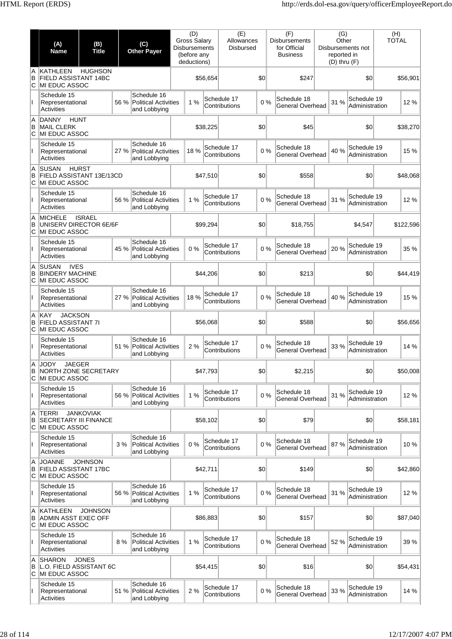|               | (A)<br><b>Name</b>                                                     | (B)<br><b>Title</b> |      | (C)<br><b>Other Payer</b>                                  | (D)<br><b>Gross Salary</b><br><b>Disbursements</b><br>(before any<br>deductions) |          | (E)<br>Allowances<br><b>Disbursed</b> |     | (F)<br><b>Disbursements</b><br>for Official<br><b>Business</b> | (G)<br>Other<br>reported in<br>$(D)$ thru $(F)$ | Disbursements not             | (H)<br><b>TOTAL</b> |  |
|---------------|------------------------------------------------------------------------|---------------------|------|------------------------------------------------------------|----------------------------------------------------------------------------------|----------|---------------------------------------|-----|----------------------------------------------------------------|-------------------------------------------------|-------------------------------|---------------------|--|
| A<br>B<br>lc. | KATHLEEN<br>FIELD ASSISTANT 14BC<br>MI EDUC ASSOC                      | <b>HUGHSON</b>      |      |                                                            |                                                                                  | \$56,654 |                                       | \$0 | \$247                                                          |                                                 | \$0                           | \$56,901            |  |
|               | Schedule 15<br>Representational<br>Activities                          |                     | 56 % | Schedule 16<br><b>Political Activities</b><br>and Lobbying | 1%                                                                               |          | Schedule 17<br>Contributions          | 0%  | Schedule 18<br>General Overhead                                | 31 %                                            | Schedule 19<br>Administration | 12%                 |  |
| A<br>B<br>ΙC  | <b>DANNY</b><br><b>HUNT</b><br><b>MAIL CLERK</b><br>MI EDUC ASSOC      |                     |      |                                                            |                                                                                  | \$38,225 |                                       | \$0 | \$45                                                           |                                                 | \$0                           | \$38,270            |  |
|               | Schedule 15<br>Representational<br>Activities                          |                     | 27 % | Schedule 16<br><b>Political Activities</b><br>and Lobbying | 18 %                                                                             |          | Schedule 17<br>Contributions          | 0%  | Schedule 18<br>General Overhead                                | 40 %                                            | Schedule 19<br>Administration | 15 %                |  |
| A<br>B<br>ΙC  | <b>SUSAN</b><br>FIELD ASSISTANT 13E/13CD<br>MI EDUC ASSOC              | <b>HURST</b>        |      |                                                            |                                                                                  | \$47,510 |                                       | \$0 | \$558                                                          |                                                 | \$0                           | \$48,068            |  |
| Ш             | Schedule 15<br>Representational<br>Activities                          |                     | 56 % | Schedule 16<br><b>Political Activities</b><br>and Lobbying | 1%                                                                               |          | Schedule 17<br>Contributions          | 0%  | Schedule 18<br>General Overhead                                | 31 %                                            | Schedule 19<br>Administration | 12%                 |  |
| A<br>B<br>lC. | <b>MICHELE</b><br>UNISERV DIRECTOR 6E/6F<br>MI EDUC ASSOC              | <b>ISRAEL</b>       |      |                                                            |                                                                                  | \$99,294 |                                       | \$0 | \$18,755                                                       |                                                 | \$4,547                       | \$122,596           |  |
|               | Schedule 15<br>Representational<br>Activities                          |                     | 45 % | Schedule 16<br><b>Political Activities</b><br>and Lobbying | 0%                                                                               |          | Schedule 17<br>Contributions          | 0%  | Schedule 18<br>General Overhead                                | 20%                                             | Schedule 19<br>Administration | 35 %                |  |
| A<br>B<br>C   | <b>IVES</b><br><b>SUSAN</b><br><b>BINDERY MACHINE</b><br>MI EDUC ASSOC |                     |      |                                                            |                                                                                  | \$44,206 |                                       | \$0 | \$213                                                          |                                                 | \$0                           | \$44,419            |  |
|               | Schedule 15<br>Representational<br>Activities                          |                     | 27 % | Schedule 16<br><b>Political Activities</b><br>and Lobbying | 18%                                                                              |          | Schedule 17<br>Contributions          | 0%  | Schedule 18<br>General Overhead                                | 40 %                                            | Schedule 19<br>Administration | 15 %                |  |
| A<br>B<br>C   | <b>JACKSON</b><br>KAY<br><b>FIELD ASSISTANT 7I</b><br>MI EDUC ASSOC    |                     |      |                                                            |                                                                                  | \$56,068 |                                       | \$0 | \$588                                                          |                                                 | \$0                           | \$56,656            |  |
|               | Schedule 15<br>Representational<br>Activities                          |                     | 51 % | Schedule 16<br><b>Political Activities</b><br>and Lobbying | 2 %                                                                              |          | Schedule 17<br>Contributions          | 0%  | Schedule 18<br>General Overhead                                | 33 %                                            | Schedule 19<br>Administration | 14 %                |  |
| A<br>В<br>C   | <b>JODY</b><br>JAEGER<br><b>NORTH ZONE SECRETARY</b><br>MI EDUC ASSOC  |                     |      |                                                            |                                                                                  | \$47,793 |                                       | \$0 | \$2,215                                                        |                                                 | \$0                           | \$50,008            |  |
| Ш             | Schedule 15<br>Representational<br><b>Activities</b>                   |                     | 56 % | Schedule 16<br><b>Political Activities</b><br>and Lobbying | 1%                                                                               |          | Schedule 17<br>Contributions          | 0%  | Schedule 18<br>General Overhead                                | 31 %                                            | Schedule 19<br>Administration | 12%                 |  |
| A<br>B<br>С   | <b>TERRI</b><br><b>SECRETARY III FINANCE</b><br>MI EDUC ASSOC          | <b>JANKOVIAK</b>    |      |                                                            |                                                                                  | \$58,102 |                                       | \$0 | \$79                                                           |                                                 | \$0                           | \$58,181            |  |
| Ш             | Schedule 15<br>Representational<br>Activities                          |                     | 3%   | Schedule 16<br><b>Political Activities</b><br>and Lobbying | 0%                                                                               |          | Schedule 17<br>Contributions          | 0%  | Schedule 18<br>General Overhead                                | 87%                                             | Schedule 19<br>Administration | 10%                 |  |
| A<br>B<br>lC. | <b>JOANNE</b><br><b>FIELD ASSISTANT 17BC</b><br>MI EDUC ASSOC          | <b>JOHNSON</b>      |      |                                                            |                                                                                  | \$42,711 |                                       | \$0 | \$149                                                          |                                                 | \$0                           | \$42,860            |  |
| Ш             | Schedule 15<br>Representational<br>Activities                          |                     | 56 % | Schedule 16<br><b>Political Activities</b><br>and Lobbying | 1%                                                                               |          | Schedule 17<br>Contributions          | 0%  | Schedule 18<br>General Overhead                                | 31 %                                            | Schedule 19<br>Administration | 12%                 |  |
| A<br>B<br>C   | <b>KATHLEEN</b><br>ADMIN ASST EXEC OFF<br><b>MI EDUC ASSOC</b>         | <b>JOHNSON</b>      |      |                                                            |                                                                                  | \$86,883 |                                       | \$0 | \$157                                                          |                                                 | \$0                           | \$87,040            |  |
| Ш             | Schedule 15<br>Representational<br>Activities                          |                     | 8%   | Schedule 16<br><b>Political Activities</b><br>and Lobbying | 1%                                                                               |          | Schedule 17<br>Contributions          | 0%  | Schedule 18<br>General Overhead                                | 52 %                                            | Schedule 19<br>Administration | 39 %                |  |
| A<br>B<br>lC. | <b>SHARON</b><br>L.O. FIELD ASSISTANT 6C<br>MI EDUC ASSOC              | <b>JONES</b>        |      |                                                            |                                                                                  | \$54,415 |                                       | \$0 | \$16                                                           |                                                 | \$0                           | \$54,431            |  |
|               | Schedule 15<br>Representational<br>Activities                          |                     | 51 % | Schedule 16<br><b>Political Activities</b><br>and Lobbying | 2 %                                                                              |          | Schedule 17<br>Contributions          | 0%  | Schedule 18<br>General Overhead                                | 33 %                                            | Schedule 19<br>Administration | 14 %                |  |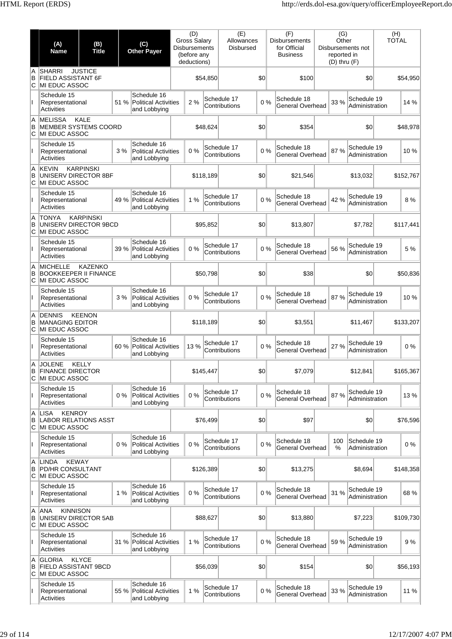|              | (A)<br><b>Name</b>                                                           | (B)<br><b>Title</b> |       | (C)<br><b>Other Payer</b>                                  | (D)<br><b>Gross Salary</b><br><b>Disbursements</b><br>(before any<br>deductions) |           | (E)<br>Allowances<br><b>Disbursed</b> |     | (F)<br><b>Disbursements</b><br>for Official<br><b>Business</b> | (G)<br>Other<br>reported in<br>$(D)$ thru $(F)$ | Disbursements not             | (H)<br><b>TOTAL</b> |           |
|--------------|------------------------------------------------------------------------------|---------------------|-------|------------------------------------------------------------|----------------------------------------------------------------------------------|-----------|---------------------------------------|-----|----------------------------------------------------------------|-------------------------------------------------|-------------------------------|---------------------|-----------|
| A<br>B<br>ΙC | <b>SHARRI</b><br>FIELD ASSISTANT 6F<br>MI EDUC ASSOC                         | <b>JUSTICE</b>      |       |                                                            |                                                                                  | \$54,850  |                                       | \$0 | \$100                                                          |                                                 | \$0                           |                     | \$54,950  |
|              | Schedule 15<br>Representational<br>Activities                                |                     | 51 %  | Schedule 16<br><b>Political Activities</b><br>and Lobbying | 2 %                                                                              |           | Schedule 17<br>Contributions          | 0%  | Schedule 18<br>General Overhead                                | 33 %                                            | Schedule 19<br>Administration |                     | 14 %      |
| A<br>B<br>C  | <b>MELISSA</b><br>MEMBER SYSTEMS COORD<br>MI EDUC ASSOC                      | <b>KALE</b>         |       |                                                            |                                                                                  | \$48,624  |                                       | \$0 | \$354                                                          |                                                 | \$0                           |                     | \$48,978  |
|              | Schedule 15<br>Representational<br>Activities                                |                     | 3%    | Schedule 16<br><b>Political Activities</b><br>and Lobbying | 0%                                                                               |           | Schedule 17<br>Contributions          | 0%  | Schedule 18<br>General Overhead                                | 87%                                             | Schedule 19<br>Administration |                     | 10%       |
| A<br>B<br>C  | <b>KEVIN</b><br>UNISERV DIRECTOR 8BF<br>MI EDUC ASSOC                        | <b>KARPINSKI</b>    |       |                                                            |                                                                                  | \$118,189 |                                       | \$0 | \$21,546                                                       |                                                 | \$13,032                      |                     | \$152,767 |
|              | Schedule 15<br>Representational<br>Activities                                |                     | 49 %  | Schedule 16<br><b>Political Activities</b><br>and Lobbying | 1%                                                                               |           | Schedule 17<br>Contributions          | 0%  | Schedule 18<br>General Overhead                                | 42 %                                            | Schedule 19<br>Administration |                     | 8 %       |
| A<br>B<br>ΙC | <b>TONYA</b><br>UNISERV DIRECTOR 9BCD<br>MI EDUC ASSOC                       | <b>KARPINSKI</b>    |       |                                                            |                                                                                  | \$95,852  |                                       | \$0 | \$13,807                                                       |                                                 | \$7,782                       |                     | \$117,441 |
|              | Schedule 15<br>Representational<br>Activities                                |                     | 39 %  | Schedule 16<br><b>Political Activities</b><br>and Lobbying | 0%                                                                               |           | Schedule 17<br>Contributions          | 0%  | Schedule 18<br>General Overhead                                | 56 %                                            | Schedule 19<br>Administration |                     | 5 %       |
| A<br>B<br>С  | <b>MICHELLE</b><br><b>BOOKKEEPER II FINANCE</b><br>MI EDUC ASSOC             | <b>KAZENKO</b>      |       |                                                            |                                                                                  | \$50,798  |                                       | \$0 | \$38                                                           |                                                 | \$0                           |                     | \$50,836  |
| Ш            | Schedule 15<br>Representational<br>Activities                                |                     | 3%    | Schedule 16<br><b>Political Activities</b><br>and Lobbying | 0%                                                                               |           | Schedule 17<br>Contributions          | 0%  | Schedule 18<br>General Overhead                                | 87%                                             | Schedule 19<br>Administration |                     | 10%       |
| A<br>B<br>С  | <b>DENNIS</b><br><b>MANAGING EDITOR</b><br>MI EDUC ASSOC                     | <b>KEENON</b>       |       |                                                            |                                                                                  | \$118,189 |                                       | \$0 | \$3,551                                                        |                                                 | \$11,467                      |                     | \$133,207 |
|              | Schedule 15<br>Representational<br>Activities                                |                     | 60 %  | Schedule 16<br><b>Political Activities</b><br>and Lobbying | 13%                                                                              |           | Schedule 17<br>Contributions          | 0%  | Schedule 18<br>General Overhead                                | 27 %                                            | Schedule 19<br>Administration |                     | 0%        |
| A<br>В<br>C  | <b>JOLENE</b><br><b>FINANCE DIRECTOR</b><br>MI EDUC ASSOC                    | KELLY               |       |                                                            |                                                                                  | \$145,447 |                                       | \$0 | \$7,079                                                        |                                                 | \$12,841                      |                     | \$165,367 |
| $\mathbf{I}$ | Schedule 15<br>Representational<br>Activities                                |                     | $0\%$ | Schedule 16<br><b>Political Activities</b><br>and Lobbying | 0%                                                                               |           | Schedule 17<br>Contributions          | 0%  | Schedule 18<br>General Overhead                                | 87%                                             | Schedule 19<br>Administration |                     | 13%       |
| A<br>B<br>ΙC | <b>KENROY</b><br>LISA<br><b>LABOR RELATIONS ASST</b><br><b>MI EDUC ASSOC</b> |                     |       |                                                            |                                                                                  | \$76.499  |                                       | \$0 | \$97                                                           |                                                 | \$0                           |                     | \$76,596  |
|              | Schedule 15<br>Representational<br>Activities                                |                     | 0%    | Schedule 16<br><b>Political Activities</b><br>and Lobbying | 0%                                                                               |           | Schedule 17<br>Contributions          | 0%  | Schedule 18<br>General Overhead                                | 100<br>%                                        | Schedule 19<br>Administration |                     | 0%        |
| A<br>B<br>С  | <b>KEWAY</b><br><b>LINDA</b><br>PD/HR CONSULTANT<br>MI EDUC ASSOC            |                     |       |                                                            |                                                                                  | \$126,389 |                                       | \$0 | \$13,275                                                       |                                                 | \$8,694                       |                     | \$148,358 |
| Ш            | Schedule 15<br>Representational<br>Activities                                |                     | 1%    | Schedule 16<br><b>Political Activities</b><br>and Lobbying | 0%                                                                               |           | Schedule 17<br>Contributions          | 0%  | Schedule 18<br>General Overhead                                | 31 %                                            | Schedule 19<br>Administration |                     | 68 %      |
| A<br>B<br>C  | <b>ANA</b><br><b>KINNISON</b><br>UNISERV DIRECTOR 5AB<br>MI EDUC ASSOC       |                     |       |                                                            |                                                                                  | \$88,627  |                                       | \$0 | \$13,880                                                       |                                                 | \$7,223                       |                     | \$109,730 |
|              | Schedule 15<br>Representational<br>Activities                                |                     | 31 %  | Schedule 16<br><b>Political Activities</b><br>and Lobbying | 1%                                                                               |           | Schedule 17<br>Contributions          | 0%  | Schedule 18<br>General Overhead                                | 59 %                                            | Schedule 19<br>Administration |                     | 9%        |
| A<br>B<br>C  | <b>GLORIA</b><br><b>FIELD ASSISTANT 9BCD</b><br>MI EDUC ASSOC                | <b>KLYCE</b>        |       |                                                            |                                                                                  | \$56,039  |                                       | \$0 | \$154                                                          |                                                 | \$0                           |                     | \$56,193  |
|              | Schedule 15<br>Representational<br><b>Activities</b>                         |                     | 55 %  | Schedule 16<br><b>Political Activities</b><br>and Lobbying | 1%                                                                               |           | Schedule 17<br>Contributions          | 0%  | Schedule 18<br>General Overhead                                | 33 %                                            | Schedule 19<br>Administration |                     | 11 %      |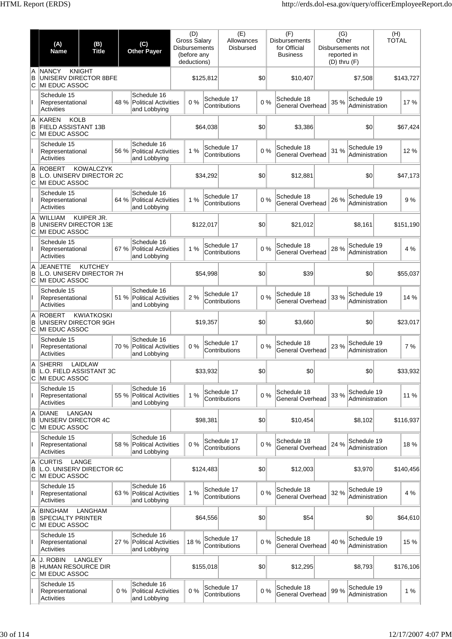|               | (A)<br><b>Name</b>                                                  | (B)<br><b>Title</b> |       | (C)<br><b>Other Payer</b>                                  | (D)<br><b>Gross Salary</b><br><b>Disbursements</b><br>(before any<br>deductions) |           | (E)<br>Allowances<br><b>Disbursed</b> |     | (F)<br><b>Disbursements</b><br>for Official<br><b>Business</b> | (G)<br>Other<br>reported in<br>$(D)$ thru $(F)$ | Disbursements not             | (H)<br><b>TOTAL</b> |           |
|---------------|---------------------------------------------------------------------|---------------------|-------|------------------------------------------------------------|----------------------------------------------------------------------------------|-----------|---------------------------------------|-----|----------------------------------------------------------------|-------------------------------------------------|-------------------------------|---------------------|-----------|
| A<br>B<br>ΙC  | <b>NANCY</b><br>UNISERV DIRECTOR 8BFE<br>MI EDUC ASSOC              | <b>KNIGHT</b>       |       |                                                            |                                                                                  | \$125,812 |                                       | \$0 | \$10,407                                                       |                                                 | \$7,508                       |                     | \$143,727 |
|               | Schedule 15<br>Representational<br>Activities                       |                     | 48 %  | Schedule 16<br><b>Political Activities</b><br>and Lobbying | 0%                                                                               |           | Schedule 17<br>Contributions          | 0%  | Schedule 18<br>General Overhead                                | 35 %                                            | Schedule 19<br>Administration |                     | 17%       |
| A<br>B<br>lC. | <b>KOLB</b><br><b>KAREN</b><br>FIELD ASSISTANT 13B<br>MI EDUC ASSOC |                     |       |                                                            |                                                                                  | \$64,038  |                                       | \$0 | \$3,386                                                        |                                                 | \$0                           |                     | \$67,424  |
|               | Schedule 15<br>Representational<br>Activities                       |                     | 56 %  | Schedule 16<br><b>Political Activities</b><br>and Lobbying | 1%                                                                               |           | Schedule 17<br>Contributions          | 0%  | Schedule 18<br>General Overhead                                | 31 %                                            | Schedule 19<br>Administration |                     | 12 %      |
| A<br>B<br>C   | <b>ROBERT</b><br>L.O. UNISERV DIRECTOR 2C<br>MI EDUC ASSOC          | <b>KOWALCZYK</b>    |       |                                                            |                                                                                  | \$34,292  |                                       | \$0 | \$12.881                                                       |                                                 | \$0                           |                     | \$47,173  |
|               | Schedule 15<br>Representational<br>Activities                       |                     | 64 %  | Schedule 16<br><b>Political Activities</b><br>and Lobbying | 1%                                                                               |           | Schedule 17<br>Contributions          | 0%  | Schedule 18<br><b>General Overhead</b>                         | 26 %                                            | Schedule 19<br>Administration |                     | 9%        |
| A<br>B<br>ΙC  | <b>WILLIAM</b><br>UNISERV DIRECTOR 13E<br>MI EDUC ASSOC             | KUIPER JR.          |       |                                                            |                                                                                  | \$122,017 |                                       | \$0 | \$21,012                                                       |                                                 | \$8,161                       |                     | \$151,190 |
|               | Schedule 15<br>Representational<br>Activities                       |                     | 67 %  | Schedule 16<br><b>Political Activities</b><br>and Lobbying | 1%                                                                               |           | Schedule 17<br>Contributions          | 0%  | Schedule 18<br>General Overhead                                | 28 %                                            | Schedule 19<br>Administration |                     | 4 %       |
| A<br>B<br>C   | <b>JEANETTE</b><br>L.O. UNISERV DIRECTOR 7H<br>MI EDUC ASSOC        | <b>KUTCHEY</b>      |       |                                                            |                                                                                  | \$54,998  |                                       | \$0 | \$39                                                           |                                                 | \$0                           |                     | \$55,037  |
| Ш             | Schedule 15<br>Representational<br>Activities                       |                     | 51 %  | Schedule 16<br><b>Political Activities</b><br>and Lobbying | 2 %                                                                              |           | Schedule 17<br>Contributions          | 0%  | Schedule 18<br>General Overhead                                | 33 %                                            | Schedule 19<br>Administration |                     | 14 %      |
| A<br>B<br>C   | <b>ROBERT</b><br>UNISERV DIRECTOR 9GH<br>MI EDUC ASSOC              | <b>KWIATKOSKI</b>   |       |                                                            |                                                                                  | \$19,357  |                                       | \$0 | \$3,660                                                        |                                                 | \$0                           |                     | \$23,017  |
|               | Schedule 15<br>Representational<br>Activities                       |                     | 70 %  | Schedule 16<br><b>Political Activities</b><br>and Lobbying | 0%                                                                               |           | Schedule 17<br>Contributions          | 0%  | Schedule 18<br>General Overhead                                | 23 %                                            | Schedule 19<br>Administration |                     | 7%        |
| IA.<br>в<br>C | <b>SHERRI</b><br>L.O. FIELD ASSISTANT 3C<br>MI EDUC ASSOC           | LAIDLAW             |       |                                                            |                                                                                  | \$33,932  |                                       | \$0 | 30                                                             |                                                 | \$0                           |                     | \$33,932  |
| $\mathbf{I}$  | Schedule 15<br>Representational<br>Activities                       |                     | 55 %  | Schedule 16<br><b>Political Activities</b><br>and Lobbying | 1%                                                                               |           | Schedule 17<br>Contributions          | 0%  | Schedule 18<br>General Overhead                                | 33 %                                            | Schedule 19<br>Administration |                     | 11 %      |
| A<br>B<br>ΙC  | <b>DIANE</b><br>UNISERV DIRECTOR 4C<br>MI EDUC ASSOC                | LANGAN              |       |                                                            |                                                                                  | \$98,381  |                                       | \$0 | \$10,454                                                       |                                                 | \$8,102                       |                     | \$116,937 |
|               | Schedule 15<br>Representational<br>Activities                       |                     | 58 %  | Schedule 16<br><b>Political Activities</b><br>and Lobbying | 0%                                                                               |           | Schedule 17<br>Contributions          | 0%  | Schedule 18<br>General Overhead                                | 24 %                                            | Schedule 19<br>Administration |                     | 18%       |
| A<br>B<br>С   | <b>CURTIS</b><br>L.O. UNISERV DIRECTOR 6C<br>MI EDUC ASSOC          | LANGE               |       |                                                            |                                                                                  | \$124,483 |                                       | \$0 | \$12,003                                                       |                                                 | \$3,970                       |                     | \$140,456 |
| Ш             | Schedule 15<br>Representational<br>Activities                       |                     | 63 %  | Schedule 16<br><b>Political Activities</b><br>and Lobbying | 1%                                                                               |           | Schedule 17<br>Contributions          | 0%  | Schedule 18<br>General Overhead                                | 32 %                                            | Schedule 19<br>Administration |                     | 4 %       |
| A<br>B<br>С   | <b>BINGHAM</b><br><b>SPECIALTY PRINTER</b><br>MI EDUC ASSOC         | <b>LANGHAM</b>      |       |                                                            |                                                                                  | \$64,556  |                                       | \$0 | \$54                                                           |                                                 | \$0                           |                     | \$64,610  |
|               | Schedule 15<br>Representational<br>Activities                       |                     | 27 %  | Schedule 16<br><b>Political Activities</b><br>and Lobbying | 18%                                                                              |           | Schedule 17<br>Contributions          | 0%  | Schedule 18<br>General Overhead                                | 40 %                                            | Schedule 19<br>Administration |                     | 15 %      |
| A<br>B<br>C   | J. ROBIN<br>HUMAN RESOURCE DIR<br>MI EDUC ASSOC                     | LANGLEY             |       |                                                            |                                                                                  | \$155,018 |                                       | \$0 | \$12,295                                                       |                                                 | \$8,793                       |                     | \$176,106 |
|               | Schedule 15<br>Representational<br>Activities                       |                     | $0\%$ | Schedule 16<br><b>Political Activities</b><br>and Lobbying | 0%                                                                               |           | Schedule 17<br>Contributions          | 0%  | Schedule 18<br>General Overhead                                | 99 %                                            | Schedule 19<br>Administration |                     | 1%        |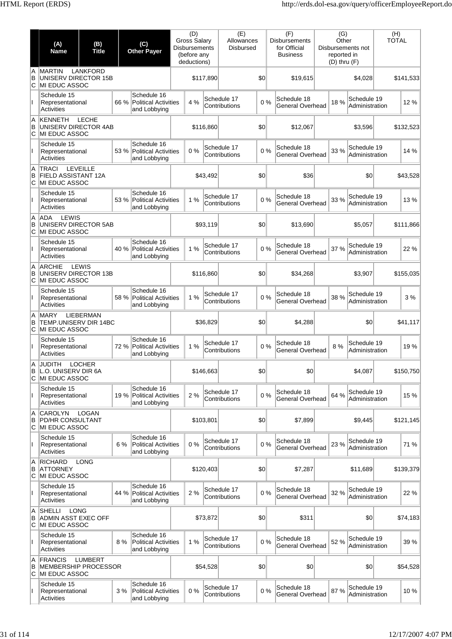|              | (A)<br><b>Name</b>                                                          | (B)<br><b>Title</b> |      | (C)<br><b>Other Payer</b>                                  | <b>Gross Salary</b><br><b>Disbursements</b> | (D)<br>(before any<br>deductions) |           | (E)<br>Allowances<br><b>Disbursed</b> |     | (F)<br><b>Disbursements</b><br>for Official<br><b>Business</b> | (G)<br>Other<br>reported in<br>$(D)$ thru $(F)$ | Disbursements not             | (H)<br><b>TOTAL</b> |           |
|--------------|-----------------------------------------------------------------------------|---------------------|------|------------------------------------------------------------|---------------------------------------------|-----------------------------------|-----------|---------------------------------------|-----|----------------------------------------------------------------|-------------------------------------------------|-------------------------------|---------------------|-----------|
| A<br>B<br>C  | <b>MARTIN</b><br>UNISERV DIRECTOR 15B<br>MI EDUC ASSOC                      | <b>LANKFORD</b>     |      |                                                            |                                             |                                   | \$117,890 |                                       | \$0 | \$19,615                                                       |                                                 | \$4,028                       |                     | \$141,533 |
| L            | Schedule 15<br>Representational<br><b>Activities</b>                        |                     | 66 % | Schedule 16<br><b>Political Activities</b><br>and Lobbying |                                             | 4 %                               |           | Schedule 17<br>Contributions          | 0%  | Schedule 18<br>General Overhead                                | 18%                                             | Schedule 19<br>Administration |                     | 12%       |
| A<br>B<br>C  | <b>KENNETH</b><br>UNISERV DIRECTOR 4AB<br>MI EDUC ASSOC                     | <b>LECHE</b>        |      |                                                            |                                             |                                   | \$116,860 |                                       | \$0 | \$12,067                                                       |                                                 | \$3,596                       |                     | \$132,523 |
|              | Schedule 15<br>Representational<br><b>Activities</b>                        |                     |      | Schedule 16<br>53 % Political Activities<br>and Lobbying   |                                             | 0%                                |           | Schedule 17<br>Contributions          | 0%  | Schedule 18<br>General Overhead                                | 33 %                                            | Schedule 19<br>Administration |                     | 14 %      |
| A<br>в<br>C  | TRACI<br>FIELD ASSISTANT 12A<br>MI EDUC ASSOC                               | LEVEILLE            |      |                                                            |                                             |                                   | \$43,492  |                                       | \$0 | \$36                                                           |                                                 | \$0                           |                     | \$43,528  |
| L            | Schedule 15<br>Representational<br>Activities                               |                     | 53 % | Schedule 16<br><b>Political Activities</b><br>and Lobbying |                                             | 1%                                |           | Schedule 17<br>Contributions          | 0%  | Schedule 18<br><b>General Overhead</b>                         | 33 %                                            | Schedule 19<br>Administration |                     | 13%       |
| A<br>B<br>C  | LEWIS<br><b>ADA</b><br>UNISERV DIRECTOR 5AB<br>MI EDUC ASSOC                |                     |      |                                                            |                                             |                                   | \$93,119  |                                       | \$0 | \$13,690                                                       |                                                 | \$5,057                       |                     | \$111,866 |
|              | Schedule 15<br>Representational<br>Activities                               |                     | 40 % | Schedule 16<br>Political Activities<br>and Lobbying        |                                             | 1%                                |           | Schedule 17<br>Contributions          | 0%  | Schedule 18<br>General Overhead                                | 37 %                                            | Schedule 19<br>Administration |                     | 22 %      |
| A<br>B<br>C  | <b>ARCHIE</b><br>UNISERV DIRECTOR 13B<br>MI EDUC ASSOC                      | LEWIS               |      |                                                            |                                             |                                   | \$116,860 |                                       | \$0 | \$34,268                                                       |                                                 | \$3,907                       |                     | \$155,035 |
| L            | Schedule 15<br>Representational<br>Activities                               |                     | 58 % | Schedule 16<br>Political Activities<br>and Lobbying        |                                             | 1%                                |           | Schedule 17<br>Contributions          | 0%  | Schedule 18<br><b>General Overhead</b>                         | 38 %                                            | Schedule 19<br>Administration |                     | 3 %       |
| A<br>B<br>C  | <b>MARY</b><br>TEMP.UNISERV DIR 14BC<br>MI EDUC ASSOC                       | <b>LIEBERMAN</b>    |      |                                                            |                                             |                                   | \$36,829  |                                       | \$0 | \$4,288                                                        |                                                 | \$0                           |                     | \$41,117  |
|              | Schedule 15<br>Representational<br>Activities                               |                     | 72%  | Schedule 16<br>Political Activities<br>and Lobbying        |                                             | 1%                                |           | Schedule 17<br>Contributions          | 0%  | Schedule 18<br>General Overhead                                | 8 %                                             | Schedule 19<br>Administration |                     | 19%       |
| A.<br>В<br>С | JUDITH<br>L.O. UNISERV DIR 6A<br>MI EDUC ASSOC                              | <b>LOCHER</b>       |      |                                                            |                                             |                                   | \$146,663 |                                       | \$0 | \$0                                                            |                                                 | \$4,087                       |                     | \$150,750 |
| L            | Schedule 15<br>Representational<br><b>Activities</b>                        |                     | 19 % | Schedule 16<br>Political Activities<br>and Lobbying        |                                             | 2 %                               |           | Schedule 17<br>Contributions          | 0%  | Schedule 18<br><b>General Overhead</b>                         | 64 %                                            | Schedule 19<br>Administration |                     | 15 %      |
| A<br>B<br>C  | <b>CAROLYN</b><br><b>PD/HR CONSULTANT</b><br>MI EDUC ASSOC                  | LOGAN               |      |                                                            |                                             |                                   | \$103,801 |                                       | \$0 | \$7,899                                                        |                                                 | \$9,445                       |                     | \$121,145 |
|              | Schedule 15<br>Representational<br><b>Activities</b>                        |                     | 6 %  | Schedule 16<br><b>Political Activities</b><br>and Lobbying |                                             | 0%                                |           | Schedule 17<br>Contributions          | 0%  | Schedule 18<br>General Overhead                                | 23 %                                            | Schedule 19<br>Administration |                     | 71 %      |
| Α<br>В<br>С  | <b>RICHARD</b><br><b>ATTORNEY</b><br>MI EDUC ASSOC                          | <b>LONG</b>         |      |                                                            |                                             |                                   | \$120,403 |                                       | \$0 | \$7,287                                                        |                                                 | \$11,689                      |                     | \$139,379 |
| L            | Schedule 15<br>Representational<br><b>Activities</b>                        |                     | 44 % | Schedule 16<br>Political Activities<br>and Lobbying        |                                             | 2 %                               |           | Schedule 17<br>Contributions          | 0%  | Schedule 18<br><b>General Overhead</b>                         | 32 %                                            | Schedule 19<br>Administration |                     | 22 %      |
| Α<br>в<br>С  | <b>SHELLI</b><br><b>LONG</b><br><b>ADMIN ASST EXEC OFF</b><br>MI EDUC ASSOC |                     |      |                                                            |                                             |                                   | \$73,872  |                                       | \$0 | \$311                                                          |                                                 | \$0                           |                     | \$74,183  |
| ı            | Schedule 15<br>Representational<br>Activities                               |                     | 8%   | Schedule 16<br><b>Political Activities</b><br>and Lobbying |                                             | 1%                                |           | Schedule 17<br>Contributions          | 0%  | Schedule 18<br><b>General Overhead</b>                         | 52 %                                            | Schedule 19<br>Administration |                     | 39 %      |
| A<br>в<br>C  | <b>FRANCIS</b><br>MEMBERSHIP PROCESSOR<br>MI EDUC ASSOC                     | <b>LUMBERT</b>      |      |                                                            |                                             |                                   | \$54,528  |                                       | \$0 | \$0                                                            |                                                 | \$0                           |                     | \$54,528  |
|              | Schedule 15<br>Representational<br>Activities                               |                     | 3%   | Schedule 16<br><b>Political Activities</b><br>and Lobbying |                                             | 0%                                |           | Schedule 17<br>Contributions          | 0%  | Schedule 18<br>General Overhead                                | 87%                                             | Schedule 19<br>Administration |                     | 10%       |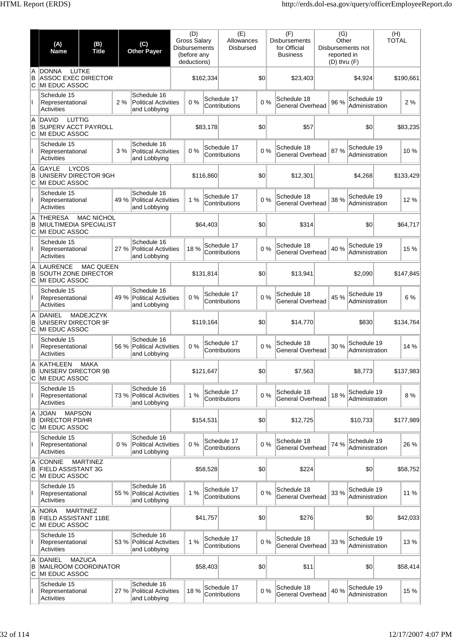|               | (A)<br><b>Name</b>                                                     | (B)<br><b>Title</b> |       | (C)<br><b>Other Payer</b>                                  | (D)<br><b>Gross Salary</b><br><b>Disbursements</b><br>(before any<br>deductions) |           | (E)<br>Allowances<br><b>Disbursed</b> |     | (F)<br><b>Disbursements</b><br>for Official<br><b>Business</b> | (G)<br>Other<br>reported in<br>$(D)$ thru $(F)$ | Disbursements not             | (H)<br><b>TOTAL</b> |           |
|---------------|------------------------------------------------------------------------|---------------------|-------|------------------------------------------------------------|----------------------------------------------------------------------------------|-----------|---------------------------------------|-----|----------------------------------------------------------------|-------------------------------------------------|-------------------------------|---------------------|-----------|
| A<br>B<br>C   | <b>DONNA</b><br><b>ASSOC EXEC DIRECTOR</b><br>MI EDUC ASSOC            | LUTKE               |       |                                                            |                                                                                  | \$162,334 |                                       | \$0 | \$23,403                                                       |                                                 | \$4,924                       |                     | \$190,661 |
|               | Schedule 15<br>Representational<br><b>Activities</b>                   |                     | 2%    | Schedule 16<br><b>Political Activities</b><br>and Lobbying | 0%                                                                               |           | Schedule 17<br>Contributions          | 0%  | Schedule 18<br>General Overhead                                | 96 %                                            | Schedule 19<br>Administration |                     | 2%        |
| A<br>B<br>C   | LUTTIG<br><b>DAVID</b><br><b>SUPERV ACCT PAYROLL</b><br>MI EDUC ASSOC  |                     |       |                                                            |                                                                                  | \$83,178  |                                       | \$0 | \$57                                                           |                                                 | \$0                           |                     | \$83,235  |
|               | Schedule 15<br>Representational<br><b>Activities</b>                   |                     | 3%    | Schedule 16<br><b>Political Activities</b><br>and Lobbying | 0%                                                                               |           | Schedule 17<br>Contributions          | 0%  | Schedule 18<br><b>General Overhead</b>                         | 87 %                                            | Schedule 19<br>Administration |                     | 10%       |
| A<br>B<br>C   | GAYLE<br>UNISERV DIRECTOR 9GH<br><b>MI EDUC ASSOC</b>                  | LYCOS               |       |                                                            |                                                                                  | \$116,860 |                                       | \$0 | \$12,301                                                       |                                                 | \$4.268                       |                     | \$133,429 |
| Ш             | Schedule 15<br>Representational<br>Activities                          |                     | 49 %  | Schedule 16<br><b>Political Activities</b><br>and Lobbying | 1%                                                                               |           | Schedule 17<br>Contributions          | 0%  | Schedule 18<br>General Overhead                                | 38 %                                            | Schedule 19<br>Administration |                     | 12 %      |
| A<br>B<br>С   | <b>THERESA</b><br>MIULTIMEDIA SPECIALIST<br>MI EDUC ASSOC              | <b>MAC NICHOL</b>   |       |                                                            |                                                                                  | \$64.403  |                                       | \$0 | \$314                                                          |                                                 | \$0                           |                     | \$64,717  |
|               | Schedule 15<br>Representational<br>Activities                          |                     | 27 %  | Schedule 16<br>Political Activities<br>and Lobbying        | 18 %                                                                             |           | Schedule 17<br>Contributions          | 0%  | Schedule 18<br>General Overhead                                | 40 %                                            | Schedule 19<br>Administration |                     | 15 %      |
| A<br>B<br>С   | <b>LAURENCE</b><br>SOUTH ZONE DIRECTOR<br>MI EDUC ASSOC                | <b>MAC QUEEN</b>    |       |                                                            |                                                                                  | \$131,814 |                                       | \$0 | \$13,941                                                       |                                                 | \$2,090                       |                     | \$147,845 |
| Ш             | Schedule 15<br>Representational<br><b>Activities</b>                   |                     |       | Schedule 16<br>49 % Political Activities<br>and Lobbying   | 0%                                                                               |           | Schedule 17<br>Contributions          | 0%  | Schedule 18<br><b>General Overhead</b>                         | 45 %                                            | Schedule 19<br>Administration |                     | 6 %       |
| A<br>B<br>C   | <b>DANIEL</b><br>UNISERV DIRECTOR 9F<br>MI EDUC ASSOC                  | <b>MADEJCZYK</b>    |       |                                                            |                                                                                  | \$119,164 |                                       | \$0 | \$14,770                                                       |                                                 | \$830                         |                     | \$134,764 |
|               | Schedule 15<br>Representational<br>Activities                          |                     | 56 %  | Schedule 16<br><b>Political Activities</b><br>and Lobbying | 0%                                                                               |           | Schedule 17<br>Contributions          | 0%  | Schedule 18<br>General Overhead                                | 30 %                                            | Schedule 19<br>Administration |                     | 14 %      |
| A.<br>В<br>C  | KATHLEEN<br>UNISERV DIRECTOR 9B<br>MI EDUC ASSOC                       | <b>MAKA</b>         |       |                                                            |                                                                                  | \$121,647 |                                       | \$0 | \$7,563                                                        |                                                 | \$8,773                       |                     | \$137,983 |
| Ш             | Schedule 15<br>Representational<br>Activities                          |                     | 73 %  | Schedule 16<br><b>Political Activities</b><br>and Lobbying | 1%                                                                               |           | Schedule 17<br>Contributions          | 0%  | Schedule 18<br><b>General Overhead</b>                         | 18 %                                            | Schedule 19<br>Administration |                     | 8 %       |
| A<br>B<br>IС  | <b>MAPSON</b><br><b>JOAN</b><br><b>DIRECTOR PD/HR</b><br>MI EDUC ASSOC |                     |       |                                                            |                                                                                  | \$154,531 |                                       | \$0 | \$12,725                                                       |                                                 | \$10.733                      |                     | \$177,989 |
| Ш             | Schedule 15<br>Representational<br>Activities                          |                     | $0\%$ | Schedule 16<br><b>Political Activities</b><br>and Lobbying | 0%                                                                               |           | Schedule 17<br>Contributions          | 0%  | Schedule 18<br>General Overhead                                | 74 %                                            | Schedule 19<br>Administration |                     | 26 %      |
| A<br>B<br>lC. | <b>CONNIE</b><br>FIELD ASSISTANT 3G<br>MI EDUC ASSOC                   | <b>MARTINEZ</b>     |       |                                                            |                                                                                  | \$58,528  |                                       | \$0 | \$224                                                          |                                                 | \$0                           |                     | \$58,752  |
| Ш             | Schedule 15<br>Representational<br><b>Activities</b>                   |                     | 55 %  | Schedule 16<br>Political Activities<br>and Lobbying        | 1%                                                                               |           | Schedule 17<br>Contributions          | 0%  | Schedule 18<br><b>General Overhead</b>                         | 33 %                                            | Schedule 19<br>Administration |                     | 11 %      |
| A<br>B<br>C   | <b>NORA</b><br>FIELD ASSISTANT 11BE<br><b>MI EDUC ASSOC</b>            | <b>MARTINEZ</b>     |       |                                                            |                                                                                  | \$41,757  |                                       | \$0 | \$276                                                          |                                                 | \$0                           |                     | \$42,033  |
|               | Schedule 15<br>Representational<br>Activities                          |                     | 53 %  | Schedule 16<br>Political Activities<br>and Lobbying        | 1%                                                                               |           | Schedule 17<br>Contributions          | 0%  | Schedule 18<br><b>General Overhead</b>                         | 33 %                                            | Schedule 19<br>Administration |                     | 13%       |
| A<br>B<br>C   | DANIEL<br><b>MAILROOM COORDINATOR</b><br><b>MI EDUC ASSOC</b>          | <b>MAZUCA</b>       |       |                                                            |                                                                                  | \$58,403  |                                       | \$0 | \$11                                                           |                                                 | \$0                           |                     | \$58,414  |
|               | Schedule 15<br>Representational<br><b>Activities</b>                   |                     | 27 %  | Schedule 16<br>Political Activities<br>and Lobbying        | 18 %                                                                             |           | Schedule 17<br>Contributions          | 0%  | Schedule 18<br><b>General Overhead</b>                         | 40 %                                            | Schedule 19<br>Administration |                     | 15 %      |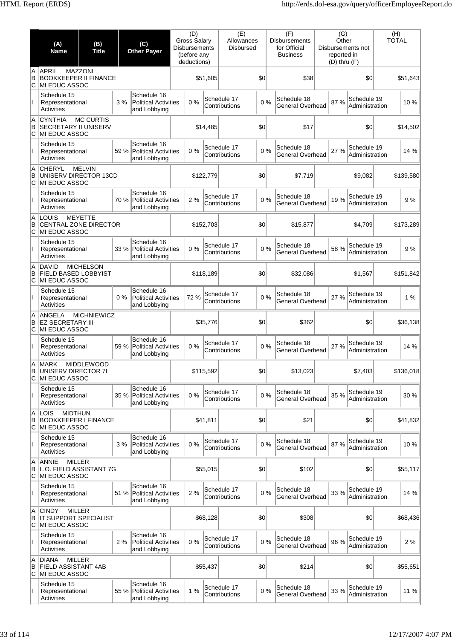|               | (A)<br><b>Name</b>                                                            | (B)<br><b>Title</b> |      | (C)<br><b>Other Payer</b>                                  | (D)<br><b>Gross Salary</b><br><b>Disbursements</b><br>(before any<br>deductions) |           | (E)<br>Allowances<br><b>Disbursed</b> |     | (F)<br><b>Disbursements</b><br>for Official<br><b>Business</b> | (G)<br>Other<br>reported in<br>$(D)$ thru $(F)$ | Disbursements not             | (H)<br><b>TOTAL</b> |           |
|---------------|-------------------------------------------------------------------------------|---------------------|------|------------------------------------------------------------|----------------------------------------------------------------------------------|-----------|---------------------------------------|-----|----------------------------------------------------------------|-------------------------------------------------|-------------------------------|---------------------|-----------|
| A<br>B<br>ΙC  | <b>APRIL</b><br><b>BOOKKEEPER II FINANCE</b><br>MI EDUC ASSOC                 | <b>MAZZONI</b>      |      |                                                            |                                                                                  | \$51,605  |                                       | \$0 | \$38                                                           |                                                 | \$0                           |                     | \$51,643  |
|               | Schedule 15<br>Representational<br>Activities                                 |                     | 3%   | Schedule 16<br><b>Political Activities</b><br>and Lobbying | 0%                                                                               |           | Schedule 17<br>Contributions          | 0%  | Schedule 18<br>General Overhead                                | 87%                                             | Schedule 19<br>Administration |                     | 10%       |
| A<br>B<br>lC. | <b>CYNTHIA</b><br><b>SECRETARY II UNISERV</b><br>MI EDUC ASSOC                | <b>MC CURTIS</b>    |      |                                                            |                                                                                  | \$14,485  |                                       | \$0 | \$17                                                           |                                                 | \$0                           |                     | \$14,502  |
|               | Schedule 15<br>Representational<br>Activities                                 |                     | 59 % | Schedule 16<br><b>Political Activities</b><br>and Lobbying | 0%                                                                               |           | Schedule 17<br>Contributions          | 0%  | Schedule 18<br>General Overhead                                | 27 %                                            | Schedule 19<br>Administration |                     | 14 %      |
| A<br>B<br>C   | <b>CHERYL</b><br>UNISERV DIRECTOR 13CD<br>MI EDUC ASSOC                       | <b>MELVIN</b>       |      |                                                            |                                                                                  | \$122,779 |                                       | \$0 | \$7,719                                                        |                                                 | \$9,082                       |                     | \$139,580 |
|               | Schedule 15<br>Representational<br>Activities                                 |                     | 70 % | Schedule 16<br><b>Political Activities</b><br>and Lobbying | 2 %                                                                              |           | Schedule 17<br>Contributions          | 0%  | Schedule 18<br>General Overhead                                | 19 %                                            | Schedule 19<br>Administration |                     | 9%        |
| A<br>B<br>С   | LOUIS<br>CENTRAL ZONE DIRECTOR<br>MI EDUC ASSOC                               | <b>MEYETTE</b>      |      |                                                            |                                                                                  | \$152,703 |                                       | \$0 | \$15,877                                                       |                                                 | \$4,709                       |                     | \$173,289 |
|               | Schedule 15<br>Representational<br>Activities                                 |                     | 33 % | Schedule 16<br><b>Political Activities</b><br>and Lobbying | 0%                                                                               |           | Schedule 17<br>Contributions          | 0%  | Schedule 18<br>General Overhead                                | 58 %                                            | Schedule 19<br>Administration |                     | 9%        |
| A<br>B<br>С   | <b>DAVID</b><br><b>FIELD BASED LOBBYIST</b><br>MI EDUC ASSOC                  | <b>MICHELSON</b>    |      |                                                            |                                                                                  | \$118,189 |                                       | \$0 | \$32,086                                                       |                                                 | \$1,567                       |                     | \$151,842 |
| Ш.            | Schedule 15<br>Representational<br>Activities                                 |                     | 0%   | Schedule 16<br><b>Political Activities</b><br>and Lobbying | 72 %                                                                             |           | Schedule 17<br>Contributions          | 0%  | Schedule 18<br><b>General Overhead</b>                         | 27 %                                            | Schedule 19<br>Administration |                     | 1 %       |
| A<br>B<br>C   | ANGELA<br><b>EZ SECRETARY III</b><br>MI EDUC ASSOC                            | <b>MICHNIEWICZ</b>  |      |                                                            |                                                                                  | \$35,776  |                                       | \$0 | \$362                                                          |                                                 | \$0                           |                     | \$36,138  |
|               | Schedule 15<br>Representational<br><b>Activities</b>                          |                     | 59%  | Schedule 16<br><b>Political Activities</b><br>and Lobbying | 0%                                                                               |           | Schedule 17<br>Contributions          | 0%  | Schedule 18<br>General Overhead                                | 27 %                                            | Schedule 19<br>Administration |                     | 14 %      |
| В<br>C        | A MARK<br>UNISERV DIRECTOR 7I<br>MI EDUC ASSOC                                | <b>MIDDLEWOOD</b>   |      |                                                            |                                                                                  | \$115,592 |                                       | \$0 | \$13,023                                                       |                                                 | \$7,403                       |                     | \$136,018 |
| $\mathbf{I}$  | Schedule 15<br>Representational<br>Activities                                 |                     | 35 % | Schedule 16<br><b>Political Activities</b><br>and Lobbying | 0%                                                                               |           | Schedule 17<br>Contributions          | 0%  | Schedule 18<br><b>General Overhead</b>                         | 35 %                                            | Schedule 19<br>Administration |                     | 30 %      |
| A<br>B<br>ΙC  | <b>LOIS</b><br><b>MIDTHUN</b><br><b>BOOKKEEPER I FINANCE</b><br>MI EDUC ASSOC |                     |      |                                                            |                                                                                  | \$41,811  |                                       | \$0 | \$21                                                           |                                                 | \$0                           |                     | \$41,832  |
|               | Schedule 15<br>Representational<br>Activities                                 |                     | 3%   | Schedule 16<br><b>Political Activities</b><br>and Lobbying | 0%                                                                               |           | Schedule 17<br>Contributions          | 0%  | Schedule 18<br><b>General Overhead</b>                         | 87%                                             | Schedule 19<br>Administration |                     | 10%       |
| A<br>B<br>С   | <b>MILLER</b><br><b>ANNIE</b><br>L.O. FIELD ASSISTANT 7G<br>MI EDUC ASSOC     |                     |      |                                                            |                                                                                  | \$55,015  |                                       | \$0 | \$102                                                          |                                                 | \$0                           |                     | \$55,117  |
| Ш             | Schedule 15<br>Representational<br>Activities                                 |                     | 51 % | Schedule 16<br><b>Political Activities</b><br>and Lobbying | 2 %                                                                              |           | Schedule 17<br>Contributions          | 0%  | Schedule 18<br>General Overhead                                | 33 %                                            | Schedule 19<br>Administration |                     | 14 %      |
| A<br>B<br>С   | <b>CINDY</b><br>IT SUPPORT SPECIALIST<br>MI EDUC ASSOC                        | <b>MILLER</b>       |      |                                                            |                                                                                  | \$68,128  |                                       | \$0 | \$308                                                          |                                                 | \$0                           |                     | \$68,436  |
|               | Schedule 15<br>Representational<br>Activities                                 |                     | 2%   | Schedule 16<br><b>Political Activities</b><br>and Lobbying | 0%                                                                               |           | Schedule 17<br>Contributions          | 0%  | Schedule 18<br>General Overhead                                | 96 %                                            | Schedule 19<br>Administration |                     | 2%        |
| A<br>B<br>C   | <b>MILLER</b><br><b>DIANA</b><br><b>FIELD ASSISTANT 4AB</b><br>MI EDUC ASSOC  |                     |      |                                                            |                                                                                  | \$55,437  |                                       | \$0 | \$214                                                          |                                                 | \$0                           |                     | \$55,651  |
|               | Schedule 15<br>Representational<br><b>Activities</b>                          |                     | 55 % | Schedule 16<br><b>Political Activities</b><br>and Lobbying | 1%                                                                               |           | Schedule 17<br>Contributions          | 0%  | Schedule 18<br>General Overhead                                | 33 %                                            | Schedule 19<br>Administration |                     | 11 %      |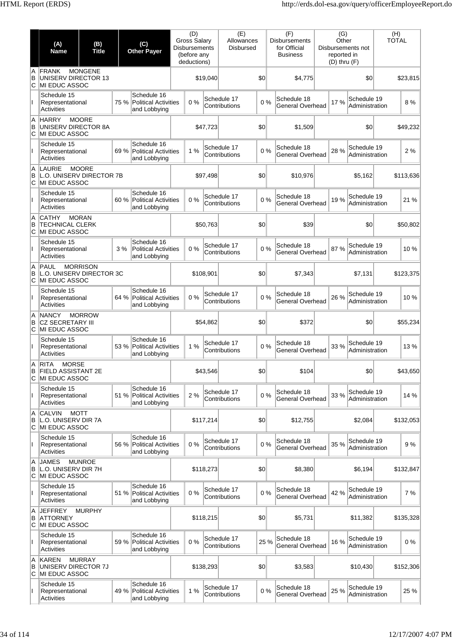|              | (A)<br><b>Name</b>                                                 | (B)<br><b>Title</b> |      | (C)<br><b>Other Payer</b>                                  | (D)<br><b>Gross Salary</b><br><b>Disbursements</b><br>(before any<br>deductions) |           | (E)<br>Allowances<br><b>Disbursed</b> |       | (F)<br><b>Disbursements</b><br>for Official<br><b>Business</b> | (G)<br>Other<br>reported in<br>$(D)$ thru $(F)$ | Disbursements not             | (H)<br><b>TOTAL</b> |           |
|--------------|--------------------------------------------------------------------|---------------------|------|------------------------------------------------------------|----------------------------------------------------------------------------------|-----------|---------------------------------------|-------|----------------------------------------------------------------|-------------------------------------------------|-------------------------------|---------------------|-----------|
| A<br>B<br>C  | FRANK<br>UNISERV DIRECTOR 13<br>MI EDUC ASSOC                      | <b>MONGENE</b>      |      |                                                            |                                                                                  | \$19,040  |                                       | \$0   | \$4,775                                                        |                                                 | \$0                           |                     | \$23,815  |
|              | Schedule 15<br>Representational<br>Activities                      |                     | 75 % | Schedule 16<br><b>Political Activities</b><br>and Lobbying | 0%                                                                               |           | Schedule 17<br>Contributions          | 0%    | Schedule 18<br>General Overhead                                | 17 %                                            | Schedule 19<br>Administration |                     | 8%        |
| A<br>B<br>C  | <b>HARRY</b><br><b>UNISERV DIRECTOR 8A</b><br>MI EDUC ASSOC        | <b>MOORE</b>        |      |                                                            |                                                                                  | \$47,723  |                                       | \$0   | \$1,509                                                        |                                                 | \$0                           |                     | \$49,232  |
|              | Schedule 15<br>Representational<br><b>Activities</b>               |                     |      | Schedule 16<br>69 % Political Activities<br>and Lobbying   | 1%                                                                               |           | Schedule 17<br>Contributions          | 0%    | Schedule 18<br>General Overhead                                | 28 %                                            | Schedule 19<br>Administration |                     | 2%        |
| A<br>В<br>С  | <b>LAURIE</b><br>L.O. UNISERV DIRECTOR 7B<br>MI EDUC ASSOC         | <b>MOORE</b>        |      |                                                            |                                                                                  | \$97,498  |                                       | 30    | \$10,976                                                       |                                                 | \$5,162                       |                     | \$113,636 |
| L            | Schedule 15<br>Representational<br><b>Activities</b>               |                     | 60 % | Schedule 16<br><b>Political Activities</b><br>and Lobbying | 0%                                                                               |           | Schedule 17<br>Contributions          | 0%    | Schedule 18<br>General Overhead                                | 19 %                                            | Schedule 19<br>Administration |                     | 21 %      |
| A<br>B<br>C  | <b>CATHY</b><br><b>TECHNICAL CLERK</b><br>MI EDUC ASSOC            | <b>MORAN</b>        |      |                                                            |                                                                                  | \$50,763  |                                       | \$0   | \$39                                                           |                                                 | \$0                           |                     | \$50.802  |
|              | Schedule 15<br>Representational<br><b>Activities</b>               |                     | 3%   | Schedule 16<br><b>Political Activities</b><br>and Lobbying | 0%                                                                               |           | Schedule 17<br>Contributions          | 0%    | Schedule 18<br>General Overhead                                | 87 %                                            | Schedule 19<br>Administration |                     | 10%       |
| A<br>B<br>C  | PAUL<br>L.O. UNISERV DIRECTOR 3C<br>MI EDUC ASSOC                  | <b>MORRISON</b>     |      |                                                            |                                                                                  | \$108,901 |                                       | \$0   | \$7,343                                                        |                                                 | \$7,131                       |                     | \$123,375 |
| L            | Schedule 15<br>Representational<br><b>Activities</b>               |                     | 64 % | Schedule 16<br><b>Political Activities</b><br>and Lobbying | 0%                                                                               |           | Schedule 17<br>Contributions          | 0%    | Schedule 18<br>General Overhead                                | 26 %                                            | Schedule 19<br>Administration |                     | 10%       |
| A<br>B<br>C  | <b>NANCY</b><br><b>CZ SECRETARY III</b><br>MI EDUC ASSOC           | <b>MORROW</b>       |      |                                                            |                                                                                  | \$54,862  |                                       | 30    | \$372                                                          |                                                 | \$0                           |                     | \$55,234  |
|              | Schedule 15<br>Representational<br>Activities                      |                     |      | Schedule 16<br>53 % Political Activities<br>and Lobbying   | 1%                                                                               |           | Schedule 17<br>Contributions          | 0%    | Schedule 18<br>General Overhead                                | 33 %                                            | Schedule 19<br>Administration |                     | 13%       |
| A<br>В<br>C  | RITA<br><b>MORSE</b><br><b>FIELD ASSISTANT 2E</b><br>MI EDUC ASSOC |                     |      |                                                            |                                                                                  | \$43,546  |                                       | 0     | \$104                                                          |                                                 | \$0                           |                     | \$43,650  |
| L            | Schedule 15<br>Representational<br>Activities                      |                     |      | Schedule 16<br>51 % Political Activities<br>and Lobbying   | 2%                                                                               |           | Schedule 17<br>Contributions          | 0%    | Schedule 18<br>General Overhead                                | 33 %                                            | Schedule 19<br>Administration |                     | 14 %      |
| A<br>B<br>C  | <b>CALVIN</b><br>L.O. UNISERV DIR 7A<br>MI EDUC ASSOC              | <b>MOTT</b>         |      |                                                            |                                                                                  | \$117,214 |                                       | 30    | \$12,755                                                       |                                                 | \$2,084                       |                     | \$132,053 |
|              | Schedule 15<br>Representational<br><b>Activities</b>               |                     |      | Schedule 16<br>56 % Political Activities<br>and Lobbying   | 0%                                                                               |           | Schedule 17<br>Contributions          | 0%    | Schedule 18<br>General Overhead                                | 35 %                                            | Schedule 19<br>Administration |                     | 9%        |
| A<br>в<br>С  | <b>JAMES</b><br>L.O. UNISERV DIR 7H<br>MI EDUC ASSOC               | <b>MUNROE</b>       |      |                                                            |                                                                                  | \$118,273 |                                       | \$0   | \$8,380                                                        |                                                 | \$6,194                       |                     | \$132,847 |
|              | Schedule 15<br>Representational<br><b>Activities</b>               |                     |      | Schedule 16<br>51 % Political Activities<br>and Lobbying   | 0%                                                                               |           | Schedule 17<br>Contributions          | 0%    | Schedule 18<br><b>General Overhead</b>                         | 42 %                                            | Schedule 19<br>Administration |                     | 7 %       |
| A<br>в<br>C  | <b>JEFFREY</b><br>ATTORNEY<br>MI EDUC ASSOC                        | <b>MURPHY</b>       |      |                                                            |                                                                                  | \$118,215 |                                       | 30    | \$5,731                                                        |                                                 | \$11,382                      |                     | \$135,328 |
|              | Schedule 15<br>Representational<br>Activities                      |                     |      | Schedule 16<br>59 % Political Activities<br>and Lobbying   | 0%                                                                               |           | Schedule 17<br>Contributions          | 25 %  | Schedule 18<br>General Overhead                                | 16 %                                            | Schedule 19<br>Administration |                     | 0%        |
| ΙA<br>в<br>C | <b>KAREN</b><br>UNISERV DIRECTOR 7J<br>MI EDUC ASSOC               | <b>MURRAY</b>       |      |                                                            |                                                                                  | \$138,293 |                                       | 30    | \$3,583                                                        |                                                 | \$10,430                      |                     | \$152,306 |
|              | Schedule 15<br>Representational<br>Activities                      |                     |      | Schedule 16<br>49 % Political Activities<br>and Lobbying   | 1%                                                                               |           | Schedule 17<br>Contributions          | $0\%$ | Schedule 18<br>General Overhead                                | 25 %                                            | Schedule 19<br>Administration |                     | 25 %      |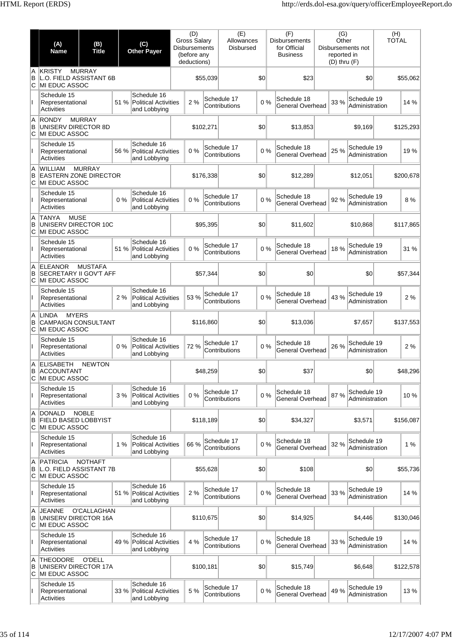|              | (A)<br><b>Name</b>                                                          | (B)<br><b>Title</b>                             |       | (C)<br><b>Other Payer</b>                                  | (D)<br><b>Gross Salary</b><br><b>Disbursements</b><br>(before any<br>deductions) |           | (E)<br>Allowances<br><b>Disbursed</b> |       | (F)<br><b>Disbursements</b><br>for Official<br><b>Business</b> | (G)<br>Other<br>reported in<br>$(D)$ thru $(F)$ | Disbursements not             | (H)<br><b>TOTAL</b> |           |
|--------------|-----------------------------------------------------------------------------|-------------------------------------------------|-------|------------------------------------------------------------|----------------------------------------------------------------------------------|-----------|---------------------------------------|-------|----------------------------------------------------------------|-------------------------------------------------|-------------------------------|---------------------|-----------|
| A<br>B<br>C  | <b>KRISTY</b><br><b>L.O. FIELD ASSISTANT 6B</b><br>MI EDUC ASSOC            | <b>MURRAY</b>                                   |       |                                                            |                                                                                  | \$55,039  |                                       | \$0   | \$23                                                           |                                                 | \$0                           |                     | \$55,062  |
| Ш            | Schedule 15<br>Representational<br><b>Activities</b>                        |                                                 | 51 %  | Schedule 16<br><b>Political Activities</b><br>and Lobbying | 2%                                                                               |           | Schedule 17<br>Contributions          | 0%    | Schedule 18<br><b>General Overhead</b>                         | 33 %                                            | Schedule 19<br>Administration |                     | 14 %      |
| A<br>B<br>C  | <b>RONDY</b><br>UNISERV DIRECTOR 8D<br>MI EDUC ASSOC                        | <b>MURRAY</b>                                   |       |                                                            |                                                                                  | \$102,271 |                                       | \$0   | \$13,853                                                       |                                                 | \$9,169                       |                     | \$125,293 |
| Ш            | Schedule 15<br>Representational<br><b>Activities</b>                        |                                                 | 56 %  | Schedule 16<br><b>Political Activities</b><br>and Lobbying | 0%                                                                               |           | Schedule 17<br>Contributions          | 0%    | Schedule 18<br><b>General Overhead</b>                         | 25 %                                            | Schedule 19<br>Administration |                     | 19 %      |
| A<br>B<br>C  | <b>WILLIAM</b><br><b>EASTERN ZONE DIRECTOR</b><br>MI EDUC ASSOC             | <b>MURRAY</b>                                   |       |                                                            |                                                                                  | \$176,338 |                                       | \$0   | \$12,289                                                       |                                                 | \$12,051                      |                     | \$200,678 |
| L            | Schedule 15<br>Representational<br><b>Activities</b>                        |                                                 | $0\%$ | Schedule 16<br><b>Political Activities</b><br>and Lobbying | 0%                                                                               |           | Schedule 17<br>Contributions          | 0%    | Schedule 18<br>General Overhead                                | 92 %                                            | Schedule 19<br>Administration |                     | 8%        |
| A<br>B<br>C  | <b>TANYA</b><br><b>MUSE</b><br>UNISERV DIRECTOR 10C<br>MI EDUC ASSOC        |                                                 |       |                                                            |                                                                                  | \$95,395  |                                       | \$0   | \$11,602                                                       |                                                 | \$10,868                      |                     | \$117,865 |
| Ш            | Schedule 15<br>Representational<br><b>Activities</b>                        |                                                 | 51 %  | Schedule 16<br><b>Political Activities</b><br>and Lobbying | 0%                                                                               |           | Schedule 17<br>Contributions          | 0%    | Schedule 18<br><b>General Overhead</b>                         | 18%                                             | Schedule 19<br>Administration |                     | 31 %      |
| A<br>B<br>С  | <b>ELEANOR</b><br><b>SECRETARY II GOV'T AFF</b><br>MI EDUC ASSOC            | <b>MUSTAFA</b>                                  |       |                                                            |                                                                                  | \$57,344  |                                       | \$0   | \$0                                                            |                                                 | \$0                           |                     | \$57,344  |
| $\mathbf{I}$ | Schedule 15<br>Representational<br><b>Activities</b>                        |                                                 | 2%    | Schedule 16<br><b>Political Activities</b><br>and Lobbying | 53 %                                                                             |           | Schedule 17<br>Contributions          | 0%    | Schedule 18<br><b>General Overhead</b>                         | 43 %                                            | Schedule 19<br>Administration |                     | 2 %       |
| A<br>B<br>C  | <b>LINDA</b><br><b>MYERS</b><br><b>CAMPAIGN CONSULTANT</b><br>MI EDUC ASSOC |                                                 |       |                                                            |                                                                                  | \$116,860 |                                       | \$0   | \$13,036                                                       |                                                 | \$7,657                       |                     | \$137,553 |
|              | Schedule 15<br>Representational<br>Activities                               |                                                 | $0\%$ | Schedule 16<br><b>Political Activities</b><br>and Lobbying | 72 %                                                                             |           | Schedule 17<br>Contributions          | 0%    | Schedule 18<br><b>General Overhead</b>                         | 26 %                                            | Schedule 19<br>Administration |                     | 2 %       |
| A<br>B<br>C  | <b>ELISABETH</b><br><b>ACCOUNTANT</b><br>MI EDUC ASSOC                      | <b>NEWTON</b>                                   |       |                                                            |                                                                                  | \$48,259  |                                       | \$0   | \$37                                                           |                                                 | \$0                           |                     | \$48,296  |
| $\mathsf{I}$ | Schedule 15<br>Representational<br>Activities                               |                                                 | 3%    | Schedule 16<br><b>Political Activities</b><br>and Lobbying | 0%                                                                               |           | Schedule 17<br>Contributions          | 0%    | Schedule 18<br>General Overhead                                | 87 %                                            | Schedule 19<br>Administration |                     | 10%       |
| A<br>B<br>C  | <b>DONALD</b><br>FIELD BASED LOBBYIST<br>MI EDUC ASSOC                      | <b>NOBLE</b>                                    |       |                                                            |                                                                                  | \$118,189 |                                       | \$0   | \$34,327                                                       |                                                 | \$3,571                       |                     | \$156,087 |
| Ш            | Schedule 15<br>Representational<br><b>Activities</b>                        |                                                 | 1%    | Schedule 16<br><b>Political Activities</b><br>and Lobbying | 66 %                                                                             |           | Schedule 17<br>Contributions          | 0%    | Schedule 18<br>General Overhead                                | 32 %                                            | Schedule 19<br>Administration |                     | 1%        |
| A<br>B<br>C  | <b>PATRICIA</b><br>L.O. FIELD ASSISTANT 7B<br>MI EDUC ASSOC                 | <b>NOTHAFT</b>                                  |       |                                                            |                                                                                  | \$55,628  |                                       | \$0   | \$108                                                          |                                                 | \$0                           |                     | \$55,736  |
| Ш            | Schedule 15<br>Representational<br>Activities                               |                                                 | 51 %  | Schedule 16<br><b>Political Activities</b><br>and Lobbying | 2%                                                                               |           | Schedule 17<br>Contributions          | $0\%$ | Schedule 18<br>General Overhead                                | 33 %                                            | Schedule 19<br>Administration |                     | 14 %      |
| A<br>B<br>C  | <b>JEANNE</b><br>UNISERV DIRECTOR 16A<br>MI EDUC ASSOC                      | O'CALLAGHAN                                     |       |                                                            |                                                                                  | \$110,675 |                                       | \$0   | \$14,925                                                       |                                                 | \$4,446                       |                     | \$130,046 |
|              | Schedule 15<br>Representational<br>Activities                               |                                                 | 49 %  | Schedule 16<br><b>Political Activities</b><br>and Lobbying | 4 %                                                                              |           | Schedule 17<br>Contributions          | 0%    | Schedule 18<br><b>General Overhead</b>                         | 33 %                                            | Schedule 19<br>Administration |                     | 14 %      |
| A<br>B<br>C  | <b>THEODORE</b>                                                             | O'DELL<br>UNISERV DIRECTOR 17A<br>MI EDUC ASSOC |       |                                                            |                                                                                  | \$100,181 |                                       | \$0   | \$15,749                                                       |                                                 | \$6,648                       |                     | \$122,578 |
| Ш            | Schedule 15<br>Representational<br><b>Activities</b>                        | 33 %                                            |       | Schedule 16<br><b>Political Activities</b><br>and Lobbying | 5 %                                                                              |           | Schedule 17<br>Contributions          | 0%    | Schedule 18<br><b>General Overhead</b>                         | 49 %                                            | Schedule 19<br>Administration |                     | 13%       |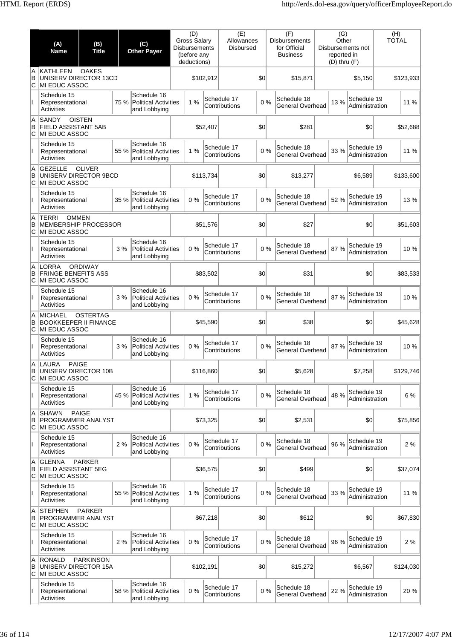|               | (A)<br><b>Name</b>                                                                 | (B)<br><b>Title</b>                                          |      | (C)<br><b>Other Payer</b>                                          |  | (D)<br><b>Gross Salary</b><br><b>Disbursements</b><br>(before any<br>deductions) |           | (E)<br>Allowances<br><b>Disbursed</b> |     | (F)<br><b>Disbursements</b><br>for Official<br><b>Business</b> |                                        | (G)<br>Other<br>Disbursements not<br>reported in<br>$(D)$ thru $(F)$ |         | (H)<br><b>TOTAL</b>           |           |          |
|---------------|------------------------------------------------------------------------------------|--------------------------------------------------------------|------|--------------------------------------------------------------------|--|----------------------------------------------------------------------------------|-----------|---------------------------------------|-----|----------------------------------------------------------------|----------------------------------------|----------------------------------------------------------------------|---------|-------------------------------|-----------|----------|
| A<br>B<br>ΙC  | KATHLEEN<br><b>OAKES</b><br>UNISERV DIRECTOR 13CD<br>MI EDUC ASSOC                 |                                                              |      |                                                                    |  | \$102,912                                                                        |           | \$0                                   |     | \$15,871                                                       |                                        | \$5,150                                                              |         |                               | \$123,933 |          |
|               | Schedule 15<br>Activities                                                          | Representational                                             |      | Schedule 16<br>75 %<br><b>Political Activities</b><br>and Lobbying |  | 1%                                                                               |           | Schedule 17<br>Contributions          | 0%  |                                                                | Schedule 18<br><b>General Overhead</b> |                                                                      | 13 %    | Schedule 19<br>Administration |           | 11 %     |
| A<br>B<br>С   | <b>SANDY</b>                                                                       | <b>OISTEN</b><br><b>FIELD ASSISTANT 5AB</b><br>MI EDUC ASSOC |      |                                                                    |  | \$52,407                                                                         |           | \$0                                   |     |                                                                | \$281                                  | \$0                                                                  |         | \$52,688                      |           |          |
|               | Schedule 15<br><b>Activities</b>                                                   | 55 %<br>Representational                                     |      | Schedule 16<br>Political Activities<br>and Lobbying                |  | 1%                                                                               |           | Schedule 17<br>Contributions          | 0%  |                                                                | Schedule 18<br><b>General Overhead</b> |                                                                      | 33 %    | Schedule 19<br>Administration |           | 11 %     |
| A<br>B<br>C   | <b>GEZELLE</b><br><b>OLIVER</b><br>UNISERV DIRECTOR 9BCD<br>MI EDUC ASSOC          |                                                              |      |                                                                    |  | \$113,734                                                                        |           | \$0                                   |     | \$13,277                                                       |                                        |                                                                      | \$6,589 |                               | \$133,600 |          |
| Ш             | Schedule 15<br>Activities                                                          | Representational                                             |      | Schedule 16<br><b>Political Activities</b><br>and Lobbying         |  | 0%                                                                               |           | Schedule 17<br>Contributions          | 0%  |                                                                | Schedule 18<br><b>General Overhead</b> |                                                                      | 52 %    | Schedule 19<br>Administration |           | 13%      |
| A<br>B<br>lC. | <b>OMMEN</b><br><b>TERRI</b><br><b>MEMBERSHIP PROCESSOR</b><br>MI EDUC ASSOC       |                                                              |      |                                                                    |  | \$51,576                                                                         |           |                                       | \$0 | \$27                                                           |                                        | \$0                                                                  |         | \$51,603                      |           |          |
|               | Schedule 15<br>Representational<br>Activities                                      |                                                              | 3%   | Schedule 16<br><b>Political Activities</b><br>and Lobbying         |  | 0%                                                                               |           | Schedule 17<br>Contributions          | 0%  |                                                                | Schedule 18<br>General Overhead        |                                                                      | 87%     | Schedule 19<br>Administration |           | 10%      |
| A<br>B<br>C   | LORRA<br><b>ORDIWAY</b><br><b>FRINGE BENEFITS ASS</b><br>MI EDUC ASSOC             |                                                              |      |                                                                    |  | \$83,502                                                                         |           |                                       | \$0 |                                                                | \$31                                   | \$0                                                                  |         | \$83,533                      |           |          |
| Ш             | Schedule 15<br>Representational<br>Activities                                      |                                                              | 3%   | Schedule 16<br><b>Political Activities</b><br>and Lobbying         |  | 0%                                                                               |           | Schedule 17<br>Contributions          | 0%  |                                                                | Schedule 18<br><b>General Overhead</b> |                                                                      | 87%     | Schedule 19<br>Administration |           | 10%      |
| A<br>B<br>C   | <b>MICHAEL</b><br><b>OSTERTAG</b><br><b>BOOKKEEPER II FINANCE</b><br>MI EDUC ASSOC |                                                              |      |                                                                    |  |                                                                                  | \$45,590  |                                       | \$0 |                                                                | \$38                                   | \$0                                                                  |         | \$45,628                      |           |          |
|               | Schedule 15<br>Representational<br>Activities                                      |                                                              | 3%   | Schedule 16<br><b>Political Activities</b><br>and Lobbying         |  | 0%                                                                               |           | Schedule 17<br>Contributions          | 0%  |                                                                | Schedule 18<br>General Overhead        |                                                                      | 87%     | Schedule 19<br>Administration |           | 10%      |
| В<br>C        | A LAURA<br><b>PAIGE</b><br>UNISERV DIRECTOR 10B<br>MI EDUC ASSOC                   |                                                              |      |                                                                    |  |                                                                                  | \$116,860 |                                       | \$0 |                                                                | \$5,628                                | \$7,258                                                              |         | \$129,746                     |           |          |
| $\mathbf{I}$  | Schedule 15<br>Representational<br>Activities                                      |                                                              | 45 % | Schedule 16<br>Political Activities<br>and Lobbying                |  | 1%                                                                               |           | Schedule 17<br>Contributions          | 0%  |                                                                | Schedule 18<br>General Overhead        |                                                                      | 48 %    | Schedule 19<br>Administration |           | 6 %      |
| A<br>B<br>С   | <b>SHAWN</b><br><b>PAIGE</b><br>PROGRAMMER ANALYST<br>MI EDUC ASSOC                |                                                              |      |                                                                    |  |                                                                                  | \$73,325  |                                       | \$0 |                                                                | \$2,531                                |                                                                      |         | \$0                           |           | \$75,856 |
| Ш             | Schedule 15<br>Representational<br><b>Activities</b>                               |                                                              | 2%   | Schedule 16<br><b>Political Activities</b><br>and Lobbying         |  | 0%                                                                               |           | Schedule 17<br>Contributions          | 0%  |                                                                | Schedule 18<br>General Overhead        |                                                                      | 96 %    | Schedule 19<br>Administration |           | 2%       |
| A<br>B<br>lC. | <b>GLENNA</b><br><b>PARKER</b><br><b>FIELD ASSISTANT 5EG</b><br>MI EDUC ASSOC      |                                                              |      |                                                                    |  | \$36,575                                                                         |           | \$0                                   |     |                                                                | \$499                                  | \$0                                                                  |         | \$37,074                      |           |          |
| Ш             | Schedule 15<br>Representational<br><b>Activities</b>                               |                                                              | 55 % | Schedule 16<br>Political Activities<br>and Lobbying                |  | 1%                                                                               |           | Schedule 17<br>Contributions          | 0%  |                                                                | Schedule 18<br>General Overhead        |                                                                      | 33 %    | Schedule 19<br>Administration |           | 11 %     |
| A<br>B<br>С   | <b>STEPHEN</b><br><b>PARKER</b><br><b>PROGRAMMER ANALYST</b><br>MI EDUC ASSOC      |                                                              |      |                                                                    |  |                                                                                  | \$67,218  |                                       | \$0 |                                                                | \$612                                  |                                                                      |         | \$0                           | \$67,830  |          |
|               | Schedule 15<br>Representational<br>Activities                                      |                                                              | 2%   | Schedule 16<br><b>Political Activities</b><br>and Lobbying         |  | 0%                                                                               |           | Schedule 17<br>Contributions          | 0%  |                                                                | Schedule 18<br>General Overhead        |                                                                      | 96 %    | Schedule 19<br>Administration |           | 2%       |
| A<br>B<br>C   | <b>RONALD</b><br><b>PARKINSON</b><br>UNISERV DIRECTOR 15A<br>MI EDUC ASSOC         |                                                              |      |                                                                    |  |                                                                                  | \$102,191 |                                       | \$0 |                                                                | \$15,272                               | \$6,567                                                              |         | \$124,030                     |           |          |
|               | Schedule 15<br>Representational<br><b>Activities</b>                               |                                                              | 58 % | Schedule 16<br>Political Activities<br>and Lobbying                |  | 0%                                                                               |           | Schedule 17<br>Contributions          | 0%  |                                                                | Schedule 18<br>General Overhead        |                                                                      | 22 %    | Schedule 19<br>Administration |           | 20%      |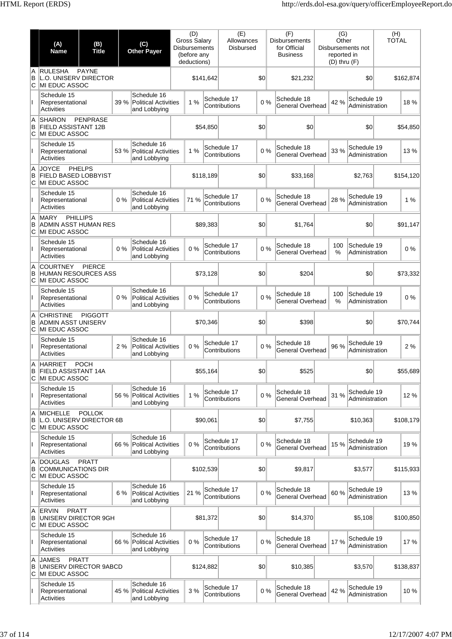|               | (A)<br><b>Name</b>                                                    | (B)<br><b>Title</b> |       | (C)<br><b>Other Payer</b>                                  | (D)<br><b>Gross Salary</b><br><b>Disbursements</b><br>(before any<br>deductions) |           | (E)<br>Allowances<br><b>Disbursed</b> |     | (F)<br><b>Disbursements</b><br>for Official<br><b>Business</b> | (G)<br>Other<br>reported in<br>$(D)$ thru $(F)$ | Disbursements not             | (H)<br><b>TOTAL</b> |           |
|---------------|-----------------------------------------------------------------------|---------------------|-------|------------------------------------------------------------|----------------------------------------------------------------------------------|-----------|---------------------------------------|-----|----------------------------------------------------------------|-------------------------------------------------|-------------------------------|---------------------|-----------|
| A<br>B<br>ΙC  | <b>RULESHA</b><br><b>L.O. UNISERV DIRECTOR</b><br>IMI EDUC ASSOC      | <b>PAYNE</b>        |       |                                                            |                                                                                  | \$141,642 |                                       | \$0 | \$21,232                                                       |                                                 | \$0                           |                     | \$162,874 |
|               | Schedule 15<br>Representational<br><b>Activities</b>                  |                     | 39 %  | Schedule 16<br><b>Political Activities</b><br>and Lobbying | 1%                                                                               |           | Schedule 17<br>Contributions          | 0%  | Schedule 18<br>General Overhead                                | 42 %                                            | Schedule 19<br>Administration |                     | 18%       |
| A<br>B<br>С   | <b>SHARON</b><br>FIELD ASSISTANT 12B<br>IMI EDUC ASSOC                | <b>PENPRASE</b>     |       |                                                            |                                                                                  | \$54,850  |                                       | \$0 | \$0                                                            |                                                 | \$0                           |                     | \$54,850  |
| Ш             | Schedule 15<br>Representational<br><b>Activities</b>                  |                     | 53 %  | Schedule 16<br><b>Political Activities</b><br>and Lobbying | 1%                                                                               |           | Schedule 17<br>Contributions          | 0%  | Schedule 18<br>General Overhead                                | 33 %                                            | Schedule 19<br>Administration |                     | 13 %      |
| A<br>B<br>C   | <b>JOYCE</b><br><b>FIELD BASED LOBBYIST</b><br>MI EDUC ASSOC          | <b>PHELPS</b>       |       |                                                            |                                                                                  | \$118,189 |                                       | \$0 | \$33,168                                                       |                                                 | \$2,763                       |                     | \$154,120 |
|               | Schedule 15<br>Representational<br>Activities                         |                     | $0\%$ | Schedule 16<br><b>Political Activities</b><br>and Lobbying | 71 %                                                                             |           | Schedule 17<br>Contributions          | 0%  | Schedule 18<br>General Overhead                                | 28 %                                            | Schedule 19<br>Administration |                     | 1%        |
| A<br>B<br>IС  | <b>MARY</b><br><b>ADMIN ASST HUMAN RES</b><br><b>MI EDUC ASSOC</b>    | <b>PHILLIPS</b>     |       |                                                            |                                                                                  | \$89,383  |                                       | \$0 | \$1,764                                                        |                                                 | \$0                           |                     | \$91.147  |
|               | Schedule 15<br>Representational<br>Activities                         |                     | $0\%$ | Schedule 16<br><b>Political Activities</b><br>and Lobbying | 0%                                                                               |           | Schedule 17<br>Contributions          | 0%  | Schedule 18<br>General Overhead                                | 100<br>%                                        | Schedule 19<br>Administration |                     | 0%        |
| A<br>B<br>IС  | <b>COURTNEY</b><br><b>HUMAN RESOURCES ASS</b><br>MI EDUC ASSOC        | <b>PIERCE</b>       |       |                                                            |                                                                                  | \$73,128  |                                       | \$0 | \$204                                                          |                                                 | \$0                           |                     | \$73,332  |
|               | Schedule 15<br>Representational<br>Activities                         |                     | $0\%$ | Schedule 16<br><b>Political Activities</b><br>and Lobbying | 0%                                                                               |           | Schedule 17<br>Contributions          | 0%  | Schedule 18<br>General Overhead                                | 100<br>%                                        | Schedule 19<br>Administration |                     | 0%        |
| A<br>B<br>С   | <b>CHRISTINE</b><br><b>ADMIN ASST UNISERV</b><br>MI EDUC ASSOC        | <b>PIGGOTT</b>      |       |                                                            |                                                                                  | \$70,346  |                                       | \$0 | \$398                                                          |                                                 | \$0                           |                     | \$70.744  |
|               | Schedule 15<br>Representational<br><b>Activities</b>                  |                     | 2%    | Schedule 16<br><b>Political Activities</b><br>and Lobbying | 0%                                                                               |           | Schedule 17<br>Contributions          | 0%  | Schedule 18<br>General Overhead                                | 96 %                                            | Schedule 19<br>Administration |                     | 2%        |
| A<br>в<br>C   | <b>HARRIET</b><br>FIELD ASSISTANT 14A<br>MI EDUC ASSOC                | <b>POCH</b>         |       |                                                            |                                                                                  | \$55,164  |                                       | \$0 | \$525                                                          |                                                 | \$0                           |                     | \$55,689  |
| Ш             | Schedule 15<br>Representational<br>Activities                         |                     | 56 %  | Schedule 16<br><b>Political Activities</b><br>and Lobbying | 1%                                                                               |           | Schedule 17<br>Contributions          | 0%  | Schedule 18<br>General Overhead                                | 31 %                                            | Schedule 19<br>Administration |                     | 12%       |
| A<br>B<br>lC. | <b>MICHELLE</b><br>L.O. UNISERV DIRECTOR 6B<br><b>MI EDUC ASSOC</b>   | <b>POLLOK</b>       |       |                                                            |                                                                                  | \$90,061  |                                       | \$0 | \$7,755                                                        |                                                 | \$10,363                      |                     | \$108,179 |
|               | Schedule 15<br>Representational<br>Activities                         |                     | 66 %  | Schedule 16<br><b>Political Activities</b><br>and Lobbying | 0%                                                                               |           | Schedule 17<br>Contributions          | 0%  | Schedule 18<br>General Overhead                                | 15 %                                            | Schedule 19<br>Administration |                     | 19%       |
| A<br>B<br>С   | <b>DOUGLAS</b><br><b>COMMUNICATIONS DIR</b><br>MI EDUC ASSOC          | <b>PRATT</b>        |       |                                                            |                                                                                  | \$102,539 |                                       | \$0 | \$9,817                                                        |                                                 | \$3,577                       |                     | \$115,933 |
| Ш             | Schedule 15<br>Representational<br>Activities                         |                     | 6 %   | Schedule 16<br><b>Political Activities</b><br>and Lobbying | 21 %                                                                             |           | Schedule 17<br>Contributions          | 0%  | Schedule 18<br>General Overhead                                | 60%                                             | Schedule 19<br>Administration |                     | 13%       |
| A<br>B<br>lC. | <b>ERVIN</b><br><b>PRATT</b><br>UNISERV DIRECTOR 9GH<br>MI EDUC ASSOC |                     |       |                                                            |                                                                                  | \$81,372  |                                       | \$0 | \$14,370                                                       |                                                 | \$5,108                       |                     | \$100,850 |
|               | Schedule 15<br>Representational<br>Activities                         |                     | 66 %  | Schedule 16<br><b>Political Activities</b><br>and Lobbying | 0%                                                                               |           | Schedule 17<br>Contributions          | 0%  | Schedule 18<br>General Overhead                                | 17%                                             | Schedule 19<br>Administration |                     | 17%       |
| A<br>B<br>C   | <b>JAMES</b><br>UNISERV DIRECTOR 9ABCD<br>MI EDUC ASSOC               | <b>PRATT</b>        |       |                                                            |                                                                                  | \$124,882 |                                       | \$0 | \$10,385                                                       |                                                 | \$3,570                       |                     | \$138,837 |
|               | Schedule 15<br>Representational<br>Activities                         |                     | 45 %  | Schedule 16<br><b>Political Activities</b><br>and Lobbying | 3 %                                                                              |           | Schedule 17<br>Contributions          | 0%  | Schedule 18<br>General Overhead                                | 42 %                                            | Schedule 19<br>Administration |                     | 10%       |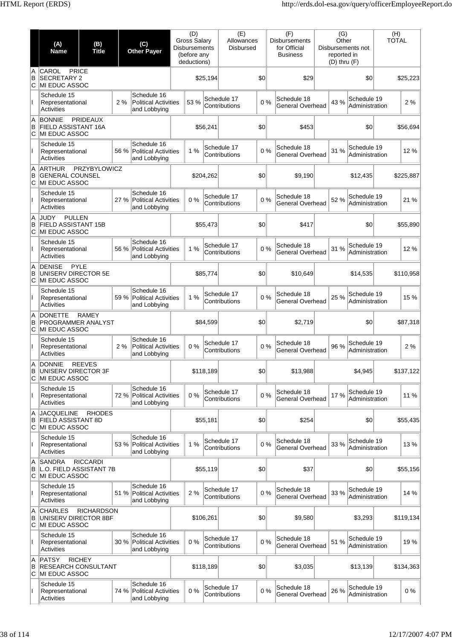|               | (A)<br><b>Name</b>                                                   | (B)<br><b>Title</b> |      | (C)<br><b>Other Payer</b>                                  | (D)<br><b>Gross Salary</b><br><b>Disbursements</b><br>(before any<br>deductions) |           | (E)<br>Allowances<br><b>Disbursed</b> |     | (F)<br><b>Disbursements</b><br>for Official<br><b>Business</b> |          | (G)<br>Other<br>reported in<br>$(D)$ thru $(F)$ | Disbursements not             | (H)<br><b>TOTAL</b> |           |
|---------------|----------------------------------------------------------------------|---------------------|------|------------------------------------------------------------|----------------------------------------------------------------------------------|-----------|---------------------------------------|-----|----------------------------------------------------------------|----------|-------------------------------------------------|-------------------------------|---------------------|-----------|
| A<br>B<br>ΙC  | CAROL<br><b>SECRETARY 2</b><br>MI EDUC ASSOC                         | <b>PRICE</b>        |      |                                                            |                                                                                  | \$25,194  |                                       | \$0 |                                                                | \$29     |                                                 | \$0                           |                     | \$25,223  |
|               | Schedule 15<br>Representational<br><b>Activities</b>                 |                     | 2%   | Schedule 16<br><b>Political Activities</b><br>and Lobbying | 53 %                                                                             |           | Schedule 17<br>Contributions          | 0%  | Schedule 18<br>General Overhead                                |          | 43 %                                            | Schedule 19<br>Administration |                     | 2%        |
| A<br>B<br>lC. | <b>BONNIE</b><br>FIELD ASSISTANT 16A<br>MI EDUC ASSOC                | <b>PRIDEAUX</b>     |      |                                                            |                                                                                  | \$56,241  |                                       | \$0 |                                                                | \$453    |                                                 | \$0                           |                     | \$56,694  |
|               | Schedule 15<br>Representational<br><b>Activities</b>                 |                     | 56 % | Schedule 16<br><b>Political Activities</b><br>and Lobbying | 1%                                                                               |           | Schedule 17<br>Contributions          | 0%  | Schedule 18<br>General Overhead                                |          | 31 %                                            | Schedule 19<br>Administration |                     | 12%       |
| A<br>B<br>C   | <b>ARTHUR</b><br><b>GENERAL COUNSEL</b><br>MI EDUC ASSOC             | <b>PRZYBYLOWICZ</b> |      |                                                            |                                                                                  | \$204,262 |                                       | \$0 |                                                                | \$9,190  |                                                 | \$12,435                      |                     | \$225,887 |
|               | Schedule 15<br>Representational<br>Activities                        |                     | 27 % | Schedule 16<br><b>Political Activities</b><br>and Lobbying | 0%                                                                               |           | Schedule 17<br>Contributions          | 0%  | Schedule 18<br>General Overhead                                |          | 52 %                                            | Schedule 19<br>Administration |                     | 21 %      |
| A<br>B<br>ΙC  | <b>JUDY</b><br><b>PULLEN</b><br>FIELD ASSISTANT 15B<br>MI EDUC ASSOC |                     |      |                                                            |                                                                                  | \$55,473  |                                       | \$0 |                                                                | \$417    |                                                 | \$0                           |                     | \$55,890  |
|               | Schedule 15<br>Representational<br>Activities                        |                     | 56 % | Schedule 16<br><b>Political Activities</b><br>and Lobbying | 1%                                                                               |           | Schedule 17<br>Contributions          | 0%  | Schedule 18<br>General Overhead                                |          | 31 %                                            | Schedule 19<br>Administration |                     | 12%       |
| A<br>B<br>С   | <b>DENISE</b><br>UNISERV DIRECTOR 5E<br>MI EDUC ASSOC                | PYLE                |      |                                                            |                                                                                  | \$85,774  |                                       | \$0 |                                                                | \$10,649 |                                                 | \$14,535                      |                     | \$110,958 |
| Ш             | Schedule 15<br>Representational<br>Activities                        |                     | 59 % | Schedule 16<br><b>Political Activities</b><br>and Lobbying | 1%                                                                               |           | Schedule 17<br>Contributions          | 0%  | Schedule 18<br>General Overhead                                |          | 25 %                                            | Schedule 19<br>Administration |                     | 15 %      |
| A<br>B<br>C   | <b>DONETTE</b><br><b>PROGRAMMER ANALYST</b><br>MI EDUC ASSOC         | <b>RAMEY</b>        |      |                                                            |                                                                                  | \$84,599  |                                       | \$0 |                                                                | \$2,719  |                                                 | \$0                           |                     | \$87,318  |
|               | Schedule 15<br>Representational<br>Activities                        |                     | 2%   | Schedule 16<br><b>Political Activities</b><br>and Lobbying | 0%                                                                               |           | Schedule 17<br>Contributions          | 0%  | Schedule 18<br>General Overhead                                |          | 96 %                                            | Schedule 19<br>Administration |                     | 2%        |
| A<br>В<br>C   | <b>DONNIE</b><br>UNISERV DIRECTOR 3F<br>MI EDUC ASSOC                | <b>REEVES</b>       |      |                                                            |                                                                                  | \$118,189 |                                       | \$0 |                                                                | \$13,988 |                                                 | \$4,945                       |                     | \$137,122 |
| $\mathbf{I}$  | Schedule 15<br>Representational<br>Activities                        |                     | 72%  | Schedule 16<br><b>Political Activities</b><br>and Lobbying | 0%                                                                               |           | Schedule 17<br>Contributions          | 0%  | Schedule 18<br>General Overhead                                |          | 17%                                             | Schedule 19<br>Administration |                     | 11 %      |
| A<br>B<br>IС  | <b>JACQUELINE</b><br><b>FIELD ASSISTANT 8D</b><br>MI EDUC ASSOC      | <b>RHODES</b>       |      |                                                            |                                                                                  | \$55,181  |                                       | \$0 |                                                                | \$254    |                                                 | \$0                           |                     | \$55,435  |
|               | Schedule 15<br>Representational<br>Activities                        |                     | 53 % | Schedule 16<br><b>Political Activities</b><br>and Lobbying | 1%                                                                               |           | Schedule 17<br>Contributions          | 0%  | Schedule 18<br>General Overhead                                |          | 33 %                                            | Schedule 19<br>Administration |                     | 13%       |
| A<br>B<br>С   | <b>SANDRA</b><br>L.O. FIELD ASSISTANT 7B<br>MI EDUC ASSOC            | <b>RICCARDI</b>     |      |                                                            |                                                                                  | \$55,119  |                                       | \$0 |                                                                | \$37     |                                                 | \$0                           |                     | \$55,156  |
| Ш             | Schedule 15<br>Representational<br>Activities                        |                     | 51 % | Schedule 16<br><b>Political Activities</b><br>and Lobbying | 2 %                                                                              |           | Schedule 17<br>Contributions          | 0%  | Schedule 18<br>General Overhead                                |          | 33 %                                            | Schedule 19<br>Administration |                     | 14 %      |
| A<br>B<br>lC. | <b>CHARLES</b><br>UNISERV DIRECTOR 8BF<br>MI EDUC ASSOC              | <b>RICHARDSON</b>   |      |                                                            |                                                                                  | \$106,261 |                                       | \$0 |                                                                | \$9,580  |                                                 | \$3,293                       |                     | \$119,134 |
|               | Schedule 15<br>Representational<br>Activities                        |                     | 30 % | Schedule 16<br><b>Political Activities</b><br>and Lobbying | 0%                                                                               |           | Schedule 17<br>Contributions          | 0%  | Schedule 18<br>General Overhead                                |          | 51 %                                            | Schedule 19<br>Administration |                     | 19%       |
| A<br>B<br>C   | <b>PATSY</b><br><b>RESEARCH CONSULTANT</b><br>MI EDUC ASSOC          | <b>RICHEY</b>       |      |                                                            |                                                                                  | \$118,189 |                                       | \$0 |                                                                | \$3,035  |                                                 | \$13,139                      |                     | \$134,363 |
|               | Schedule 15<br>Representational<br>Activities                        |                     | 74 % | Schedule 16<br><b>Political Activities</b><br>and Lobbying | 0%                                                                               |           | Schedule 17<br>Contributions          | 0%  | Schedule 18<br>General Overhead                                |          | 26 %                                            | Schedule 19<br>Administration |                     | 0%        |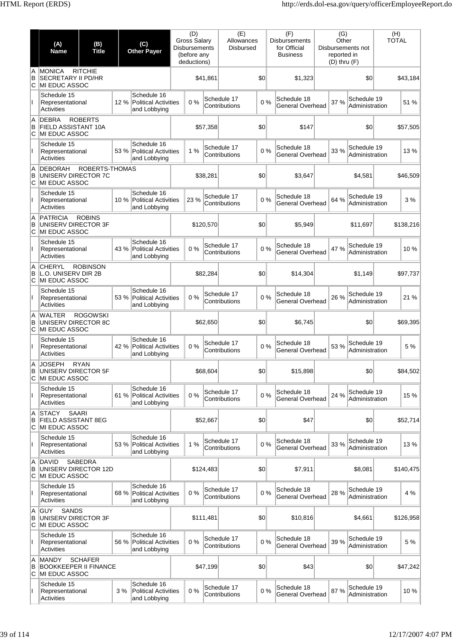|               | (A)<br><b>Name</b>                                                          | (B)<br><b>Title</b> |      | (C)<br><b>Other Payer</b>                                  | (D)<br><b>Gross Salary</b><br><b>Disbursements</b><br>(before any<br>deductions) |           | (E)<br>Allowances<br><b>Disbursed</b> |     | (F)<br><b>Disbursements</b><br>for Official<br><b>Business</b> |       | (G)<br>Other<br>reported in<br>$(D)$ thru $(F)$ | Disbursements not             | (H)<br><b>TOTAL</b> |
|---------------|-----------------------------------------------------------------------------|---------------------|------|------------------------------------------------------------|----------------------------------------------------------------------------------|-----------|---------------------------------------|-----|----------------------------------------------------------------|-------|-------------------------------------------------|-------------------------------|---------------------|
| A<br>B<br>ΙC  | <b>MONICA</b><br><b>SECRETARY II PD/HR</b><br>MI EDUC ASSOC                 | <b>RITCHIE</b>      |      |                                                            |                                                                                  | \$41,861  |                                       | \$0 | \$1,323                                                        |       |                                                 | \$0                           | \$43,184            |
|               | Schedule 15<br>Representational<br>Activities                               |                     | 12 % | Schedule 16<br><b>Political Activities</b><br>and Lobbying | 0%                                                                               |           | Schedule 17<br>Contributions          | 0%  | Schedule 18<br>General Overhead                                |       | 37 %                                            | Schedule 19<br>Administration | 51 %                |
| A<br>B<br>С   | <b>DEBRA</b><br>FIELD ASSISTANT 10A<br>MI EDUC ASSOC                        | <b>ROBERTS</b>      |      |                                                            |                                                                                  | \$57,358  |                                       | \$0 |                                                                | \$147 |                                                 | \$0                           | \$57,505            |
|               | Schedule 15<br>Representational<br>Activities                               |                     | 53 % | Schedule 16<br><b>Political Activities</b><br>and Lobbying | 1%                                                                               |           | Schedule 17<br>Contributions          | 0%  | Schedule 18<br>General Overhead                                |       | 33 %                                            | Schedule 19<br>Administration | 13%                 |
| A<br>B<br>C   | <b>DEBORAH</b><br>UNISERV DIRECTOR 7C<br>MI EDUC ASSOC                      | ROBERTS-THOMAS      |      |                                                            |                                                                                  | \$38,281  |                                       | \$0 | \$3,647                                                        |       |                                                 | \$4,581                       | \$46,509            |
|               | Schedule 15<br>Representational<br>Activities                               |                     | 10 % | Schedule 16<br><b>Political Activities</b><br>and Lobbying | 23 %                                                                             |           | Schedule 17<br>Contributions          | 0%  | Schedule 18<br>General Overhead                                |       | 64 %                                            | Schedule 19<br>Administration | 3 %                 |
| A<br>B<br>ΙC  | <b>PATRICIA</b><br>UNISERV DIRECTOR 3F<br>MI EDUC ASSOC                     | <b>ROBINS</b>       |      |                                                            |                                                                                  | \$120,570 |                                       | \$0 | \$5,949                                                        |       |                                                 | \$11,697                      | \$138,216           |
|               | Schedule 15<br>Representational<br>Activities                               |                     | 43 % | Schedule 16<br><b>Political Activities</b><br>and Lobbying | 0%                                                                               |           | Schedule 17<br>Contributions          | 0%  | Schedule 18<br>General Overhead                                |       | 47 %                                            | Schedule 19<br>Administration | 10%                 |
| A<br>B<br>С   | <b>CHERYL</b><br>L.O. UNISERV DIR 2B<br>MI EDUC ASSOC                       | <b>ROBINSON</b>     |      |                                                            |                                                                                  | \$82,284  |                                       | \$0 | \$14,304                                                       |       |                                                 | \$1,149                       | \$97,737            |
| Ш             | Schedule 15<br>Representational<br>Activities                               |                     | 53 % | Schedule 16<br><b>Political Activities</b><br>and Lobbying | 0%                                                                               |           | Schedule 17<br>Contributions          | 0%  | Schedule 18<br>General Overhead                                |       | 26 %                                            | Schedule 19<br>Administration | 21 %                |
| A<br>B<br>C   | <b>WALTER</b><br>UNISERV DIRECTOR 8C<br>MI EDUC ASSOC                       | <b>ROGOWSKI</b>     |      |                                                            |                                                                                  | \$62,650  |                                       | \$0 | \$6,745                                                        |       |                                                 | \$0                           | \$69,395            |
|               | Schedule 15<br>Representational<br>Activities                               |                     | 42%  | Schedule 16<br><b>Political Activities</b><br>and Lobbying | 0%                                                                               |           | Schedule 17<br>Contributions          | 0%  | Schedule 18<br>General Overhead                                |       | 53 %                                            | Schedule 19<br>Administration | 5 %                 |
| A<br>В<br>C   | JOSEPH<br>UNISERV DIRECTOR 5F<br>MI EDUC ASSOC                              | <b>RYAN</b>         |      |                                                            |                                                                                  | \$68,604  |                                       | \$0 | \$15,898                                                       |       |                                                 | \$0                           | \$84,502            |
| $\mathbf{I}$  | Schedule 15<br>Representational<br>Activities                               |                     | 61 % | Schedule 16<br><b>Political Activities</b><br>and Lobbying | 0%                                                                               |           | Schedule 17<br>Contributions          | 0%  | Schedule 18<br>General Overhead                                |       | 24 %                                            | Schedule 19<br>Administration | 15 %                |
| A<br>B<br>ΙC  | <b>STACY</b><br><b>SAARI</b><br><b>FIELD ASSISTANT 8EG</b><br>MI EDUC ASSOC |                     |      |                                                            |                                                                                  | \$52,667  |                                       | \$0 |                                                                | \$47  |                                                 | \$0                           | \$52,714            |
|               | Schedule 15<br>Representational<br>Activities                               |                     | 53 % | Schedule 16<br><b>Political Activities</b><br>and Lobbying | 1%                                                                               |           | Schedule 17<br>Contributions          | 0%  | Schedule 18<br>General Overhead                                |       | 33 %                                            | Schedule 19<br>Administration | 13%                 |
| A<br>B<br>lC. | <b>DAVID</b><br>UNISERV DIRECTOR 12D<br>MI EDUC ASSOC                       | <b>SABEDRA</b>      |      |                                                            |                                                                                  | \$124,483 |                                       | \$0 | \$7,911                                                        |       |                                                 | \$8,081                       | \$140,475           |
| Ш             | Schedule 15<br>Representational<br><b>Activities</b>                        |                     | 68 % | Schedule 16<br><b>Political Activities</b><br>and Lobbying | 0%                                                                               |           | Schedule 17<br>Contributions          | 0%  | Schedule 18<br>General Overhead                                |       | 28 %                                            | Schedule 19<br>Administration | 4 %                 |
| A<br>B<br>С   | <b>GUY</b><br><b>SANDS</b><br>UNISERV DIRECTOR 3F<br><b>MI EDUC ASSOC</b>   |                     |      |                                                            |                                                                                  | \$111,481 |                                       | \$0 | \$10,816                                                       |       |                                                 | \$4,661                       | \$126,958           |
|               | Schedule 15<br>Representational<br>Activities                               |                     | 56 % | Schedule 16<br><b>Political Activities</b><br>and Lobbying | 0%                                                                               |           | Schedule 17<br>Contributions          | 0%  | Schedule 18<br>General Overhead                                |       | 39 %                                            | Schedule 19<br>Administration | 5 %                 |
| A<br>B<br>C   | <b>MANDY</b><br><b>BOOKKEEPER II FINANCE</b><br><b>MI EDUC ASSOC</b>        | <b>SCHAFER</b>      |      |                                                            |                                                                                  | \$47,199  |                                       | \$0 |                                                                | \$43  |                                                 | \$0                           | \$47,242            |
|               | Schedule 15<br>Representational<br>Activities                               |                     | 3%   | Schedule 16<br><b>Political Activities</b><br>and Lobbying | 0%                                                                               |           | Schedule 17<br>Contributions          | 0%  | Schedule 18<br>General Overhead                                |       | 87%                                             | Schedule 19<br>Administration | 10%                 |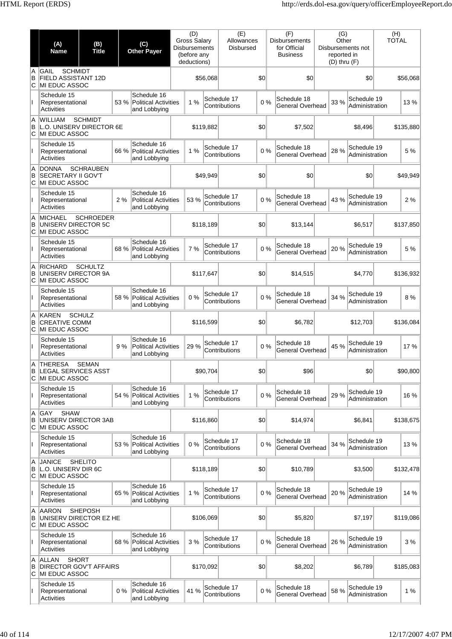|              | (A)<br><b>Name</b>                                             | (B)<br><b>Title</b> |      | (C)<br><b>Other Payer</b>                                  | (D)<br><b>Gross Salary</b><br><b>Disbursements</b><br>(before any<br>deductions) |           | (E)<br>Allowances<br><b>Disbursed</b> |     | (F)<br><b>Disbursements</b><br>for Official<br><b>Business</b> | (G)<br>Other<br>reported in<br>$(D)$ thru $(F)$ | Disbursements not             | (H)<br><b>TOTAL</b> |           |
|--------------|----------------------------------------------------------------|---------------------|------|------------------------------------------------------------|----------------------------------------------------------------------------------|-----------|---------------------------------------|-----|----------------------------------------------------------------|-------------------------------------------------|-------------------------------|---------------------|-----------|
| A<br>B<br>ΙC | <b>SCHMIDT</b><br>GAIL<br>FIELD ASSISTANT 12D<br>MI EDUC ASSOC |                     |      |                                                            |                                                                                  | \$56,068  |                                       | \$0 | \$0                                                            |                                                 | \$0                           |                     | \$56,068  |
|              | Schedule 15<br>Representational<br>Activities                  |                     | 53 % | Schedule 16<br><b>Political Activities</b><br>and Lobbying | 1%                                                                               |           | Schedule 17<br>Contributions          | 0%  | Schedule 18<br><b>General Overhead</b>                         | 33 %                                            | Schedule 19<br>Administration |                     | 13%       |
| A<br>B<br>C  | <b>WILLIAM</b><br>L.O. UNISERV DIRECTOR 6E<br>MI EDUC ASSOC    | <b>SCHMIDT</b>      |      |                                                            |                                                                                  | \$119,882 |                                       | \$0 | \$7,502                                                        |                                                 | \$8,496                       |                     | \$135,880 |
|              | Schedule 15<br>Representational<br><b>Activities</b>           |                     | 66 % | Schedule 16<br>Political Activities<br>and Lobbying        | 1%                                                                               |           | Schedule 17<br>Contributions          | 0%  | Schedule 18<br><b>General Overhead</b>                         | 28 %                                            | Schedule 19<br>Administration |                     | 5 %       |
| A<br>B<br>C  | <b>DONNA</b><br><b>SECRETARY II GOV'T</b><br>MI EDUC ASSOC     | <b>SCHRAUBEN</b>    |      |                                                            |                                                                                  | \$49,949  |                                       | \$0 | \$0                                                            |                                                 | \$0                           |                     | \$49,949  |
|              | Schedule 15<br>Representational<br>Activities                  |                     | 2%   | Schedule 16<br><b>Political Activities</b><br>and Lobbying | 53 %                                                                             |           | Schedule 17<br>Contributions          | 0%  | Schedule 18<br><b>General Overhead</b>                         | 43 %                                            | Schedule 19<br>Administration |                     | 2 %       |
| A<br>B<br>С  | <b>MICHAEL</b><br>UNISERV DIRECTOR 5C<br>MI EDUC ASSOC         | <b>SCHROEDER</b>    |      |                                                            |                                                                                  | \$118,189 |                                       | \$0 | \$13,144                                                       |                                                 | \$6,517                       |                     | \$137.850 |
|              | Schedule 15<br>Representational<br><b>Activities</b>           |                     | 68 % | Schedule 16<br>Political Activities<br>and Lobbying        | 7 %                                                                              |           | Schedule 17<br>Contributions          | 0%  | Schedule 18<br>General Overhead                                | 20%                                             | Schedule 19<br>Administration |                     | 5 %       |
| A<br>B<br>С  | <b>RICHARD</b><br>UNISERV DIRECTOR 9A<br>MI EDUC ASSOC         | <b>SCHULTZ</b>      |      |                                                            |                                                                                  | \$117,647 |                                       | \$0 | \$14,515                                                       |                                                 | \$4,770                       |                     | \$136,932 |
| Ш            | Schedule 15<br>Representational<br>Activities                  |                     | 58 % | Schedule 16<br>Political Activities<br>and Lobbying        | 0%                                                                               |           | Schedule 17<br>Contributions          | 0%  | Schedule 18<br><b>General Overhead</b>                         | 34 %                                            | Schedule 19<br>Administration |                     | 8 %       |
| A<br>B<br>C  | <b>KAREN</b><br><b>CREATIVE COMM</b><br>MI EDUC ASSOC          | <b>SCHULZ</b>       |      |                                                            |                                                                                  | \$116,599 |                                       | \$0 | \$6,782                                                        |                                                 | \$12,703                      |                     | \$136,084 |
|              | Schedule 15<br>Representational<br>Activities                  |                     | 9%   | Schedule 16<br><b>Political Activities</b><br>and Lobbying | 29 %                                                                             |           | Schedule 17<br>Contributions          | 0%  | Schedule 18<br>General Overhead                                | 45 %                                            | Schedule 19<br>Administration |                     | 17 %      |
| В<br>C       | A THERESA<br><b>LEGAL SERVICES ASST</b><br>MI EDUC ASSOC       | <b>SEMAN</b>        |      |                                                            |                                                                                  | \$90,704  |                                       | \$0 | \$96                                                           |                                                 | \$0                           |                     | \$90,800  |
| $\mathbf{I}$ | Schedule 15<br>Representational<br>Activities                  |                     | 54 % | Schedule 16<br>Political Activities<br>and Lobbying        | 1%                                                                               |           | Schedule 17<br>Contributions          | 0%  | Schedule 18<br>General Overhead                                | 29 %                                            | Schedule 19<br>Administration |                     | 16 %      |
| A<br>B<br>С  | <b>SHAW</b><br>GAY<br>UNISERV DIRECTOR 3AB<br>MI EDUC ASSOC    |                     |      |                                                            |                                                                                  | \$116,860 |                                       | \$0 | \$14,974                                                       |                                                 | \$6,841                       |                     | \$138,675 |
| Ш            | Schedule 15<br>Representational<br><b>Activities</b>           |                     | 53 % | Schedule 16<br>Political Activities<br>and Lobbying        | 0%                                                                               |           | Schedule 17<br>Contributions          | 0%  | Schedule 18<br>General Overhead                                | 34 %                                            | Schedule 19<br>Administration |                     | 13%       |
| A<br>B<br>С  | <b>JANICE</b><br>L.O. UNISERV DIR 6C<br>MI EDUC ASSOC          | <b>SHELITO</b>      |      |                                                            |                                                                                  | \$118,189 |                                       | \$0 | \$10,789                                                       |                                                 | \$3,500                       |                     | \$132,478 |
| Ш            | Schedule 15<br>Representational<br><b>Activities</b>           |                     | 65 % | Schedule 16<br>Political Activities<br>and Lobbying        | 1%                                                                               |           | Schedule 17<br>Contributions          | 0%  | Schedule 18<br>General Overhead                                | 20%                                             | Schedule 19<br>Administration |                     | 14 %      |
| A<br>B<br>С  | <b>AARON</b><br>UNISERV DIRECTOR EZ HE<br>MI EDUC ASSOC        | <b>SHEPOSH</b>      |      |                                                            |                                                                                  | \$106,069 |                                       | \$0 | \$5,820                                                        |                                                 | \$7,197                       |                     | \$119,086 |
|              | Schedule 15<br>Representational<br>Activities                  |                     | 68 % | Schedule 16<br>Political Activities<br>and Lobbying        | 3 %                                                                              |           | Schedule 17<br>Contributions          | 0%  | Schedule 18<br><b>General Overhead</b>                         | 26 %                                            | Schedule 19<br>Administration |                     | 3 %       |
| A<br>B<br>C  | ALLAN<br><b>DIRECTOR GOV'T AFFAIRS</b><br>MI EDUC ASSOC        | <b>SHORT</b>        |      |                                                            |                                                                                  | \$170,092 |                                       | \$0 | \$8,202                                                        |                                                 | \$6,789                       |                     | \$185,083 |
|              | Schedule 15<br>Representational<br><b>Activities</b>           |                     | 0%   | Schedule 16<br><b>Political Activities</b><br>and Lobbying | 41 %                                                                             |           | Schedule 17<br>Contributions          | 0%  | Schedule 18<br>General Overhead                                | 58 %                                            | Schedule 19<br>Administration |                     | 1%        |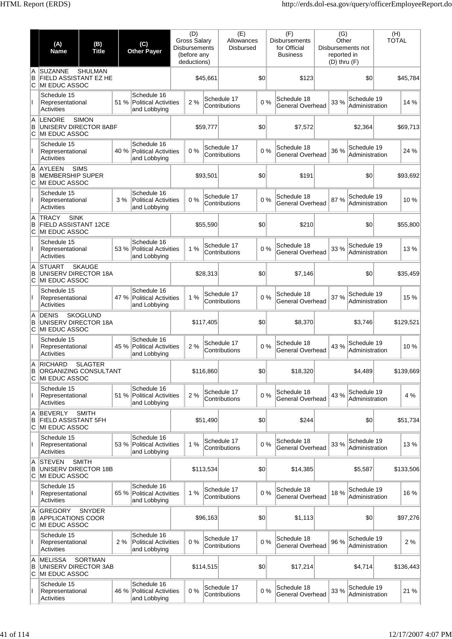|             | (A)<br><b>Name</b>                                                          | (B)<br><b>Title</b> |      | (C)<br><b>Other Payer</b>                                  | (D)<br>Gross Salary<br><b>Disbursements</b><br>(before any<br>deductions) |           | (E)<br>Allowances<br><b>Disbursed</b> |     | (F)<br><b>Disbursements</b><br>for Official<br><b>Business</b> | (G)<br>Other<br>reported in<br>$(D)$ thru $(F)$ | Disbursements not             | (H)<br><b>TOTAL</b> |  |
|-------------|-----------------------------------------------------------------------------|---------------------|------|------------------------------------------------------------|---------------------------------------------------------------------------|-----------|---------------------------------------|-----|----------------------------------------------------------------|-------------------------------------------------|-------------------------------|---------------------|--|
| A<br>B<br>C | <b>SUZANNE</b><br><b>FIELD ASSISTANT EZ HE</b><br><b>IMI EDUC ASSOC</b>     | <b>SHULMAN</b>      |      |                                                            |                                                                           | \$45.661  |                                       | \$0 | \$123                                                          |                                                 | \$0                           | \$45,784            |  |
|             | Schedule 15<br>Representational<br><b>Activities</b>                        |                     | 51 % | Schedule 16<br><b>Political Activities</b><br>and Lobbying | 2 %                                                                       |           | Schedule 17<br>Contributions          | 0%  | Schedule 18<br><b>General Overhead</b>                         | 33 %                                            | Schedule 19<br>Administration | 14 %                |  |
| A<br>B<br>C | LENORE<br>UNISERV DIRECTOR 8ABF<br>MI EDUC ASSOC                            | <b>SIMON</b>        |      |                                                            |                                                                           | \$59,777  |                                       | \$0 | \$7,572                                                        |                                                 | \$2,364                       | \$69,713            |  |
|             | Schedule 15<br>Representational<br><b>Activities</b>                        |                     |      | Schedule 16<br>40 % Political Activities<br>and Lobbying   | 0%                                                                        |           | Schedule 17<br>Contributions          | 0%  | Schedule 18<br>General Overhead                                | 36 %                                            | Schedule 19<br>Administration | 24 %                |  |
| A<br>В<br>C | <b>AYLEEN</b><br><b>MEMBERSHIP SUPER</b><br>MI EDUC ASSOC                   | <b>SIMS</b>         |      |                                                            |                                                                           | \$93,501  |                                       | \$0 | \$191                                                          |                                                 | \$0                           | \$93,692            |  |
| L           | Schedule 15<br>Representational<br><b>Activities</b>                        |                     | 3%   | Schedule 16<br><b>Political Activities</b><br>and Lobbying | 0%                                                                        |           | Schedule 17<br>Contributions          | 0%  | Schedule 18<br><b>General Overhead</b>                         | 87%                                             | Schedule 19<br>Administration | 10%                 |  |
| A<br>B<br>C | <b>TRACY</b><br><b>SINK</b><br><b>FIELD ASSISTANT 12CE</b><br>MI EDUC ASSOC |                     |      |                                                            |                                                                           | \$55,590  |                                       | \$0 | \$210                                                          |                                                 | \$0                           | \$55,800            |  |
| Ш           | Schedule 15<br>Representational<br><b>Activities</b>                        |                     |      | Schedule 16<br>53 % Political Activities<br>and Lobbying   | 1%                                                                        |           | Schedule 17<br>Contributions          | 0%  | Schedule 18<br>General Overhead                                | 33 %                                            | Schedule 19<br>Administration | 13 %                |  |
| A<br>B<br>С | <b>STUART</b><br>UNISERV DIRECTOR 18A<br>MI EDUC ASSOC                      | <b>SKAUGE</b>       |      |                                                            |                                                                           | \$28,313  |                                       | \$0 | \$7,146                                                        |                                                 | \$0                           | \$35,459            |  |
| L           | Schedule 15<br>Representational<br>Activities                               |                     | 47 % | Schedule 16<br>Political Activities<br>and Lobbying        | 1%                                                                        |           | Schedule 17<br>Contributions          | 0%  | Schedule 18<br><b>General Overhead</b>                         | 37 %                                            | Schedule 19<br>Administration | 15 %                |  |
| A<br>B<br>C | <b>DENIS</b><br>UNISERV DIRECTOR 18A<br>MI EDUC ASSOC                       | <b>SKOGLUND</b>     |      |                                                            |                                                                           | \$117,405 |                                       | \$0 | \$8,370                                                        |                                                 | \$3,746                       | \$129,521           |  |
|             | Schedule 15<br>Representational<br>Activities                               |                     |      | Schedule 16<br>45 % Political Activities<br>and Lobbying   | 2%                                                                        |           | Schedule 17<br>Contributions          | 0%  | Schedule 18<br>General Overhead                                | 43 %                                            | Schedule 19<br>Administration | 10%                 |  |
| A<br>В<br>C | <b>RICHARD</b><br><b>ORGANIZING CONSULTANT</b><br>MI EDUC ASSOC             | <b>SLAGTER</b>      |      |                                                            |                                                                           | \$116,860 |                                       | 0   | \$18,320                                                       |                                                 | \$4,489                       | \$139,669           |  |
| L           | Schedule 15<br>Representational<br>Activities                               |                     | 51 % | Schedule 16<br>Political Activities<br>and Lobbying        | 2%                                                                        |           | Schedule 17<br>Contributions          | 0%  | Schedule 18<br>General Overhead                                | 43 %                                            | Schedule 19<br>Administration | 4 %                 |  |
| A<br>B<br>C | <b>BEVERLY</b><br><b>FIELD ASSISTANT 5FH</b><br><b>MI EDUC ASSOC</b>        | <b>SMITH</b>        |      |                                                            |                                                                           | \$51,490  |                                       | \$0 | \$244                                                          |                                                 | \$0                           | \$51,734            |  |
|             | Schedule 15<br>Representational<br><b>Activities</b>                        |                     |      | Schedule 16<br>53 % Political Activities<br>and Lobbying   | 1%                                                                        |           | Schedule 17<br>Contributions          | 0%  | Schedule 18<br>General Overhead                                | 33 %                                            | Schedule 19<br>Administration | 13%                 |  |
| A<br>B<br>С | <b>STEVEN</b><br><b>UNISERV DIRECTOR 18B</b><br>MI EDUC ASSOC               | <b>SMITH</b>        |      |                                                            |                                                                           | \$113,534 |                                       | \$0 | \$14,385                                                       |                                                 | \$5,587                       | \$133,506           |  |
| L           | Schedule 15<br>Representational<br><b>Activities</b>                        |                     | 65 % | Schedule 16<br>Political Activities<br>and Lobbying        | 1%                                                                        |           | Schedule 17<br>Contributions          | 0%  | Schedule 18<br>General Overhead                                | 18 %                                            | Schedule 19<br>Administration | 16 %                |  |
| A<br>B<br>C | <b>GREGORY</b><br><b>APPLICATIONS COOR</b><br>MI EDUC ASSOC                 | <b>SNYDER</b>       |      |                                                            |                                                                           | \$96,163  |                                       | 30  | \$1,113                                                        |                                                 | \$0                           | \$97,276            |  |
|             | Schedule 15<br>Representational<br>Activities                               |                     | 2%   | Schedule 16<br><b>Political Activities</b><br>and Lobbying | 0%                                                                        |           | Schedule 17<br>Contributions          | 0%  | Schedule 18<br>General Overhead                                | 96 %                                            | Schedule 19<br>Administration | 2%                  |  |
| A<br>В<br>C | <b>MELISSA</b><br>UNISERV DIRECTOR 3AB<br>MI EDUC ASSOC                     | <b>SORTMAN</b>      |      |                                                            |                                                                           | \$114,515 |                                       | 0   | \$17,214                                                       |                                                 | \$4,714                       | \$136,443           |  |
| Ш           | Schedule 15<br>Representational<br><b>Activities</b>                        |                     |      | Schedule 16<br>46 % Political Activities<br>and Lobbying   | 0%                                                                        |           | Schedule 17<br>Contributions          | 0%  | Schedule 18<br>General Overhead                                | 33 %                                            | Schedule 19<br>Administration | 21 %                |  |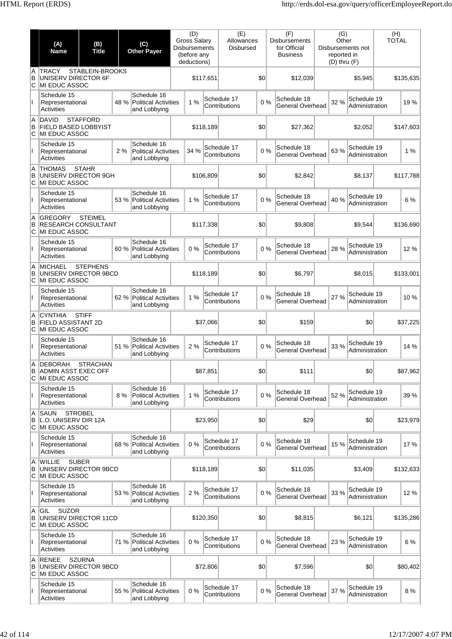|               | (A)<br><b>Name</b>                                                   | (B)<br><b>Title</b> |      | (C)<br><b>Other Payer</b>                                  | <b>Disbursements</b> | (D)<br><b>Gross Salary</b><br>(before any<br>deductions) |           | (E)<br>Allowances<br><b>Disbursed</b> |     | (F)<br><b>Disbursements</b><br>for Official<br><b>Business</b> | (G)<br>Other<br>reported in<br>$(D)$ thru $(F)$ | Disbursements not             | (H)<br><b>TOTAL</b> |           |
|---------------|----------------------------------------------------------------------|---------------------|------|------------------------------------------------------------|----------------------|----------------------------------------------------------|-----------|---------------------------------------|-----|----------------------------------------------------------------|-------------------------------------------------|-------------------------------|---------------------|-----------|
| A<br>B<br>C   | <b>TRACY</b><br>UNISERV DIRECTOR 6F<br>MI EDUC ASSOC                 | STABLEIN-BROOKS     |      |                                                            |                      |                                                          | \$117,651 |                                       | \$0 | \$12,039                                                       |                                                 | \$5,945                       |                     | \$135,635 |
|               | Schedule 15<br>Representational<br><b>Activities</b>                 |                     | 48 % | Schedule 16<br>Political Activities<br>and Lobbying        |                      | 1%                                                       |           | Schedule 17<br>Contributions          | 0%  | Schedule 18<br>General Overhead                                | 32 %                                            | Schedule 19<br>Administration |                     | 19%       |
| A<br>B<br>C   | <b>DAVID</b><br><b>FIELD BASED LOBBYIST</b><br>MI EDUC ASSOC         | <b>STAFFORD</b>     |      |                                                            |                      |                                                          | \$118,189 |                                       | \$0 | \$27,362                                                       |                                                 | \$2,052                       |                     | \$147,603 |
|               | Schedule 15<br>Representational<br><b>Activities</b>                 |                     | 2%   | Schedule 16<br><b>Political Activities</b><br>and Lobbying |                      | 34 %                                                     |           | Schedule 17<br>Contributions          | 0%  | Schedule 18<br><b>General Overhead</b>                         | 63 %                                            | Schedule 19<br>Administration |                     | 1%        |
| A<br>B<br>C   | <b>THOMAS</b><br>UNISERV DIRECTOR 9GH<br><b>MI EDUC ASSOC</b>        | <b>STAHR</b>        |      |                                                            |                      |                                                          | \$106.809 |                                       | \$0 | \$2,842                                                        |                                                 | \$8,137                       |                     | \$117,788 |
| Ш             | Schedule 15<br>Representational<br>Activities                        |                     | 53 % | Schedule 16<br>Political Activities<br>and Lobbying        |                      | 1%                                                       |           | Schedule 17<br>Contributions          | 0%  | Schedule 18<br><b>General Overhead</b>                         | 40 %                                            | Schedule 19<br>Administration |                     | 6 %       |
| A<br>B<br>С   | <b>GREGORY</b><br><b>RESEARCH CONSULTANT</b><br>MI EDUC ASSOC        | <b>STEIMEL</b>      |      |                                                            |                      |                                                          | \$117,338 |                                       | \$0 | \$9,808                                                        |                                                 | \$9,544                       |                     | \$136.690 |
|               | Schedule 15<br>Representational<br>Activities                        |                     | 60 % | Schedule 16<br>Political Activities<br>and Lobbying        |                      | 0%                                                       |           | Schedule 17<br>Contributions          | 0%  | Schedule 18<br>General Overhead                                | 28 %                                            | Schedule 19<br>Administration |                     | 12 %      |
| A<br>B<br>С   | <b>MICHAEL</b><br>UNISERV DIRECTOR 9BCD<br>MI EDUC ASSOC             | <b>STEPHENS</b>     |      |                                                            |                      |                                                          | \$118,189 |                                       | \$0 | \$6,797                                                        |                                                 | \$8,015                       |                     | \$133,001 |
| Ш.            | Schedule 15<br>Representational<br><b>Activities</b>                 |                     | 62 % | Schedule 16<br>Political Activities<br>and Lobbying        |                      | 1%                                                       |           | Schedule 17<br>Contributions          | 0%  | Schedule 18<br><b>General Overhead</b>                         | 27 %                                            | Schedule 19<br>Administration |                     | 10%       |
| A<br>B<br>С   | <b>CYNTHIA</b><br><b>FIELD ASSISTANT 2D</b><br>MI EDUC ASSOC         | <b>STIFF</b>        |      |                                                            |                      |                                                          | \$37,066  |                                       | \$0 | \$159                                                          |                                                 | \$0                           |                     | \$37,225  |
|               | Schedule 15<br>Representational<br><b>Activities</b>                 |                     | 51 % | Schedule 16<br><b>Political Activities</b><br>and Lobbying |                      | 2%                                                       |           | Schedule 17<br>Contributions          | 0%  | Schedule 18<br><b>General Overhead</b>                         | 33 %                                            | Schedule 19<br>Administration |                     | 14 %      |
| A<br>В<br>C   | DEBORAH<br><b>ADMIN ASST EXEC OFF</b><br>MI EDUC ASSOC               | <b>STRACHAN</b>     |      |                                                            |                      |                                                          | \$87,851  |                                       | \$0 | \$111                                                          |                                                 | \$0                           |                     | \$87,962  |
| Ш             | Schedule 15<br>Representational<br><b>Activities</b>                 |                     | 8%   | Schedule 16<br><b>Political Activities</b><br>and Lobbying |                      | 1%                                                       |           | Schedule 17<br>Contributions          | 0%  | Schedule 18<br>General Overhead                                | 52 %                                            | Schedule 19<br>Administration |                     | 39 %      |
| A<br>B<br>ΙC  | <b>SAUN</b><br>L.O. UNISERV DIR 12A<br>MI EDUC ASSOC                 | <b>STROBEL</b>      |      |                                                            |                      |                                                          | \$23.950  |                                       | \$0 | \$29                                                           |                                                 | \$0                           |                     | \$23,979  |
|               | Schedule 15<br>Representational<br>Activities                        |                     | 68 % | Schedule 16<br>Political Activities<br>and Lobbying        |                      | 0%                                                       |           | Schedule 17<br>Contributions          | 0%  | Schedule 18<br><b>General Overhead</b>                         | 15 %                                            | Schedule 19<br>Administration |                     | 17 %      |
| A<br>B<br>lC. | <b>WILLIE</b><br>UNISERV DIRECTOR 9BCD<br>MI EDUC ASSOC              | <b>SUBER</b>        |      |                                                            |                      |                                                          | \$118,189 |                                       | \$0 | \$11,035                                                       |                                                 | \$3,409                       |                     | \$132,633 |
| Ш             | Schedule 15<br>Representational<br><b>Activities</b>                 |                     | 53 % | Schedule 16<br>Political Activities<br>and Lobbying        |                      | 2%                                                       |           | Schedule 17<br>Contributions          | 0%  | Schedule 18<br><b>General Overhead</b>                         | 33 %                                            | Schedule 19<br>Administration |                     | 12%       |
| A<br>B<br>C   | <b>SUZOR</b><br>GIL<br>UNISERV DIRECTOR 11CD<br><b>MI EDUC ASSOC</b> |                     |      |                                                            |                      |                                                          | \$120,350 |                                       | \$0 | \$8,815                                                        |                                                 | \$6,121                       |                     | \$135,286 |
| L             | Schedule 15<br>Representational<br>Activities                        |                     | 71 % | Schedule 16<br>Political Activities<br>and Lobbying        |                      | 0%                                                       |           | Schedule 17<br>Contributions          | 0%  | Schedule 18<br><b>General Overhead</b>                         | 23 %                                            | Schedule 19<br>Administration |                     | 6 %       |
| A<br>B<br>C   | <b>RENEE</b><br>UNISERV DIRECTOR 9BCD<br><b>MI EDUC ASSOC</b>        | <b>SZURNA</b>       |      |                                                            |                      |                                                          | \$72,806  |                                       | \$0 | \$7,596                                                        |                                                 | \$0                           |                     | \$80,402  |
|               | Schedule 15<br>Representational<br><b>Activities</b>                 |                     | 55 % | Schedule 16<br>Political Activities<br>and Lobbying        |                      | 0%                                                       |           | Schedule 17<br>Contributions          | 0%  | Schedule 18<br>General Overhead                                | 37 %                                            | Schedule 19<br>Administration |                     | 8 %       |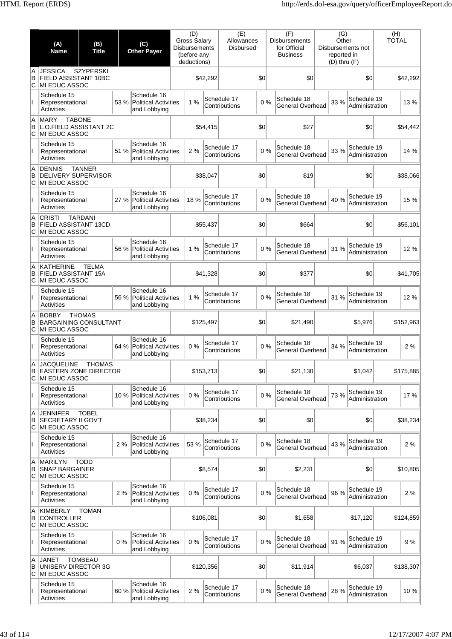|               | (A)<br><b>Name</b>                                                   | (B)<br><b>Title</b> | (C)<br><b>Other Payer</b> |                                                            | (D)<br><b>Gross Salary</b><br><b>Disbursements</b><br>(before any<br>deductions) |           | (E)<br>Allowances<br><b>Disbursed</b> |     | (F)<br><b>Disbursements</b><br>for Official<br><b>Business</b> | (G)<br>Other<br>reported in<br>$(D)$ thru $(F)$ | Disbursements not             | (H)<br><b>TOTAL</b> |
|---------------|----------------------------------------------------------------------|---------------------|---------------------------|------------------------------------------------------------|----------------------------------------------------------------------------------|-----------|---------------------------------------|-----|----------------------------------------------------------------|-------------------------------------------------|-------------------------------|---------------------|
| A<br>B<br>ΙC  | <b>JESSICA</b><br>FIELD ASSISTANT 10BC<br><b>MI EDUC ASSOC</b>       | <b>SZYPERSKI</b>    |                           |                                                            |                                                                                  | \$42,292  |                                       | \$0 | \$0                                                            |                                                 | \$0                           | \$42,292            |
|               | Schedule 15<br>Representational<br>Activities                        |                     | 53 %                      | Schedule 16<br><b>Political Activities</b><br>and Lobbying | 1%                                                                               |           | Schedule 17<br>Contributions          | 0%  | Schedule 18<br>General Overhead                                | 33 %                                            | Schedule 19<br>Administration | 13%                 |
| A<br>B<br>lc. | <b>MARY</b><br>L.O.FIELD ASSISTANT 2C<br>MI EDUC ASSOC               | <b>TABONE</b>       |                           |                                                            |                                                                                  | \$54,415  |                                       | \$0 | \$27                                                           |                                                 | \$0                           | \$54,442            |
|               | Schedule 15<br>Representational<br><b>Activities</b>                 |                     | 51 %                      | Schedule 16<br><b>Political Activities</b><br>and Lobbying | 2%                                                                               |           | Schedule 17<br>Contributions          | 0%  | Schedule 18<br>General Overhead                                | 33 %                                            | Schedule 19<br>Administration | 14 %                |
| A<br>B<br>ΙC  | <b>DENNIS</b><br><b>DELIVERY SUPERVISOR</b><br><b>MI EDUC ASSOC</b>  | <b>TANNER</b>       |                           |                                                            |                                                                                  | \$38,047  |                                       | \$0 | \$19                                                           |                                                 | \$0                           | \$38,066            |
|               | Schedule 15<br>Representational<br>Activities                        |                     | 27 %                      | Schedule 16<br><b>Political Activities</b><br>and Lobbying | 18%                                                                              |           | Schedule 17<br>Contributions          | 0%  | Schedule 18<br>General Overhead                                | 40 %                                            | Schedule 19<br>Administration | 15 %                |
| A<br>B<br>ΙC  | <b>CRISTI</b><br><b>FIELD ASSISTANT 13CD</b><br><b>MI EDUC ASSOC</b> | <b>TARDANI</b>      |                           |                                                            |                                                                                  | \$55,437  |                                       | \$0 | \$664                                                          |                                                 | \$0                           | \$56,101            |
|               | Schedule 15<br>Representational<br>Activities                        |                     | 56 %                      | Schedule 16<br><b>Political Activities</b><br>and Lobbying | 1%                                                                               |           | Schedule 17<br>Contributions          | 0%  | Schedule 18<br>General Overhead                                | 31 %                                            | Schedule 19<br>Administration | 12%                 |
| A<br>B<br>IС  | <b>KATHERINE</b><br>FIELD ASSISTANT 15A<br>MI EDUC ASSOC             | <b>TELMA</b>        |                           |                                                            |                                                                                  | \$41,328  |                                       | \$0 | \$377                                                          |                                                 | \$0                           | \$41,705            |
|               | Schedule 15<br>Representational<br>Activities                        |                     | 56 %                      | Schedule 16<br><b>Political Activities</b><br>and Lobbying | 1%                                                                               |           | Schedule 17<br>Contributions          | 0%  | Schedule 18<br>General Overhead                                | 31 %                                            | Schedule 19<br>Administration | 12 %                |
| A<br>B<br>lc. | <b>BOBBY</b><br><b>BARGAINING CONSULTANT</b><br>MI EDUC ASSOC        | <b>THOMAS</b>       |                           |                                                            |                                                                                  | \$125,497 |                                       | \$0 | \$21,490                                                       |                                                 | \$5,976                       | \$152,963           |
|               | Schedule 15<br>Representational<br>Activities                        |                     | 64 %                      | Schedule 16<br><b>Political Activities</b><br>and Lobbying | 0%                                                                               |           | Schedule 17<br>Contributions          | 0%  | Schedule 18<br>General Overhead                                | 34 %                                            | Schedule 19<br>Administration | 2%                  |
| A<br>В<br>C   | <b>JACQUELINE</b><br><b>EASTERN ZONE DIRECTOR</b><br>MI EDUC ASSOC   | <b>THOMAS</b>       |                           |                                                            |                                                                                  | \$153,713 |                                       | \$0 | \$21,130                                                       |                                                 | \$1,042                       | \$175,885           |
| $\mathsf{I}$  | Schedule 15<br>Representational<br>Activities                        |                     | 10 %                      | Schedule 16<br><b>Political Activities</b><br>and Lobbying | 0%                                                                               |           | Schedule 17<br>Contributions          | 0%  | Schedule 18<br>General Overhead                                | 73 %                                            | Schedule 19<br>Administration | 17%                 |
| A<br>B<br>IС  | <b>JENNIFER</b><br><b>SECRETARY II GOV'T</b><br><b>MI EDUC ASSOC</b> | <b>TOBEL</b>        |                           |                                                            |                                                                                  | \$38,234  |                                       | \$0 | 30                                                             |                                                 | \$0                           | \$38,234            |
|               | Schedule 15<br>Representational<br>Activities                        |                     | 2%                        | Schedule 16<br><b>Political Activities</b><br>and Lobbying | 53 %                                                                             |           | Schedule 17<br>Contributions          | 0%  | Schedule 18<br>General Overhead                                | 43 %                                            | Schedule 19<br>Administration | 2%                  |
| A<br>B<br>С   | <b>MARILYN</b><br><b>SNAP BARGAINER</b><br>MI EDUC ASSOC             | <b>TODD</b>         |                           |                                                            |                                                                                  | \$8,574   |                                       | \$0 | \$2,231                                                        |                                                 | \$0                           | \$10,805            |
| $\mathbf{I}$  | Schedule 15<br>Representational<br>Activities                        |                     | 2%                        | Schedule 16<br><b>Political Activities</b><br>and Lobbying | 0%                                                                               |           | Schedule 17<br>Contributions          | 0%  | Schedule 18<br>General Overhead                                | 96 %                                            | Schedule 19<br>Administration | 2%                  |
| A<br>B<br>lC. | <b>KIMBERLY</b><br><b>CONTROLLER</b><br>MI EDUC ASSOC                | <b>TOMAN</b>        |                           |                                                            |                                                                                  | \$106,081 |                                       | \$0 | \$1,658                                                        |                                                 | \$17,120                      | \$124,859           |
|               | Schedule 15<br>Representational<br>Activities                        |                     | 0%                        | Schedule 16<br><b>Political Activities</b><br>and Lobbying | 0%                                                                               |           | Schedule 17<br>Contributions          | 0%  | Schedule 18<br>General Overhead                                | 91 %                                            | Schedule 19<br>Administration | 9%                  |
| A<br>B<br>C   | JANET<br>UNISERV DIRECTOR 3G<br>MI EDUC ASSOC                        | <b>TOMBEAU</b>      |                           |                                                            |                                                                                  | \$120,356 |                                       | \$0 | \$11,914                                                       |                                                 | \$6,037                       | \$138,307           |
|               | Schedule 15<br>Representational<br>Activities                        |                     | 60 %                      | Schedule 16<br><b>Political Activities</b><br>and Lobbying | 2 %                                                                              |           | Schedule 17<br>Contributions          | 0%  | Schedule 18<br>General Overhead                                | 28 %                                            | Schedule 19<br>Administration | 10%                 |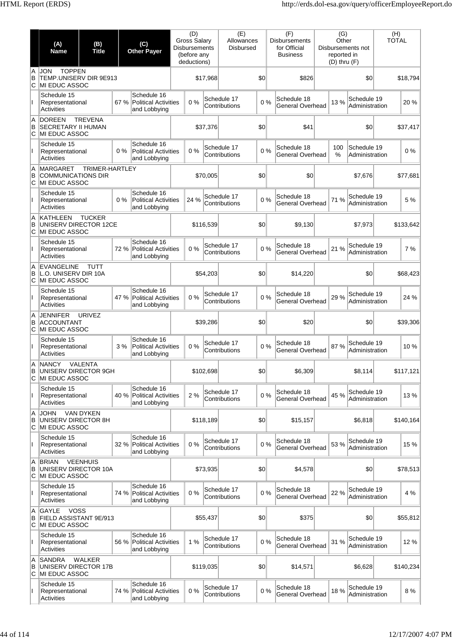|              | (A)<br><b>Name</b>                                                     | (B)<br><b>Title</b> |       | (C)<br><b>Other Payer</b>                                  | <b>Disbursements</b> | (D)<br><b>Gross Salary</b><br>(before any<br>deductions) |           | (E)<br>Allowances<br><b>Disbursed</b> |     | (F)<br><b>Disbursements</b><br>for Official<br><b>Business</b> | (G)<br>Other<br>reported in<br>$(D)$ thru $(F)$ | Disbursements not             | (H)<br><b>TOTAL</b> |           |
|--------------|------------------------------------------------------------------------|---------------------|-------|------------------------------------------------------------|----------------------|----------------------------------------------------------|-----------|---------------------------------------|-----|----------------------------------------------------------------|-------------------------------------------------|-------------------------------|---------------------|-----------|
| A<br>B<br>ΙC | <b>TOPPEN</b><br><b>JON</b><br>TEMP.UNISERV DIR 9E913<br>MI EDUC ASSOC |                     |       |                                                            |                      |                                                          | \$17,968  |                                       | \$0 | \$826                                                          |                                                 | \$0                           |                     | \$18,794  |
|              | Schedule 15<br>Representational<br><b>Activities</b>                   |                     | 67 %  | Schedule 16<br><b>Political Activities</b><br>and Lobbying |                      | 0%                                                       |           | Schedule 17<br>Contributions          | 0%  | Schedule 18<br><b>General Overhead</b>                         | 13%                                             | Schedule 19<br>Administration |                     | 20%       |
| A<br>B<br>C  | <b>DOREEN</b><br><b>SECRETARY II HUMAN</b><br>MI EDUC ASSOC            | <b>TREVENA</b>      |       |                                                            |                      |                                                          | \$37,376  |                                       | \$0 | \$41                                                           |                                                 | \$0                           |                     | \$37,417  |
|              | Schedule 15<br>Representational<br><b>Activities</b>                   |                     | $0\%$ | Schedule 16<br><b>Political Activities</b><br>and Lobbying |                      | 0%                                                       |           | Schedule 17<br>Contributions          | 0%  | Schedule 18<br><b>General Overhead</b>                         | 100<br>$\%$                                     | Schedule 19<br>Administration |                     | 0%        |
| A<br>B<br>C  | <b>MARGARET</b><br><b>COMMUNICATIONS DIR</b><br>MI EDUC ASSOC          | TRIMER-HARTLEY      |       |                                                            |                      |                                                          | \$70,005  |                                       | \$0 | \$0                                                            |                                                 | \$7,676                       |                     | \$77,681  |
|              | Schedule 15<br>Representational<br>Activities                          |                     | $0\%$ | Schedule 16<br><b>Political Activities</b><br>and Lobbying |                      | 24 %                                                     |           | Schedule 17<br>Contributions          | 0%  | Schedule 18<br>General Overhead                                | 71 %                                            | Schedule 19<br>Administration |                     | 5 %       |
| A<br>B<br>С  | <b>KATHLEEN</b><br>UNISERV DIRECTOR 12CE<br>MI EDUC ASSOC              | <b>TUCKER</b>       |       |                                                            |                      |                                                          | \$116,539 |                                       | \$0 | \$9,130                                                        |                                                 | \$7,973                       |                     | \$133,642 |
|              | Schedule 15<br>Representational<br><b>Activities</b>                   |                     | 72 %  | Schedule 16<br>Political Activities<br>and Lobbying        |                      | 0%                                                       |           | Schedule 17<br>Contributions          | 0%  | Schedule 18<br>General Overhead                                | 21 %                                            | Schedule 19<br>Administration |                     | 7%        |
| A<br>B<br>C  | <b>EVANGELINE</b><br>L.O. UNISERV DIR 10A<br>MI EDUC ASSOC             | <b>TUTT</b>         |       |                                                            |                      |                                                          | \$54,203  |                                       | \$0 | \$14,220                                                       |                                                 | \$0                           |                     | \$68,423  |
| Ш            | Schedule 15<br>Representational<br>Activities                          |                     |       | Schedule 16<br>47 % Political Activities<br>and Lobbying   |                      | 0%                                                       |           | Schedule 17<br>Contributions          | 0%  | Schedule 18<br><b>General Overhead</b>                         | 29 %                                            | Schedule 19<br>Administration |                     | 24 %      |
| A<br>B<br>C  | <b>JENNIFER</b><br><b>ACCOUNTANT</b><br>MI EDUC ASSOC                  | <b>URIVEZ</b>       |       |                                                            |                      |                                                          | \$39,286  |                                       | \$0 | \$20                                                           |                                                 | \$0                           |                     | \$39,306  |
|              | Schedule 15<br>Representational<br>Activities                          |                     | 3%    | Schedule 16<br><b>Political Activities</b><br>and Lobbying |                      | 0%                                                       |           | Schedule 17<br>Contributions          | 0%  | Schedule 18<br>General Overhead                                | 87%                                             | Schedule 19<br>Administration |                     | 10%       |
| в<br>C       | A NANCY<br>UNISERV DIRECTOR 9GH<br>MI EDUC ASSOC                       | VALENTA             |       |                                                            |                      |                                                          | \$102,698 |                                       | \$0 | \$6,309                                                        |                                                 | \$8,114                       |                     | \$117,121 |
| $\mathbf{I}$ | Schedule 15<br>Representational<br>Activities                          |                     | 40 %  | Schedule 16<br>Political Activities<br>and Lobbying        |                      | 2%                                                       |           | Schedule 17<br>Contributions          | 0%  | Schedule 18<br><b>General Overhead</b>                         | 45 %                                            | Schedule 19<br>Administration |                     | 13 %      |
| A<br>B<br>С  | <b>JOHN</b><br>UNISERV DIRECTOR 8H<br>MI EDUC ASSOC                    | <b>VAN DYKEN</b>    |       |                                                            |                      |                                                          | \$118,189 |                                       | \$0 | \$15,157                                                       |                                                 | \$6,818                       |                     | \$140,164 |
| Ш            | Schedule 15<br>Representational<br><b>Activities</b>                   |                     | 32 %  | Schedule 16<br>Political Activities<br>and Lobbying        |                      | 0%                                                       |           | Schedule 17<br>Contributions          | 0%  | Schedule 18<br>General Overhead                                | 53 %                                            | Schedule 19<br>Administration |                     | 15 %      |
| A<br>B<br>С  | <b>BRIAN</b><br>UNISERV DIRECTOR 10A<br>MI EDUC ASSOC                  | <b>VEENHUIS</b>     |       |                                                            |                      |                                                          | \$73,935  |                                       | \$0 | \$4,578                                                        |                                                 | \$0                           |                     | \$78,513  |
| Ш            | Schedule 15<br>Representational<br><b>Activities</b>                   |                     |       | Schedule 16<br>74 % Political Activities<br>and Lobbying   |                      | 0%                                                       |           | Schedule 17<br>Contributions          | 0%  | Schedule 18<br>General Overhead                                | 22 %                                            | Schedule 19<br>Administration |                     | 4 %       |
| A<br>B<br>С  | <b>VOSS</b><br>GAYLE<br>FIELD ASSISTANT 9E/913<br>MI EDUC ASSOC        |                     |       |                                                            |                      |                                                          | \$55,437  |                                       | \$0 | \$375                                                          |                                                 | \$0                           |                     | \$55,812  |
|              | Schedule 15<br>Representational<br>Activities                          |                     | 56 %  | Schedule 16<br>Political Activities<br>and Lobbying        |                      | 1%                                                       |           | Schedule 17<br>Contributions          | 0%  | Schedule 18<br>General Overhead                                | 31 %                                            | Schedule 19<br>Administration |                     | 12 %      |
| A<br>B<br>C  | <b>SANDRA</b><br>UNISERV DIRECTOR 17B<br>MI EDUC ASSOC                 | WALKER              |       |                                                            |                      |                                                          | \$119,035 |                                       | \$0 | \$14,571                                                       |                                                 | \$6,628                       |                     | \$140,234 |
|              | Schedule 15<br>Representational<br><b>Activities</b>                   |                     | 74 %  | Schedule 16<br>Political Activities<br>and Lobbying        |                      | 0%                                                       |           | Schedule 17<br>Contributions          | 0%  | Schedule 18<br>General Overhead                                | 18 %                                            | Schedule 19<br>Administration |                     | 8 %       |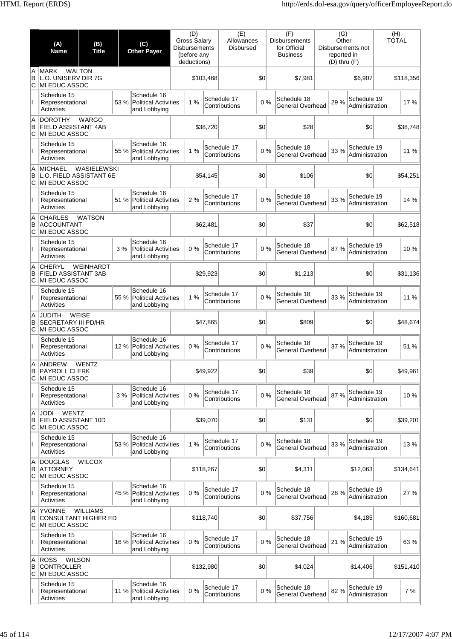|               | (A)<br><b>Name</b>                                                 | (B)<br><b>Title</b> | (C)<br><b>Other Payer</b> |                                                            | (D)<br><b>Gross Salary</b><br><b>Disbursements</b><br>(before any<br>deductions) |           | (E)<br>Allowances<br><b>Disbursed</b> |     | (F)<br><b>Disbursements</b><br>for Official<br><b>Business</b> | (G)<br>Other<br>reported in<br>$(D)$ thru $(F)$ | Disbursements not             | (H)<br><b>TOTAL</b> |
|---------------|--------------------------------------------------------------------|---------------------|---------------------------|------------------------------------------------------------|----------------------------------------------------------------------------------|-----------|---------------------------------------|-----|----------------------------------------------------------------|-------------------------------------------------|-------------------------------|---------------------|
| A<br>B<br>ΙC  | <b>MARK</b><br>L.O. UNISERV DIR 7G<br>MI EDUC ASSOC                | <b>WALTON</b>       |                           |                                                            |                                                                                  | \$103,468 |                                       | \$0 | \$7,981                                                        |                                                 | \$6,907                       | \$118,356           |
|               | Schedule 15<br>Representational<br>Activities                      |                     | 53 %                      | Schedule 16<br><b>Political Activities</b><br>and Lobbying | 1%                                                                               |           | Schedule 17<br>Contributions          | 0%  | Schedule 18<br>General Overhead                                | 29 %                                            | Schedule 19<br>Administration | 17%                 |
| A<br>B<br>lC. | <b>DOROTHY</b><br><b>FIELD ASSISTANT 4AB</b><br>MI EDUC ASSOC      | <b>WARGO</b>        |                           |                                                            |                                                                                  | \$38,720  |                                       | \$0 | \$28                                                           |                                                 | \$0                           | \$38,748            |
|               | Schedule 15<br>Representational<br>Activities                      |                     | 55 %                      | Schedule 16<br><b>Political Activities</b><br>and Lobbying | 1%                                                                               |           | Schedule 17<br>Contributions          | 0%  | Schedule 18<br>General Overhead                                | 33 %                                            | Schedule 19<br>Administration | 11 %                |
| A<br>B<br>C   | <b>MICHAEL</b><br>L.O. FIELD ASSISTANT 6E<br>MI EDUC ASSOC         | WASIELEWSKI         |                           |                                                            |                                                                                  | \$54,145  |                                       | \$0 | \$106                                                          |                                                 | \$0                           | \$54,251            |
|               | Schedule 15<br>Representational<br>Activities                      |                     | 51 %                      | Schedule 16<br><b>Political Activities</b><br>and Lobbying | 2 %                                                                              |           | Schedule 17<br>Contributions          | 0%  | Schedule 18<br>General Overhead                                | 33 %                                            | Schedule 19<br>Administration | 14 %                |
| A<br>B<br>С   | <b>CHARLES</b><br><b>ACCOUNTANT</b><br>MI EDUC ASSOC               | <b>WATSON</b>       |                           |                                                            |                                                                                  | \$62.481  |                                       | \$0 | \$37                                                           |                                                 | \$0                           | \$62,518            |
|               | Schedule 15<br>Representational<br>Activities                      |                     | 3%                        | Schedule 16<br><b>Political Activities</b><br>and Lobbying | 0%                                                                               |           | Schedule 17<br>Contributions          | 0%  | Schedule 18<br>General Overhead                                | 87%                                             | Schedule 19<br>Administration | 10%                 |
| A<br>B<br>С   | <b>CHERYL</b><br><b>FIELD ASSISTANT 3AB</b><br>MI EDUC ASSOC       | <b>WEINHARDT</b>    |                           |                                                            |                                                                                  | \$29,923  |                                       | \$0 | \$1,213                                                        |                                                 | \$0                           | \$31,136            |
| Ш             | Schedule 15<br>Representational<br>Activities                      |                     | 55 %                      | Schedule 16<br><b>Political Activities</b><br>and Lobbying | 1%                                                                               |           | Schedule 17<br>Contributions          | 0%  | Schedule 18<br>General Overhead                                | 33 %                                            | Schedule 19<br>Administration | 11 %                |
| A<br>B<br>С   | <b>JUDITH</b><br><b>SECRETARY III PD/HR</b><br>MI EDUC ASSOC       | WEISE               |                           |                                                            |                                                                                  | \$47,865  |                                       | \$0 | \$809                                                          |                                                 | \$0                           | \$48,674            |
|               | Schedule 15<br>Representational<br>Activities                      |                     | 12%                       | Schedule 16<br><b>Political Activities</b><br>and Lobbying | 0%                                                                               |           | Schedule 17<br>Contributions          | 0%  | Schedule 18<br>General Overhead                                | 37 %                                            | Schedule 19<br>Administration | 51 %                |
| A<br>в<br>C   | ANDREW<br><b>PAYROLL CLERK</b><br>MI EDUC ASSOC                    | <b>WENTZ</b>        |                           |                                                            |                                                                                  | \$49,922  |                                       | \$0 | \$39                                                           |                                                 | \$0                           | \$49,961            |
| $\mathbf{I}$  | Schedule 15<br>Representational<br>Activities                      |                     | 3%                        | Schedule 16<br><b>Political Activities</b><br>and Lobbying | 0%                                                                               |           | Schedule 17<br>Contributions          | 0%  | Schedule 18<br>General Overhead                                | 87 %                                            | Schedule 19<br>Administration | 10%                 |
| A<br>B<br>ΙC  | WENTZ<br><b>JODI</b><br>FIELD ASSISTANT 10D<br>MI EDUC ASSOC       |                     |                           |                                                            |                                                                                  | \$39,070  |                                       | \$0 | \$131                                                          |                                                 | \$0                           | \$39,201            |
|               | Schedule 15<br>Representational<br>Activities                      |                     | 53 %                      | Schedule 16<br><b>Political Activities</b><br>and Lobbying | 1%                                                                               |           | Schedule 17<br>Contributions          | 0%  | Schedule 18<br>General Overhead                                | 33 %                                            | Schedule 19<br>Administration | 13%                 |
| A<br>B<br>С   | <b>DOUGLAS</b><br><b>ATTORNEY</b><br>MI EDUC ASSOC                 | <b>WILCOX</b>       |                           |                                                            |                                                                                  | \$118,267 |                                       | \$0 | \$4,311                                                        |                                                 | \$12,063                      | \$134,641           |
| Ш             | Schedule 15<br>Representational<br>Activities                      |                     | 45 %                      | Schedule 16<br><b>Political Activities</b><br>and Lobbying | 0%                                                                               |           | Schedule 17<br>Contributions          | 0%  | Schedule 18<br>General Overhead                                | 28 %                                            | Schedule 19<br>Administration | 27 %                |
| A<br>B<br>С   | <b>YVONNE</b><br><b>CONSULTANT HIGHER ED</b><br>MI EDUC ASSOC      | <b>WILLIAMS</b>     |                           |                                                            |                                                                                  | \$118,740 |                                       | \$0 | \$37,756                                                       |                                                 | \$4,185                       | \$160,681           |
|               | Schedule 15<br>Representational<br>Activities                      |                     | 16 %                      | Schedule 16<br><b>Political Activities</b><br>and Lobbying | 0%                                                                               |           | Schedule 17<br>Contributions          | 0%  | Schedule 18<br>General Overhead                                | 21 %                                            | Schedule 19<br>Administration | 63 %                |
| A<br>B<br>C   | <b>ROSS</b><br><b>WILSON</b><br><b>CONTROLLER</b><br>MI EDUC ASSOC |                     |                           |                                                            |                                                                                  | \$132,980 |                                       | \$0 | \$4,024                                                        |                                                 | \$14,406                      | \$151,410           |
|               | Schedule 15<br>Representational<br>Activities                      |                     | 11 %                      | Schedule 16<br><b>Political Activities</b><br>and Lobbying | 0%                                                                               |           | Schedule 17<br>Contributions          | 0%  | Schedule 18<br>General Overhead                                | 82%                                             | Schedule 19<br>Administration | 7 %                 |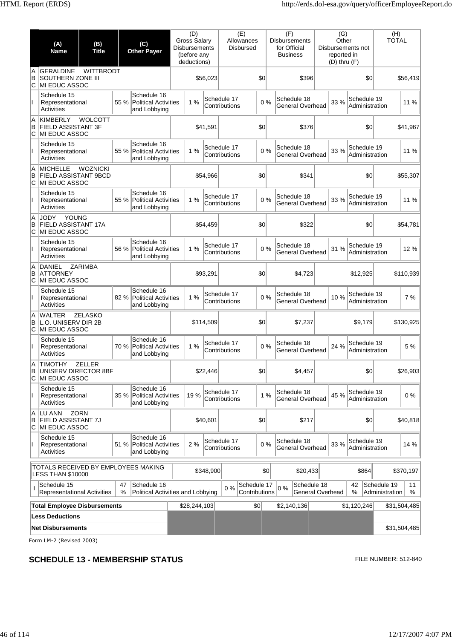|             | (A)<br><b>Name</b>                                                          | (B)<br><b>Title</b> |         | (C)<br><b>Other Payer</b>                                  | (D)<br><b>Gross Salary</b><br><b>Disbursements</b><br>(before any<br>deductions) |           | (E)<br>Allowances<br><b>Disbursed</b> |                              | (F)<br><b>Disbursements</b><br>for Official<br>Business | (G)<br>Other<br>reported in<br>$(D)$ thru $(F)$ | Disbursements not             | (H)<br><b>TOTAL</b>           |              |
|-------------|-----------------------------------------------------------------------------|---------------------|---------|------------------------------------------------------------|----------------------------------------------------------------------------------|-----------|---------------------------------------|------------------------------|---------------------------------------------------------|-------------------------------------------------|-------------------------------|-------------------------------|--------------|
| Α<br>B<br>C | <b>GERALDINE</b><br><b>SOUTHERN ZONE III</b><br><b>IMI EDUC ASSOC</b>       | <b>WITTBRODT</b>    |         |                                                            |                                                                                  | \$56,023  |                                       | \$0                          | \$396                                                   |                                                 | \$0                           |                               | \$56,419     |
|             | Schedule 15<br>Representational<br>Activities                               |                     | 55 %    | Schedule 16<br><b>Political Activities</b><br>and Lobbying | 1%                                                                               |           | Schedule 17<br>Contributions          | 0%                           | Schedule 18<br>General Overhead                         | 33 %                                            | Schedule 19<br>Administration |                               | 11 %         |
| A<br>в<br>C | KIMBERLY<br><b>FIELD ASSISTANT 3F</b><br>MI EDUC ASSOC                      | <b>WOLCOTT</b>      |         |                                                            |                                                                                  | \$41,591  |                                       | \$0                          | \$376                                                   |                                                 | \$0                           |                               | \$41,967     |
| L           | Schedule 15<br>Representational<br>Activities                               |                     | 55 %    | Schedule 16<br><b>Political Activities</b><br>and Lobbying | 1%                                                                               |           | Schedule 17<br>Contributions          | 0%                           | Schedule 18<br>General Overhead                         | 33 %                                            | Schedule 19<br>Administration |                               | 11 %         |
| A<br>B<br>C | <b>MICHELLE</b><br><b>FIELD ASSISTANT 9BCD</b><br>MI EDUC ASSOC             | <b>WOZNICKI</b>     |         |                                                            |                                                                                  | \$54,966  |                                       | \$0                          | \$341                                                   |                                                 | \$0                           |                               | \$55,307     |
| L           | Schedule 15<br>Representational<br>Activities                               |                     | 55 %    | Schedule 16<br><b>Political Activities</b><br>and Lobbying | 1%                                                                               |           | Schedule 17<br>Contributions          | 0%                           | Schedule 18<br>General Overhead                         | 33 %                                            | Schedule 19<br>Administration |                               | 11 %         |
| A<br>B<br>C | <b>JODY</b><br><b>YOUNG</b><br>FIELD ASSISTANT 17A<br><b>IMI EDUC ASSOC</b> |                     |         |                                                            |                                                                                  | \$54,459  |                                       | \$0                          | \$322                                                   |                                                 | \$0                           |                               | \$54,781     |
|             | Schedule 15<br>Representational<br>Activities                               |                     | 56 %    | Schedule 16<br><b>Political Activities</b><br>and Lobbying | 1%                                                                               |           | Schedule 17<br>Contributions          | 0%                           | Schedule 18<br>General Overhead                         | 31 %                                            | Schedule 19<br>Administration |                               | 12 %         |
| A<br>B<br>C | DANIEL<br><b>ATTORNEY</b><br>MI EDUC ASSOC                                  | <b>ZARIMBA</b>      |         |                                                            |                                                                                  | \$93,291  |                                       | \$0                          | \$4,723                                                 |                                                 | \$12,925                      |                               | \$110,939    |
| T           | Schedule 15<br>Representational<br>Activities                               |                     | 82 %    | Schedule 16<br><b>Political Activities</b><br>and Lobbying | 1%                                                                               |           | Schedule 17<br>Contributions          | 0%                           | Schedule 18<br>General Overhead                         | 10%                                             | Schedule 19<br>Administration |                               | 7 %          |
| A<br>в<br>C | <b>WALTER</b><br>L.O. UNISERV DIR 2B<br>MI EDUC ASSOC                       | ZELASKO             |         |                                                            |                                                                                  | \$114.509 |                                       | \$0                          | \$7,237                                                 |                                                 | \$9,179                       |                               | \$130,925    |
|             | Schedule 15<br>Representational<br>Activities                               |                     |         | Schedule 16<br>70 % Political Activities<br>and Lobbying   | 1%                                                                               |           | Schedule 17<br>Contributions          | 0%                           | Schedule 18<br>General Overhead                         | 24 %                                            | Schedule 19<br>Administration |                               | 5 %          |
| Α<br>В<br>C | <b>TIMOTHY</b><br>UNISERV DIRECTOR 8BF<br>MI EDUC ASSOC                     | <b>ZELLER</b>       |         |                                                            |                                                                                  | \$22,446  |                                       | \$0                          | \$4,457                                                 |                                                 | \$0                           |                               | \$26,903     |
| L           | Schedule 15<br>Representational<br><b>Activities</b>                        |                     |         | Schedule 16<br>35 % Political Activities<br>and Lobbying   | 19 %                                                                             |           | Schedule 17<br>Contributions          | 1%                           | Schedule 18<br>General Overhead                         | 45 %                                            | Schedule 19<br>Administration |                               | 0%           |
| Α<br>в<br>С | LU ANN<br><b>FIELD ASSISTANT 7J</b><br><b>MI EDUC ASSOC</b>                 | <b>ZORN</b>         |         |                                                            |                                                                                  | \$40,601  |                                       | \$0                          | \$217                                                   |                                                 | \$0                           |                               | \$40,818     |
| L           | Schedule 15<br>Representational<br>Activities                               |                     | 51 %    | Schedule 16<br><b>Political Activities</b><br>and Lobbying | 2%                                                                               |           | Schedule 17<br>Contributions          | $0\%$                        | Schedule 18<br>General Overhead                         | 33 %                                            | Schedule 19<br>Administration |                               | 14 %         |
|             | TOTALS RECEIVED BY EMPLOYEES MAKING<br><b>LESS THAN \$10000</b>             |                     |         |                                                            |                                                                                  | \$348,900 |                                       | \$0                          | \$20,433                                                |                                                 | \$864                         |                               | \$370,197    |
|             | Schedule 15<br><b>Representational Activities</b>                           |                     | 47<br>% | Schedule 16<br>Political Activities and Lobbying           |                                                                                  |           | 0%                                    | Schedule 17<br>Contributions | Schedule 18<br>$0\%$<br>General Overhead                |                                                 | 42<br>%                       | Schedule 19<br>Administration | 11<br>%      |
|             | <b>Total Employee Disbursements</b><br><b>Less Deductions</b>               |                     |         |                                                            | \$28,244,103                                                                     |           |                                       | \$0                          | \$2,140,136                                             |                                                 | \$1,120,246                   |                               | \$31,504,485 |
|             | <b>Net Disbursements</b>                                                    |                     |         |                                                            |                                                                                  |           |                                       |                              |                                                         |                                                 |                               |                               | \$31,504,485 |

## **SCHEDULE 13 - MEMBERSHIP STATUS EXECUTE 212-840** FILE NUMBER: 512-840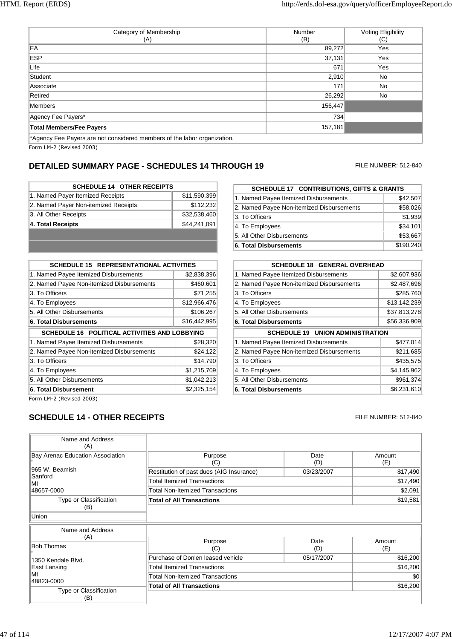| Category of Membership<br>(A)                                            | Number<br>(B) | Voting Eligibility<br>(C) |
|--------------------------------------------------------------------------|---------------|---------------------------|
| EA                                                                       | 89,272        | Yes                       |
| <b>ESP</b>                                                               | 37,131        | Yes                       |
| Life                                                                     | 671           | Yes                       |
| Student                                                                  | 2,910         | No                        |
| Associate                                                                | 171           | No                        |
| Retired                                                                  | 26,292        | No.                       |
| Members                                                                  | 156,447       |                           |
| Agency Fee Payers*                                                       | 734           |                           |
| <b>Total Members/Fee Payers</b>                                          | 157,181       |                           |
| *Agency Fee Payers are not considered members of the labor organization. |               |                           |

## **DETAILED SUMMARY PAGE - SCHEDULES 14 THROUGH 19** FILE NUMBER: 512-840

| <b>SCHEDULE 14 OTHER RECEIPTS</b>    |              |
|--------------------------------------|--------------|
| 1. Named Payer Itemized Receipts     | \$11,590,399 |
| 2. Named Payer Non-itemized Receipts | \$112,232    |
| 3. All Other Receipts                | \$32,538,460 |
| 4. Total Receipts                    | \$44,241,091 |
|                                      |              |
|                                      |              |

| <b>SCHEDULE 15 REPRESENTATIONAL ACTIVITIES</b> |              |  |  |
|------------------------------------------------|--------------|--|--|
| 1. Named Payee Itemized Disbursements          | \$2,838,396  |  |  |
| 2. Named Payee Non-itemized Disbursements      | \$460,601    |  |  |
| 3. To Officers                                 | \$71,255     |  |  |
| 4. To Employees                                | \$12,966,476 |  |  |
| 5. All Other Disbursements                     | \$106.267    |  |  |
| <b>6. Total Disbursements</b>                  | \$16,442,995 |  |  |
| SCHEDULE 16 POLITICAL ACTIVITIES AND LOBBYING  |              |  |  |
|                                                |              |  |  |
| 1. Named Payee Itemized Disbursements          | \$28,320     |  |  |
| 2. Named Payee Non-itemized Disbursements      | \$24,122     |  |  |
| 3. To Officers                                 | \$14,790     |  |  |
| 4. To Employees                                | \$1,215,709  |  |  |
| 5. All Other Disbursements                     | \$1,042,213  |  |  |

**SCHEDULE 17 CONTRIBUTIONS, GIFTS & GRANTS** 1. Named Payee Itemized Disbursements \$42,507 2. Named Payee Non-itemized Disbursements \$58,026 3. To Officers \$1,939 4. To Employees \$34,101 5. All Other Disbursements \$53,667 **6. Total Disbursements** \$190,240

| <b>SCHEDULE 18 GENERAL OVERHEAD</b>       |              |  |  |
|-------------------------------------------|--------------|--|--|
| 1. Named Payee Itemized Disbursements     | \$2,607,936  |  |  |
| 2. Named Payee Non-itemized Disbursements | \$2,487,696  |  |  |
| 3. To Officers                            | \$285,760    |  |  |
| 4. To Employees                           | \$13,142,239 |  |  |
| 5. All Other Disbursements                | \$37,813,278 |  |  |
| <b>6. Total Disbursements</b>             | \$56,336,909 |  |  |
| <b>SCHEDULE 19 UNION ADMINISTRATION</b>   |              |  |  |
| 1. Named Payee Itemized Disbursements     | \$477,014    |  |  |
| 2. Named Payee Non-itemized Disbursements | \$211,685    |  |  |
| 3. To Officers                            | \$435,575    |  |  |
|                                           |              |  |  |
| 4. To Employees                           | \$4,145,962  |  |  |
| 5. All Other Disbursements                | \$961,374    |  |  |

Form LM-2 (Revised 2003)

### **SCHEDULE 14 - OTHER RECEIPTS FILE NUMBER: 512-840**

| Name and Address<br>(A)          |                                          |             |               |
|----------------------------------|------------------------------------------|-------------|---------------|
| Bay Arenac Education Association | Purpose<br>(C)                           | Date<br>(D) | Amount<br>(E) |
| 965 W. Beamish                   | Restitution of past dues (AIG Insurance) | 03/23/2007  | \$17,490      |
| Sanford<br>MI                    | <b>Total Itemized Transactions</b>       |             | \$17,490      |
| 48657-0000                       | <b>Total Non-Itemized Transactions</b>   |             | \$2,091       |
| Type or Classification<br>(B)    | <b>Total of All Transactions</b>         |             | \$19,581      |
| Union                            |                                          |             |               |
| Name and Address                 |                                          |             |               |
| (A)                              | Purpose                                  | Date        | Amount        |
| <b>Bob Thomas</b>                | (C)                                      | (D)         | (E)           |
| 1350 Kendale Blvd.               | Purchase of Donlen leased vehicle        | 05/17/2007  | \$16,200      |
| East Lansing                     | <b>Total Itemized Transactions</b>       |             | \$16,200      |
| МΙ                               | <b>Total Non-Itemized Transactions</b>   |             | \$0           |
| 48823-0000                       | <b>Total of All Transactions</b>         |             | \$16,200      |
| Type or Classification<br>(B)    |                                          |             |               |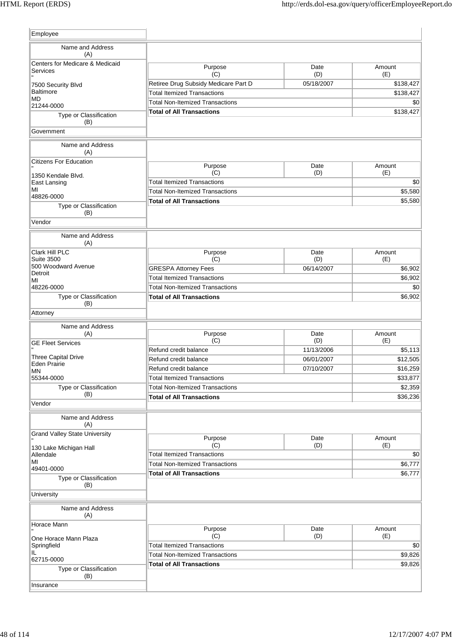| Employee                                   |                                        |             |               |
|--------------------------------------------|----------------------------------------|-------------|---------------|
| Name and Address                           |                                        |             |               |
| (A)<br>Centers for Medicare & Medicaid     |                                        |             |               |
| Services                                   | Purpose<br>(C)                         | Date<br>(D) | Amount<br>(E) |
| 7500 Security Blvd                         | Retiree Drug Subsidy Medicare Part D   | 05/18/2007  | \$138,427     |
| <b>Baltimore</b>                           | <b>Total Itemized Transactions</b>     |             | \$138,427     |
| MD<br>21244-0000                           | <b>Total Non-Itemized Transactions</b> |             | \$0           |
| Type or Classification                     | <b>Total of All Transactions</b>       |             | \$138,427     |
| (B)                                        |                                        |             |               |
| Government                                 |                                        |             |               |
| Name and Address<br>(A)                    |                                        |             |               |
| <b>Citizens For Education</b>              | Purpose                                | Date        | Amount        |
| 1350 Kendale Blvd.                         | (C)                                    | (D)         | (E)           |
| East Lansing                               | <b>Total Itemized Transactions</b>     |             | \$0           |
| MI<br>48826-0000                           | <b>Total Non-Itemized Transactions</b> |             | \$5,580       |
| Type or Classification                     | <b>Total of All Transactions</b>       |             | \$5,580       |
| (B)                                        |                                        |             |               |
| Vendor                                     |                                        |             |               |
| Name and Address                           |                                        |             |               |
| (A)                                        |                                        |             |               |
| Clark Hill PLC                             | Purpose                                | Date        | Amount        |
| <b>Suite 3500</b><br>500 Woodward Avenue   | (C)                                    | (D)         | (E)           |
| Detroit                                    | <b>GRESPA Attorney Fees</b>            | 06/14/2007  | \$6,902       |
| MI                                         | <b>Total Itemized Transactions</b>     |             | \$6,902       |
| 48226-0000                                 | <b>Total Non-Itemized Transactions</b> |             | \$0           |
| Type or Classification<br>(B)              | <b>Total of All Transactions</b>       |             | \$6,902       |
| Attorney                                   |                                        |             |               |
| Name and Address                           |                                        |             |               |
| (A)                                        | Purpose                                | Date        | Amount        |
| <b>GE Fleet Services</b>                   | (C)                                    | (D)         | (E)           |
|                                            | Refund credit balance                  | 11/13/2006  | \$5,113       |
| Three Capital Drive<br><b>Eden Prairie</b> | Refund credit balance                  | 06/01/2007  | \$12,505      |
| <b>MN</b>                                  | Refund credit balance                  | 07/10/2007  | \$16,259      |
| 55344-0000                                 | <b>Total Itemized Transactions</b>     |             | \$33,877      |
| Type or Classification<br>(B)              | <b>Total Non-Itemized Transactions</b> |             | \$2,359       |
| Vendor                                     | <b>Total of All Transactions</b>       |             | \$36,236      |
|                                            |                                        |             |               |
| Name and Address<br>(A)                    |                                        |             |               |
| <b>Grand Valley State University</b>       | Purpose                                | Date        | Amount        |
|                                            | (C)                                    | (D)         | (E)           |
| 130 Lake Michigan Hall<br>Allendale        | <b>Total Itemized Transactions</b>     |             | \$0           |
| MI                                         | <b>Total Non-Itemized Transactions</b> |             | \$6,777       |
| 49401-0000                                 | <b>Total of All Transactions</b>       |             | \$6,777       |
| Type or Classification<br>(B)              |                                        |             |               |
| University                                 |                                        |             |               |
| Name and Address<br>(A)                    |                                        |             |               |
| Horace Mann                                | Purpose                                | Date        | Amount        |
| One Horace Mann Plaza                      | (C)                                    | (D)         | (E)           |
| Springfield                                | <b>Total Itemized Transactions</b>     |             | \$0           |
| IL                                         | <b>Total Non-Itemized Transactions</b> |             | \$9,826       |
| 62715-0000                                 | <b>Total of All Transactions</b>       |             | \$9,826       |
| Type or Classification<br>(B)              |                                        |             |               |
| Insurance                                  |                                        |             |               |
|                                            |                                        |             |               |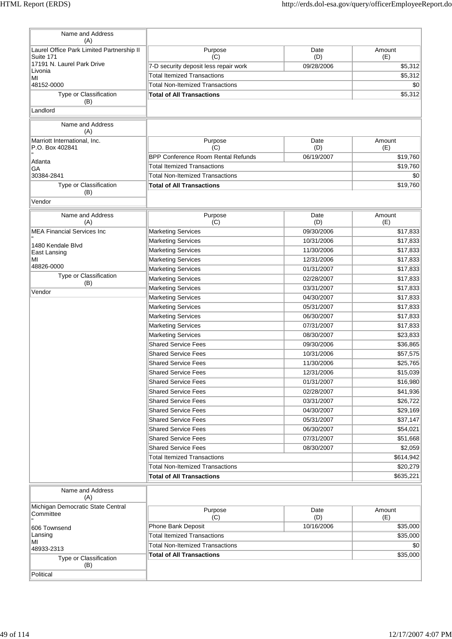| Name and Address<br>(A)                                |                                                          |                          |                     |
|--------------------------------------------------------|----------------------------------------------------------|--------------------------|---------------------|
| Laurel Office Park Limited Partnership II<br>Suite 171 | Purpose<br>(C)                                           | Date<br>(D)              | Amount<br>(E)       |
| 17191 N. Laurel Park Drive                             | 7-D security deposit less repair work                    | 09/28/2006               | \$5,312             |
| Livonia<br>MI                                          | <b>Total Itemized Transactions</b>                       |                          | \$5,312             |
| 48152-0000                                             | <b>Total Non-Itemized Transactions</b>                   |                          | \$0                 |
| Type or Classification<br>(B)                          | <b>Total of All Transactions</b>                         |                          | \$5,312             |
| Landlord                                               |                                                          |                          |                     |
| Name and Address<br>(A)                                |                                                          |                          |                     |
| Marriott International, Inc.<br>P.O. Box 402841        | Purpose<br>(C)                                           | Date<br>(D)              | Amount<br>(E)       |
| Atlanta                                                | <b>BPP Conference Room Rental Refunds</b>                | 06/19/2007               | \$19,760            |
| GA                                                     | <b>Total Itemized Transactions</b>                       |                          | \$19,760            |
| 30384-2841                                             | <b>Total Non-Itemized Transactions</b>                   |                          | \$0                 |
| Type or Classification<br>(B)                          | <b>Total of All Transactions</b>                         |                          | \$19,760            |
| Vendor                                                 |                                                          |                          |                     |
| Name and Address<br>(A)                                | Purpose<br>(C)                                           | Date<br>(D)              | Amount<br>(E)       |
| <b>MEA Financial Services Inc</b>                      | <b>Marketing Services</b>                                | 09/30/2006               | \$17,833            |
|                                                        | <b>Marketing Services</b>                                | 10/31/2006               | \$17,833            |
| 1480 Kendale Blvd<br>East Lansing                      | <b>Marketing Services</b>                                | 11/30/2006               | \$17,833            |
| ΜI                                                     | <b>Marketing Services</b>                                | 12/31/2006               | \$17,833            |
| 48826-0000                                             | <b>Marketing Services</b>                                | 01/31/2007               | \$17,833            |
| Type or Classification                                 | <b>Marketing Services</b>                                | 02/28/2007               | \$17,833            |
| (B)<br>Vendor                                          | <b>Marketing Services</b>                                | 03/31/2007               | \$17,833            |
|                                                        | <b>Marketing Services</b>                                | 04/30/2007               | \$17,833            |
|                                                        | <b>Marketing Services</b>                                | 05/31/2007               | \$17,833            |
|                                                        | <b>Marketing Services</b>                                | 06/30/2007               | \$17,833            |
|                                                        | <b>Marketing Services</b>                                | 07/31/2007               | \$17,833            |
|                                                        | <b>Marketing Services</b>                                | 08/30/2007               | \$23,833            |
|                                                        | <b>Shared Service Fees</b>                               | 09/30/2006               | \$36,865            |
|                                                        | <b>Shared Service Fees</b>                               | 10/31/2006               | \$57,575            |
|                                                        | <b>Shared Service Fees</b>                               | 11/30/2006               | \$25,765            |
|                                                        | <b>Shared Service Fees</b>                               | 12/31/2006               | \$15,039            |
|                                                        | <b>Shared Service Fees</b>                               | 01/31/2007               | \$16,980            |
|                                                        | <b>Shared Service Fees</b>                               | 02/28/2007               | \$41,936            |
|                                                        | <b>Shared Service Fees</b>                               | 03/31/2007               | \$26,722            |
|                                                        | <b>Shared Service Fees</b>                               | 04/30/2007               | \$29,169            |
|                                                        | <b>Shared Service Fees</b><br><b>Shared Service Fees</b> | 05/31/2007<br>06/30/2007 | \$37,147            |
|                                                        | <b>Shared Service Fees</b>                               | 07/31/2007               | \$54,021            |
|                                                        | <b>Shared Service Fees</b>                               | 08/30/2007               | \$51,668<br>\$2,059 |
|                                                        | <b>Total Itemized Transactions</b>                       |                          | \$614,942           |
|                                                        | <b>Total Non-Itemized Transactions</b>                   |                          | \$20,279            |
|                                                        | <b>Total of All Transactions</b>                         |                          | \$635,221           |
| Name and Address<br>(A)                                |                                                          |                          |                     |
| Michigan Democratic State Central<br>Committee         | Purpose<br>(C)                                           | Date                     | Amount              |
|                                                        | Phone Bank Deposit                                       | (D)<br>10/16/2006        | (E)<br>\$35,000     |
| 606 Townsend<br>Lansing                                | <b>Total Itemized Transactions</b>                       |                          | \$35,000            |
| MI                                                     | <b>Total Non-Itemized Transactions</b>                   |                          | \$0                 |
| 48933-2313                                             | <b>Total of All Transactions</b>                         |                          | \$35,000            |
| Type or Classification<br>(B)<br>Political             |                                                          |                          |                     |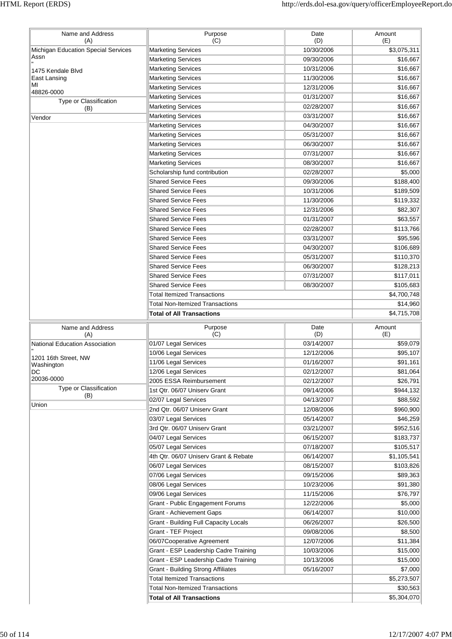| Name and Address                                                                            |                                              |             |                                                                                                                                                                                      |
|---------------------------------------------------------------------------------------------|----------------------------------------------|-------------|--------------------------------------------------------------------------------------------------------------------------------------------------------------------------------------|
| (A)                                                                                         | Purpose<br>(C)                               | Date<br>(D) | Amount<br>(E)                                                                                                                                                                        |
| Michigan Education Special Services                                                         | <b>Marketing Services</b>                    | 10/30/2006  | \$3,075,311                                                                                                                                                                          |
| Assn                                                                                        | <b>Marketing Services</b>                    | 09/30/2006  | \$16,667                                                                                                                                                                             |
| 1475 Kendale Blvd                                                                           | <b>Marketing Services</b>                    | 10/31/2006  | \$16,667                                                                                                                                                                             |
| East Lansing                                                                                | <b>Marketing Services</b>                    | 11/30/2006  | \$16,667                                                                                                                                                                             |
| ΜI                                                                                          | <b>Marketing Services</b>                    | 12/31/2006  | \$16,667                                                                                                                                                                             |
| 48826-0000                                                                                  | <b>Marketing Services</b>                    | 01/31/2007  | \$16,667                                                                                                                                                                             |
| Type or Classification                                                                      | Marketing Services                           | 02/28/2007  | \$16,667                                                                                                                                                                             |
| (B)                                                                                         | <b>Marketing Services</b>                    | 03/31/2007  | \$16,667                                                                                                                                                                             |
| Vendor                                                                                      | <b>Marketing Services</b>                    | 04/30/2007  | \$16,667                                                                                                                                                                             |
|                                                                                             | <b>Marketing Services</b>                    | 05/31/2007  | \$16,667                                                                                                                                                                             |
|                                                                                             | <b>Marketing Services</b>                    | 06/30/2007  | \$16,667                                                                                                                                                                             |
|                                                                                             | <b>Marketing Services</b>                    | 07/31/2007  | \$16,667                                                                                                                                                                             |
|                                                                                             | <b>Marketing Services</b>                    | 08/30/2007  | \$16,667                                                                                                                                                                             |
|                                                                                             | Scholarship fund contribution                | 02/28/2007  | \$5,000                                                                                                                                                                              |
|                                                                                             | <b>Shared Service Fees</b>                   | 09/30/2006  | \$188,400                                                                                                                                                                            |
|                                                                                             | <b>Shared Service Fees</b>                   | 10/31/2006  |                                                                                                                                                                                      |
|                                                                                             | <b>Shared Service Fees</b>                   |             | \$189,509                                                                                                                                                                            |
|                                                                                             |                                              | 11/30/2006  | \$119,332                                                                                                                                                                            |
|                                                                                             | <b>Shared Service Fees</b>                   | 12/31/2006  | \$82,307                                                                                                                                                                             |
|                                                                                             | <b>Shared Service Fees</b>                   | 01/31/2007  | \$63,557                                                                                                                                                                             |
|                                                                                             | <b>Shared Service Fees</b>                   | 02/28/2007  | \$113,766                                                                                                                                                                            |
|                                                                                             | <b>Shared Service Fees</b>                   | 03/31/2007  | \$95,596                                                                                                                                                                             |
|                                                                                             | <b>Shared Service Fees</b>                   | 04/30/2007  | \$106,689                                                                                                                                                                            |
|                                                                                             | <b>Shared Service Fees</b>                   | 05/31/2007  | \$110,370                                                                                                                                                                            |
|                                                                                             | <b>Shared Service Fees</b>                   | 06/30/2007  | \$128,213                                                                                                                                                                            |
|                                                                                             | <b>Shared Service Fees</b>                   | 07/31/2007  | \$117,011                                                                                                                                                                            |
|                                                                                             | <b>Shared Service Fees</b>                   | 08/30/2007  | \$105,683                                                                                                                                                                            |
|                                                                                             | <b>Total Itemized Transactions</b>           |             | \$4,700,748                                                                                                                                                                          |
|                                                                                             | <b>Total Non-Itemized Transactions</b>       |             | \$14,960                                                                                                                                                                             |
|                                                                                             | <b>Total of All Transactions</b>             |             | \$4,715,708                                                                                                                                                                          |
| Name and Address<br>(A)                                                                     | Purpose<br>(C)                               | Date<br>(D) | Amount<br>(E)                                                                                                                                                                        |
|                                                                                             |                                              |             |                                                                                                                                                                                      |
|                                                                                             |                                              | 03/14/2007  |                                                                                                                                                                                      |
|                                                                                             | 01/07 Legal Services                         | 12/12/2006  |                                                                                                                                                                                      |
| 1201 16th Street, NW                                                                        | 10/06 Legal Services                         |             |                                                                                                                                                                                      |
|                                                                                             | 11/06 Legal Services                         | 01/16/2007  |                                                                                                                                                                                      |
|                                                                                             | 12/06 Legal Services                         | 02/12/2007  |                                                                                                                                                                                      |
| National Education Association<br>Washington<br>DC.<br>20036-0000<br>Type or Classification | 2005 ESSA Reimbursement                      | 02/12/2007  |                                                                                                                                                                                      |
| (B)                                                                                         | 1st Qtr. 06/07 Uniserv Grant                 | 09/14/2006  | \$59,079<br>\$95,107<br>\$91,161<br>\$81,064<br>\$26,791<br>\$944,132                                                                                                                |
|                                                                                             | 02/07 Legal Services                         | 04/13/2007  |                                                                                                                                                                                      |
|                                                                                             | 2nd Qtr. 06/07 Uniserv Grant                 | 12/08/2006  |                                                                                                                                                                                      |
|                                                                                             | 03/07 Legal Services                         | 05/14/2007  |                                                                                                                                                                                      |
|                                                                                             | 3rd Qtr. 06/07 Uniserv Grant                 | 03/21/2007  |                                                                                                                                                                                      |
|                                                                                             | 04/07 Legal Services                         | 06/15/2007  | \$88,592<br>\$960,900<br>\$46,259<br>\$952,516<br>\$183,737                                                                                                                          |
|                                                                                             | 05/07 Legal Services                         | 07/18/2007  | \$105,517                                                                                                                                                                            |
|                                                                                             | 4th Qtr. 06/07 Uniserv Grant & Rebate        | 06/14/2007  |                                                                                                                                                                                      |
|                                                                                             | 06/07 Legal Services                         | 08/15/2007  |                                                                                                                                                                                      |
|                                                                                             | 07/06 Legal Services                         | 09/15/2006  |                                                                                                                                                                                      |
|                                                                                             | 08/06 Legal Services                         | 10/23/2006  |                                                                                                                                                                                      |
|                                                                                             | 09/06 Legal Services                         | 11/15/2006  |                                                                                                                                                                                      |
|                                                                                             | Grant - Public Engagement Forums             | 12/22/2006  |                                                                                                                                                                                      |
|                                                                                             | <b>Grant - Achievement Gaps</b>              | 06/14/2007  |                                                                                                                                                                                      |
|                                                                                             | <b>Grant - Building Full Capacity Locals</b> | 06/26/2007  |                                                                                                                                                                                      |
|                                                                                             | Grant - TEF Project                          | 09/08/2006  |                                                                                                                                                                                      |
|                                                                                             | 06/07Cooperative Agreement                   | 12/07/2006  |                                                                                                                                                                                      |
|                                                                                             | Grant - ESP Leadership Cadre Training        | 10/03/2006  |                                                                                                                                                                                      |
|                                                                                             | Grant - ESP Leadership Cadre Training        | 10/13/2006  |                                                                                                                                                                                      |
|                                                                                             | <b>Grant - Building Strong Affiliates</b>    | 05/16/2007  |                                                                                                                                                                                      |
|                                                                                             | <b>Total Itemized Transactions</b>           |             |                                                                                                                                                                                      |
| Union                                                                                       | <b>Total Non-Itemized Transactions</b>       |             | \$1,105,541<br>\$103,826<br>\$89,363<br>\$91,380<br>\$76,797<br>\$5,000<br>\$10,000<br>\$26,500<br>\$8,500<br>\$11,384<br>\$15,000<br>\$15,000<br>\$7,000<br>\$5,273,507<br>\$30,563 |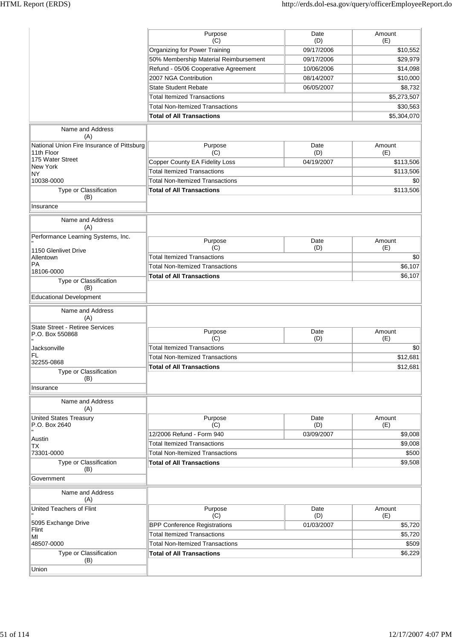|                                            | Purpose                                | Date              | Amount          |
|--------------------------------------------|----------------------------------------|-------------------|-----------------|
|                                            | (C)<br>Organizing for Power Training   | (D)<br>09/17/2006 | (E)<br>\$10,552 |
|                                            | 50% Membership Material Reimbursement  | 09/17/2006        | \$29,979        |
|                                            | Refund - 05/06 Cooperative Agreement   | 10/06/2006        | \$14,098        |
|                                            | 2007 NGA Contribution                  | 08/14/2007        | \$10,000        |
|                                            | <b>State Student Rebate</b>            |                   |                 |
|                                            |                                        | 06/05/2007        | \$8,732         |
|                                            | <b>Total Itemized Transactions</b>     |                   | \$5,273,507     |
|                                            | <b>Total Non-Itemized Transactions</b> |                   | \$30,563        |
|                                            | <b>Total of All Transactions</b>       |                   | \$5,304,070     |
| Name and Address<br>(A)                    |                                        |                   |                 |
| National Union Fire Insurance of Pittsburg | Purpose                                | Date              | Amount          |
| 11th Floor<br>175 Water Street             | (C)                                    | (D)               | (E)             |
| New York                                   | <b>Copper County EA Fidelity Loss</b>  | 04/19/2007        | \$113,506       |
| <b>NY</b>                                  | <b>Total Itemized Transactions</b>     |                   | \$113,506       |
| 10038-0000                                 | <b>Total Non-Itemized Transactions</b> |                   | \$0             |
| Type or Classification                     | <b>Total of All Transactions</b>       |                   | \$113,506       |
| (B)                                        |                                        |                   |                 |
| Insurance                                  |                                        |                   |                 |
| Name and Address<br>(A)                    |                                        |                   |                 |
| Performance Learning Systems, Inc.         | Purpose                                | Date              | Amount          |
| 1150 Glenlivet Drive                       | (C)                                    | (D)               | (E)             |
| Allentown                                  | <b>Total Itemized Transactions</b>     |                   | \$0             |
| <b>PA</b>                                  | <b>Total Non-Itemized Transactions</b> |                   | \$6,107         |
| 18106-0000                                 | <b>Total of All Transactions</b>       |                   | \$6,107         |
| Type or Classification                     |                                        |                   |                 |
| (B)<br><b>Educational Development</b>      |                                        |                   |                 |
|                                            |                                        |                   |                 |
| Name and Address<br>(A)                    |                                        |                   |                 |
| <b>State Street - Retiree Services</b>     | Purpose                                | Date              | Amount          |
| P.O. Box 550868                            | (C)                                    | (D)               | (E)             |
| Jacksonville                               | <b>Total Itemized Transactions</b>     |                   | \$0             |
| FL.                                        | <b>Total Non-Itemized Transactions</b> |                   | \$12,681        |
| 32255-0868                                 | <b>Total of All Transactions</b>       |                   | \$12,681        |
| Type or Classification<br>(B)              |                                        |                   |                 |
| Insurance                                  |                                        |                   |                 |
| Name and Address<br>(A)                    |                                        |                   |                 |
| <b>United States Treasury</b>              | Purpose                                | Date              | Amount          |
| P.O. Box 2640                              | (C)                                    | (D)               | (E)             |
| Austin                                     | 12/2006 Refund - Form 940              | 03/09/2007        | \$9,008         |
| <b>TX</b>                                  | <b>Total Itemized Transactions</b>     |                   | \$9,008         |
| 73301-0000                                 | <b>Total Non-Itemized Transactions</b> |                   | \$500           |
| Type or Classification<br>(B)              | <b>Total of All Transactions</b>       |                   | \$9,508         |
| Government                                 |                                        |                   |                 |
| Name and Address<br>(A)                    |                                        |                   |                 |
| United Teachers of Flint                   | Purpose                                | Date              | Amount          |
|                                            | (C)                                    | (D)               | (E)             |
| 5095 Exchange Drive                        | <b>BPP Conference Registrations</b>    | 01/03/2007        | \$5,720         |
| Flint<br>MI                                | <b>Total Itemized Transactions</b>     |                   | \$5,720         |
| 48507-0000                                 | <b>Total Non-Itemized Transactions</b> |                   | \$509           |
| Type or Classification                     | <b>Total of All Transactions</b>       |                   | \$6,229         |
| (B)                                        |                                        |                   |                 |
| Union                                      |                                        |                   |                 |
|                                            |                                        |                   |                 |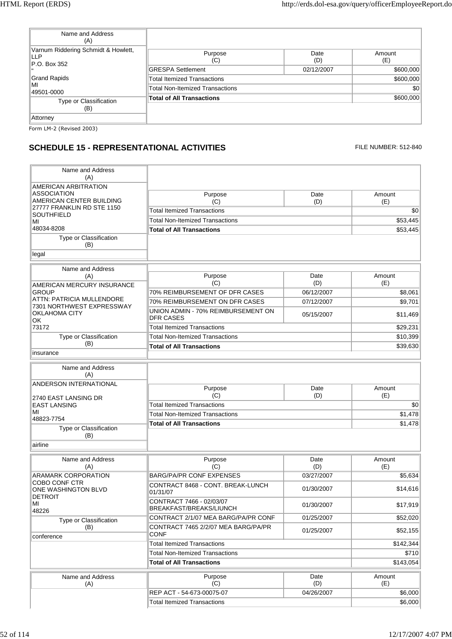| Name and Address<br>(A)                                    |                                        |             |               |
|------------------------------------------------------------|----------------------------------------|-------------|---------------|
| Varnum Riddering Schmidt & Howlett,<br>LLP<br>P.O. Box 352 | Purpose<br>(C)                         | Date<br>(D) | Amount<br>(E) |
|                                                            | <b>GRESPA Settlement</b>               | 02/12/2007  | \$600,000     |
| <b>Grand Rapids</b>                                        | <b>Total Itemized Transactions</b>     |             | \$600,000     |
| МΙ<br>49501-0000                                           | <b>Total Non-Itemized Transactions</b> |             | \$0           |
| Type or Classification                                     | <b>Total of All Transactions</b>       |             | \$600,000     |
| (B)                                                        |                                        |             |               |
| Attorney                                                   |                                        |             |               |
| Form LM-2 (Revised 2003)                                   |                                        |             |               |

# **SCHEDULE 15 - REPRESENTATIONAL ACTIVITIES** FILE NUMBER: 512-840

| Name and Address<br>(A)                                                                           |                                                        |             |               |
|---------------------------------------------------------------------------------------------------|--------------------------------------------------------|-------------|---------------|
| <b>AMERICAN ARBITRATION</b>                                                                       |                                                        |             |               |
| <b>ASSOCIATION</b><br>AMERICAN CENTER BUILDING<br>27777 FRANKLIN RD STE 1150<br><b>SOUTHFIELD</b> | Purpose                                                | Date        | Amount        |
|                                                                                                   | (C)<br><b>Total Itemized Transactions</b>              | (D)         | (E)<br>\$0    |
|                                                                                                   | <b>Total Non-Itemized Transactions</b>                 |             | \$53,445      |
| MI<br>48034-8208                                                                                  | <b>Total of All Transactions</b>                       |             | \$53,445      |
| Type or Classification<br>(B)                                                                     |                                                        |             |               |
| legal                                                                                             |                                                        |             |               |
| Name and Address                                                                                  |                                                        |             |               |
| (A)<br>AMERICAN MERCURY INSURANCE                                                                 | Purpose<br>(C)                                         | Date<br>(D) | Amount<br>(E) |
| <b>GROUP</b>                                                                                      | 70% REIMBURSEMENT OF DFR CASES                         | 06/12/2007  | \$8,061       |
| ATTN: PATRICIA MULLENDORE                                                                         | 70% REIMBURSEMENT ON DFR CASES                         | 07/12/2007  | \$9,701       |
| 7301 NORTHWEST EXPRESSWAY<br><b>OKLAHOMA CITY</b><br>OK.                                          | UNION ADMIN - 70% REIMBURSEMENT ON<br><b>DFR CASES</b> | 05/15/2007  | \$11,469      |
| 73172                                                                                             | <b>Total Itemized Transactions</b>                     |             | \$29,231      |
| Type or Classification                                                                            | <b>Total Non-Itemized Transactions</b>                 |             | \$10,399      |
| (B)                                                                                               | <b>Total of All Transactions</b>                       |             | \$39,630      |
| insurance                                                                                         |                                                        |             |               |
| Name and Address<br>(A)                                                                           |                                                        |             |               |
| ANDERSON INTERNATIONAL<br>2740 EAST LANSING DR                                                    | Purpose<br>(C)                                         | Date<br>(D) | Amount<br>(E) |
| <b>EAST LANSING</b>                                                                               | <b>Total Itemized Transactions</b>                     |             | \$0           |
| MI                                                                                                | <b>Total Non-Itemized Transactions</b>                 |             | \$1,478       |
| 48823-7754                                                                                        | <b>Total of All Transactions</b>                       |             | \$1,478       |
| Type or Classification<br>(B)<br>airline                                                          |                                                        |             |               |
|                                                                                                   |                                                        |             |               |
| Name and Address<br>(A)                                                                           | Purpose<br>(C)                                         | Date<br>(D) | Amount<br>(E) |
| ARAMARK CORPORATION                                                                               | <b>BARG/PA/PR CONF EXPENSES</b>                        | 03/27/2007  | \$5,634       |
| COBO CONF CTR<br>ONE WASHINGTON BLVD                                                              | CONTRACT 8468 - CONT. BREAK-LUNCH<br>01/31/07          | 01/30/2007  | \$14,616      |
| <b>DETROIT</b><br>MI<br>48226                                                                     | CONTRACT 7466 - 02/03/07<br>BREAKFAST/BREAKS/LIUNCH    | 01/30/2007  | \$17,919      |
| Type or Classification                                                                            | CONTRACT 2/1/07 MEA BARG/PA/PR CONF                    | 01/25/2007  | \$52,020      |
| (B)<br>conference                                                                                 | CONTRACT 7465 2/2/07 MEA BARG/PA/PR<br>CONF            | 01/25/2007  | \$52,155      |
|                                                                                                   | <b>Total Itemized Transactions</b>                     |             | \$142,344     |
|                                                                                                   | <b>Total Non-Itemized Transactions</b>                 |             | \$710         |
|                                                                                                   | <b>Total of All Transactions</b>                       |             | \$143,054     |
| Name and Address<br>(A)                                                                           | Purpose<br>(C)                                         | Date<br>(D) | Amount<br>(E) |
|                                                                                                   | REP ACT - 54-673-00075-07                              | 04/26/2007  | \$6,000       |
|                                                                                                   | <b>Total Itemized Transactions</b>                     |             | \$6,000       |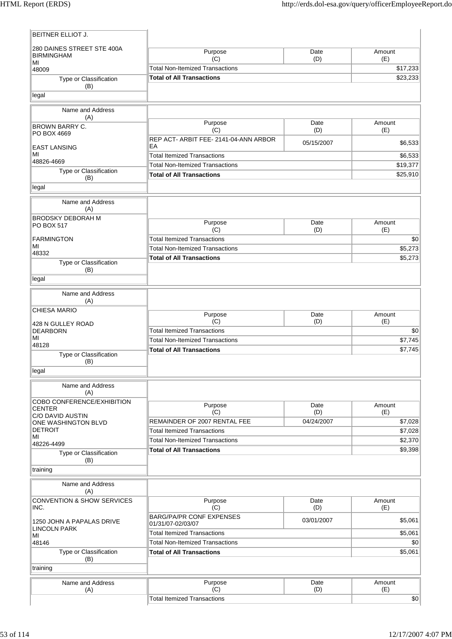| BEITNER ELLIOT J.                               |                                              |                   |                |
|-------------------------------------------------|----------------------------------------------|-------------------|----------------|
| 280 DAINES STREET STE 400A<br><b>BIRMINGHAM</b> | Purpose<br>(C)                               | Date<br>(D)       | Amount<br>(E)  |
| MI<br>48009                                     | <b>Total Non-Itemized Transactions</b>       |                   | \$17,233       |
| Type or Classification                          | <b>Total of All Transactions</b>             |                   | \$23,233       |
| (B)<br>legal                                    |                                              |                   |                |
|                                                 |                                              |                   |                |
| Name and Address<br>(A)                         |                                              |                   |                |
| <b>BROWN BARRY C.</b>                           | Purpose                                      | Date              | Amount         |
| PO BOX 4669                                     | (C)<br>REP ACT- ARBIT FEE- 2141-04-ANN ARBOR | (D)               | (E)            |
| <b>EAST LANSING</b>                             | EA                                           | 05/15/2007        | \$6,533        |
| MI                                              | <b>Total Itemized Transactions</b>           |                   | \$6,533        |
| 48826-4669                                      | <b>Total Non-Itemized Transactions</b>       |                   | \$19,377       |
| Type or Classification                          | <b>Total of All Transactions</b>             |                   | \$25,910       |
| (B)                                             |                                              |                   |                |
| legal                                           |                                              |                   |                |
| Name and Address<br>(A)                         |                                              |                   |                |
| <b>BRODSKY DEBORAH M</b>                        |                                              |                   |                |
| PO BOX 517                                      | Purpose                                      | Date              | Amount         |
|                                                 | (C)<br><b>Total Itemized Transactions</b>    | (D)               | (E)            |
| <b>FARMINGTON</b><br>MI                         | <b>Total Non-Itemized Transactions</b>       |                   | \$0<br>\$5,273 |
| 48332                                           |                                              |                   |                |
| Type or Classification                          | <b>Total of All Transactions</b>             |                   | \$5,273        |
| (B)<br>legal                                    |                                              |                   |                |
|                                                 |                                              |                   |                |
| Name and Address<br>(A)                         |                                              |                   |                |
| <b>CHIESA MARIO</b>                             | Purpose                                      | Date              | Amount         |
| 428 N GULLEY ROAD                               | (C)                                          | (D)               | (E)            |
| <b>DEARBORN</b>                                 | <b>Total Itemized Transactions</b>           |                   | \$0            |
| MI<br>48128                                     | <b>Total Non-Itemized Transactions</b>       |                   | \$7,745        |
| Type or Classification                          | <b>Total of All Transactions</b>             |                   | \$7,745        |
| (B)                                             |                                              |                   |                |
| legal                                           |                                              |                   |                |
| Name and Address<br>(A)                         |                                              |                   |                |
| COBO CONFERENCE/EXHIBITION                      |                                              |                   |                |
| <b>CENTER</b>                                   | Purpose                                      | Date              | Amount         |
| C/O DAVID AUSTIN                                | (C)<br>REMAINDER OF 2007 RENTAL FEE          | (D)<br>04/24/2007 | (E)<br>\$7,028 |
| ONE WASHINGTON BLVD<br><b>DETROIT</b>           | <b>Total Itemized Transactions</b>           |                   | \$7,028        |
| MI                                              | <b>Total Non-Itemized Transactions</b>       |                   | \$2,370        |
| 48226-4499                                      | <b>Total of All Transactions</b>             |                   | \$9,398        |
| Type or Classification<br>(B)                   |                                              |                   |                |
| training                                        |                                              |                   |                |
| Name and Address                                |                                              |                   |                |
| (A)                                             |                                              |                   |                |
| <b>CONVENTION &amp; SHOW SERVICES</b><br>INC.   | Purpose<br>(C)                               | Date<br>(D)       | Amount<br>(E)  |
|                                                 | <b>BARG/PA/PR CONF EXPENSES</b>              |                   |                |
| 1250 JOHN A PAPALAS DRIVE                       | 01/31/07-02/03/07                            | 03/01/2007        | \$5,061        |
| <b>LINCOLN PARK</b><br>MI                       | <b>Total Itemized Transactions</b>           |                   | \$5,061        |
| 48146                                           | <b>Total Non-Itemized Transactions</b>       |                   | \$0            |
| Type or Classification                          | <b>Total of All Transactions</b>             |                   | \$5,061        |
| (B)<br>training                                 |                                              |                   |                |
| Name and Address                                | Purpose                                      | Date              | Amount         |
| (A)                                             | (C)                                          | (D)               | (E)            |
|                                                 | <b>Total Itemized Transactions</b>           |                   | \$0            |
|                                                 |                                              |                   |                |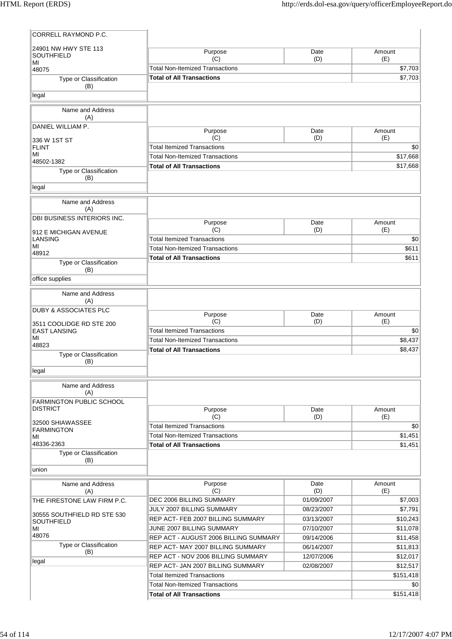| CORRELL RAYMOND P.C.                               |                                                                         |             |                       |
|----------------------------------------------------|-------------------------------------------------------------------------|-------------|-----------------------|
| 24901 NW HWY STE 113<br>SOUTHFIELD                 | Purpose<br>(C)                                                          | Date<br>(D) | Amount<br>(E)         |
| ΜI<br>48075                                        | <b>Total Non-Itemized Transactions</b>                                  |             | \$7,703               |
| Type or Classification                             | <b>Total of All Transactions</b>                                        |             | \$7,703               |
| (B)                                                |                                                                         |             |                       |
| legal                                              |                                                                         |             |                       |
| Name and Address<br>(A)                            |                                                                         |             |                       |
| DANIEL WILLIAM P.                                  | Purpose                                                                 | Date        | Amount                |
| 336 W 1ST ST                                       | (C)                                                                     | (D)         | (E)                   |
| <b>FLINT</b>                                       | <b>Total Itemized Transactions</b>                                      |             | \$0                   |
| MI<br>48502-1382                                   | <b>Total Non-Itemized Transactions</b>                                  |             | \$17,668              |
| Type or Classification<br>(B)                      | <b>Total of All Transactions</b>                                        |             | \$17,668              |
| legal                                              |                                                                         |             |                       |
| Name and Address<br>(A)                            |                                                                         |             |                       |
| DBI BUSINESS INTERIORS INC.                        | Purpose                                                                 | Date        | Amount                |
| 912 E MICHIGAN AVENUE                              | (C)                                                                     | (D)         | (E)                   |
| <b>LANSING</b>                                     | <b>Total Itemized Transactions</b>                                      |             | \$0                   |
| ΜI<br>48912                                        | <b>Total Non-Itemized Transactions</b>                                  |             | \$611                 |
| Type or Classification                             | <b>Total of All Transactions</b>                                        |             | \$611                 |
| (B)                                                |                                                                         |             |                       |
| office supplies                                    |                                                                         |             |                       |
| Name and Address<br>(A)                            |                                                                         |             |                       |
| <b>DUBY &amp; ASSOCIATES PLC</b>                   | Purpose                                                                 | Date        | Amount                |
| 3511 COOLIDGE RD STE 200                           | (C)                                                                     | (D)         | (E)                   |
| <b>EAST LANSING</b>                                | <b>Total Itemized Transactions</b>                                      |             | \$0                   |
| ΜI<br>48823                                        | <b>Total Non-Itemized Transactions</b>                                  |             | \$8,437               |
| Type or Classification                             | <b>Total of All Transactions</b>                                        |             | \$8,437               |
| (B)                                                |                                                                         |             |                       |
| legal                                              |                                                                         |             |                       |
| Name and Address<br>(A)                            |                                                                         |             |                       |
| <b>FARMINGTON PUBLIC SCHOOL</b><br><b>DISTRICT</b> | Purpose                                                                 | Date        | Amount                |
|                                                    | (C)                                                                     | (D)         | (E)                   |
| 32500 SHIAWASSEE<br>FARMINGTON                     | <b>Total Itemized Transactions</b>                                      |             | \$0                   |
| MI                                                 | <b>Total Non-Itemized Transactions</b>                                  |             | \$1,451               |
| 48336-2363                                         | <b>Total of All Transactions</b>                                        |             | \$1,451               |
| Type or Classification<br>(B)                      |                                                                         |             |                       |
| union                                              |                                                                         |             |                       |
| Name and Address<br>(A)                            | Purpose<br>(C)                                                          | Date<br>(D) | Amount<br>(E)         |
| THE FIRESTONE LAW FIRM P.C.                        | DEC 2006 BILLING SUMMARY                                                | 01/09/2007  | \$7,003               |
| 30555 SOUTHFIELD RD STE 530                        | <b>JULY 2007 BILLING SUMMARY</b>                                        | 08/23/2007  | \$7,791               |
| SOUTHFIELD                                         | REP ACT- FEB 2007 BILLING SUMMARY                                       | 03/13/2007  | \$10,243              |
| МI<br>48076                                        | JUNE 2007 BILLING SUMMARY                                               | 07/10/2007  | \$11,078              |
| Type or Classification                             | REP ACT - AUGUST 2006 BILLING SUMMARY                                   | 09/14/2006  | \$11,458              |
| (B)                                                | REP ACT-MAY 2007 BILLING SUMMARY                                        | 06/14/2007  | \$11,813              |
| legal                                              | <b>REP ACT - NOV 2006 BILLING SUMMARY</b>                               | 12/07/2006  | \$12,017              |
|                                                    | REP ACT- JAN 2007 BILLING SUMMARY<br><b>Total Itemized Transactions</b> | 02/08/2007  | \$12,517<br>\$151,418 |
|                                                    | <b>Total Non-Itemized Transactions</b>                                  |             | \$0                   |
|                                                    | <b>Total of All Transactions</b>                                        |             | \$151,418             |
|                                                    |                                                                         |             |                       |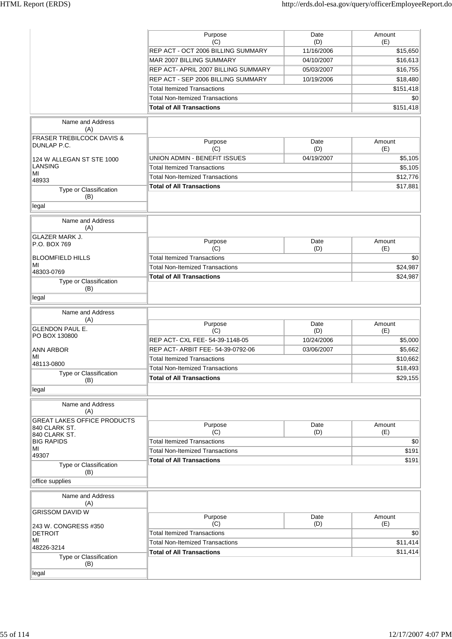|                                                     | Purpose<br>(C)                         | Date<br>(D) | Amount<br>(E) |
|-----------------------------------------------------|----------------------------------------|-------------|---------------|
|                                                     | REP ACT - OCT 2006 BILLING SUMMARY     | 11/16/2006  | \$15,650      |
|                                                     | MAR 2007 BILLING SUMMARY               | 04/10/2007  | \$16,613      |
|                                                     | REP ACT- APRIL 2007 BILLING SUMMARY    | 05/03/2007  | \$16,755      |
|                                                     | REP ACT - SEP 2006 BILLING SUMMARY     | 10/19/2006  | \$18,480      |
|                                                     | <b>Total Itemized Transactions</b>     |             | \$151,418     |
|                                                     | <b>Total Non-Itemized Transactions</b> |             | \$0           |
|                                                     | <b>Total of All Transactions</b>       |             | \$151,418     |
|                                                     |                                        |             |               |
| Name and Address<br>(A)                             |                                        |             |               |
| <b>FRASER TREBILCOCK DAVIS &amp;</b><br>DUNLAP P.C. | Purpose<br>(C)                         | Date<br>(D) | Amount<br>(E) |
| 124 W ALLEGAN ST STE 1000                           | UNION ADMIN - BENEFIT ISSUES           | 04/19/2007  | \$5,105       |
| <b>LANSING</b>                                      | <b>Total Itemized Transactions</b>     |             | \$5,105       |
| ΜI                                                  | <b>Total Non-Itemized Transactions</b> |             | \$12,776      |
| 48933                                               | <b>Total of All Transactions</b>       |             | \$17,881      |
| Type or Classification<br>(B)                       |                                        |             |               |
| legal                                               |                                        |             |               |
| Name and Address<br>(A)                             |                                        |             |               |
| <b>GLAZER MARK J.</b>                               | Purpose                                | Date        | Amount        |
| P.O. BOX 769                                        | (C)                                    | (D)         | (E)           |
| <b>BLOOMFIELD HILLS</b>                             | <b>Total Itemized Transactions</b>     |             | \$0           |
| MI                                                  | <b>Total Non-Itemized Transactions</b> |             | \$24,987      |
| 48303-0769                                          | <b>Total of All Transactions</b>       |             | \$24,987      |
| Type or Classification<br>(B)                       |                                        |             |               |
| legal                                               |                                        |             |               |
| Name and Address                                    |                                        |             |               |
| (A)                                                 | Purpose                                | Date        | Amount        |
| <b>GLENDON PAUL E.</b><br>PO BOX 130800             | (C)                                    | (D)         | (E)           |
|                                                     | REP ACT- CXL FEE- 54-39-1148-05        | 10/24/2006  | \$5,000       |
| ANN ARBOR                                           | REP ACT- ARBIT FEE- 54-39-0792-06      | 03/06/2007  | \$5,662       |
| MI                                                  | <b>Total Itemized Transactions</b>     |             | \$10,662      |
| 48113-0800                                          | <b>Total Non-Itemized Transactions</b> |             | \$18,493      |
| Type or Classification<br>(B)                       | <b>Total of All Transactions</b>       |             | \$29,155      |
| legal                                               |                                        |             |               |
|                                                     |                                        |             |               |
| Name and Address<br>(A)                             |                                        |             |               |
| <b>GREAT LAKES OFFICE PRODUCTS</b><br>840 CLARK ST. | Purpose                                | Date        | Amount        |
| 840 CLARK ST.                                       | (C)                                    | (D)         | (E)           |
| BIG RAPIDS                                          | <b>Total Itemized Transactions</b>     |             | \$0           |
| MI<br>49307                                         | <b>Total Non-Itemized Transactions</b> |             | \$191         |
| Type or Classification                              | <b>Total of All Transactions</b>       |             | \$191         |
| (B)<br>office supplies                              |                                        |             |               |
| Name and Address<br>(A)                             |                                        |             |               |
| <b>GRISSOM DAVID W</b>                              |                                        |             |               |
|                                                     | Purpose                                | Date        | Amount        |
| 243 W. CONGRESS #350                                | (C)                                    | (D)         | (E)           |
| <b>DETROIT</b>                                      | <b>Total Itemized Transactions</b>     |             | \$0           |
| MI<br>48226-3214                                    | <b>Total Non-Itemized Transactions</b> |             | \$11,414      |
| Type or Classification<br>(B)                       | <b>Total of All Transactions</b>       |             | \$11,414      |
|                                                     |                                        |             |               |
| legal                                               |                                        |             |               |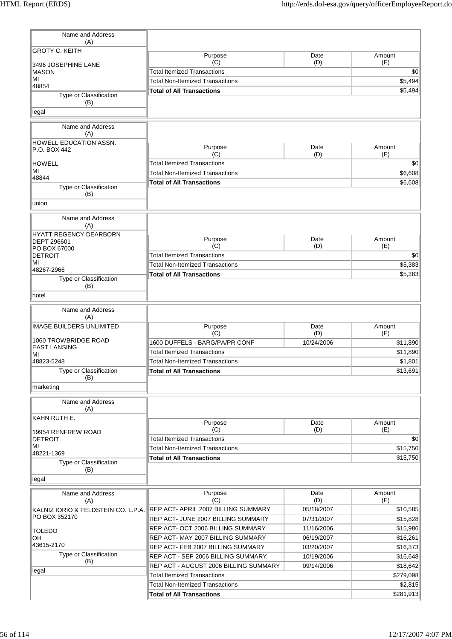| Name and Address<br>(A)                       |                                        |             |               |
|-----------------------------------------------|----------------------------------------|-------------|---------------|
| <b>GROTY C. KEITH</b><br>3496 JOSEPHINE LANE  | Purpose<br>(C)                         | Date<br>(D) | Amount<br>(E) |
| <b>MASON</b>                                  | <b>Total Itemized Transactions</b>     |             | \$0           |
| MI                                            | <b>Total Non-Itemized Transactions</b> |             | \$5,494       |
| 48854                                         | <b>Total of All Transactions</b>       |             | \$5,494       |
| Type or Classification<br>(B)                 |                                        |             |               |
| legal                                         |                                        |             |               |
| Name and Address<br>(A)                       |                                        |             |               |
| <b>HOWELL EDUCATION ASSN.</b><br>P.O. BOX 442 | Purpose<br>(C)                         | Date<br>(D) | Amount<br>(E) |
| <b>HOWELL</b>                                 | <b>Total Itemized Transactions</b>     |             | \$0           |
| MI                                            | <b>Total Non-Itemized Transactions</b> |             | \$6,608       |
| 48844                                         | <b>Total of All Transactions</b>       |             | \$6,608       |
| Type or Classification<br>(B)                 |                                        |             |               |
| union                                         |                                        |             |               |
| Name and Address<br>(A)                       |                                        |             |               |
| HYATT REGENCY DEARBORN<br><b>DEPT 296601</b>  | Purpose                                | Date        | Amount        |
| PO BOX 67000                                  | (C)                                    | (D)         | (E)           |
| <b>DETROIT</b>                                | <b>Total Itemized Transactions</b>     |             | \$0           |
| MI<br>48267-2966                              | <b>Total Non-Itemized Transactions</b> |             | \$5,383       |
| Type or Classification<br>(B)                 | <b>Total of All Transactions</b>       |             | \$5,383       |
| hotel                                         |                                        |             |               |
| Name and Address                              |                                        |             |               |
| (A)                                           |                                        |             |               |
| <b>IMAGE BUILDERS UNLIMITED</b>               | Purpose<br>(C)                         | Date<br>(D) | Amount<br>(E) |
| 1060 TROWBRIDGE ROAD                          | 1600 DUFFELS - BARG/PA/PR CONF         | 10/24/2006  | \$11,890      |
| <b>EAST LANSING</b>                           | <b>Total Itemized Transactions</b>     |             | \$11,890      |
| ΜI<br>48823-5248                              | <b>Total Non-Itemized Transactions</b> |             | \$1,801       |
| Type or Classification                        | <b>Total of All Transactions</b>       |             | \$13,691      |
| (B)<br>marketing                              |                                        |             |               |
| Name and Address                              |                                        |             |               |
| (A)<br>KAHN RUTH E.                           |                                        |             |               |
|                                               | Purpose                                | Date        | Amount        |
| 19954 RENFREW ROAD                            | (C)                                    | (D)         | (E)           |
| <b>DETROIT</b><br>MI                          | <b>Total Itemized Transactions</b>     |             | \$0           |
| 48221-1369                                    | <b>Total Non-Itemized Transactions</b> |             | \$15,750      |
| Type or Classification                        | <b>Total of All Transactions</b>       |             | \$15,750      |
| (B)<br>legal                                  |                                        |             |               |
| Name and Address                              | Purpose                                | Date        | Amount        |
| (A)                                           | (C)                                    | (D)         | (E)           |
| KALNIZ IORIO & FELDSTEIN CO. L.P.A.           | REP ACT- APRIL 2007 BILLING SUMMARY    | 05/18/2007  | \$10,585      |
| PO BOX 352170                                 | REP ACT- JUNE 2007 BILLING SUMMARY     | 07/31/2007  | \$15,828      |
| TOLEDO                                        | REP ACT- OCT 2006 BILLING SUMMARY      | 11/16/2006  | \$15,986      |
| OH                                            | REP ACT-MAY 2007 BILLING SUMMARY       | 06/19/2007  | \$16,261      |
| 43615-2170                                    | REP ACT-FEB 2007 BILLING SUMMARY       | 03/20/2007  | \$16,373      |
| Type or Classification                        | REP ACT - SEP 2006 BILLING SUMMARY     | 10/19/2006  | \$16,648      |
| (B)                                           | REP ACT - AUGUST 2006 BILLING SUMMARY  | 09/14/2006  | \$18,642      |
| legal                                         | <b>Total Itemized Transactions</b>     |             | \$279,098     |
|                                               | <b>Total Non-Itemized Transactions</b> |             | \$2,815       |
|                                               | <b>Total of All Transactions</b>       |             | \$281,913     |
|                                               |                                        |             |               |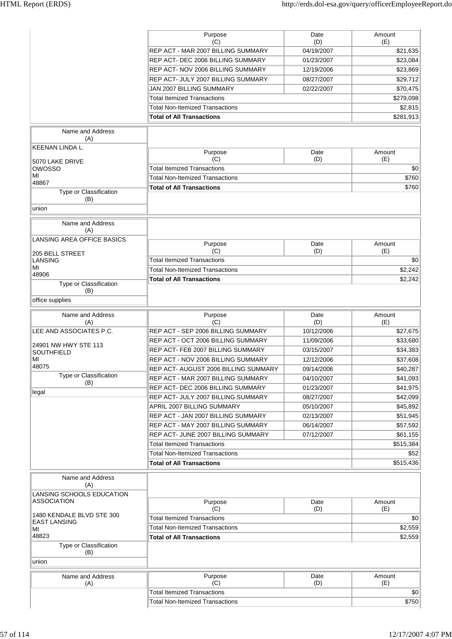|                                                  | Purpose<br>(C)                         | Date<br>(D) | Amount<br>(E) |
|--------------------------------------------------|----------------------------------------|-------------|---------------|
|                                                  | REP ACT - MAR 2007 BILLING SUMMARY     | 04/19/2007  | \$21,635      |
|                                                  | REP ACT- DEC 2006 BILLING SUMMARY      | 01/23/2007  | \$23,084      |
|                                                  | REP ACT- NOV 2006 BILLING SUMMARY      | 12/19/2006  | \$23,869      |
|                                                  | REP ACT- JULY 2007 BILLING SUMMARY     | 08/27/2007  | \$29,712      |
|                                                  | JAN 2007 BILLING SUMMARY               | 02/22/2007  | \$70,475      |
|                                                  | <b>Total Itemized Transactions</b>     |             | \$279,098     |
|                                                  | <b>Total Non-Itemized Transactions</b> |             | \$2,815       |
|                                                  | <b>Total of All Transactions</b>       |             | \$281,913     |
|                                                  |                                        |             |               |
| Name and Address<br>(A)                          |                                        |             |               |
| KEENAN LINDA L.                                  |                                        |             |               |
|                                                  | Purpose<br>(C)                         | Date<br>(D) | Amount        |
| 5070 LAKE DRIVE<br>OWOSSO                        | <b>Total Itemized Transactions</b>     |             | (E)<br>\$0    |
| MI                                               | <b>Total Non-Itemized Transactions</b> |             | \$760         |
| 48867                                            | <b>Total of All Transactions</b>       |             |               |
| Type or Classification                           |                                        |             | \$760         |
| (B)                                              |                                        |             |               |
| union                                            |                                        |             |               |
| Name and Address                                 |                                        |             |               |
| (A)                                              |                                        |             |               |
| <b>LANSING AREA OFFICE BASICS</b>                |                                        |             |               |
|                                                  | Purpose<br>(C)                         | Date<br>(D) | Amount<br>(E) |
| 205 BELL STREET<br><b>LANSING</b>                | <b>Total Itemized Transactions</b>     |             | \$0           |
| ΜI                                               | <b>Total Non-Itemized Transactions</b> |             | \$2,242       |
| 48906                                            | <b>Total of All Transactions</b>       |             | \$2,242       |
| Type or Classification                           |                                        |             |               |
| (B)                                              |                                        |             |               |
| office supplies                                  |                                        |             |               |
| Name and Address                                 | Purpose                                | Date        | Amount        |
| (A)                                              | (C)                                    | (D)         | (E)           |
| LEE AND ASSOCIATES P.C.                          | REP ACT - SEP 2006 BILLING SUMMARY     | 10/12/2006  | \$27,675      |
| 24901 NW HWY STE 113                             | REP ACT - OCT 2006 BILLING SUMMARY     | 11/09/2006  | \$33,680      |
| <b>SOUTHFIELD</b>                                | REP ACT- FEB 2007 BILLING SUMMARY      | 03/15/2007  | \$34,383      |
| МΙ                                               | REP ACT - NOV 2006 BILLING SUMMARY     | 12/12/2006  | \$37,608      |
| 48075                                            | REP ACT- AUGUST 2006 BILLING SUMMARY   | 09/14/2006  | \$40,287      |
| Type or Classification<br>(B)                    | REP ACT - MAR 2007 BILLING SUMMARY     | 04/10/2007  | \$41,093      |
| legal                                            | REP ACT- DEC 2006 BILLING SUMMARY      | 01/23/2007  | \$41,975      |
|                                                  | REP ACT- JULY 2007 BILLING SUMMARY     | 08/27/2007  | \$42,099      |
|                                                  | APRIL 2007 BILLING SUMMARY             | 05/10/2007  | \$45,892      |
|                                                  | REP ACT - JAN 2007 BILLING SUMMARY     | 02/13/2007  | \$51,945      |
|                                                  | REP ACT - MAY 2007 BILLING SUMMARY     | 06/14/2007  | \$57,592      |
|                                                  | REP ACT- JUNE 2007 BILLING SUMMARY     | 07/12/2007  | \$61,155      |
|                                                  | <b>Total Itemized Transactions</b>     |             | \$515,384     |
|                                                  | <b>Total Non-Itemized Transactions</b> |             | \$52          |
|                                                  | <b>Total of All Transactions</b>       |             | \$515,436     |
|                                                  |                                        |             |               |
| Name and Address<br>(A)                          |                                        |             |               |
| LANSING SCHOOLS EDUCATION                        |                                        |             |               |
| <b>ASSOCIATION</b>                               | Purpose                                | Date        | Amount        |
|                                                  | (C)                                    | (D)         | (E)           |
| 1480 KENDALE BLVD STE 300<br><b>EAST LANSING</b> | <b>Total Itemized Transactions</b>     |             | \$0           |
| ΜI                                               | <b>Total Non-Itemized Transactions</b> |             | \$2,559       |
| 48823                                            | <b>Total of All Transactions</b>       |             | \$2,559       |
| Type or Classification                           |                                        |             |               |
| (B)                                              |                                        |             |               |
| union                                            |                                        |             |               |
| Name and Address                                 | Purpose                                | Date        | Amount        |
| (A)                                              | (C)                                    | (D)         | (E)           |
|                                                  | <b>Total Itemized Transactions</b>     |             | \$0           |
|                                                  | <b>Total Non-Itemized Transactions</b> |             | \$750         |
|                                                  |                                        |             |               |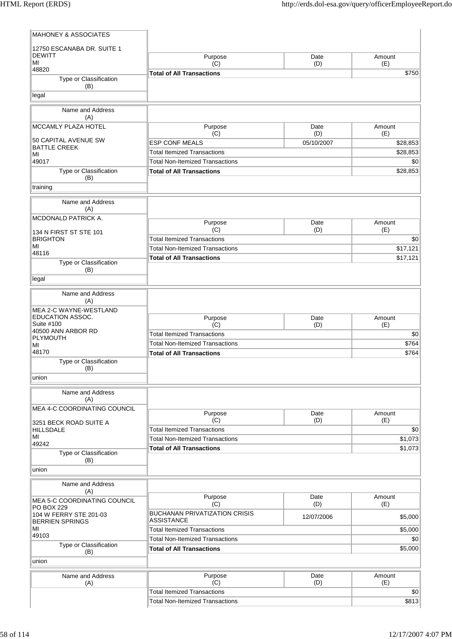| <b>MAHONEY &amp; ASSOCIATES</b>                  |                                                           |             |                      |
|--------------------------------------------------|-----------------------------------------------------------|-------------|----------------------|
| 12750 ESCANABA DR. SUITE 1                       |                                                           |             |                      |
| <b>DEWITT</b><br>MI                              | Purpose<br>(C)                                            | Date<br>(D) | Amount<br>(E)        |
| 48820                                            | <b>Total of All Transactions</b>                          |             | \$750                |
| Type or Classification<br>(B)                    |                                                           |             |                      |
| legal                                            |                                                           |             |                      |
|                                                  |                                                           |             |                      |
| Name and Address<br>(A)                          |                                                           |             |                      |
| <b>MCCAMLY PLAZA HOTEL</b>                       | Purpose                                                   | Date        | Amount               |
| 50 CAPITAL AVENUE SW                             | (C)<br><b>ESP CONF MEALS</b>                              | (D)         | (E)                  |
| <b>BATTLE CREEK</b>                              | <b>Total Itemized Transactions</b>                        | 05/10/2007  | \$28,853<br>\$28,853 |
| МI<br>49017                                      | <b>Total Non-Itemized Transactions</b>                    |             | \$0                  |
| Type or Classification                           | <b>Total of All Transactions</b>                          |             | \$28,853             |
| (B)                                              |                                                           |             |                      |
| training                                         |                                                           |             |                      |
| Name and Address                                 |                                                           |             |                      |
| (A)                                              |                                                           |             |                      |
| <b>MCDONALD PATRICK A.</b>                       | Purpose                                                   | Date        | Amount               |
| 134 N FIRST ST STE 101                           | (C)                                                       | (D)         | (E)                  |
| <b>BRIGHTON</b>                                  | <b>Total Itemized Transactions</b>                        |             | \$0                  |
| МI<br>48116                                      | <b>Total Non-Itemized Transactions</b>                    |             | \$17,121             |
| Type or Classification                           | <b>Total of All Transactions</b>                          |             | \$17,121             |
| (B)                                              |                                                           |             |                      |
| legal                                            |                                                           |             |                      |
| Name and Address                                 |                                                           |             |                      |
| (A)                                              |                                                           |             |                      |
| MEA 2-C WAYNE-WESTLAND<br>EDUCATION ASSOC.       |                                                           |             |                      |
| Suite #100                                       | Purpose<br>(C)                                            | Date<br>(D) | Amount<br>(E)        |
| 40500 ANN ARBOR RD                               | <b>Total Itemized Transactions</b>                        |             | \$0                  |
| PLYMOUTH<br>MI                                   | <b>Total Non-Itemized Transactions</b>                    |             | \$764                |
| 48170                                            | <b>Total of All Transactions</b>                          |             | \$764                |
| Type or Classification                           |                                                           |             |                      |
| (B)<br>union                                     |                                                           |             |                      |
|                                                  |                                                           |             |                      |
| Name and Address<br>(A)                          |                                                           |             |                      |
| MEA 4-C COORDINATING COUNCIL                     |                                                           |             |                      |
|                                                  | Purpose                                                   | Date        | Amount               |
| 3251 BECK ROAD SUITE A                           | (C)<br><b>Total Itemized Transactions</b>                 | (D)         | (E)<br>\$0           |
| HILLSDALE<br>MI                                  | <b>Total Non-Itemized Transactions</b>                    |             | \$1,073              |
| 49242                                            | <b>Total of All Transactions</b>                          |             | \$1,073              |
| Type or Classification<br>(B)                    |                                                           |             |                      |
| union                                            |                                                           |             |                      |
|                                                  |                                                           |             |                      |
| Name and Address<br>(A)                          |                                                           |             |                      |
| MEA 5-C COORDINATING COUNCIL                     | Purpose                                                   | Date        | Amount               |
| PO BOX 229                                       | (C)                                                       | (D)         | (E)                  |
| 104 W FERRY STE 201-03<br><b>BERRIEN SPRINGS</b> | <b>BUCHANAN PRIVATIZATION CRISIS</b><br><b>ASSISTANCE</b> | 12/07/2006  | \$5,000              |
| МI                                               | <b>Total Itemized Transactions</b>                        |             | \$5,000              |
| 49103                                            | <b>Total Non-Itemized Transactions</b>                    |             | \$0                  |
| Type or Classification                           | <b>Total of All Transactions</b>                          |             | \$5,000              |
| (B)<br>union                                     |                                                           |             |                      |
|                                                  |                                                           |             |                      |
| Name and Address                                 | Purpose<br>(C)                                            | Date<br>(D) | Amount<br>(E)        |
| (A)                                              | <b>Total Itemized Transactions</b>                        |             | \$0                  |
|                                                  | <b>Total Non-Itemized Transactions</b>                    |             | \$813                |
|                                                  |                                                           |             |                      |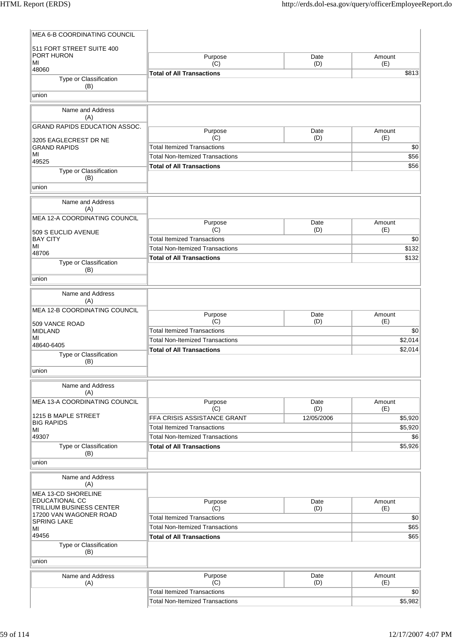| <b>MEA 6-B COORDINATING COUNCIL</b>                |                                           |                   |                |
|----------------------------------------------------|-------------------------------------------|-------------------|----------------|
| 511 FORT STREET SUITE 400                          |                                           |                   |                |
| PORT HURON<br>MI                                   | Purpose                                   | Date              | Amount         |
| 48060                                              | (C)<br><b>Total of All Transactions</b>   | (D)               | (E)<br>\$813   |
| Type or Classification                             |                                           |                   |                |
| (B)                                                |                                           |                   |                |
| union                                              |                                           |                   |                |
| Name and Address                                   |                                           |                   |                |
| (A)<br>GRAND RAPIDS EDUCATION ASSOC.               |                                           |                   |                |
|                                                    | Purpose                                   | Date              | Amount         |
| 3205 EAGLECREST DR NE                              | (C)<br><b>Total Itemized Transactions</b> | (D)               | (E)            |
| <b>GRAND RAPIDS</b><br>MI                          | <b>Total Non-Itemized Transactions</b>    |                   | \$0<br>\$56    |
| 49525                                              | <b>Total of All Transactions</b>          |                   | \$56           |
| Type or Classification<br>(B)                      |                                           |                   |                |
| union                                              |                                           |                   |                |
|                                                    |                                           |                   |                |
| Name and Address<br>(A)                            |                                           |                   |                |
| MEA 12-A COORDINATING COUNCIL                      |                                           |                   |                |
|                                                    | Purpose<br>(C)                            | Date<br>(D)       | Amount<br>(E)  |
| 509 S EUCLID AVENUE<br><b>BAY CITY</b>             | <b>Total Itemized Transactions</b>        |                   | \$0            |
| MI                                                 | <b>Total Non-Itemized Transactions</b>    |                   | \$132          |
| 48706                                              | <b>Total of All Transactions</b>          |                   | \$132          |
| Type or Classification<br>(B)                      |                                           |                   |                |
| union                                              |                                           |                   |                |
| Name and Address                                   |                                           |                   |                |
| (A)                                                |                                           |                   |                |
| MEA 12-B COORDINATING COUNCIL                      |                                           |                   |                |
| 509 VANCE ROAD                                     | Purpose<br>(C)                            | Date<br>(D)       | Amount<br>(E)  |
| MIDLAND                                            | <b>Total Itemized Transactions</b>        |                   | \$0            |
| MI<br>48640-6405                                   | <b>Total Non-Itemized Transactions</b>    |                   | \$2,014        |
| Type or Classification                             | <b>Total of All Transactions</b>          |                   | \$2,014        |
| (B)                                                |                                           |                   |                |
| union                                              |                                           |                   |                |
| Name and Address                                   |                                           |                   |                |
| (A)                                                |                                           |                   |                |
| MEA 13-A COORDINATING COUNCIL                      | Purpose                                   | Date              | Amount         |
| 1215 B MAPLE STREET                                | (C)<br>FFA CRISIS ASSISTANCE GRANT        | (D)<br>12/05/2006 | (E)<br>\$5,920 |
| <b>BIG RAPIDS</b>                                  | <b>Total Itemized Transactions</b>        |                   | \$5,920        |
| MI<br>49307                                        | <b>Total Non-Itemized Transactions</b>    |                   | \$6            |
| Type or Classification                             | <b>Total of All Transactions</b>          |                   | \$5,926        |
| (B)                                                |                                           |                   |                |
| union                                              |                                           |                   |                |
| Name and Address<br>(A)                            |                                           |                   |                |
| MEA 13-CD SHORELINE                                |                                           |                   |                |
| <b>EDUCATIONAL CC</b>                              | Purpose                                   | Date              | Amount         |
| TRILLIUM BUSINESS CENTER<br>17200 VAN WAGONER ROAD | (C)                                       | (D)               | (E)            |
| SPRING LAKE                                        | <b>Total Itemized Transactions</b>        |                   | \$0            |
| MI<br>49456                                        | <b>Total Non-Itemized Transactions</b>    |                   | \$65<br>\$65   |
| Type or Classification                             | <b>Total of All Transactions</b>          |                   |                |
| (B)                                                |                                           |                   |                |
| union                                              |                                           |                   |                |
| Name and Address                                   | Purpose                                   | Date              | Amount         |
| (A)                                                | (C)                                       | (D)               | (E)            |
|                                                    | <b>Total Itemized Transactions</b>        |                   | \$0            |
|                                                    | <b>Total Non-Itemized Transactions</b>    |                   | \$5,982        |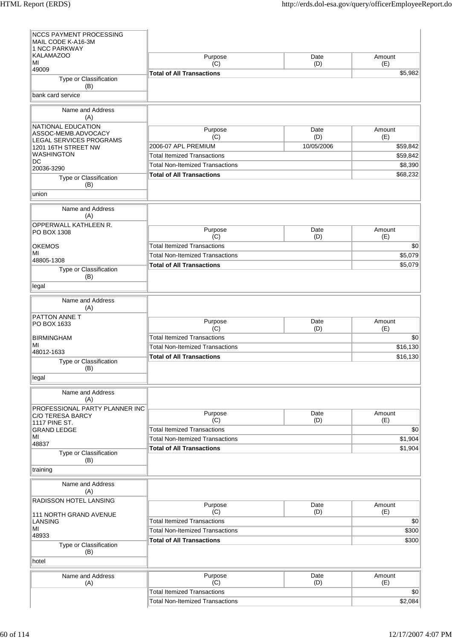| <b>NCCS PAYMENT PROCESSING</b><br>MAIL CODE K-A16-3M                 |                                        |             |               |
|----------------------------------------------------------------------|----------------------------------------|-------------|---------------|
| <b>1 NCC PARKWAY</b><br><b>KALAMAZOO</b><br>МI                       | Purpose<br>(C)                         | Date<br>(D) | Amount<br>(E) |
| 49009                                                                | <b>Total of All Transactions</b>       |             | \$5,982       |
| Type or Classification<br>(B)                                        |                                        |             |               |
| bank card service                                                    |                                        |             |               |
| Name and Address<br>(A)                                              |                                        |             |               |
| NATIONAL EDUCATION<br>ASSOC-MEMB.ADVOCACY<br>LEGAL SERVICES PROGRAMS | Purpose<br>(C)                         | Date<br>(D) | Amount<br>(E) |
| 1201 16TH STREET NW                                                  | 2006-07 APL PREMIUM                    | 10/05/2006  | \$59,842      |
| <b>WASHINGTON</b>                                                    | <b>Total Itemized Transactions</b>     |             | \$59,842      |
| DC<br>20036-3290                                                     | <b>Total Non-Itemized Transactions</b> |             | \$8,390       |
| Type or Classification<br>(B)                                        | <b>Total of All Transactions</b>       |             | \$68,232      |
| union                                                                |                                        |             |               |
| Name and Address<br>(A)                                              |                                        |             |               |
| <b>OPPERWALL KATHLEEN R.</b><br>PO BOX 1308                          | Purpose<br>(C)                         | Date<br>(D) | Amount<br>(E) |
| <b>OKEMOS</b>                                                        | <b>Total Itemized Transactions</b>     |             | \$0           |
| MI                                                                   | <b>Total Non-Itemized Transactions</b> |             | \$5,079       |
| 48805-1308                                                           | <b>Total of All Transactions</b>       |             | \$5,079       |
| Type or Classification<br>(B)                                        |                                        |             |               |
| legal                                                                |                                        |             |               |
| Name and Address<br>(A)                                              |                                        |             |               |
| PATTON ANNE T<br>PO BOX 1633                                         | Purpose<br>(C)                         | Date<br>(D) | Amount<br>(E) |
| <b>BIRMINGHAM</b>                                                    | <b>Total Itemized Transactions</b>     |             | \$0           |
| MI<br>48012-1633                                                     | <b>Total Non-Itemized Transactions</b> |             | \$16,130      |
| Type or Classification                                               | <b>Total of All Transactions</b>       |             | \$16,130      |
| (B)<br>legal                                                         |                                        |             |               |
| Name and Address<br>(A)                                              |                                        |             |               |
| PROFESSIONAL PARTY PLANNER INC                                       |                                        |             |               |
| <b>C/O TERESA BARCY</b>                                              | Purpose<br>(C)                         | Date<br>(D) | Amount<br>(E) |
| <b>1117 PINE ST.</b><br><b>GRAND LEDGE</b>                           | <b>Total Itemized Transactions</b>     |             | \$0           |
| MI                                                                   | <b>Total Non-Itemized Transactions</b> |             | \$1,904       |
| 48837<br>Type or Classification                                      | <b>Total of All Transactions</b>       |             | \$1,904       |
| (B)<br>training                                                      |                                        |             |               |
| Name and Address                                                     |                                        |             |               |
| (A)<br><b>RADISSON HOTEL LANSING</b>                                 |                                        |             |               |
| 111 NORTH GRAND AVENUE                                               | Purpose<br>(C)                         | Date<br>(D) | Amount<br>(E) |
| LANSING                                                              | <b>Total Itemized Transactions</b>     |             | \$0           |
| MI<br>48933                                                          | <b>Total Non-Itemized Transactions</b> |             | \$300         |
| Type or Classification                                               | <b>Total of All Transactions</b>       |             | \$300         |
| (B)<br>hotel                                                         |                                        |             |               |
| Name and Address                                                     | Purpose                                | Date        | Amount        |
| (A)                                                                  | (C)                                    | (D)         | (E)           |
|                                                                      | <b>Total Itemized Transactions</b>     |             | \$0           |
|                                                                      | <b>Total Non-Itemized Transactions</b> |             | \$2,084       |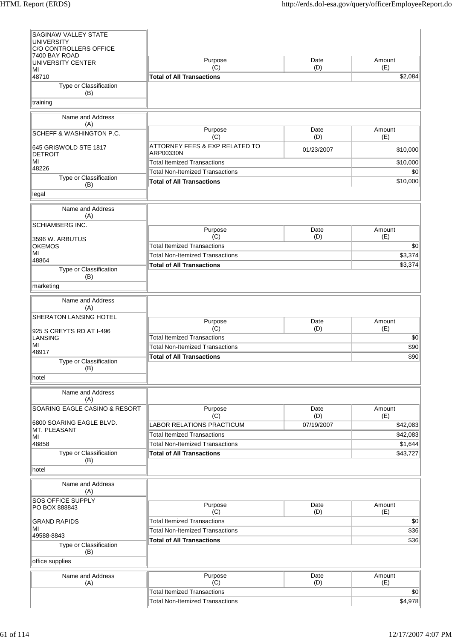| SAGINAW VALLEY STATE<br><b>UNIVERSITY</b>                    |                                                                              |             |                 |
|--------------------------------------------------------------|------------------------------------------------------------------------------|-------------|-----------------|
| C/O CONTROLLERS OFFICE<br>7400 BAY ROAD<br>UNIVERSITY CENTER | Purpose                                                                      | Date        | Amount          |
| MI<br>48710                                                  | (C)<br><b>Total of All Transactions</b>                                      | (D)         | (E)<br>\$2,084  |
| Type or Classification<br>(B)                                |                                                                              |             |                 |
| training                                                     |                                                                              |             |                 |
| Name and Address                                             |                                                                              |             |                 |
| (A)<br><b>SCHEFF &amp; WASHINGTON P.C.</b>                   | Purpose                                                                      | Date        | Amount          |
| 645 GRISWOLD STE 1817                                        | (C)<br>ATTORNEY FEES & EXP RELATED TO                                        | (D)         | (E)             |
| <b>DETROIT</b>                                               | ARP00330N                                                                    | 01/23/2007  | \$10,000        |
| MI<br>48226                                                  | <b>Total Itemized Transactions</b><br><b>Total Non-Itemized Transactions</b> |             | \$10,000<br>\$0 |
| Type or Classification<br>(B)                                | <b>Total of All Transactions</b>                                             |             | \$10,000        |
| legal                                                        |                                                                              |             |                 |
| Name and Address<br>(A)                                      |                                                                              |             |                 |
| <b>SCHIAMBERG INC.</b>                                       | Purpose                                                                      | Date        | Amount          |
| 3596 W. ARBUTUS<br><b>OKEMOS</b>                             | (C)<br><b>Total Itemized Transactions</b>                                    | (D)         | (E)<br>\$0      |
| MI                                                           | <b>Total Non-Itemized Transactions</b>                                       |             | \$3,374         |
| 48864<br>Type or Classification                              | <b>Total of All Transactions</b>                                             |             | \$3,374         |
| (B)                                                          |                                                                              |             |                 |
| marketing                                                    |                                                                              |             |                 |
| Name and Address<br>(A)                                      |                                                                              |             |                 |
| SHERATON LANSING HOTEL<br>925 S CREYTS RD AT I-496           | Purpose<br>(C)                                                               | Date<br>(D) | Amount<br>(E)   |
| <b>LANSING</b>                                               | <b>Total Itemized Transactions</b>                                           |             | \$0             |
| MI<br>48917                                                  | <b>Total Non-Itemized Transactions</b>                                       |             | \$90            |
| Type or Classification<br>(B)                                | <b>Total of All Transactions</b>                                             |             | \$90            |
| hotel                                                        |                                                                              |             |                 |
| Name and Address<br>(A)                                      |                                                                              |             |                 |
| SOARING EAGLE CASINO & RESORT                                | Purpose<br>(C)                                                               | Date<br>(D) | Amount<br>(E)   |
| 6800 SOARING EAGLE BLVD.                                     | <b>LABOR RELATIONS PRACTICUM</b>                                             | 07/19/2007  | \$42,083        |
| MT. PLEASANT<br>MI                                           | <b>Total Itemized Transactions</b>                                           |             | \$42,083        |
| 48858                                                        | <b>Total Non-Itemized Transactions</b>                                       |             | \$1,644         |
| Type or Classification<br>(B)                                | <b>Total of All Transactions</b>                                             |             | \$43,727        |
| hotel                                                        |                                                                              |             |                 |
| Name and Address<br>(A)                                      |                                                                              |             |                 |
| <b>SOS OFFICE SUPPLY</b><br>PO BOX 888843                    | Purpose<br>(C)                                                               | Date<br>(D) | Amount<br>(E)   |
| <b>GRAND RAPIDS</b>                                          | <b>Total Itemized Transactions</b>                                           |             | \$0             |
| MI<br>49588-8843                                             | <b>Total Non-Itemized Transactions</b>                                       |             | \$36            |
| Type or Classification                                       | <b>Total of All Transactions</b>                                             |             | \$36            |
| (B)<br>office supplies                                       |                                                                              |             |                 |
| Name and Address<br>(A)                                      | Purpose<br>(C)                                                               | Date<br>(D) | Amount<br>(E)   |
|                                                              | <b>Total Itemized Transactions</b>                                           |             | \$0             |
|                                                              | <b>Total Non-Itemized Transactions</b>                                       |             | \$4,978         |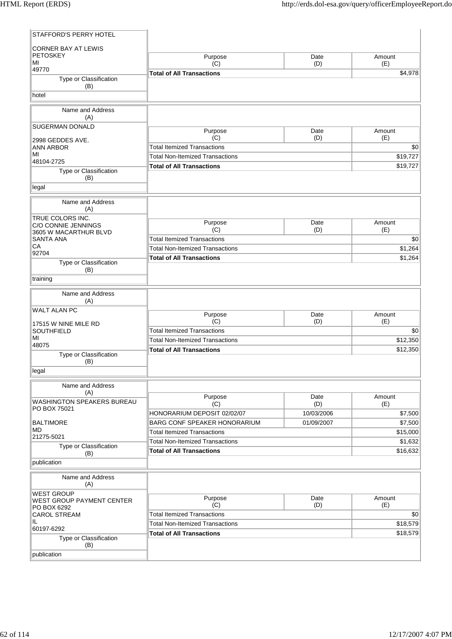| STAFFORD'S PERRY HOTEL                          |                                        |             |               |
|-------------------------------------------------|----------------------------------------|-------------|---------------|
| <b>CORNER BAY AT LEWIS</b>                      |                                        |             |               |
| <b>PETOSKEY</b>                                 | Purpose                                | Date        | Amount        |
| MI<br>49770                                     | (C)                                    | (D)         | (E)           |
| Type or Classification                          | <b>Total of All Transactions</b>       |             | \$4,978       |
| (B)                                             |                                        |             |               |
| hotel                                           |                                        |             |               |
| Name and Address                                |                                        |             |               |
| (A)                                             |                                        |             |               |
| SUGERMAN DONALD                                 | Purpose                                | Date        | Amount        |
| 2998 GEDDES AVE.                                | (C)                                    | (D)         | (E)           |
| <b>ANN ARBOR</b>                                | <b>Total Itemized Transactions</b>     |             | \$0           |
| MI<br>48104-2725                                | <b>Total Non-Itemized Transactions</b> |             | \$19,727      |
| Type or Classification                          | <b>Total of All Transactions</b>       |             | \$19,727      |
| (B)                                             |                                        |             |               |
| legal                                           |                                        |             |               |
| Name and Address                                |                                        |             |               |
| (A)                                             |                                        |             |               |
| TRUE COLORS INC.                                | Purpose                                | Date        | Amount        |
| C/O CONNIE JENNINGS<br>3605 W MACARTHUR BLVD    | (C)                                    | (D)         | (E)           |
| SANTA ANA                                       | <b>Total Itemized Transactions</b>     |             | \$0           |
| СA<br>92704                                     | <b>Total Non-Itemized Transactions</b> |             | \$1,264       |
| Type or Classification                          | <b>Total of All Transactions</b>       |             | \$1,264       |
| (B)                                             |                                        |             |               |
| training                                        |                                        |             |               |
| Name and Address                                |                                        |             |               |
| (A)                                             |                                        |             |               |
| <b>WALT ALAN PC</b>                             | Purpose                                | Date        | Amount        |
| 17515 W NINE MILE RD                            | (C)                                    | (D)         | (E)           |
| SOUTHFIELD                                      | <b>Total Itemized Transactions</b>     |             | \$0           |
| MI<br>48075                                     | <b>Total Non-Itemized Transactions</b> |             | \$12,350      |
| Type or Classification                          | <b>Total of All Transactions</b>       |             | \$12,350      |
| (B)                                             |                                        |             |               |
| legal                                           |                                        |             |               |
| Name and Address                                |                                        |             |               |
| (A)                                             |                                        |             |               |
| WASHINGTON SPEAKERS BUREAU                      | Purpose<br>(C)                         | Date<br>(D) | Amount<br>(E) |
| PO BOX 75021                                    | HONORARIUM DEPOSIT 02/02/07            | 10/03/2006  | \$7,500       |
| <b>BALTIMORE</b>                                | <b>BARG CONF SPEAKER HONORARIUM</b>    | 01/09/2007  | \$7,500       |
| <b>MD</b><br>21275-5021                         | <b>Total Itemized Transactions</b>     |             | \$15,000      |
| Type or Classification                          | <b>Total Non-Itemized Transactions</b> |             | \$1,632       |
| (B)                                             | <b>Total of All Transactions</b>       |             | \$16,632      |
| publication                                     |                                        |             |               |
| Name and Address                                |                                        |             |               |
| (A)                                             |                                        |             |               |
| <b>WEST GROUP</b>                               | Purpose                                | Date        | Amount        |
| <b>WEST GROUP PAYMENT CENTER</b><br>PO BOX 6292 | (C)                                    | (D)         | (E)           |
| <b>CAROL STREAM</b>                             | <b>Total Itemized Transactions</b>     |             | \$0           |
| IL                                              | <b>Total Non-Itemized Transactions</b> |             | \$18,579      |
| 60197-6292                                      | <b>Total of All Transactions</b>       |             | \$18,579      |
| Type or Classification<br>(B)                   |                                        |             |               |
| publication                                     |                                        |             |               |
|                                                 |                                        |             |               |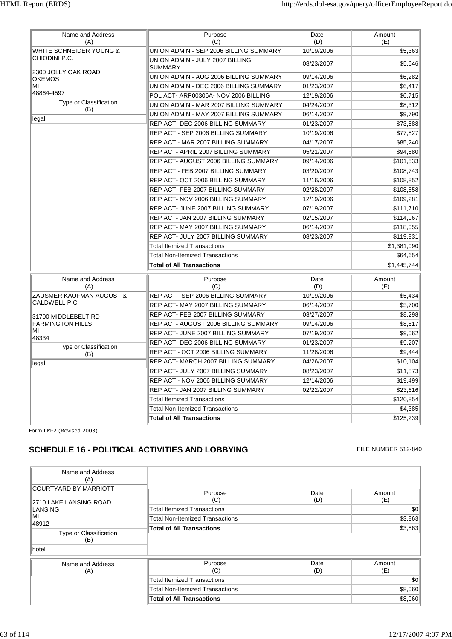| Name and Address<br>(A)              | Purpose<br>(C)                                    | Date<br>(D) | Amount<br>(E) |
|--------------------------------------|---------------------------------------------------|-------------|---------------|
| WHITE SCHNEIDER YOUNG &              | UNION ADMIN - SEP 2006 BILLING SUMMARY            | 10/19/2006  | \$5,363       |
| CHIODINI P.C.                        | UNION ADMIN - JULY 2007 BILLING<br><b>SUMMARY</b> | 08/23/2007  | \$5,646       |
| 2300 JOLLY OAK ROAD<br><b>OKEMOS</b> | UNION ADMIN - AUG 2006 BILLING SUMMARY            | 09/14/2006  | \$6,282       |
| МI                                   | UNION ADMIN - DEC 2006 BILLING SUMMARY            | 01/23/2007  | \$6,417       |
| 48864-4597                           | POL ACT- ARP00306A- NOV 2006 BILLING              | 12/19/2006  | \$6,715       |
| Type or Classification<br>(B)        | UNION ADMIN - MAR 2007 BILLING SUMMARY            | 04/24/2007  | \$8,312       |
| legal                                | UNION ADMIN - MAY 2007 BILLING SUMMARY            | 06/14/2007  | \$9,790       |
|                                      | REP ACT- DEC 2006 BILLING SUMMARY                 | 01/23/2007  | \$73,588      |
|                                      | REP ACT - SEP 2006 BILLING SUMMARY                | 10/19/2006  | \$77,827      |
|                                      | REP ACT - MAR 2007 BILLING SUMMARY                | 04/17/2007  | \$85,240      |
|                                      | REP ACT- APRIL 2007 BILLING SUMMARY               | 05/21/2007  | \$94,880      |
|                                      | REP ACT- AUGUST 2006 BILLING SUMMARY              | 09/14/2006  | \$101,533     |
|                                      | REP ACT - FEB 2007 BILLING SUMMARY                | 03/20/2007  | \$108,743     |
|                                      | REP ACT- OCT 2006 BILLING SUMMARY                 | 11/16/2006  | \$108,852     |
|                                      | REP ACT-FEB 2007 BILLING SUMMARY                  | 02/28/2007  | \$108,858     |
|                                      | REP ACT- NOV 2006 BILLING SUMMARY                 | 12/19/2006  | \$109,281     |
|                                      | REP ACT- JUNE 2007 BILLING SUMMARY                | 07/19/2007  | \$111,710     |
|                                      | REP ACT- JAN 2007 BILLING SUMMARY                 | 02/15/2007  | \$114,067     |
|                                      | REP ACT-MAY 2007 BILLING SUMMARY                  | 06/14/2007  | \$118,055     |
|                                      | REP ACT- JULY 2007 BILLING SUMMARY                | 08/23/2007  | \$119,931     |
|                                      | <b>Total Itemized Transactions</b>                |             | \$1,381,090   |
|                                      | <b>Total Non-Itemized Transactions</b>            |             | \$64,654      |
|                                      | <b>Total of All Transactions</b>                  |             | \$1,445,744   |
| Name and Address<br>(A)              | Purpose<br>(C)                                    | Date<br>(D) | Amount<br>(E) |
| ZAUSMER KAUFMAN AUGUST &             | REP ACT - SEP 2006 BILLING SUMMARY                | 10/19/2006  | \$5,434       |
| <b>CALDWELL P.C</b>                  | REP ACT-MAY 2007 BILLING SUMMARY                  | 06/14/2007  | \$5,700       |
| 31700 MIDDLEBELT RD                  | REP ACT- FEB 2007 BILLING SUMMARY                 | 03/27/2007  | \$8,298       |
| <b>FARMINGTON HILLS</b>              | REP ACT- AUGUST 2006 BILLING SUMMARY              | 09/14/2006  | \$8.617       |
| МI<br>48334                          | REP ACT- JUNE 2007 BILLING SUMMARY                | 07/19/2007  | \$9,062       |
| Type or Classification               | REP ACT- DEC 2006 BILLING SUMMARY                 | 01/23/2007  | \$9,207       |
| (B)                                  | REP ACT - OCT 2006 BILLING SUMMARY                | 11/28/2006  | \$9,444       |
| legal                                | REP ACT-MARCH 2007 BILLING SUMMARY                | 04/26/2007  | \$10,104      |
|                                      | REP ACT- JULY 2007 BILLING SUMMARY                | 08/23/2007  | \$11,873      |
|                                      | REP ACT - NOV 2006 BILLING SUMMARY                | 12/14/2006  | \$19,499      |
|                                      | REP ACT- JAN 2007 BILLING SUMMARY                 | 02/22/2007  | \$23,616      |
|                                      | <b>Total Itemized Transactions</b>                |             | \$120,854     |
|                                      | <b>Total Non-Itemized Transactions</b>            |             | \$4,385       |
|                                      | <b>Total of All Transactions</b>                  |             | \$125,239     |

# **SCHEDULE 16 - POLITICAL ACTIVITIES AND LOBBYING** FILE NUMBER 512-840

| Name and Address<br>(A)                                           |                                        |             |               |
|-------------------------------------------------------------------|----------------------------------------|-------------|---------------|
| <b>COURTYARD BY MARRIOTT</b><br>2710 LAKE LANSING ROAD<br>LANSING | Purpose<br>(C)                         | Date<br>(D) | Amount<br>(E) |
|                                                                   | <b>Total Itemized Transactions</b>     |             | \$0           |
| MI<br>48912                                                       | <b>Total Non-Itemized Transactions</b> |             | \$3,863       |
| Type or Classification<br>(B)<br>hotel                            | <b>Total of All Transactions</b>       | \$3,863     |               |
| Name and Address<br>(A)                                           | Purpose<br>(C)                         | Date<br>(D) | Amount<br>(E) |
|                                                                   | <b>Total Itemized Transactions</b>     |             | \$0           |
|                                                                   | <b>Total Non-Itemized Transactions</b> |             | \$8,060       |
|                                                                   | <b>Total of All Transactions</b>       |             | \$8,060       |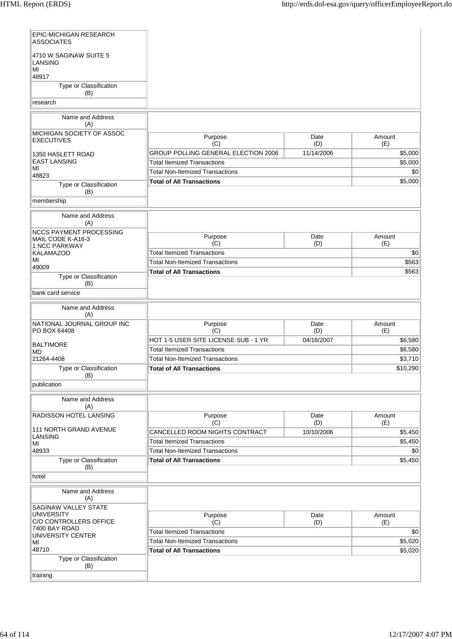| EPIC-MICHIGAN RESEARCH<br><b>ASSOCIATES</b>         |                                                                              |                   |                    |
|-----------------------------------------------------|------------------------------------------------------------------------------|-------------------|--------------------|
| 4710 W SAGINAW SUITE 5<br>LANSING<br>MI<br>48917    |                                                                              |                   |                    |
| Type or Classification<br>(B)                       |                                                                              |                   |                    |
| research                                            |                                                                              |                   |                    |
| Name and Address                                    |                                                                              |                   |                    |
| (A)<br>MICHIGAN SOCIETY OF ASSOC                    |                                                                              |                   |                    |
| <b>EXECUTIVES</b>                                   | Purpose<br>(C)                                                               | Date<br>(D)       | Amount<br>(E)      |
| 1350 HASLETT ROAD                                   | GROUP POLLING GENERAL ELECTION 2006                                          | 11/14/2006        | \$5,000            |
| EAST LANSING                                        | <b>Total Itemized Transactions</b>                                           |                   | \$5,000            |
| MI<br>48823                                         | <b>Total Non-Itemized Transactions</b>                                       |                   | \$0                |
| Type or Classification                              | <b>Total of All Transactions</b>                                             |                   | \$5,000            |
| (B)                                                 |                                                                              |                   |                    |
| membership                                          |                                                                              |                   |                    |
| Name and Address<br>(A)                             |                                                                              |                   |                    |
| <b>NCCS PAYMENT PROCESSING</b><br>MAIL CODE K-A16-3 | Purpose                                                                      | Date              | Amount             |
| <b>1 NCC PARKWAY</b>                                | (C)                                                                          | (D)               | (E)                |
| KALAMAZOO<br>MI                                     | <b>Total Itemized Transactions</b>                                           |                   | \$0                |
| 49009                                               | <b>Total Non-Itemized Transactions</b>                                       |                   | \$563              |
| Type or Classification<br>(B)                       | <b>Total of All Transactions</b>                                             |                   | \$563              |
| bank card service                                   |                                                                              |                   |                    |
| Name and Address<br>(A)                             |                                                                              |                   |                    |
| NATIONAL JOURNAL GROUP INC                          | Purpose                                                                      | Date              | Amount             |
| PO BOX 64408                                        | (C)<br>HOT 1-5 USER SITE LICENSE SUB - 1 YR                                  | (D)<br>04/16/2007 | (E)                |
| BALTIMORE                                           | <b>Total Itemized Transactions</b>                                           |                   | \$6,580<br>\$6,580 |
| MD<br>21264-4408                                    | <b>Total Non-Itemized Transactions</b>                                       |                   | \$3,710            |
| Type or Classification                              | <b>Total of All Transactions</b>                                             |                   | \$10,290           |
| (B)<br>publication                                  |                                                                              |                   |                    |
| Name and Address                                    |                                                                              |                   |                    |
| (A)                                                 |                                                                              |                   |                    |
| RADISSON HOTEL LANSING                              | Purpose                                                                      | Date              | Amount             |
| 111 NORTH GRAND AVENUE                              | (C)                                                                          | (D)               | (E)                |
| LANSING                                             | CANCELLED ROOM NIGHTS CONTRACT<br><b>Total Itemized Transactions</b>         | 10/10/2006        | \$5,450<br>\$5,450 |
| MI<br>48933                                         | <b>Total Non-Itemized Transactions</b>                                       |                   | \$0                |
| Type or Classification                              | <b>Total of All Transactions</b>                                             |                   | \$5,450            |
| (B)                                                 |                                                                              |                   |                    |
| hotel                                               |                                                                              |                   |                    |
| Name and Address<br>(A)                             |                                                                              |                   |                    |
| <b>SAGINAW VALLEY STATE</b><br><b>UNIVERSITY</b>    | Purpose                                                                      | Date              | Amount             |
| C/O CONTROLLERS OFFICE<br>7400 BAY ROAD             | (C)                                                                          | (D)               | (E)                |
| UNIVERSITY CENTER                                   | <b>Total Itemized Transactions</b><br><b>Total Non-Itemized Transactions</b> |                   | \$0<br>\$5,020     |
| MI<br>48710                                         | <b>Total of All Transactions</b>                                             |                   | \$5,020            |
| Type or Classification<br>(B)                       |                                                                              |                   |                    |
| training                                            |                                                                              |                   |                    |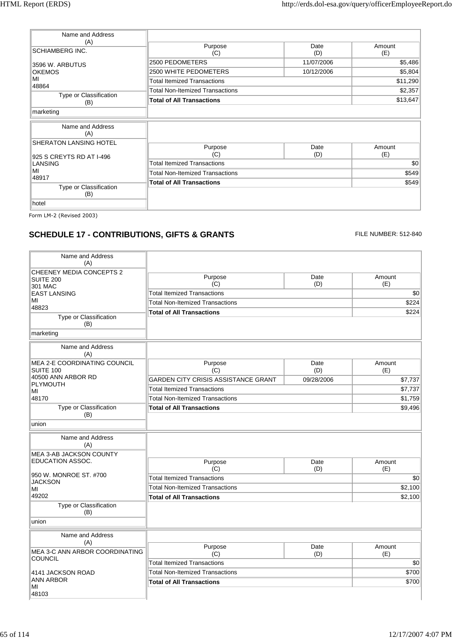| Name and Address<br>(A)                                   | Purpose                            | Date        | Amount        |
|-----------------------------------------------------------|------------------------------------|-------------|---------------|
| <b>SCHIAMBERG INC.</b>                                    | (C)                                | (D)         | (E)           |
| 3596 W. ARBUTUS                                           | 2500 PEDOMETERS                    | 11/07/2006  | \$5,486       |
| <b>OKEMOS</b>                                             | 2500 WHITE PEDOMETERS              | 10/12/2006  | \$5,804       |
| MI<br>48864                                               | <b>Total Itemized Transactions</b> |             | \$11,290      |
|                                                           | Total Non-Itemized Transactions    |             | \$2,357       |
| Type or Classification<br>(B)                             | <b>Total of All Transactions</b>   |             | \$13,647      |
| marketing                                                 |                                    |             |               |
| Name and Address<br>(A)                                   |                                    |             |               |
| <b>SHERATON LANSING HOTEL</b><br>925 S CREYTS RD AT I-496 | Purpose<br>(C)                     | Date<br>(D) | Amount<br>(E) |
| <b>LANSING</b>                                            | <b>Total Itemized Transactions</b> |             | \$0           |
| MI                                                        | Total Non-Itemized Transactions    |             | \$549         |
| 48917                                                     | <b>Total of All Transactions</b>   |             | \$549         |
| Type or Classification<br>(B)                             |                                    |             |               |
| hotel                                                     |                                    |             |               |

# **SCHEDULE 17 - CONTRIBUTIONS, GIFTS & GRANTS** FILE NUMBER: 512-840

| Name and Address<br>(A)                      |                                            |             |                |
|----------------------------------------------|--------------------------------------------|-------------|----------------|
| <b>CHEENEY MEDIA CONCEPTS 2</b><br>SUITE 200 | Purpose<br>(C)                             | Date<br>(D) | Amount<br>(E)  |
| 301 MAC<br><b>EAST LANSING</b>               | <b>Total Itemized Transactions</b>         |             | \$0            |
| МΙ                                           | <b>Total Non-Itemized Transactions</b>     |             | \$224          |
| 48823                                        | <b>Total of All Transactions</b>           |             | \$224          |
| Type or Classification<br>(B)                |                                            |             |                |
| marketing                                    |                                            |             |                |
| Name and Address<br>(A)                      |                                            |             |                |
| <b>MEA 2-E COORDINATING COUNCIL</b>          | Purpose                                    | Date        | Amount         |
| <b>SUITE 100</b><br>40500 ANN ARBOR RD       | (C)                                        | (D)         | (E)            |
| <b>PLYMOUTH</b>                              | <b>GARDEN CITY CRISIS ASSISTANCE GRANT</b> | 09/28/2006  | \$7,737        |
| MI                                           | <b>Total Itemized Transactions</b>         |             | \$7,737        |
| 48170<br>Type or Classification              | <b>Total Non-Itemized Transactions</b>     |             | \$1,759        |
| (B)                                          | <b>Total of All Transactions</b>           |             | \$9,496        |
| union                                        |                                            |             |                |
| Name and Address<br>(A)                      |                                            |             |                |
| MEA 3-AB JACKSON COUNTY                      |                                            |             |                |
| <b>EDUCATION ASSOC.</b>                      | Purpose                                    | Date        | Amount         |
| 950 W. MONROE ST. #700                       | (C)<br><b>Total Itemized Transactions</b>  | (D)         | (E)            |
| <b>JACKSON</b>                               | <b>Total Non-Itemized Transactions</b>     |             | \$0<br>\$2,100 |
| MI<br>49202                                  |                                            |             |                |
| Type or Classification                       | <b>Total of All Transactions</b>           |             | \$2,100        |
| (B)                                          |                                            |             |                |
| union                                        |                                            |             |                |
| Name and Address<br>(A)                      |                                            |             |                |
| MEA 3-C ANN ARBOR COORDINATING<br>COUNCIL    | Purpose<br>(C)                             | Date<br>(D) | Amount<br>(E)  |
|                                              | <b>Total Itemized Transactions</b>         |             | \$0            |
| 4141 JACKSON ROAD                            | Total Non-Itemized Transactions            |             | \$700          |
| <b>ANN ARBOR</b><br>MI                       | <b>Total of All Transactions</b>           |             | \$700          |
| 48103                                        |                                            |             |                |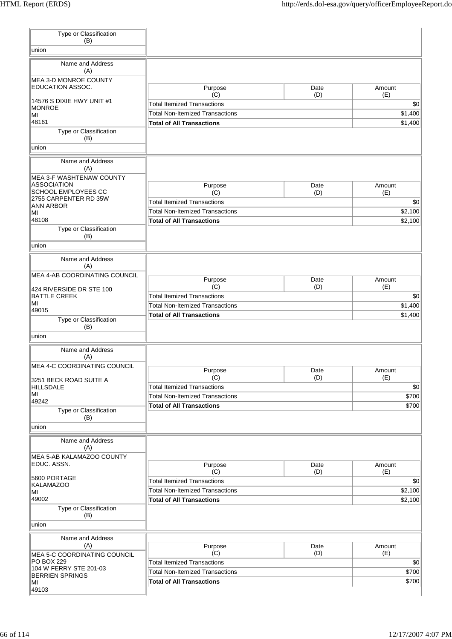| Type or Classification<br>(B)                         |                                           |             |               |
|-------------------------------------------------------|-------------------------------------------|-------------|---------------|
| union                                                 |                                           |             |               |
| Name and Address                                      |                                           |             |               |
| (A)<br><b>MEA 3-D MONROE COUNTY</b>                   |                                           |             |               |
| EDUCATION ASSOC.                                      | Purpose<br>(C)                            | Date<br>(D) | Amount<br>(E) |
| 14576 S DIXIE HWY UNIT #1                             | <b>Total Itemized Transactions</b>        |             | \$0           |
| <b>MONROE</b><br>MI                                   | <b>Total Non-Itemized Transactions</b>    |             | \$1,400       |
| 48161                                                 | <b>Total of All Transactions</b>          |             | \$1,400       |
| Type or Classification<br>(B)                         |                                           |             |               |
| union                                                 |                                           |             |               |
| Name and Address<br>(A)                               |                                           |             |               |
| <b>MEA 3-F WASHTENAW COUNTY</b><br><b>ASSOCIATION</b> |                                           |             |               |
| SCHOOL EMPLOYEES CC                                   | Purpose<br>(C)                            | Date<br>(D) | Amount<br>(E) |
| 2755 CARPENTER RD 35W<br><b>ANN ARBOR</b>             | <b>Total Itemized Transactions</b>        |             | \$0           |
| MI                                                    | <b>Total Non-Itemized Transactions</b>    |             | \$2,100       |
| 48108                                                 | <b>Total of All Transactions</b>          |             | \$2,100       |
| Type or Classification<br>(B)                         |                                           |             |               |
| union                                                 |                                           |             |               |
| Name and Address<br>(A)                               |                                           |             |               |
| MEA 4-AB COORDINATING COUNCIL                         | Purpose                                   | Date        | Amount        |
| 424 RIVERSIDE DR STE 100                              | (C)                                       | (D)         | (E)           |
| <b>BATTLE CREEK</b><br>MI                             | <b>Total Itemized Transactions</b>        |             | \$0           |
| 49015                                                 | <b>Total Non-Itemized Transactions</b>    |             | \$1,400       |
| Type or Classification                                | <b>Total of All Transactions</b>          |             | \$1,400       |
| (B)<br>union                                          |                                           |             |               |
| Name and Address                                      |                                           |             |               |
| (A)<br>MEA 4-C COORDINATING COUNCIL                   |                                           |             |               |
|                                                       | Purpose<br>(C)                            | Date<br>(D) | Amount<br>(E) |
| 3251 BECK ROAD SUITE A<br><b>HILLSDALE</b>            | <b>Total Itemized Transactions</b>        |             | \$0           |
| MI                                                    | <b>Total Non-Itemized Transactions</b>    |             | \$700         |
| 49242<br>Type or Classification                       | <b>Total of All Transactions</b>          |             | \$700         |
| (B)                                                   |                                           |             |               |
| union                                                 |                                           |             |               |
| Name and Address<br>(A)                               |                                           |             |               |
| MEA 5-AB KALAMAZOO COUNTY                             |                                           |             |               |
| EDUC. ASSN.                                           | Purpose<br>(C)                            | Date<br>(D) | Amount<br>(E) |
| 5600 PORTAGE                                          | <b>Total Itemized Transactions</b>        |             | \$0           |
| <b>KALAMAZOO</b><br>MI                                | <b>Total Non-Itemized Transactions</b>    |             | \$2,100       |
| 49002                                                 | <b>Total of All Transactions</b>          |             | \$2,100       |
| Type or Classification                                |                                           |             |               |
| (B)<br>union                                          |                                           |             |               |
| Name and Address                                      |                                           |             |               |
| (A)                                                   | Purpose                                   | Date        | Amount        |
| MEA 5-C COORDINATING COUNCIL<br><b>PO BOX 229</b>     | (C)<br><b>Total Itemized Transactions</b> | (D)         | (E)<br>\$0    |
| 104 W FERRY STE 201-03                                | <b>Total Non-Itemized Transactions</b>    |             | \$700         |
| <b>BERRIEN SPRINGS</b><br>MI                          | <b>Total of All Transactions</b>          |             | \$700         |
| 49103                                                 |                                           |             |               |
|                                                       |                                           |             |               |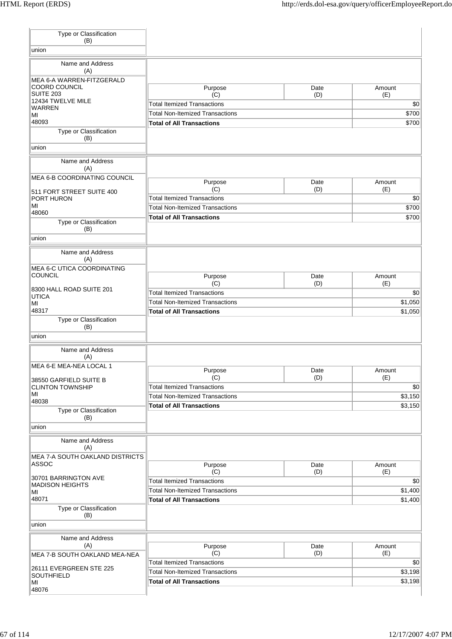| Type or Classification<br>(B)                     |                                           |             |               |
|---------------------------------------------------|-------------------------------------------|-------------|---------------|
| union                                             |                                           |             |               |
| Name and Address                                  |                                           |             |               |
| (A)                                               |                                           |             |               |
| <b>MEA 6-A WARREN-FITZGERALD</b><br>COORD COUNCIL | Purpose                                   | Date        | Amount        |
| <b>SUITE 203</b>                                  | (C)                                       | (D)         | (E)           |
| 12434 TWELVE MILE<br><b>WARREN</b>                | <b>Total Itemized Transactions</b>        |             | \$0           |
| MI                                                | <b>Total Non-Itemized Transactions</b>    |             | \$700         |
| 48093                                             | <b>Total of All Transactions</b>          |             | \$700         |
| Type or Classification<br>(B)                     |                                           |             |               |
| union                                             |                                           |             |               |
| Name and Address<br>(A)                           |                                           |             |               |
| MEA 6-B COORDINATING COUNCIL                      | Purpose                                   | Date        | Amount        |
| 511 FORT STREET SUITE 400                         | (C)                                       | (D)         | (E)           |
| PORT HURON                                        | <b>Total Itemized Transactions</b>        |             | \$0           |
| MI                                                | <b>Total Non-Itemized Transactions</b>    |             | \$700         |
| 48060<br>Type or Classification                   | <b>Total of All Transactions</b>          |             | \$700         |
| (B)                                               |                                           |             |               |
| union                                             |                                           |             |               |
| Name and Address<br>(A)                           |                                           |             |               |
| MEA 6-C UTICA COORDINATING                        |                                           |             |               |
| <b>COUNCIL</b>                                    | Purpose                                   | Date        | Amount        |
| 8300 HALL ROAD SUITE 201                          | (C)<br><b>Total Itemized Transactions</b> | (D)         | (E)<br>\$0    |
| <b>UTICA</b>                                      | <b>Total Non-Itemized Transactions</b>    |             | \$1,050       |
| MI<br>48317                                       | <b>Total of All Transactions</b>          |             | \$1,050       |
| Type or Classification                            |                                           |             |               |
| (B)<br>union                                      |                                           |             |               |
|                                                   |                                           |             |               |
| Name and Address<br>(A)                           |                                           |             |               |
| MEA 6-E MEA-NEA LOCAL 1                           |                                           |             |               |
| 38550 GARFIELD SUITE B                            | Purpose<br>(C)                            | Date<br>(D) | Amount<br>(E) |
| <b>CLINTON TOWNSHIP</b>                           | <b>Total Itemized Transactions</b>        |             | \$0           |
| MI                                                | <b>Total Non-Itemized Transactions</b>    |             | \$3,150       |
| 48038                                             | <b>Total of All Transactions</b>          |             | \$3,150       |
| Type or Classification<br>(B)                     |                                           |             |               |
| union                                             |                                           |             |               |
| Name and Address                                  |                                           |             |               |
| (A)                                               |                                           |             |               |
| <b>MEA 7-A SOUTH OAKLAND DISTRICTS</b>            |                                           |             |               |
| ASSOC                                             | Purpose<br>(C)                            | Date<br>(D) | Amount<br>(E) |
| 30701 BARRINGTON AVE                              | <b>Total Itemized Transactions</b>        |             | \$0           |
| <b>MADISON HEIGHTS</b><br>МI                      | <b>Total Non-Itemized Transactions</b>    |             | \$1,400       |
| 48071                                             | <b>Total of All Transactions</b>          |             | \$1,400       |
| Type or Classification                            |                                           |             |               |
| (B)                                               |                                           |             |               |
| union                                             |                                           |             |               |
| Name and Address                                  |                                           |             |               |
| (A)<br>MEA 7-B SOUTH OAKLAND MEA-NEA              | Purpose<br>(C)                            | Date<br>(D) | Amount<br>(E) |
|                                                   | <b>Total Itemized Transactions</b>        |             | \$0           |
| 26111 EVERGREEN STE 225                           | <b>Total Non-Itemized Transactions</b>    |             | \$3,198       |
| SOUTHFIELD<br>MI                                  | <b>Total of All Transactions</b>          |             | \$3,198       |
| 48076                                             |                                           |             |               |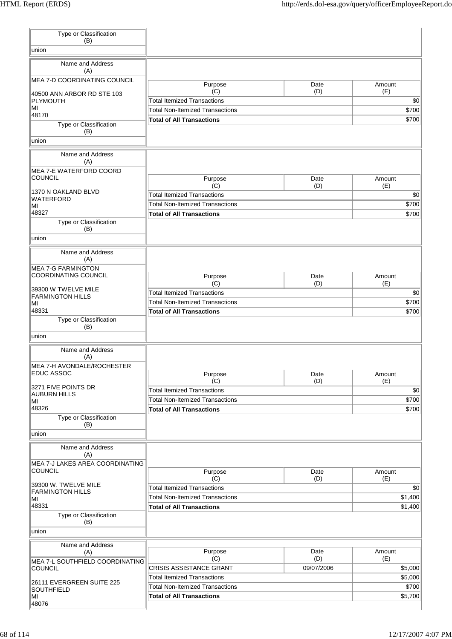| Type or Classification<br>(B)                     |                                                                              |                   |                    |
|---------------------------------------------------|------------------------------------------------------------------------------|-------------------|--------------------|
| union                                             |                                                                              |                   |                    |
| Name and Address<br>(A)                           |                                                                              |                   |                    |
| MEA 7-D COORDINATING COUNCIL                      | Purpose                                                                      | Date              | Amount             |
| 40500 ANN ARBOR RD STE 103                        | (C)                                                                          | (D)               | (E)                |
| PLYMOUTH<br>MI                                    | <b>Total Itemized Transactions</b><br><b>Total Non-Itemized Transactions</b> |                   | \$0<br>\$700       |
| 48170                                             | <b>Total of All Transactions</b>                                             |                   | \$700              |
| Type or Classification<br>(B)<br>union            |                                                                              |                   |                    |
|                                                   |                                                                              |                   |                    |
| Name and Address<br>(A)                           |                                                                              |                   |                    |
| MEA 7-E WATERFORD COORD<br><b>COUNCIL</b>         | Purpose                                                                      | Date              | Amount             |
| 1370 N OAKLAND BLVD                               | (C)                                                                          | (D)               | (E)                |
| <b>WATERFORD</b>                                  | <b>Total Itemized Transactions</b>                                           |                   | \$0                |
| MI<br>48327                                       | <b>Total Non-Itemized Transactions</b>                                       |                   | \$700              |
| Type or Classification<br>(B)                     | <b>Total of All Transactions</b>                                             |                   | \$700              |
| union                                             |                                                                              |                   |                    |
| Name and Address<br>(A)                           |                                                                              |                   |                    |
| <b>MEA 7-G FARMINGTON</b>                         |                                                                              |                   |                    |
| <b>COORDINATING COUNCIL</b>                       | Purpose<br>(C)                                                               | Date<br>(D)       | Amount<br>(E)      |
| 39300 W TWELVE MILE                               | <b>Total Itemized Transactions</b>                                           |                   | \$0                |
| <b>FARMINGTON HILLS</b><br>MI                     | <b>Total Non-Itemized Transactions</b>                                       |                   | \$700              |
| 48331                                             | <b>Total of All Transactions</b>                                             |                   | \$700              |
| Type or Classification<br>(B)                     |                                                                              |                   |                    |
| union                                             |                                                                              |                   |                    |
| Name and Address<br>(A)                           |                                                                              |                   |                    |
| MEA 7-H AVONDALE/ROCHESTER                        |                                                                              |                   |                    |
| EDUC ASSOC                                        | Purpose                                                                      | Date              | Amount             |
| 3271 FIVE POINTS DR                               | (C)<br><b>Total Itemized Transactions</b>                                    | (D)               | (E)                |
| AUBURN HILLS                                      | <b>Total Non-Itemized Transactions</b>                                       |                   | \$0<br>\$700       |
| MI<br>48326                                       | <b>Total of All Transactions</b>                                             |                   | \$700              |
| Type or Classification<br>(B)                     |                                                                              |                   |                    |
| union                                             |                                                                              |                   |                    |
| Name and Address<br>(A)                           |                                                                              |                   |                    |
| MEA 7-J LAKES AREA COORDINATING<br><b>COUNCIL</b> | Purpose                                                                      | Date              | Amount             |
| 39300 W. TWELVE MILE                              | (C)<br><b>Total Itemized Transactions</b>                                    | (D)               | (E)<br>\$0         |
| <b>FARMINGTON HILLS</b><br>MI                     | <b>Total Non-Itemized Transactions</b>                                       |                   | \$1,400            |
| 48331                                             | <b>Total of All Transactions</b>                                             |                   | \$1,400            |
|                                                   |                                                                              |                   |                    |
| Type or Classification<br>(B)                     |                                                                              |                   |                    |
| union                                             |                                                                              |                   |                    |
| Name and Address                                  |                                                                              |                   |                    |
| (A)                                               | Purpose                                                                      | Date              | Amount             |
| MEA 7-L SOUTHFIELD COORDINATING<br><b>COUNCIL</b> | (C)<br>CRISIS ASSISTANCE GRANT                                               | (D)<br>09/07/2006 | (E)                |
|                                                   | <b>Total Itemized Transactions</b>                                           |                   | \$5,000<br>\$5,000 |
| 26111 EVERGREEN SUITE 225<br>SOUTHFIELD           | <b>Total Non-Itemized Transactions</b>                                       |                   | \$700              |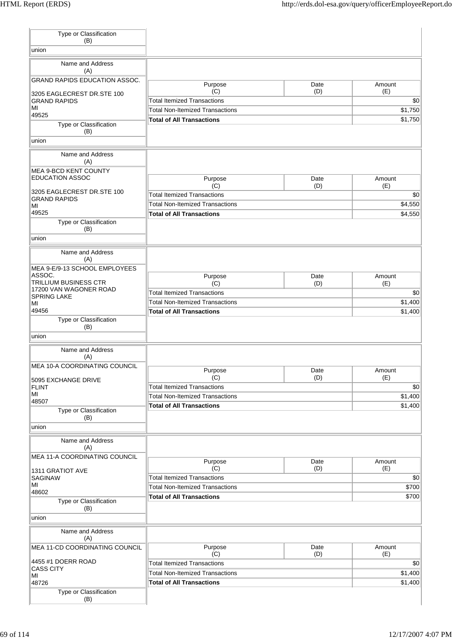| Type or Classification<br>(B)           |                                        |             |               |
|-----------------------------------------|----------------------------------------|-------------|---------------|
| union                                   |                                        |             |               |
| Name and Address                        |                                        |             |               |
| (A)                                     |                                        |             |               |
| <b>GRAND RAPIDS EDUCATION ASSOC.</b>    | Purpose                                | Date        | Amount        |
| 3205 EAGLECREST DR.STE 100              | (C)                                    | (D)         | (E)           |
| <b>GRAND RAPIDS</b>                     | <b>Total Itemized Transactions</b>     |             | \$0           |
| ΜI<br>49525                             | <b>Total Non-Itemized Transactions</b> |             | \$1,750       |
| Type or Classification                  | <b>Total of All Transactions</b>       |             | \$1,750       |
| (B)                                     |                                        |             |               |
| union                                   |                                        |             |               |
| Name and Address<br>(A)                 |                                        |             |               |
| MEA 9-BCD KENT COUNTY                   |                                        |             |               |
| <b>EDUCATION ASSOC</b>                  | Purpose                                | Date        | Amount        |
| 3205 EAGLECREST DR.STE 100              | (C)                                    | (D)         | (E)           |
| <b>GRAND RAPIDS</b>                     | <b>Total Itemized Transactions</b>     |             | \$0           |
| MI<br>49525                             | <b>Total Non-Itemized Transactions</b> |             | \$4,550       |
| Type or Classification                  | <b>Total of All Transactions</b>       |             | \$4,550       |
| (B)                                     |                                        |             |               |
| union                                   |                                        |             |               |
| Name and Address                        |                                        |             |               |
| (A)                                     |                                        |             |               |
| MEA 9-E/9-13 SCHOOL EMPLOYEES<br>ASSOC. |                                        |             |               |
| TRILLIUM BUSINESS CTR                   | Purpose<br>(C)                         | Date<br>(D) | Amount<br>(E) |
| 17200 VAN WAGONER ROAD                  | <b>Total Itemized Transactions</b>     |             | \$0           |
| <b>SPRING LAKE</b><br>MI                | <b>Total Non-Itemized Transactions</b> |             | \$1,400       |
| 49456                                   | <b>Total of All Transactions</b>       |             | \$1,400       |
| Type or Classification                  |                                        |             |               |
| (B)<br>union                            |                                        |             |               |
|                                         |                                        |             |               |
| Name and Address<br>(A)                 |                                        |             |               |
| MEA 10-A COORDINATING COUNCIL           |                                        |             |               |
|                                         | Purpose<br>(C)                         | Date<br>(D) | Amount<br>(E) |
| 5095 EXCHANGE DRIVE<br><b>FLINT</b>     | <b>Total Itemized Transactions</b>     |             | \$0           |
| MI                                      | <b>Total Non-Itemized Transactions</b> |             | \$1,400       |
| 48507                                   | <b>Total of All Transactions</b>       |             | \$1,400       |
| Type or Classification<br>(B)           |                                        |             |               |
| union                                   |                                        |             |               |
| Name and Address                        |                                        |             |               |
| (A)                                     |                                        |             |               |
| MEA 11-A COORDINATING COUNCIL           | Purpose                                | Date        | Amount        |
| 1311 GRATIOT AVE                        | (C)                                    | (D)         | (E)           |
| <b>SAGINAW</b>                          | <b>Total Itemized Transactions</b>     |             | \$0           |
| MI<br>48602                             | <b>Total Non-Itemized Transactions</b> |             | \$700         |
| Type or Classification                  | <b>Total of All Transactions</b>       |             | \$700         |
| (B)                                     |                                        |             |               |
| union                                   |                                        |             |               |
| Name and Address                        |                                        |             |               |
| (A)                                     |                                        |             |               |
| MEA 11-CD COORDINATING COUNCIL          | Purpose<br>(C)                         | Date<br>(D) | Amount<br>(E) |
| 4455 #1 DOERR ROAD                      | <b>Total Itemized Transactions</b>     |             | \$0           |
| <b>CASS CITY</b><br>MI                  | <b>Total Non-Itemized Transactions</b> |             | \$1,400       |
| 48726                                   | <b>Total of All Transactions</b>       |             | \$1,400       |
| Type or Classification                  |                                        |             |               |
| (B)                                     |                                        |             |               |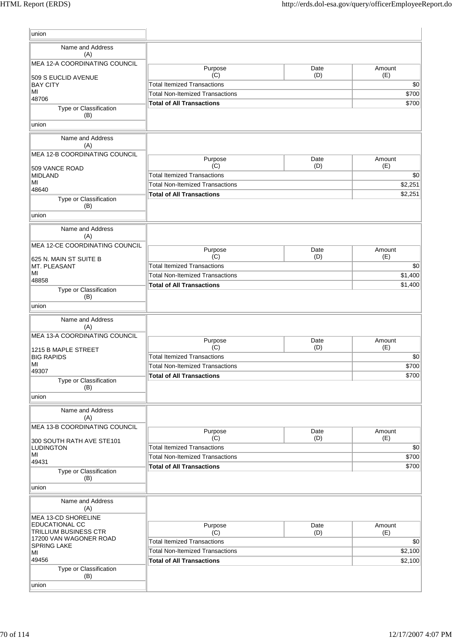| union                                                  |                                        |             |               |
|--------------------------------------------------------|----------------------------------------|-------------|---------------|
| Name and Address                                       |                                        |             |               |
| (A)                                                    |                                        |             |               |
| MEA 12-A COORDINATING COUNCIL                          | Purpose                                | Date        | Amount        |
| 509 S EUCLID AVENUE                                    | (C)                                    | (D)         | (E)           |
| <b>BAY CITY</b><br>MI                                  | <b>Total Itemized Transactions</b>     |             | \$0           |
| 48706                                                  | <b>Total Non-Itemized Transactions</b> |             | \$700         |
| Type or Classification<br>(B)                          | <b>Total of All Transactions</b>       |             | \$700         |
| union                                                  |                                        |             |               |
| Name and Address                                       |                                        |             |               |
| (A)                                                    |                                        |             |               |
| MEA 12-B COORDINATING COUNCIL                          | Purpose                                | Date        | Amount        |
| 509 VANCE ROAD                                         | (C)                                    | (D)         | (E)           |
| <b>MIDLAND</b>                                         | <b>Total Itemized Transactions</b>     |             | \$0           |
| MI<br>48640                                            | <b>Total Non-Itemized Transactions</b> |             | \$2,251       |
| Type or Classification                                 | <b>Total of All Transactions</b>       |             | \$2,251       |
| (B)                                                    |                                        |             |               |
| union                                                  |                                        |             |               |
| Name and Address                                       |                                        |             |               |
| (A)                                                    |                                        |             |               |
| MEA 12-CE COORDINATING COUNCIL                         |                                        |             |               |
|                                                        | Purpose<br>(C)                         | Date<br>(D) | Amount<br>(E) |
| 625 N. MAIN ST SUITE B<br>MT. PLEASANT                 | <b>Total Itemized Transactions</b>     |             | \$0           |
| MI                                                     | <b>Total Non-Itemized Transactions</b> |             | \$1,400       |
| 48858                                                  | <b>Total of All Transactions</b>       |             | \$1,400       |
| Type or Classification<br>(B)                          |                                        |             |               |
| union                                                  |                                        |             |               |
|                                                        |                                        |             |               |
| Name and Address<br>(A)                                |                                        |             |               |
| MEA 13-A COORDINATING COUNCIL                          |                                        |             |               |
|                                                        | Purpose<br>(C)                         | Date<br>(D) | Amount<br>(E) |
| 1215 B MAPLE STREET<br><b>BIG RAPIDS</b>               | <b>Total Itemized Transactions</b>     |             | \$0           |
| MI                                                     | <b>Total Non-Itemized Transactions</b> |             | \$700         |
| 49307                                                  | <b>Total of All Transactions</b>       |             | \$700         |
| Type or Classification<br>(B)                          |                                        |             |               |
| union                                                  |                                        |             |               |
|                                                        |                                        |             |               |
| Name and Address<br>(A)                                |                                        |             |               |
| MEA 13-B COORDINATING COUNCIL                          |                                        |             |               |
|                                                        | Purpose<br>(C)                         | Date<br>(D) | Amount<br>(E) |
| 300 SOUTH RATH AVE STE101<br><b>LUDINGTON</b>          | <b>Total Itemized Transactions</b>     |             | \$0           |
| MI                                                     | <b>Total Non-Itemized Transactions</b> |             | \$700         |
| 49431                                                  | <b>Total of All Transactions</b>       |             | \$700         |
| Type or Classification<br>(B)                          |                                        |             |               |
| union                                                  |                                        |             |               |
|                                                        |                                        |             |               |
| Name and Address<br>(A)                                |                                        |             |               |
| MEA 13-CD SHORELINE                                    |                                        |             |               |
| <b>EDUCATIONAL CC</b>                                  | Purpose                                | Date        | Amount        |
| <b>TRILLIUM BUSINESS CTR</b><br>17200 VAN WAGONER ROAD | (C)                                    | (D)         | (E)           |
| SPRING LAKE                                            | <b>Total Itemized Transactions</b>     |             | \$0           |
| MI                                                     | <b>Total Non-Itemized Transactions</b> |             | \$2,100       |
| 49456                                                  | <b>Total of All Transactions</b>       |             | \$2,100       |
| Type or Classification<br>(B)                          |                                        |             |               |
| union                                                  |                                        |             |               |
|                                                        |                                        |             |               |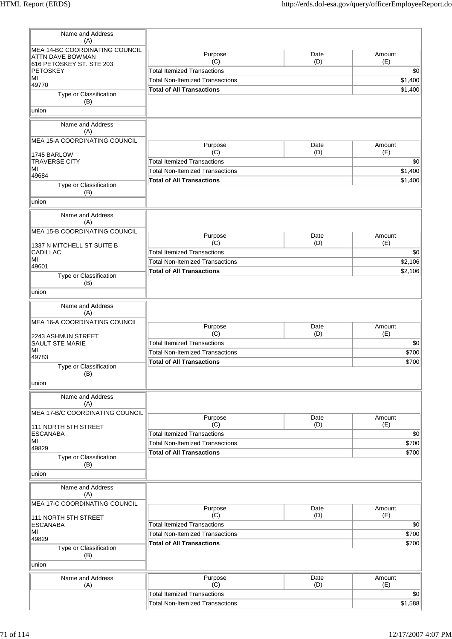| Name and Address<br>(A)                                   |                                        |             |               |
|-----------------------------------------------------------|----------------------------------------|-------------|---------------|
| MEA 14-BC COORDINATING COUNCIL<br><b>ATTN DAVE BOWMAN</b> | Purpose<br>(C)                         | Date<br>(D) | Amount<br>(E) |
| 616 PETOSKEY ST. STE 203<br><b>PETOSKEY</b>               | <b>Total Itemized Transactions</b>     |             | \$0           |
| MI                                                        | <b>Total Non-Itemized Transactions</b> |             | \$1,400       |
| 49770                                                     | <b>Total of All Transactions</b>       |             | \$1,400       |
| Type or Classification<br>(B)                             |                                        |             |               |
| union                                                     |                                        |             |               |
| Name and Address<br>(A)                                   |                                        |             |               |
| MEA 15-A COORDINATING COUNCIL                             | Purpose                                | Date        | Amount        |
| 1745 BARLOW                                               | (C)                                    | (D)         | (E)           |
| <b>TRAVERSE CITY</b>                                      | <b>Total Itemized Transactions</b>     |             | \$0           |
| MI                                                        | <b>Total Non-Itemized Transactions</b> |             | \$1,400       |
| 49684                                                     | <b>Total of All Transactions</b>       |             | \$1,400       |
| Type or Classification<br>(B)                             |                                        |             |               |
| union                                                     |                                        |             |               |
| Name and Address<br>(A)                                   |                                        |             |               |
| MEA 15-B COORDINATING COUNCIL                             | Purpose                                | Date        | Amount        |
| 1337 N MITCHELL ST SUITE B                                | (C)                                    | (D)         | (E)           |
| <b>CADILLAC</b>                                           | <b>Total Itemized Transactions</b>     |             | \$0           |
| MI<br>49601                                               | <b>Total Non-Itemized Transactions</b> |             | \$2,106       |
| Type or Classification                                    | <b>Total of All Transactions</b>       |             | \$2,106       |
| (B)<br>union                                              |                                        |             |               |
|                                                           |                                        |             |               |
| Name and Address<br>(A)                                   |                                        |             |               |
| MEA 16-A COORDINATING COUNCIL                             | Purpose                                | Date        | Amount        |
| 2243 ASHMUN STREET                                        | (C)                                    | (D)         | (E)           |
| SAULT STE MARIE                                           | <b>Total Itemized Transactions</b>     |             | \$0           |
| MI<br>49783                                               | <b>Total Non-Itemized Transactions</b> |             | \$700         |
| Type or Classification                                    | <b>Total of All Transactions</b>       |             | \$700         |
| (B)<br>union                                              |                                        |             |               |
|                                                           |                                        |             |               |
| Name and Address<br>(A)                                   |                                        |             |               |
| MEA 17-B/C COORDINATING COUNCIL                           | Purpose                                | Date        | Amount        |
| 111 NORTH 5TH STREET                                      | (C)                                    | (D)         | (E)           |
| <b>ESCANABA</b>                                           | <b>Total Itemized Transactions</b>     |             | \$0           |
| MI                                                        | <b>Total Non-Itemized Transactions</b> |             | \$700         |
| 49829                                                     | <b>Total of All Transactions</b>       |             | \$700         |
| Type or Classification<br>(B)                             |                                        |             |               |
| union                                                     |                                        |             |               |
| Name and Address<br>(A)                                   |                                        |             |               |
| MEA 17-C COORDINATING COUNCIL                             | Purpose                                | Date        | Amount        |
| 111 NORTH 5TH STREET                                      | (C)                                    | (D)         | (E)           |
| <b>ESCANABA</b>                                           | <b>Total Itemized Transactions</b>     |             | \$0           |
| MI                                                        | <b>Total Non-Itemized Transactions</b> |             | \$700         |
| 49829                                                     | <b>Total of All Transactions</b>       |             | \$700         |
| Type or Classification<br>(B)                             |                                        |             |               |
| union                                                     |                                        |             |               |
| Name and Address                                          | Purpose                                | Date        | Amount        |
| (A)                                                       | (C)                                    | (D)         | (E)           |
|                                                           | <b>Total Itemized Transactions</b>     |             | \$0           |
|                                                           | <b>Total Non-Itemized Transactions</b> |             | \$1,588       |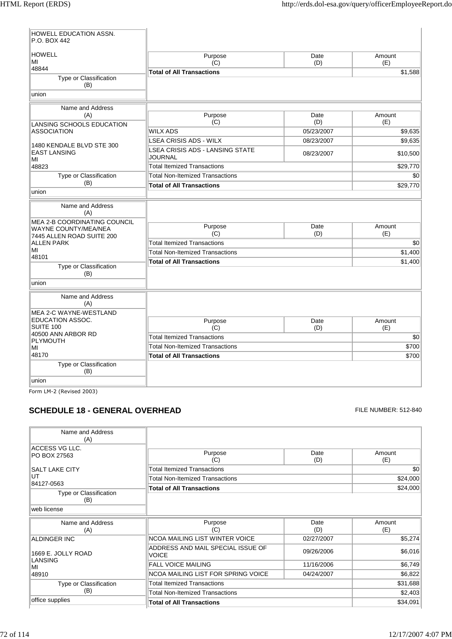$\overline{1}$ 

| HOWELL EDUCATION ASSN.<br>P.O. BOX 442                                                          |                                                          |             |               |
|-------------------------------------------------------------------------------------------------|----------------------------------------------------------|-------------|---------------|
| <b>HOWELL</b><br>ΜI                                                                             | Purpose<br>(C)                                           | Date<br>(D) | Amount<br>(E) |
| 48844<br>Type or Classification<br>(B)                                                          | <b>Total of All Transactions</b>                         |             | \$1,588       |
| union                                                                                           |                                                          |             |               |
| Name and Address                                                                                |                                                          |             |               |
| (A)<br>LANSING SCHOOLS EDUCATION                                                                | Purpose<br>(C)                                           | Date<br>(D) | Amount<br>(E) |
| <b>ASSOCIATION</b>                                                                              | <b>WILX ADS</b>                                          | 05/23/2007  | \$9,635       |
| 1480 KENDALE BLVD STE 300                                                                       | LSEA CRISIS ADS - WILX                                   | 08/23/2007  | \$9,635       |
| <b>EAST LANSING</b><br>МI                                                                       | <b>LSEA CRISIS ADS - LANSING STATE</b><br><b>JOURNAL</b> | 08/23/2007  | \$10,500      |
| 48823                                                                                           | <b>Total Itemized Transactions</b>                       |             | \$29,770      |
| Type or Classification                                                                          | <b>Total Non-Itemized Transactions</b>                   |             | \$0           |
| (B)                                                                                             | <b>Total of All Transactions</b>                         |             | \$29,770      |
| union                                                                                           |                                                          |             |               |
| Name and Address<br>(A)                                                                         |                                                          |             |               |
| <b>MEA 2-B COORDINATING COUNCIL</b><br><b>WAYNE COUNTY/MEA/NEA</b><br>7445 ALLEN ROAD SUITE 200 | Purpose<br>(C)                                           | Date<br>(D) | Amount<br>(E) |
| <b>ALLEN PARK</b>                                                                               | <b>Total Itemized Transactions</b>                       |             | \$0           |
| MI                                                                                              | <b>Total Non-Itemized Transactions</b>                   |             | \$1,400       |
| 48101                                                                                           | <b>Total of All Transactions</b>                         |             | \$1,400       |
| Type or Classification<br>(B)                                                                   |                                                          |             |               |
| union                                                                                           |                                                          |             |               |
| Name and Address<br>(A)                                                                         |                                                          |             |               |
| <b>MEA 2-C WAYNE-WESTLAND</b>                                                                   |                                                          |             |               |
| EDUCATION ASSOC.<br>SUITE 100                                                                   | Purpose<br>(C)                                           | Date        | Amount        |
| 40500 ANN ARBOR RD                                                                              | <b>Total Itemized Transactions</b>                       | (D)         | (E)<br>\$0    |
| <b>PLYMOUTH</b>                                                                                 | <b>Total Non-Itemized Transactions</b>                   |             | \$700         |
| MI<br>48170                                                                                     | <b>Total of All Transactions</b>                         |             | \$700         |
| Type or Classification<br>(B)                                                                   |                                                          |             |               |
| union                                                                                           |                                                          |             |               |

Form LM-2 (Revised 2003)

## **SCHEDULE 18 - GENERAL OVERHEAD** FILE NUMBER: 512-840

| Name and Address<br>(A)                             |                                                   |             |               |
|-----------------------------------------------------|---------------------------------------------------|-------------|---------------|
| ACCESS VG LLC.<br>PO BOX 27563                      | Purpose<br>(C)                                    | Date<br>(D) | Amount<br>(E) |
| <b>SALT LAKE CITY</b>                               | <b>Total Itemized Transactions</b>                |             | \$0           |
| UT                                                  | <b>Total Non-Itemized Transactions</b>            |             | \$24,000      |
| 84127-0563                                          | <b>Total of All Transactions</b>                  |             | \$24,000      |
| Type or Classification<br>(B)                       |                                                   |             |               |
| web license                                         |                                                   |             |               |
| Name and Address<br>(A)                             | Purpose<br>(C)                                    | Date<br>(D) | Amount<br>(E) |
| <b>ALDINGER INC</b>                                 | NCOA MAILING LIST WINTER VOICE                    | 02/27/2007  | \$5,274       |
| 1669 E. JOLLY ROAD<br><b>LANSING</b><br>MI<br>48910 | ADDRESS AND MAIL SPECIAL ISSUE OF<br><b>VOICE</b> | 09/26/2006  | \$6,016       |
|                                                     | <b>FALL VOICE MAILING</b>                         | 11/16/2006  | \$6,749       |
|                                                     | <b>NCOA MAILING LIST FOR SPRING VOICE</b>         | 04/24/2007  | \$6,822       |
| Type or Classification                              | <b>Total Itemized Transactions</b>                |             | \$31,688      |
| (B)                                                 | <b>Total Non-Itemized Transactions</b>            |             | \$2,403       |
| office supplies                                     | <b>Total of All Transactions</b>                  |             | \$34,091      |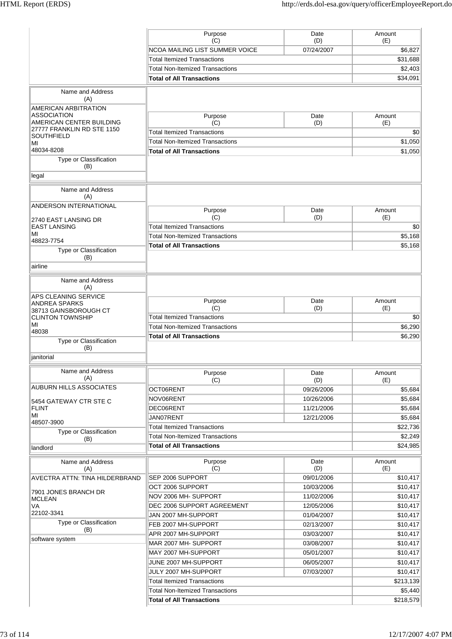|                                                | Purpose<br>(C)                            | Date<br>(D) | Amount<br>(E) |
|------------------------------------------------|-------------------------------------------|-------------|---------------|
|                                                | <b>NCOA MAILING LIST SUMMER VOICE</b>     | 07/24/2007  | \$6,827       |
|                                                | <b>Total Itemized Transactions</b>        |             | \$31,688      |
|                                                | <b>Total Non-Itemized Transactions</b>    |             | \$2,403       |
|                                                | <b>Total of All Transactions</b>          |             | \$34.091      |
| Name and Address                               |                                           |             |               |
| (A)                                            |                                           |             |               |
| AMERICAN ARBITRATION                           |                                           |             |               |
| <b>ASSOCIATION</b><br>AMERICAN CENTER BUILDING | Purpose                                   | Date        | Amount        |
| 27777 FRANKLIN RD STE 1150                     | (C)<br><b>Total Itemized Transactions</b> | (D)         | (E)<br>\$0    |
| <b>SOUTHFIELD</b>                              | <b>Total Non-Itemized Transactions</b>    |             |               |
| MI<br>48034-8208                               |                                           |             | \$1,050       |
| Type or Classification                         | <b>Total of All Transactions</b>          |             | \$1,050       |
| (B)                                            |                                           |             |               |
| legal                                          |                                           |             |               |
| Name and Address                               |                                           |             |               |
| (A)                                            |                                           |             |               |
| ANDERSON INTERNATIONAL                         | Purpose                                   | Date        | Amount        |
| 2740 EAST LANSING DR                           | (C)                                       | (D)         | (E)           |
| <b>EAST LANSING</b>                            | <b>Total Itemized Transactions</b>        |             | \$0           |
| MI                                             | <b>Total Non-Itemized Transactions</b>    |             | \$5,168       |
| 48823-7754                                     | <b>Total of All Transactions</b>          |             | \$5,168       |
| Type or Classification<br>(B)                  |                                           |             |               |
| airline                                        |                                           |             |               |
| Name and Address                               |                                           |             |               |
| (A)                                            |                                           |             |               |
| APS CLEANING SERVICE                           | Purpose                                   | Date        | Amount        |
| <b>ANDREA SPARKS</b><br>38713 GAINSBOROUGH CT  | (C)                                       | (D)         | (E)           |
| <b>CLINTON TOWNSHIP</b>                        | <b>Total Itemized Transactions</b>        |             | \$0           |
| MI                                             | <b>Total Non-Itemized Transactions</b>    |             | \$6,290       |
| 48038                                          | <b>Total of All Transactions</b>          |             | \$6,290       |
| Type or Classification<br>(B)                  |                                           |             |               |
| ianitorial                                     |                                           |             |               |
| Name and Address                               |                                           |             |               |
| (A)                                            | Purpose<br>(C)                            | Date<br>(D) | Amount<br>(E) |
| <b>AUBURN HILLS ASSOCIATES</b>                 | OCT06RENT                                 | 09/26/2006  | \$5,684       |
|                                                | NOV06RENT                                 | 10/26/2006  | \$5,684       |
| 5454 GATEWAY CTR STE C<br><b>FLINT</b>         | DEC06RENT                                 | 11/21/2006  | \$5,684       |
| MI                                             | JAN07RENT                                 | 12/21/2006  | \$5,684       |
| 48507-3900                                     | <b>Total Itemized Transactions</b>        |             | \$22,736      |
| Type or Classification                         | <b>Total Non-Itemized Transactions</b>    |             | \$2,249       |
| (B)<br>landlord                                | <b>Total of All Transactions</b>          |             | \$24,985      |
|                                                |                                           |             |               |
| Name and Address<br>(A)                        | Purpose<br>(C)                            | Date<br>(D) | Amount<br>(E) |
| AVECTRA ATTN: TINA HILDERBRAND                 | SEP 2006 SUPPORT                          | 09/01/2006  | \$10,417      |
|                                                | OCT 2006 SUPPORT                          | 10/03/2006  | \$10,417      |
| 7901 JONES BRANCH DR                           | NOV 2006 MH-SUPPORT                       | 11/02/2006  | \$10,417      |
| <b>MCLEAN</b><br>VA                            | DEC 2006 SUPPORT AGREEMENT                | 12/05/2006  | \$10,417      |
| 22102-3341                                     | JAN 2007 MH-SUPPORT                       | 01/04/2007  | \$10,417      |
| Type or Classification                         | FEB 2007 MH-SUPPORT                       | 02/13/2007  | \$10,417      |
| (B)                                            | APR 2007 MH-SUPPORT                       | 03/03/2007  | \$10,417      |
| software system                                | MAR 2007 MH- SUPPORT                      | 03/08/2007  | \$10,417      |
|                                                | MAY 2007 MH-SUPPORT                       | 05/01/2007  | \$10,417      |
|                                                | JUNE 2007 MH-SUPPORT                      | 06/05/2007  |               |
|                                                | JULY 2007 MH-SUPPORT                      | 07/03/2007  | \$10,417      |
|                                                |                                           |             | \$10,417      |
|                                                | <b>Total Itemized Transactions</b>        |             | \$213,139     |
|                                                | <b>Total Non-Itemized Transactions</b>    |             | \$5,440       |
|                                                | <b>Total of All Transactions</b>          |             | \$218,579     |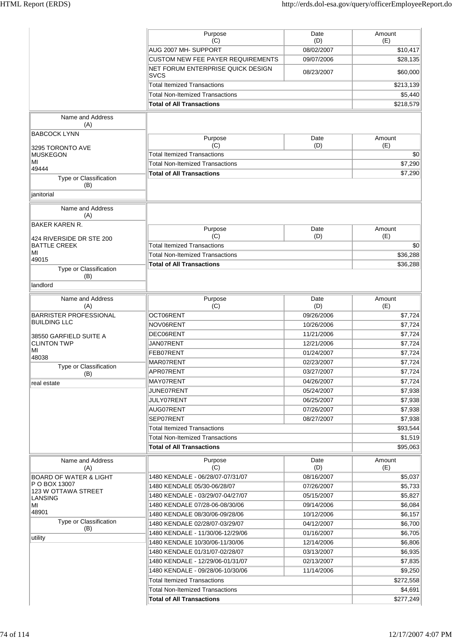|                                                      | Purpose<br>(C)                                   | Date<br>(D) | Amount<br>(E) |
|------------------------------------------------------|--------------------------------------------------|-------------|---------------|
|                                                      | AUG 2007 MH- SUPPORT                             | 08/02/2007  | \$10,417      |
|                                                      | <b>CUSTOM NEW FEE PAYER REQUIREMENTS</b>         | 09/07/2006  | \$28,135      |
|                                                      | NET FORUM ENTERPRISE QUICK DESIGN<br><b>SVCS</b> | 08/23/2007  | \$60,000      |
|                                                      | <b>Total Itemized Transactions</b>               |             | \$213,139     |
|                                                      | <b>Total Non-Itemized Transactions</b>           |             | \$5,440       |
|                                                      | <b>Total of All Transactions</b>                 |             | \$218,579     |
| Name and Address<br>(A)                              |                                                  |             |               |
| <b>BABCOCK LYNN</b>                                  |                                                  |             |               |
|                                                      | Purpose<br>(C)                                   | Date<br>(D) | Amount<br>(E) |
| 3295 TORONTO AVE<br><b>MUSKEGON</b>                  | <b>Total Itemized Transactions</b>               |             | \$0           |
| MI                                                   | <b>Total Non-Itemized Transactions</b>           |             | \$7,290       |
| 49444                                                | <b>Total of All Transactions</b>                 |             | \$7,290       |
| Type or Classification<br>(B)<br>janitorial          |                                                  |             |               |
| Name and Address                                     |                                                  |             |               |
| (A)                                                  |                                                  |             |               |
| <b>BAKER KAREN R.</b>                                | Purpose                                          | Date        | Amount        |
| 424 RIVERSIDE DR STE 200                             | (C)                                              | (D)         | (E)           |
| <b>BATTLE CREEK</b>                                  | <b>Total Itemized Transactions</b>               |             | \$0           |
| MI<br>49015                                          | <b>Total Non-Itemized Transactions</b>           |             | \$36,288      |
| Type or Classification<br>(B)                        | <b>Total of All Transactions</b>                 |             | \$36,288      |
| landlord                                             |                                                  |             |               |
|                                                      |                                                  |             |               |
| Name and Address<br>(A)                              | Purpose<br>(C)                                   | Date<br>(D) | Amount<br>(E) |
| <b>BARRISTER PROFESSIONAL</b><br><b>BUILDING LLC</b> | OCT06RENT                                        | 09/26/2006  | \$7,724       |
|                                                      | NOV06RENT                                        | 10/26/2006  | \$7,724       |
| 38550 GARFIELD SUITE A                               | DEC06RENT                                        | 11/21/2006  | \$7,724       |
| <b>CLINTON TWP</b><br>MI                             | JAN07RENT                                        | 12/21/2006  | \$7,724       |
| 48038                                                | FEB07RENT                                        | 01/24/2007  | \$7,724       |
| Type or Classification                               | MAR07RENT                                        | 02/23/2007  | \$7,724       |
| (B)                                                  | APR07RENT                                        | 03/27/2007  | \$7,724       |
| real estate                                          | MAY07RENT                                        | 04/26/2007  | \$7,724       |
|                                                      | JUNE07RENT                                       | 05/24/2007  | \$7,938       |
|                                                      | JULY07RENT                                       | 06/25/2007  | \$7,938       |
|                                                      | AUG07RENT                                        | 07/26/2007  | \$7,938       |
|                                                      | SEP07RENT                                        | 08/27/2007  | \$7,938       |
|                                                      | <b>Total Itemized Transactions</b>               |             | \$93,544      |
|                                                      | <b>Total Non-Itemized Transactions</b>           |             | \$1,519       |
|                                                      | <b>Total of All Transactions</b>                 |             | \$95,063      |
| Name and Address<br>(A)                              | Purpose<br>(C)                                   | Date<br>(D) | Amount<br>(E) |
| <b>BOARD OF WATER &amp; LIGHT</b>                    | 1480 KENDALE - 06/28/07-07/31/07                 | 08/16/2007  | \$5,037       |
| P O BOX 13007                                        | 1480 KENDALE 05/30-06/28/07                      | 07/26/2007  | \$5,733       |
| 123 W OTTAWA STREET<br><b>LANSING</b>                | 1480 KENDALE - 03/29/07-04/27/07                 | 05/15/2007  | \$5,827       |
| MI                                                   | 1480 KENDALE 07/28-06-08/30/06                   | 09/14/2006  | \$6,084       |
| 48901                                                | 1480 KENDALE 08/30/06-09/28/06                   | 10/12/2006  | \$6,157       |
| Type or Classification                               | 1480 KENDALE 02/28/07-03/29/07                   | 04/12/2007  | \$6,700       |
| (B)                                                  | 1480 KENDALE - 11/30/06-12/29/06                 | 01/16/2007  | \$6,705       |
| utility                                              | 1480 KENDALE 10/30/06-11/30/06                   | 12/14/2006  | \$6,806       |
|                                                      | 1480 KENDALE 01/31/07-02/28/07                   | 03/13/2007  | \$6,935       |
|                                                      | 1480 KENDALE - 12/29/06-01/31/07                 | 02/13/2007  | \$7,835       |
|                                                      | 1480 KENDALE - 09/28/06-10/30/06                 | 11/14/2006  | \$9,250       |
|                                                      | <b>Total Itemized Transactions</b>               |             | \$272,558     |
|                                                      | Total Non-Itemized Transactions                  |             | \$4,691       |
|                                                      | <b>Total of All Transactions</b>                 |             | \$277,249     |
|                                                      |                                                  |             |               |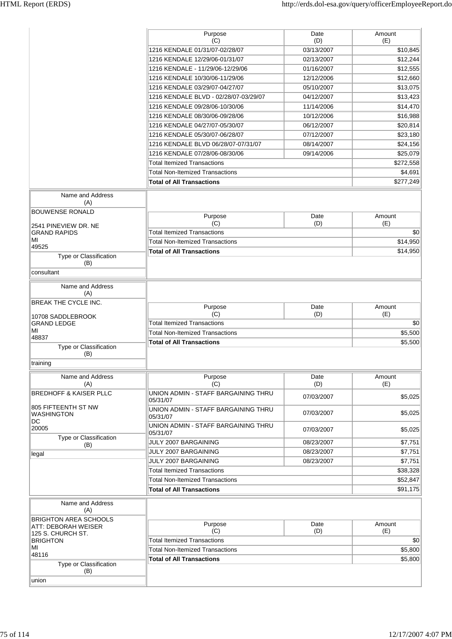|                                         | Purpose<br>(C)                                  | Date<br>(D) | Amount<br>(E) |
|-----------------------------------------|-------------------------------------------------|-------------|---------------|
|                                         | 1216 KENDALE 01/31/07-02/28/07                  | 03/13/2007  | \$10,845      |
|                                         | 1216 KENDALE 12/29/06-01/31/07                  | 02/13/2007  | \$12,244      |
|                                         | 1216 KENDALE - 11/29/06-12/29/06                | 01/16/2007  | \$12,555      |
|                                         | 1216 KENDALE 10/30/06-11/29/06                  | 12/12/2006  | \$12,660      |
|                                         |                                                 |             |               |
|                                         | 1216 KENDALE 03/29/07-04/27/07                  | 05/10/2007  | \$13,075      |
|                                         | 1216 KENDALE BLVD - 02/28/07-03/29/07           | 04/12/2007  | \$13,423      |
|                                         | 1216 KENDALE 09/28/06-10/30/06                  | 11/14/2006  | \$14,470      |
|                                         | 1216 KENDALE 08/30/06-09/28/06                  | 10/12/2006  | \$16,988      |
|                                         | 1216 KENDALE 04/27/07-05/30/07                  | 06/12/2007  | \$20,814      |
|                                         | 1216 KENDALE 05/30/07-06/28/07                  | 07/12/2007  | \$23,180      |
|                                         | 1216 KENDALE BLVD 06/28/07-07/31/07             | 08/14/2007  | \$24,156      |
|                                         | 1216 KENDALE 07/28/06-08/30/06                  | 09/14/2006  | \$25,079      |
|                                         | <b>Total Itemized Transactions</b>              |             | \$272,558     |
|                                         | <b>Total Non-Itemized Transactions</b>          |             | \$4,691       |
|                                         | <b>Total of All Transactions</b>                |             | \$277,249     |
| Name and Address<br>(A)                 |                                                 |             |               |
| <b>BOUWENSE RONALD</b>                  | Purpose                                         | Date        | Amount        |
| 2541 PINEVIEW DR. NE                    | (C)                                             | (D)         | (E)           |
| <b>GRAND RAPIDS</b>                     | <b>Total Itemized Transactions</b>              |             | \$0           |
| ΜI<br>49525                             | <b>Total Non-Itemized Transactions</b>          |             | \$14,950      |
| Type or Classification                  | <b>Total of All Transactions</b>                |             | \$14,950      |
| (B)<br>consultant                       |                                                 |             |               |
|                                         |                                                 |             |               |
| Name and Address<br>(A)                 |                                                 |             |               |
| BREAK THE CYCLE INC.                    | Purpose                                         | Date        | Amount        |
| 10708 SADDLEBROOK                       | (C)                                             | (D)         | (E)           |
| <b>GRAND LEDGE</b>                      | <b>Total Itemized Transactions</b>              |             | \$0           |
| ΜI<br>48837                             | <b>Total Non-Itemized Transactions</b>          |             | \$5,500       |
| Type or Classification<br>(B)           | <b>Total of All Transactions</b>                |             | \$5,500       |
| training                                |                                                 |             |               |
| Name and Address                        | Purpose                                         | Date        | Amount        |
| (A)                                     | (C)                                             | (D)         | (E)           |
| <b>BREDHOFF &amp; KAISER PLLC</b>       | UNION ADMIN - STAFF BARGAINING THRU<br>05/31/07 | 07/03/2007  | \$5,025       |
| 805 FIFTEENTH ST NW<br>WASHINGTON<br>DC | UNION ADMIN - STAFF BARGAINING THRU<br>05/31/07 | 07/03/2007  | \$5,025       |
| 20005                                   | UNION ADMIN - STAFF BARGAINING THRU<br>05/31/07 | 07/03/2007  | \$5,025       |
| Type or Classification<br>(B)           | JULY 2007 BARGAINING                            | 08/23/2007  | \$7,751       |
|                                         | JULY 2007 BARGAINING                            | 08/23/2007  | \$7,751       |
| legal                                   | JULY 2007 BARGAINING                            | 08/23/2007  | \$7,751       |
|                                         | <b>Total Itemized Transactions</b>              |             | \$38,328      |
|                                         | <b>Total Non-Itemized Transactions</b>          |             | \$52,847      |
|                                         |                                                 |             |               |
|                                         | <b>Total of All Transactions</b>                |             | \$91,175      |
| Name and Address<br>(A)                 |                                                 |             |               |
| <b>BRIGHTON AREA SCHOOLS</b>            | Purpose                                         | Date        | Amount        |
| ATT: DEBORAH WEISER                     | (C)                                             | (D)         | (E)           |
| 125 S. CHURCH ST.<br><b>BRIGHTON</b>    | <b>Total Itemized Transactions</b>              |             | \$0           |
| ΜI                                      | <b>Total Non-Itemized Transactions</b>          |             | \$5,800       |
| 48116                                   | <b>Total of All Transactions</b>                |             | \$5,800       |
| Type or Classification<br>(B)           |                                                 |             |               |
| union                                   |                                                 |             |               |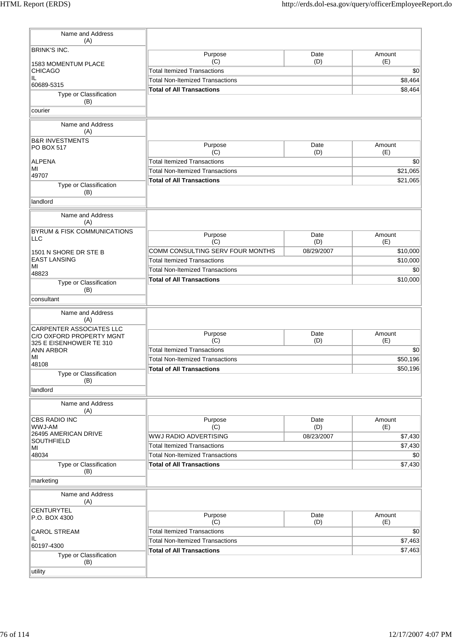| Name and Address<br>(A)                              |                                           |             |                |
|------------------------------------------------------|-------------------------------------------|-------------|----------------|
| <b>BRINK'S INC.</b>                                  | Purpose                                   | Date        | Amount         |
| 1583 MOMENTUM PLACE                                  | (C)<br><b>Total Itemized Transactions</b> | (D)         | (E)            |
| <b>CHICAGO</b><br>IL.                                |                                           |             | \$0<br>\$8,464 |
| 60689-5315                                           | <b>Total Non-Itemized Transactions</b>    |             | \$8,464        |
| Type or Classification<br>(B)                        | <b>Total of All Transactions</b>          |             |                |
| courier                                              |                                           |             |                |
| Name and Address<br>(A)                              |                                           |             |                |
| <b>B&amp;R INVESTMENTS</b><br><b>PO BOX 517</b>      | Purpose<br>(C)                            | Date<br>(D) | Amount<br>(E)  |
| <b>ALPENA</b>                                        | <b>Total Itemized Transactions</b>        |             | \$0            |
| MI                                                   | <b>Total Non-Itemized Transactions</b>    |             | \$21,065       |
| 49707                                                | <b>Total of All Transactions</b>          |             | \$21,065       |
| Type or Classification<br>(B)                        |                                           |             |                |
| landlord                                             |                                           |             |                |
| Name and Address<br>(A)                              |                                           |             |                |
| <b>BYRUM &amp; FISK COMMUNICATIONS</b>               | Purpose                                   | Date        | Amount         |
| <b>LLC</b>                                           | (C)                                       | (D)         | (E)            |
| 1501 N SHORE DR STE B                                | COMM CONSULTING SERV FOUR MONTHS          | 08/29/2007  | \$10,000       |
| <b>EAST LANSING</b>                                  | <b>Total Itemized Transactions</b>        |             | \$10,000       |
| MI                                                   | <b>Total Non-Itemized Transactions</b>    |             | \$0            |
| 48823                                                | <b>Total of All Transactions</b>          |             | \$10,000       |
| Type or Classification<br>(B)                        |                                           |             |                |
| consultant                                           |                                           |             |                |
| Name and Address<br>(A)                              |                                           |             |                |
| CARPENTER ASSOCIATES LLC<br>C/O OXFORD PROPERTY MGNT | Purpose                                   | Date        | Amount         |
| 325 E EISENHOWER TE 310                              | (C)                                       | (D)         | (E)            |
| <b>ANN ARBOR</b>                                     | <b>Total Itemized Transactions</b>        |             | \$0            |
| MI<br>48108                                          | <b>Total Non-Itemized Transactions</b>    |             | \$50,196       |
| Type or Classification<br>(B)                        | <b>Total of All Transactions</b>          |             | \$50,196       |
| landlord                                             |                                           |             |                |
| Name and Address<br>(A)                              |                                           |             |                |
| <b>CBS RADIO INC</b><br>WWJ-AM                       | Purpose<br>(C)                            | Date<br>(D) | Amount<br>(E)  |
| 26495 AMERICAN DRIVE                                 | <b>WWJ RADIO ADVERTISING</b>              | 08/23/2007  | \$7,430        |
| SOUTHFIELD                                           | <b>Total Itemized Transactions</b>        |             | \$7,430        |
| MI<br>48034                                          | <b>Total Non-Itemized Transactions</b>    |             | \$0            |
| Type or Classification                               | <b>Total of All Transactions</b>          |             | \$7,430        |
| (B)<br>marketing                                     |                                           |             |                |
|                                                      |                                           |             |                |
| Name and Address<br>(A)                              |                                           |             |                |
| <b>CENTURYTEL</b><br>P.O. BOX 4300                   | Purpose                                   | Date        | Amount         |
|                                                      | (C)                                       | (D)         | (E)            |
| <b>CAROL STREAM</b>                                  | <b>Total Itemized Transactions</b>        |             | \$0            |
| IL.<br>60197-4300                                    | <b>Total Non-Itemized Transactions</b>    |             | \$7,463        |
| Type or Classification<br>(B)                        | <b>Total of All Transactions</b>          |             | \$7,463        |
| utility                                              |                                           |             |                |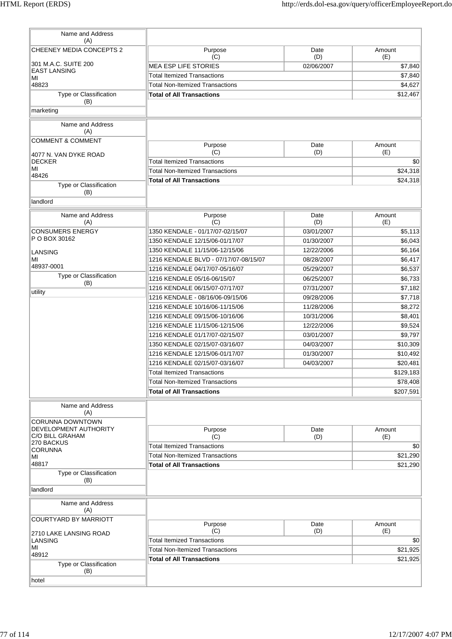| Name and Address<br>(A)                            |                                        |             |               |
|----------------------------------------------------|----------------------------------------|-------------|---------------|
| CHEENEY MEDIA CONCEPTS 2                           | Purpose                                | Date        | Amount        |
| 301 M.A.C. SUITE 200                               | (C)                                    | (D)         | (E)           |
| <b>EAST LANSING</b>                                | <b>MEA ESP LIFE STORIES</b>            | 02/06/2007  | \$7,840       |
| MI                                                 | <b>Total Itemized Transactions</b>     |             | \$7,840       |
| 48823                                              | <b>Total Non-Itemized Transactions</b> |             | \$4,627       |
| Type or Classification<br>(B)                      | <b>Total of All Transactions</b>       |             | \$12,467      |
| marketing                                          |                                        |             |               |
| Name and Address<br>(A)                            |                                        |             |               |
| <b>COMMENT &amp; COMMENT</b>                       |                                        |             |               |
|                                                    | Purpose<br>(C)                         | Date<br>(D) | Amount<br>(E) |
| 4077 N. VAN DYKE ROAD<br><b>DECKER</b>             | <b>Total Itemized Transactions</b>     |             | \$0           |
| MI                                                 | <b>Total Non-Itemized Transactions</b> |             | \$24,318      |
| 48426                                              | <b>Total of All Transactions</b>       |             | \$24,318      |
| Type or Classification<br>(B)                      |                                        |             |               |
| landlord                                           |                                        |             |               |
| Name and Address<br>(A)                            | Purpose<br>(C)                         | Date<br>(D) | Amount<br>(E) |
| <b>CONSUMERS ENERGY</b>                            | 1350 KENDALE - 01/17/07-02/15/07       | 03/01/2007  | \$5,113       |
| P O BOX 30162                                      | 1350 KENDALE 12/15/06-01/17/07         | 01/30/2007  | \$6,043       |
| <b>LANSING</b>                                     | 1350 KENDALE 11/15/06-12/15/06         | 12/22/2006  | \$6,164       |
| MI                                                 | 1216 KENDALE BLVD - 07/17/07-08/15/07  | 08/28/2007  | \$6,417       |
| 48937-0001                                         | 1216 KENDALE 04/17/07-05/16/07         | 05/29/2007  | \$6,537       |
| Type or Classification                             | 1216 KENDALE 05/16-06/15/07            | 06/25/2007  | \$6,733       |
| (B)                                                | 1216 KENDALE 06/15/07-07/17/07         | 07/31/2007  | \$7,182       |
| utility                                            | 1216 KENDALE - 08/16/06-09/15/06       | 09/28/2006  | \$7,718       |
|                                                    | 1216 KENDALE 10/16/06-11/15/06         | 11/28/2006  | \$8,272       |
|                                                    | 1216 KENDALE 09/15/06-10/16/06         | 10/31/2006  | \$8,401       |
|                                                    | 1216 KENDALE 11/15/06-12/15/06         | 12/22/2006  | \$9,524       |
|                                                    | 1216 KENDALE 01/17/07-02/15/07         | 03/01/2007  | \$9,797       |
|                                                    | 1350 KENDALE 02/15/07-03/16/07         | 04/03/2007  | \$10,309      |
|                                                    | 1216 KENDALE 12/15/06-01/17/07         | 01/30/2007  | \$10,492      |
|                                                    | 1216 KENDALE 02/15/07-03/16/07         | 04/03/2007  | \$20,481      |
|                                                    | <b>Total Itemized Transactions</b>     |             | \$129,183     |
|                                                    | <b>Total Non-Itemized Transactions</b> |             | \$78,408      |
|                                                    | <b>Total of All Transactions</b>       |             | \$207,591     |
| Name and Address<br>(A)<br><b>CORUNNA DOWNTOWN</b> |                                        |             |               |
| DEVELOPMENT AUTHORITY<br>C/O BILL GRAHAM           | Purpose<br>(C)                         | Date        | Amount        |
| 270 BACKUS                                         | <b>Total Itemized Transactions</b>     | (D)         | (E)<br>\$0    |
| <b>CORUNNA</b>                                     | <b>Total Non-Itemized Transactions</b> |             | \$21,290      |
| MI<br>48817                                        | <b>Total of All Transactions</b>       |             | \$21,290      |
| Type or Classification<br>(B)                      |                                        |             |               |
| landlord                                           |                                        |             |               |
| Name and Address<br>(A)                            |                                        |             |               |
| <b>COURTYARD BY MARRIOTT</b>                       | Purpose                                | Date        | Amount        |
| 2710 LAKE LANSING ROAD                             | (C)                                    | (D)         | (E)           |
| LANSING                                            | <b>Total Itemized Transactions</b>     |             | \$0           |
| MI<br>48912                                        | <b>Total Non-Itemized Transactions</b> |             | \$21,925      |
| Type or Classification                             | <b>Total of All Transactions</b>       |             | \$21,925      |
| (B)<br>hotel                                       |                                        |             |               |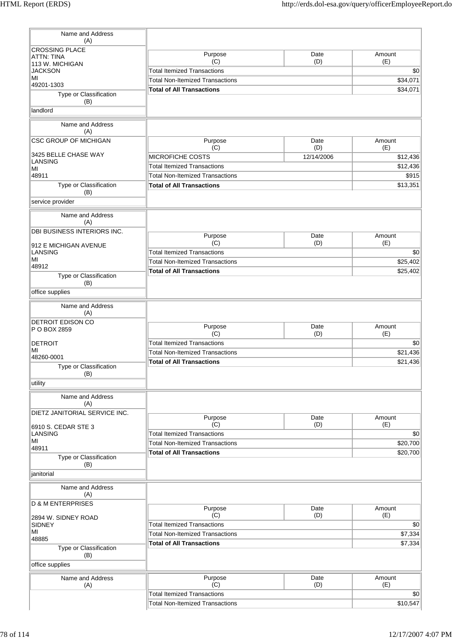| Name and Address<br>(A)              |                                           |                   |                 |
|--------------------------------------|-------------------------------------------|-------------------|-----------------|
| <b>CROSSING PLACE</b>                | Purpose                                   | Date              | Amount          |
| <b>ATTN: TINA</b><br>113 W. MICHIGAN | (C)                                       | (D)               | (E)             |
| <b>JACKSON</b>                       | <b>Total Itemized Transactions</b>        |                   | \$0             |
| MI<br>49201-1303                     | <b>Total Non-Itemized Transactions</b>    |                   | \$34,071        |
| Type or Classification               | <b>Total of All Transactions</b>          |                   | \$34,071        |
| (B)                                  |                                           |                   |                 |
| landlord                             |                                           |                   |                 |
| Name and Address<br>(A)              |                                           |                   |                 |
| <b>CSC GROUP OF MICHIGAN</b>         | Purpose                                   | Date              | Amount          |
| 3425 BELLE CHASE WAY                 | (C)<br>MICROFICHE COSTS                   | (D)<br>12/14/2006 | (E)<br>\$12,436 |
| <b>LANSING</b>                       | <b>Total Itemized Transactions</b>        |                   | \$12,436        |
| MI<br>48911                          | <b>Total Non-Itemized Transactions</b>    |                   | \$915           |
| Type or Classification               | <b>Total of All Transactions</b>          |                   | \$13,351        |
| (B)                                  |                                           |                   |                 |
| service provider                     |                                           |                   |                 |
| Name and Address<br>(A)              |                                           |                   |                 |
| DBI BUSINESS INTERIORS INC.          |                                           | Date              | Amount          |
| 912 E MICHIGAN AVENUE                | Purpose<br>(C)                            | (D)               | (E)             |
| <b>LANSING</b>                       | <b>Total Itemized Transactions</b>        |                   | \$0             |
| MI                                   | <b>Total Non-Itemized Transactions</b>    |                   | \$25,402        |
| 48912                                | <b>Total of All Transactions</b>          |                   | \$25,402        |
| Type or Classification<br>(B)        |                                           |                   |                 |
| office supplies                      |                                           |                   |                 |
| Name and Address<br>(A)              |                                           |                   |                 |
| DETROIT EDISON CO                    |                                           |                   |                 |
| P O BOX 2859                         | Purpose                                   | Date              | Amount          |
| <b>DETROIT</b>                       | (C)<br><b>Total Itemized Transactions</b> | (D)               | (E)<br>\$0      |
| MI                                   | <b>Total Non-Itemized Transactions</b>    |                   | \$21,436        |
| 48260-0001                           | <b>Total of All Transactions</b>          |                   | \$21,436        |
| Type or Classification               |                                           |                   |                 |
| (B)<br>utility                       |                                           |                   |                 |
| Name and Address                     |                                           |                   |                 |
| (A)                                  |                                           |                   |                 |
| DIETZ JANITORIAL SERVICE INC.        | Purpose                                   | Date              | Amount          |
| 6910 S. CEDAR STE 3                  | (C)                                       | (D)               | (E)             |
| LANSING                              | <b>Total Itemized Transactions</b>        |                   | \$0             |
| MI<br>48911                          | <b>Total Non-Itemized Transactions</b>    |                   | \$20,700        |
| Type or Classification               | <b>Total of All Transactions</b>          |                   | \$20,700        |
| (B)                                  |                                           |                   |                 |
| janitorial                           |                                           |                   |                 |
| Name and Address<br>(A)              |                                           |                   |                 |
| <b>D &amp; M ENTERPRISES</b>         |                                           |                   |                 |
| 2894 W. SIDNEY ROAD                  | Purpose<br>(C)                            | Date<br>(D)       | Amount<br>(E)   |
| <b>SIDNEY</b>                        | <b>Total Itemized Transactions</b>        |                   | \$0             |
| MI                                   | <b>Total Non-Itemized Transactions</b>    |                   | \$7,334         |
| 48885                                | <b>Total of All Transactions</b>          |                   | \$7,334         |
| Type or Classification<br>(B)        |                                           |                   |                 |
| office supplies                      |                                           |                   |                 |
| Name and Address                     | Purpose                                   | Date              | Amount          |
| (A)                                  | (C)                                       | (D)               | (E)             |
|                                      | <b>Total Itemized Transactions</b>        |                   | \$0             |
|                                      | Total Non-Itemized Transactions           |                   | \$10,547        |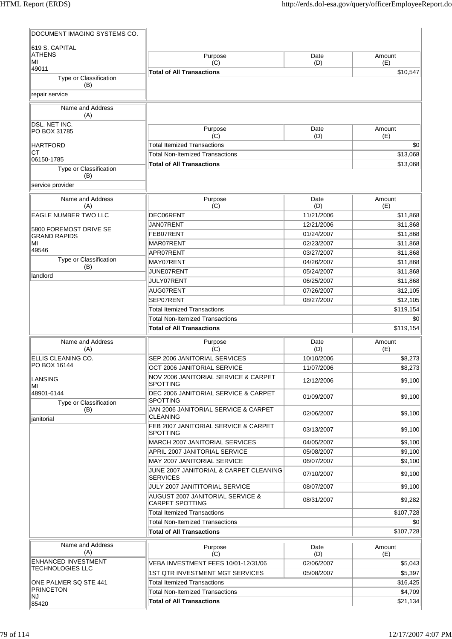| DOCUMENT IMAGING SYSTEMS CO.       |                                                                                          |                          |                      |
|------------------------------------|------------------------------------------------------------------------------------------|--------------------------|----------------------|
| 619 S. CAPITAL                     |                                                                                          |                          |                      |
| <b>ATHENS</b><br>MI                | Purpose                                                                                  | Date                     | Amount               |
| 49011                              | (C)                                                                                      | (D)                      | (E)                  |
| Type or Classification             | <b>Total of All Transactions</b>                                                         |                          | \$10,547             |
| (B)                                |                                                                                          |                          |                      |
| repair service                     |                                                                                          |                          |                      |
| Name and Address<br>(A)            |                                                                                          |                          |                      |
| DSL. NET INC.<br>PO BOX 31785      | Purpose<br>(C)                                                                           | Date<br>(D)              | Amount<br>(E)        |
| <b>HARTFORD</b>                    | <b>Total Itemized Transactions</b>                                                       |                          | \$0                  |
| СT<br>06150-1785                   | <b>Total Non-Itemized Transactions</b>                                                   |                          | \$13,068             |
| Type or Classification<br>(B)      | <b>Total of All Transactions</b>                                                         |                          | \$13,068             |
| service provider                   |                                                                                          |                          |                      |
| Name and Address<br>(A)            | Purpose<br>(C)                                                                           | Date<br>(D)              | Amount<br>(E)        |
| EAGLE NUMBER TWO LLC               | DEC06RENT                                                                                | 11/21/2006               | \$11,868             |
| 5800 FOREMOST DRIVE SE             | JAN07RENT                                                                                | 12/21/2006               | \$11,868             |
| <b>GRAND RAPIDS</b>                | FEB07RENT                                                                                | 01/24/2007               | \$11,868             |
| MI<br>49546                        | MAR07RENT                                                                                | 02/23/2007               | \$11,868             |
| Type or Classification             | APR07RENT                                                                                | 03/27/2007               | \$11,868             |
| (B)                                | MAY07RENT                                                                                | 04/26/2007               | \$11,868             |
| landlord                           | JUNE07RENT<br>JULY07RENT                                                                 | 05/24/2007<br>06/25/2007 | \$11,868<br>\$11,868 |
|                                    | AUG07RENT                                                                                | 07/26/2007               | \$12,105             |
|                                    | SEP07RENT                                                                                | 08/27/2007               | \$12,105             |
|                                    | <b>Total Itemized Transactions</b>                                                       |                          | \$119,154            |
|                                    | <b>Total Non-Itemized Transactions</b>                                                   |                          | \$0                  |
|                                    | <b>Total of All Transactions</b>                                                         |                          | \$119,154            |
| Name and Address                   | Purpose                                                                                  | Date                     | Amount               |
| (A)                                | (C)                                                                                      | (D)                      | (E)                  |
| ELLIS CLEANING CO.<br>PO BOX 16144 | SEP 2006 JANITORIAL SERVICES                                                             | 10/10/2006               | \$8.273              |
|                                    | OCT 2006 JANITORIAL SERVICE                                                              | 11/07/2006               | \$8,273              |
| LANSING<br>МI<br>48901-6144        | NOV 2006 JANITORIAL SERVICE & CARPET<br>SPOTTING<br>DEC 2006 JANITORIAL SERVICE & CARPET | 12/12/2006               | \$9.100              |
| Type or Classification             | <b>SPOTTING</b>                                                                          | 01/09/2007               | \$9,100              |
| (B)<br>janitorial                  | JAN 2006 JANITORIAL SERVICE & CARPET<br><b>CLEANING</b>                                  | 02/06/2007               | \$9,100              |
|                                    | FEB 2007 JANITORIAL SERVICE & CARPET<br><b>SPOTTING</b>                                  | 03/13/2007               | \$9,100              |
|                                    | MARCH 2007 JANITORIAL SERVICES                                                           | 04/05/2007               | \$9,100              |
|                                    | APRIL 2007 JANITORIAL SERVICE<br>MAY 2007 JANITORIAL SERVICE                             | 05/08/2007<br>06/07/2007 | \$9,100<br>\$9,100   |
|                                    | JUNE 2007 JANITORIAL & CARPET CLEANING<br><b>SERVICES</b>                                | 07/10/2007               | \$9,100              |
|                                    | JULY 2007 JANITITORIAL SERVICE                                                           | 08/07/2007               | \$9,100              |
|                                    | AUGUST 2007 JANITORIAL SERVICE &<br><b>CARPET SPOTTING</b>                               | 08/31/2007               | \$9,282              |
|                                    | <b>Total Itemized Transactions</b>                                                       |                          | \$107,728            |
|                                    | <b>Total Non-Itemized Transactions</b>                                                   |                          | \$0                  |
|                                    | <b>Total of All Transactions</b>                                                         |                          | \$107,728            |
| Name and Address<br>(A)            | Purpose<br>(C)                                                                           | Date<br>(D)              | Amount<br>(E)        |
| <b>ENHANCED INVESTMENT</b>         | VEBA INVESTMENT FEES 10/01-12/31/06                                                      | 02/06/2007               | \$5,043              |
| <b>TECHNOLOGIES LLC</b>            | 1ST QTR INVESTMENT MGT SERVICES                                                          | 05/08/2007               | \$5,397              |
| ONE PALMER SQ STE 441              | <b>Total Itemized Transactions</b>                                                       |                          | \$16,425             |
| <b>PRINCETON</b><br>NJ             | <b>Total Non-Itemized Transactions</b>                                                   |                          | \$4,709              |
| 85420                              | <b>Total of All Transactions</b>                                                         |                          | \$21,134             |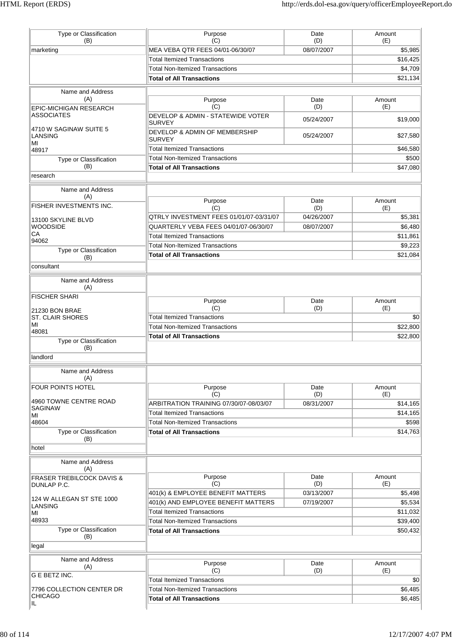| Type or Classification<br>(B)                       | Purpose<br>(C)                                                             | Date<br>(D) | Amount<br>(E)             |
|-----------------------------------------------------|----------------------------------------------------------------------------|-------------|---------------------------|
| marketing                                           | MEA VEBA QTR FEES 04/01-06/30/07                                           | 08/07/2007  | \$5,985                   |
|                                                     | <b>Total Itemized Transactions</b>                                         |             | \$16,425                  |
|                                                     | <b>Total Non-Itemized Transactions</b>                                     |             | \$4,709                   |
|                                                     | <b>Total of All Transactions</b>                                           |             | \$21,134                  |
|                                                     |                                                                            |             |                           |
| Name and Address<br>(A)                             | Purpose<br>(C)                                                             | Date<br>(D) | Amount<br>(E)             |
| <b>EPIC-MICHIGAN RESEARCH</b><br><b>ASSOCIATES</b>  | DEVELOP & ADMIN - STATEWIDE VOTER<br><b>SURVEY</b>                         | 05/24/2007  | \$19,000                  |
| 4710 W SAGINAW SUITE 5<br><b>LANSING</b>            | DEVELOP & ADMIN OF MEMBERSHIP<br><b>SURVEY</b>                             | 05/24/2007  | \$27,580                  |
| MI<br>48917                                         | <b>Total Itemized Transactions</b>                                         |             | \$46,580                  |
| Type or Classification                              | <b>Total Non-Itemized Transactions</b>                                     |             | \$500                     |
| (B)                                                 | <b>Total of All Transactions</b>                                           |             | \$47,080                  |
| research                                            |                                                                            |             |                           |
|                                                     |                                                                            |             |                           |
| Name and Address<br>(A)                             |                                                                            |             |                           |
| <b>FISHER INVESTMENTS INC.</b>                      | Purpose<br>(C)                                                             | Date<br>(D) | Amount<br>(E)             |
| 13100 SKYLINE BLVD                                  | QTRLY INVESTMENT FEES 01/01/07-03/31/07                                    | 04/26/2007  | \$5,381                   |
| <b>WOODSIDE</b>                                     | QUARTERLY VEBA FEES 04/01/07-06/30/07                                      | 08/07/2007  | \$6,480                   |
| СA<br>94062                                         | <b>Total Itemized Transactions</b>                                         |             | \$11,861                  |
| Type or Classification                              | <b>Total Non-Itemized Transactions</b>                                     |             | \$9,223                   |
| (B)                                                 | <b>Total of All Transactions</b>                                           |             | \$21,084                  |
| consultant                                          |                                                                            |             |                           |
| Name and Address<br>(A)                             |                                                                            |             |                           |
| <b>FISCHER SHARI</b>                                | Purpose                                                                    | Date        | Amount                    |
| 21230 BON BRAE                                      | (C)                                                                        | (D)         | (E)                       |
| <b>ST. CLAIR SHORES</b>                             | <b>Total Itemized Transactions</b>                                         |             | \$0                       |
| MI                                                  | <b>Total Non-Itemized Transactions</b>                                     |             | \$22,800                  |
| 48081                                               | <b>Total of All Transactions</b>                                           |             | \$22,800                  |
| Type or Classification<br>(B)                       |                                                                            |             |                           |
| landlord                                            |                                                                            |             |                           |
| Name and Address<br>(A)                             |                                                                            |             |                           |
| FOUR POINTS HOTEL                                   | Purpose                                                                    | Date        | Amount                    |
| 4960 TOWNE CENTRE ROAD                              | (C)                                                                        | (D)         | (E)                       |
| <b>SAGINAW</b>                                      | ARBITRATION TRAINING 07/30/07-08/03/07                                     | 08/31/2007  | \$14,165                  |
| MI                                                  | <b>Total Itemized Transactions</b>                                         |             | \$14,165                  |
| 48604                                               | <b>Total Non-Itemized Transactions</b>                                     |             | \$598                     |
| Type or Classification<br>(B)                       | <b>Total of All Transactions</b>                                           |             | \$14,763                  |
| hotel                                               |                                                                            |             |                           |
|                                                     |                                                                            |             |                           |
| Name and Address<br>(A)                             |                                                                            |             |                           |
| <b>FRASER TREBILCOCK DAVIS &amp;</b><br>DUNLAP P.C. | Purpose<br>(C)                                                             | Date<br>(D) | Amount<br>(E)             |
| 124 W ALLEGAN ST STE 1000                           | 401(k) & EMPLOYEE BENEFIT MATTERS                                          | 03/13/2007  | \$5,498                   |
| LANSING                                             | 401(k) AND EMPLOYEE BENEFIT MATTERS                                        | 07/19/2007  | \$5,534                   |
| MI<br>48933                                         | <b>Total Itemized Transactions</b>                                         |             | \$11,032                  |
|                                                     | <b>Total Non-Itemized Transactions</b>                                     |             | \$39,400                  |
| Type or Classification<br>(B)                       | <b>Total of All Transactions</b>                                           |             | \$50,432                  |
| legal                                               |                                                                            |             |                           |
| Name and Address                                    |                                                                            |             |                           |
|                                                     |                                                                            | Date        | Amount                    |
| (A)                                                 | Purpose                                                                    |             |                           |
| G E BETZ INC.                                       | (C)                                                                        | (D)         | (E)                       |
|                                                     | <b>Total Itemized Transactions</b>                                         |             |                           |
| 7796 COLLECTION CENTER DR<br><b>CHICAGO</b>         | <b>Total Non-Itemized Transactions</b><br><b>Total of All Transactions</b> |             | \$0<br>\$6,485<br>\$6,485 |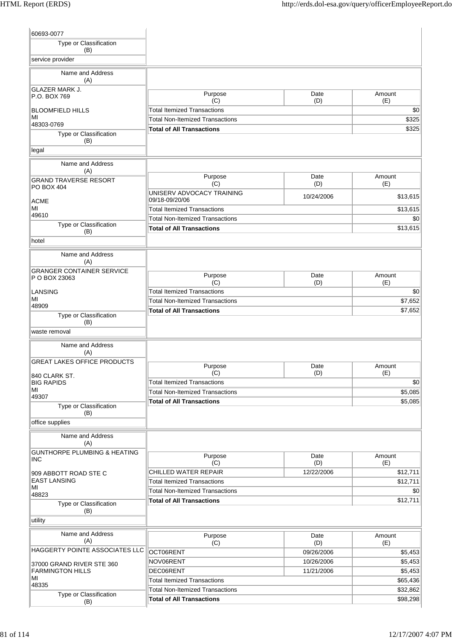| 60693-0077                                 |                                             |             |               |
|--------------------------------------------|---------------------------------------------|-------------|---------------|
| Type or Classification<br>(B)              |                                             |             |               |
| service provider                           |                                             |             |               |
| Name and Address<br>(A)                    |                                             |             |               |
| <b>GLAZER MARK J.</b><br>P.O. BOX 769      | Purpose<br>(C)                              | Date<br>(D) | Amount<br>(E) |
| <b>BLOOMFIELD HILLS</b>                    | <b>Total Itemized Transactions</b>          |             | \$0           |
| ΜI<br>48303-0769                           | <b>Total Non-Itemized Transactions</b>      |             | \$325         |
| Type or Classification                     | <b>Total of All Transactions</b>            |             | \$325         |
| (B)                                        |                                             |             |               |
| legal                                      |                                             |             |               |
| Name and Address<br>(A)                    |                                             |             |               |
| <b>GRAND TRAVERSE RESORT</b><br>PO BOX 404 | Purpose<br>(C)                              | Date<br>(D) | Amount<br>(E) |
| ACME                                       | UNISERV ADVOCACY TRAINING<br>09/18-09/20/06 | 10/24/2006  | \$13,615      |
| MI                                         | <b>Total Itemized Transactions</b>          |             | \$13,615      |
| 49610                                      | <b>Total Non-Itemized Transactions</b>      |             | \$0           |
| Type or Classification<br>(B)              | <b>Total of All Transactions</b>            |             | \$13,615      |
| hotel                                      |                                             |             |               |
| Name and Address<br>(A)                    |                                             |             |               |
| <b>GRANGER CONTAINER SERVICE</b>           | Purpose                                     | Date        | Amount        |
| P O BOX 23063                              | (C)                                         | (D)         | (E)           |
| <b>LANSING</b>                             | <b>Total Itemized Transactions</b>          |             | \$0           |
| MI<br>48909                                | <b>Total Non-Itemized Transactions</b>      |             | \$7,652       |
| Type or Classification                     | <b>Total of All Transactions</b>            |             | \$7,652       |
| (B)                                        |                                             |             |               |
| waste removal                              |                                             |             |               |
| Name and Address<br>(A)                    |                                             |             |               |
| <b>GREAT LAKES OFFICE PRODUCTS</b>         | Purpose                                     | Date        | Amount        |
| 840 CLARK ST.                              | (C)                                         | (D)         | (E)           |
| <b>BIG RAPIDS</b>                          | <b>Total Itemized Transactions</b>          |             | \$0           |
| MI<br>49307                                | <b>Total Non-Itemized Transactions</b>      |             | \$5,085       |
| Type or Classification                     | <b>Total of All Transactions</b>            |             | \$5,085       |
| (B)                                        |                                             |             |               |
| office supplies                            |                                             |             |               |
| Name and Address<br>(A)                    |                                             |             |               |
| <b>GUNTHORPE PLUMBING &amp; HEATING</b>    | Purpose                                     | Date        | Amount        |
| <b>INC</b>                                 | (C)                                         | (D)         | (E)           |
| 909 ABBOTT ROAD STE C                      | CHILLED WATER REPAIR                        | 12/22/2006  | \$12,711      |
| <b>EAST LANSING</b><br>MI                  | <b>Total Itemized Transactions</b>          |             | \$12,711      |
| 48823                                      | <b>Total Non-Itemized Transactions</b>      |             | \$0           |
| Type or Classification<br>(B)              | <b>Total of All Transactions</b>            |             | \$12,711      |
| utility                                    |                                             |             |               |
| Name and Address                           |                                             |             |               |
| (A)                                        | Purpose<br>(C)                              | Date<br>(D) | Amount<br>(E) |
| HAGGERTY POINTE ASSOCIATES LLC             | OCT06RENT                                   | 09/26/2006  | \$5,453       |
| 37000 GRAND RIVER STE 360                  | NOV06RENT                                   | 10/26/2006  | \$5,453       |
| <b>FARMINGTON HILLS</b>                    | DEC06RENT                                   | 11/21/2006  | \$5,453       |
| MI<br>48335                                | <b>Total Itemized Transactions</b>          |             | \$65,436      |
| Type or Classification                     | <b>Total Non-Itemized Transactions</b>      |             | \$32,862      |
| (B)                                        | <b>Total of All Transactions</b>            |             | \$98,298      |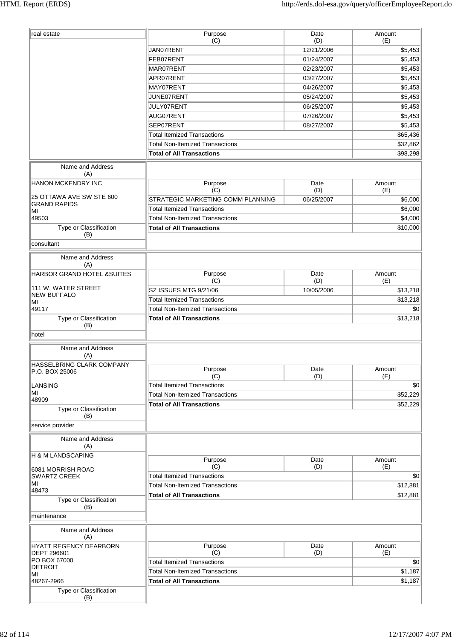| real estate                                                 | Purpose<br>(C)                                                             | Date<br>(D) | Amount<br>(E)                                                                           |
|-------------------------------------------------------------|----------------------------------------------------------------------------|-------------|-----------------------------------------------------------------------------------------|
|                                                             | JAN07RENT                                                                  | 12/21/2006  | \$5,453                                                                                 |
|                                                             | FEB07RENT                                                                  | 01/24/2007  | \$5,453                                                                                 |
|                                                             | MAR07RENT                                                                  | 02/23/2007  | \$5,453                                                                                 |
|                                                             | APR07RENT                                                                  | 03/27/2007  | \$5,453                                                                                 |
|                                                             | MAY07RENT                                                                  | 04/26/2007  | \$5,453                                                                                 |
|                                                             | JUNE07RENT                                                                 | 05/24/2007  | \$5,453                                                                                 |
|                                                             | JULY07RENT                                                                 | 06/25/2007  | \$5,453                                                                                 |
|                                                             | AUG07RENT                                                                  | 07/26/2007  | \$5,453                                                                                 |
|                                                             | SEP07RENT                                                                  | 08/27/2007  | \$5,453                                                                                 |
|                                                             | <b>Total Itemized Transactions</b>                                         |             | \$65,436                                                                                |
|                                                             | <b>Total Non-Itemized Transactions</b>                                     |             | \$32,862                                                                                |
|                                                             | <b>Total of All Transactions</b>                                           |             | \$98,298                                                                                |
|                                                             |                                                                            |             |                                                                                         |
| Name and Address<br>(A)                                     |                                                                            |             |                                                                                         |
| <b>HANON MCKENDRY INC</b>                                   | Purpose                                                                    | Date        | Amount                                                                                  |
|                                                             | (C)                                                                        | (D)         | (E)                                                                                     |
| 25 OTTAWA AVE SW STE 600<br><b>GRAND RAPIDS</b>             | STRATEGIC MARKETING COMM PLANNING                                          | 06/25/2007  | \$6,000                                                                                 |
| MI                                                          | <b>Total Itemized Transactions</b>                                         |             | \$6,000                                                                                 |
| 49503                                                       | <b>Total Non-Itemized Transactions</b>                                     |             | \$4,000                                                                                 |
| Type or Classification                                      | <b>Total of All Transactions</b>                                           |             | \$10,000                                                                                |
| (B)<br>consultant                                           |                                                                            |             |                                                                                         |
| Name and Address                                            |                                                                            |             |                                                                                         |
| (A)                                                         |                                                                            |             |                                                                                         |
| <b>HARBOR GRAND HOTEL &amp;SUITES</b>                       | Purpose<br>(C)                                                             | Date<br>(D) | Amount<br>(E)                                                                           |
| 111 W. WATER STREET                                         | SZ ISSUES MTG 9/21/06                                                      | 10/05/2006  | \$13,218                                                                                |
| <b>NEW BUFFALO</b>                                          | <b>Total Itemized Transactions</b>                                         |             | \$13,218                                                                                |
| MI<br>49117                                                 | <b>Total Non-Itemized Transactions</b>                                     |             | \$0                                                                                     |
| Type or Classification                                      | <b>Total of All Transactions</b>                                           |             |                                                                                         |
|                                                             |                                                                            |             | \$13,218                                                                                |
|                                                             |                                                                            |             |                                                                                         |
| (B)<br>hotel                                                |                                                                            |             |                                                                                         |
|                                                             |                                                                            |             |                                                                                         |
| Name and Address<br>(A)                                     |                                                                            |             |                                                                                         |
| HASSELBRING CLARK COMPANY                                   |                                                                            |             |                                                                                         |
| P.O. BOX 25006                                              | Purpose                                                                    | Date        | Amount                                                                                  |
|                                                             | (C)                                                                        | (D)         | (E)                                                                                     |
| MI                                                          | <b>Total Itemized Transactions</b>                                         |             |                                                                                         |
|                                                             | <b>Total Non-Itemized Transactions</b>                                     |             |                                                                                         |
| <b>LANSING</b><br>48909<br>Type or Classification           | <b>Total of All Transactions</b>                                           |             |                                                                                         |
| (B)                                                         |                                                                            |             |                                                                                         |
| service provider                                            |                                                                            |             |                                                                                         |
| Name and Address                                            |                                                                            |             |                                                                                         |
| (A)                                                         |                                                                            |             |                                                                                         |
|                                                             |                                                                            |             |                                                                                         |
|                                                             | Purpose                                                                    | Date        | Amount                                                                                  |
| 6081 MORRISH ROAD                                           | (C)                                                                        | (D)         | (E)                                                                                     |
| <b>SWARTZ CREEK</b><br>MI                                   | <b>Total Itemized Transactions</b>                                         |             |                                                                                         |
|                                                             | <b>Total Non-Itemized Transactions</b>                                     |             |                                                                                         |
| H & M LANDSCAPING<br>48473<br>Type or Classification<br>(B) | <b>Total of All Transactions</b>                                           |             |                                                                                         |
|                                                             |                                                                            |             |                                                                                         |
| maintenance<br>Name and Address                             |                                                                            |             |                                                                                         |
| (A)                                                         |                                                                            |             |                                                                                         |
|                                                             | Purpose<br>(C)                                                             | Date<br>(D) | Amount<br>(E)                                                                           |
| PO BOX 67000                                                | <b>Total Itemized Transactions</b>                                         |             |                                                                                         |
| HYATT REGENCY DEARBORN<br>DEPT 296601<br><b>DETROIT</b>     |                                                                            |             |                                                                                         |
| MI<br>48267-2966                                            | <b>Total Non-Itemized Transactions</b><br><b>Total of All Transactions</b> |             | \$0<br>\$52,229<br>\$52,229<br>\$0<br>\$12,881<br>\$12,881<br>\$0<br>\$1,187<br>\$1,187 |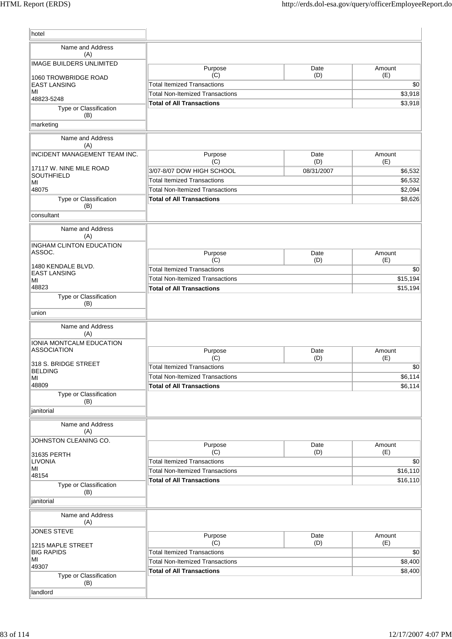| hotel                                |                                                                              |             |                     |
|--------------------------------------|------------------------------------------------------------------------------|-------------|---------------------|
| Name and Address                     |                                                                              |             |                     |
| (A)                                  |                                                                              |             |                     |
| <b>IMAGE BUILDERS UNLIMITED</b>      | Purpose                                                                      | Date        | Amount              |
| 1060 TROWBRIDGE ROAD                 | (C)                                                                          | (D)         | (E)                 |
| <b>EAST LANSING</b><br>MI            | <b>Total Itemized Transactions</b><br><b>Total Non-Itemized Transactions</b> |             | \$0<br>\$3,918      |
| 48823-5248                           | <b>Total of All Transactions</b>                                             |             | \$3,918             |
| Type or Classification<br>(B)        |                                                                              |             |                     |
| marketing                            |                                                                              |             |                     |
| Name and Address                     |                                                                              |             |                     |
| (A)                                  |                                                                              |             |                     |
| <b>INCIDENT MANAGEMENT TEAM INC.</b> | Purpose<br>(C)                                                               | Date<br>(D) | Amount<br>(E)       |
| 17117 W. NINE MILE ROAD              | 3/07-8/07 DOW HIGH SCHOOL                                                    | 08/31/2007  | \$6,532             |
| <b>SOUTHFIELD</b><br>MI              | <b>Total Itemized Transactions</b>                                           |             | \$6,532             |
| 48075                                | <b>Total Non-Itemized Transactions</b>                                       |             | \$2,094             |
| Type or Classification               | <b>Total of All Transactions</b>                                             |             | \$8,626             |
| (B)<br>consultant                    |                                                                              |             |                     |
| Name and Address                     |                                                                              |             |                     |
| (A)                                  |                                                                              |             |                     |
| <b>INGHAM CLINTON EDUCATION</b>      |                                                                              |             |                     |
| ASSOC.                               | Purpose<br>(C)                                                               | Date<br>(D) | Amount<br>(E)       |
| 1480 KENDALE BLVD.                   | <b>Total Itemized Transactions</b>                                           |             | \$0                 |
| <b>EAST LANSING</b><br>МI            | <b>Total Non-Itemized Transactions</b>                                       |             | \$15,194            |
| 48823                                | <b>Total of All Transactions</b>                                             |             | \$15,194            |
| Type or Classification               |                                                                              |             |                     |
| (B)<br>union                         |                                                                              |             |                     |
|                                      |                                                                              |             |                     |
| Name and Address<br>(A)              |                                                                              |             |                     |
| IONIA MONTCALM EDUCATION             |                                                                              |             |                     |
| <b>ASSOCIATION</b>                   | Purpose                                                                      | Date        | Amount              |
| 318 S. BRIDGE STREET                 | (C)<br><b>Total Itemized Transactions</b>                                    | (D)         | (E)<br>$ 10\rangle$ |
| <b>BELDING</b><br>MI                 | <b>Total Non-Itemized Transactions</b>                                       |             | \$6,114             |
| 48809                                | <b>Total of All Transactions</b>                                             |             | \$6,114             |
| Type or Classification               |                                                                              |             |                     |
| (B)<br>janitorial                    |                                                                              |             |                     |
|                                      |                                                                              |             |                     |
| Name and Address<br>(A)              |                                                                              |             |                     |
| JOHNSTON CLEANING CO.                |                                                                              |             |                     |
|                                      | Purpose<br>(C)                                                               | Date<br>(D) | Amount<br>(E)       |
| 31635 PERTH<br><b>LIVONIA</b>        | <b>Total Itemized Transactions</b>                                           |             | \$0                 |
| MI                                   | <b>Total Non-Itemized Transactions</b>                                       |             | \$16,110            |
| 48154<br>Type or Classification      | <b>Total of All Transactions</b>                                             |             | \$16,110            |
| (B)                                  |                                                                              |             |                     |
| janitorial                           |                                                                              |             |                     |
| Name and Address<br>(A)              |                                                                              |             |                     |
| <b>JONES STEVE</b>                   | Purpose                                                                      | Date        | Amount              |
| 1215 MAPLE STREET                    | (C)                                                                          | (D)         | (E)                 |
| <b>BIG RAPIDS</b>                    | <b>Total Itemized Transactions</b>                                           |             | \$0                 |
| ΜI<br>49307                          | <b>Total Non-Itemized Transactions</b>                                       |             | \$8,400             |
| Type or Classification               | <b>Total of All Transactions</b>                                             |             | \$8,400             |
| (B)                                  |                                                                              |             |                     |
| landlord                             |                                                                              |             |                     |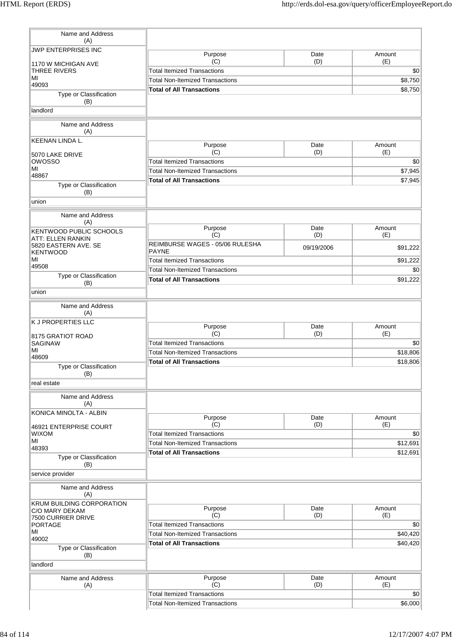| Name and Address<br>(A)                            |                                                 |             |                |
|----------------------------------------------------|-------------------------------------------------|-------------|----------------|
| JWP ENTERPRISES INC                                | Purpose                                         | Date        | Amount         |
| 1170 W MICHIGAN AVE                                | (C)<br><b>Total Itemized Transactions</b>       | (D)         | (E)            |
| THREE RIVERS<br>MI                                 | <b>Total Non-Itemized Transactions</b>          |             | \$0<br>\$8,750 |
| 49093                                              | <b>Total of All Transactions</b>                |             | \$8,750        |
| Type or Classification<br>(B)                      |                                                 |             |                |
| landlord                                           |                                                 |             |                |
| Name and Address<br>(A)                            |                                                 |             |                |
| <b>KEENAN LINDA L.</b>                             | Purpose                                         | Date        | Amount         |
| 5070 LAKE DRIVE                                    | (C)                                             | (D)         | (E)            |
| <b>OWOSSO</b><br>MI                                | <b>Total Itemized Transactions</b>              |             | \$0            |
| 48867                                              | <b>Total Non-Itemized Transactions</b>          |             | \$7,945        |
| Type or Classification<br>(B)                      | <b>Total of All Transactions</b>                |             | \$7,945        |
| union                                              |                                                 |             |                |
| Name and Address<br>(A)                            |                                                 |             |                |
| KENTWOOD PUBLIC SCHOOLS<br>ATT: ELLEN RANKIN       | Purpose<br>(C)                                  | Date<br>(D) | Amount<br>(E)  |
| 5820 EASTERN AVE. SE<br><b>KENTWOOD</b>            | REIMBURSE WAGES - 05/06 RULESHA<br><b>PAYNE</b> | 09/19/2006  | \$91,222       |
| MI                                                 | <b>Total Itemized Transactions</b>              |             | \$91,222       |
| 49508                                              | <b>Total Non-Itemized Transactions</b>          |             | \$0            |
| Type or Classification<br>(B)                      | <b>Total of All Transactions</b>                |             | \$91,222       |
| union                                              |                                                 |             |                |
| Name and Address<br>(A)                            |                                                 |             |                |
| <b>K J PROPERTIES LLC</b>                          | Purpose                                         | Date        | Amount         |
| 8175 GRATIOT ROAD                                  | (C)                                             | (D)         | (E)            |
| <b>SAGINAW</b>                                     | <b>Total Itemized Transactions</b>              |             | \$0            |
| MI<br>48609                                        | <b>Total Non-Itemized Transactions</b>          |             | \$18,806       |
| Type or Classification<br>(B)                      | <b>Total of All Transactions</b>                |             | \$18,806       |
| real estate                                        |                                                 |             |                |
| Name and Address<br>(A)                            |                                                 |             |                |
| KONICA MINOLTA - ALBIN                             |                                                 |             |                |
|                                                    | Purpose<br>(C)                                  | Date<br>(D) | Amount<br>(E)  |
| 46921 ENTERPRISE COURT<br><b>WIXOM</b>             | <b>Total Itemized Transactions</b>              |             | \$0            |
| MI                                                 | <b>Total Non-Itemized Transactions</b>          |             | \$12,691       |
| 48393                                              | <b>Total of All Transactions</b>                |             | \$12,691       |
| Type or Classification<br>(B)                      |                                                 |             |                |
| service provider                                   |                                                 |             |                |
| Name and Address<br>(A)                            |                                                 |             |                |
| <b>KRUM BUILDING CORPORATION</b><br>C/O MARY DEKAM | Purpose                                         | Date        | Amount         |
| 7500 CURRIER DRIVE                                 | (C)                                             | (D)         | (E)            |
| <b>PORTAGE</b>                                     | <b>Total Itemized Transactions</b>              |             | \$0            |
| MI<br>49002                                        | <b>Total Non-Itemized Transactions</b>          |             | \$40,420       |
| Type or Classification                             | <b>Total of All Transactions</b>                |             | \$40,420       |
| (B)<br>landlord                                    |                                                 |             |                |
| Name and Address                                   | Purpose                                         | Date        | Amount         |
| (A)                                                | (C)                                             | (D)         | (E)            |
|                                                    | <b>Total Itemized Transactions</b>              |             | \$0            |
|                                                    | <b>Total Non-Itemized Transactions</b>          |             | \$6,000        |
|                                                    |                                                 |             |                |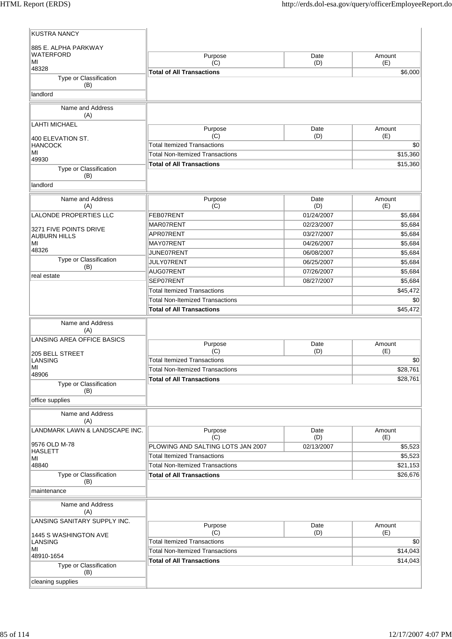| <b>KUSTRA NANCY</b>              |                                        |                          |                    |
|----------------------------------|----------------------------------------|--------------------------|--------------------|
| 885 E. ALPHA PARKWAY             |                                        |                          |                    |
| <b>WATERFORD</b>                 | Purpose                                | Date                     | Amount             |
| ΜI<br>48328                      | (C)                                    | (D)                      | (E)                |
| Type or Classification           | <b>Total of All Transactions</b>       |                          | \$6,000            |
| (B)                              |                                        |                          |                    |
| landlord                         |                                        |                          |                    |
| Name and Address<br>(A)          |                                        |                          |                    |
| <b>LAHTI MICHAEL</b>             | Purpose                                | Date                     | Amount             |
| 400 ELEVATION ST.                | (C)                                    | (D)                      | (E)                |
| <b>HANCOCK</b><br>MI             | <b>Total Itemized Transactions</b>     |                          | \$0                |
| 49930                            | <b>Total Non-Itemized Transactions</b> |                          | \$15,360           |
| Type or Classification           | <b>Total of All Transactions</b>       |                          | \$15,360           |
| (B)                              |                                        |                          |                    |
| landlord                         |                                        |                          |                    |
| Name and Address                 | Purpose                                | Date                     | Amount             |
| (A)                              | (C)                                    | (D)                      | (E)                |
| LALONDE PROPERTIES LLC           | FEB07RENT<br>MAR07RENT                 | 01/24/2007<br>02/23/2007 | \$5,684<br>\$5,684 |
| 3271 FIVE POINTS DRIVE           | APR07RENT                              | 03/27/2007               | \$5,684            |
| <b>AUBURN HILLS</b><br>MI        | MAY07RENT                              | 04/26/2007               | \$5,684            |
| 48326                            | JUNE07RENT                             | 06/08/2007               | \$5,684            |
| Type or Classification           | JULY07RENT                             | 06/25/2007               | \$5,684            |
| (B)                              | AUG07RENT                              | 07/26/2007               | \$5,684            |
| real estate                      | SEP07RENT                              | 08/27/2007               | \$5,684            |
|                                  | <b>Total Itemized Transactions</b>     |                          | \$45,472           |
|                                  | <b>Total Non-Itemized Transactions</b> |                          | \$0                |
|                                  | <b>Total of All Transactions</b>       |                          | \$45,472           |
| Name and Address<br>(A)          |                                        |                          |                    |
| LANSING AREA OFFICE BASICS       |                                        |                          |                    |
|                                  | Purpose<br>(C)                         | Date<br>(D)              | Amount<br>(E)      |
| 205 BELL STREET<br>LANSING       | <b>Total Itemized Transactions</b>     |                          | \$0                |
| MI                               | <b>Total Non-Itemized Transactions</b> |                          | \$28,761           |
| 48906                            | <b>Total of All Transactions</b>       |                          | \$28,761           |
| Type or Classification<br>(B)    |                                        |                          |                    |
| office supplies                  |                                        |                          |                    |
| Name and Address<br>(A)          |                                        |                          |                    |
| LANDMARK LAWN & LANDSCAPE INC.   | Purpose                                | Date                     | Amount             |
|                                  | (C)                                    | (D)                      | (E)                |
| 9576 OLD M-78<br><b>HASLETT</b>  | PLOWING AND SALTING LOTS JAN 2007      | 02/13/2007               | \$5,523            |
| ΜI                               | <b>Total Itemized Transactions</b>     |                          | \$5,523            |
| 48840                            | <b>Total Non-Itemized Transactions</b> |                          | \$21,153           |
| Type or Classification<br>(B)    | <b>Total of All Transactions</b>       |                          | \$26,676           |
| maintenance                      |                                        |                          |                    |
|                                  |                                        |                          |                    |
| Name and Address<br>(A)          |                                        |                          |                    |
| LANSING SANITARY SUPPLY INC.     |                                        |                          |                    |
|                                  | Purpose<br>(C)                         | Date<br>(D)              | Amount<br>(E)      |
| 1445 S WASHINGTON AVE<br>LANSING | <b>Total Itemized Transactions</b>     |                          | \$0                |
| MI                               | <b>Total Non-Itemized Transactions</b> |                          | \$14,043           |
| 48910-1654                       | <b>Total of All Transactions</b>       |                          | \$14,043           |
| Type or Classification<br>(B)    |                                        |                          |                    |
| cleaning supplies                |                                        |                          |                    |
|                                  |                                        |                          |                    |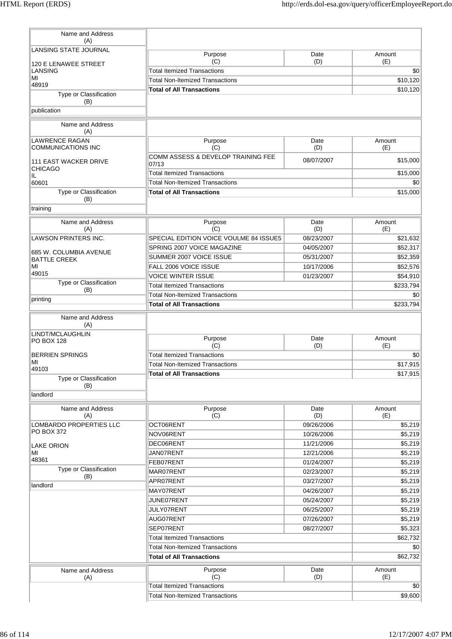| Name and Address<br>(A)                            |                                             |             |               |
|----------------------------------------------------|---------------------------------------------|-------------|---------------|
| LANSING STATE JOURNAL                              | Purpose                                     | Date        | Amount        |
| 120 E LENAWEE STREET                               | (C)                                         | (D)         | (E)           |
| LANSING<br>MI                                      | <b>Total Itemized Transactions</b>          |             | \$0           |
| 48919                                              | <b>Total Non-Itemized Transactions</b>      |             | \$10,120      |
| Type or Classification<br>(B)                      | <b>Total of All Transactions</b>            |             | \$10,120      |
| publication                                        |                                             |             |               |
| Name and Address<br>(A)                            |                                             |             |               |
| <b>LAWRENCE RAGAN</b><br><b>COMMUNICATIONS INC</b> | Purpose<br>(C)                              | Date<br>(D) | Amount<br>(E) |
| <b>111 EAST WACKER DRIVE</b>                       | COMM ASSESS & DEVELOP TRAINING FEE<br>07/13 | 08/07/2007  | \$15,000      |
| <b>CHICAGO</b><br>IL                               | <b>Total Itemized Transactions</b>          |             | \$15,000      |
| 60601                                              | <b>Total Non-Itemized Transactions</b>      |             | \$0           |
| Type or Classification                             | <b>Total of All Transactions</b>            |             | \$15,000      |
| (B)<br>training                                    |                                             |             |               |
|                                                    |                                             |             |               |
| Name and Address<br>(A)                            | Purpose<br>(C)                              | Date<br>(D) | Amount<br>(E) |
| <b>LAWSON PRINTERS INC.</b>                        | SPECIAL EDITION VOICE VOULME 84 ISSUE5      | 08/23/2007  | \$21,632      |
|                                                    | SPRING 2007 VOICE MAGAZINE                  | 04/05/2007  | \$52,317      |
| 685 W. COLUMBIA AVENUE<br><b>BATTLE CREEK</b>      | SUMMER 2007 VOICE ISSUE                     | 05/31/2007  | \$52,359      |
| MI                                                 | <b>FALL 2006 VOICE ISSUE</b>                | 10/17/2006  | \$52,576      |
| 49015                                              | <b>VOICE WINTER ISSUE</b>                   | 01/23/2007  | \$54,910      |
| Type or Classification                             | <b>Total Itemized Transactions</b>          |             | \$233,794     |
| (B)                                                | <b>Total Non-Itemized Transactions</b>      |             | \$0           |
| printing                                           | <b>Total of All Transactions</b>            |             | \$233,794     |
| Name and Address<br>(A)                            |                                             |             |               |
| LINDT/MCLAUGHLIN                                   |                                             |             |               |
| <b>PO BOX 128</b>                                  | Purpose<br>(C)                              | Date<br>(D) | Amount<br>(E) |
| <b>BERRIEN SPRINGS</b>                             | <b>Total Itemized Transactions</b>          |             | \$0           |
| MI                                                 | <b>Total Non-Itemized Transactions</b>      |             | \$17,915      |
| 49103                                              | <b>Total of All Transactions</b>            |             | \$17,915      |
| Type or Classification<br>(B)                      |                                             |             |               |
| landlord                                           |                                             |             |               |
| Name and Address                                   | Purpose                                     | Date        | Amount        |
| (A)                                                | (C)                                         | (D)         | (E)           |
| LOMBARDO PROPERTIES LLC<br><b>PO BOX 372</b>       | OCT06RENT                                   | 09/26/2006  | \$5,219       |
|                                                    | NOV06RENT                                   | 10/26/2006  | \$5,219       |
| <b>LAKE ORION</b>                                  | DEC06RENT                                   | 11/21/2006  | \$5,219       |
| MI<br>48361                                        | JAN07RENT                                   | 12/21/2006  | \$5,219       |
| Type or Classification                             | FEB07RENT                                   | 01/24/2007  | \$5,219       |
| (B)                                                | MAR07RENT                                   | 02/23/2007  | \$5,219       |
| landlord                                           | APR07RENT                                   | 03/27/2007  | \$5,219       |
|                                                    | MAY07RENT                                   | 04/26/2007  | \$5,219       |
|                                                    | JUNE07RENT                                  | 05/24/2007  | \$5,219       |
|                                                    | JULY07RENT                                  | 06/25/2007  | \$5,219       |
|                                                    | AUG07RENT                                   | 07/26/2007  | \$5,219       |
|                                                    | SEP07RENT                                   | 08/27/2007  | \$5,323       |
|                                                    | <b>Total Itemized Transactions</b>          |             | \$62,732      |
|                                                    | <b>Total Non-Itemized Transactions</b>      |             | \$0           |
|                                                    | <b>Total of All Transactions</b>            |             | \$62,732      |
| Name and Address<br>(A)                            | Purpose<br>(C)                              | Date<br>(D) | Amount<br>(E) |
|                                                    | <b>Total Itemized Transactions</b>          |             | \$0           |
|                                                    | <b>Total Non-Itemized Transactions</b>      |             | \$9,600       |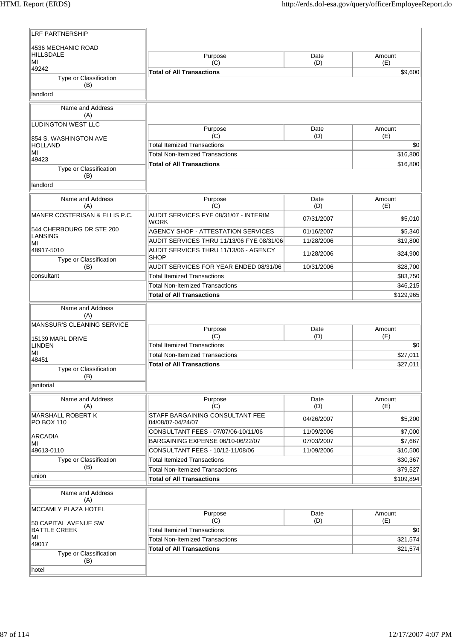| 4536 MECHANIC ROAD                                   |                                                                            |                   |                       |
|------------------------------------------------------|----------------------------------------------------------------------------|-------------------|-----------------------|
| <b>HILLSDALE</b>                                     | Purpose                                                                    | Date              | Amount                |
| MI<br>49242                                          | (C)<br><b>Total of All Transactions</b>                                    | (D)               | (E)<br>\$9,600        |
| Type or Classification                               |                                                                            |                   |                       |
| (B)<br>landlord                                      |                                                                            |                   |                       |
|                                                      |                                                                            |                   |                       |
| Name and Address<br>(A)                              |                                                                            |                   |                       |
| <b>LUDINGTON WEST LLC</b>                            | Purpose                                                                    | Date              | Amount                |
| 854 S. WASHINGTON AVE                                | (C)                                                                        | (D)               | (E)                   |
| <b>HOLLAND</b><br>MI                                 | <b>Total Itemized Transactions</b>                                         |                   | \$0                   |
| 49423                                                | <b>Total Non-Itemized Transactions</b>                                     |                   | \$16,800              |
| Type or Classification                               | <b>Total of All Transactions</b>                                           |                   | \$16,800              |
| (B)                                                  |                                                                            |                   |                       |
| landlord                                             |                                                                            |                   |                       |
| Name and Address                                     | Purpose                                                                    | Date              | Amount                |
| (A)                                                  | (C)                                                                        | (D)               | (E)                   |
| MANER COSTERISAN & ELLIS P.C.                        | AUDIT SERVICES FYE 08/31/07 - INTERIM<br><b>WORK</b>                       | 07/31/2007        | \$5,010               |
| 544 CHERBOURG DR STE 200                             | <b>AGENCY SHOP - ATTESTATION SERVICES</b>                                  | 01/16/2007        | \$5,340               |
| <b>LANSING</b><br>MI                                 | AUDIT SERVICES THRU 11/13/06 FYE 08/31/06                                  | 11/28/2006        | \$19,800              |
| 48917-5010                                           | AUDIT SERVICES THRU 11/13/06 - AGENCY                                      | 11/28/2006        | \$24,900              |
| Type or Classification                               | <b>SHOP</b>                                                                |                   |                       |
| (B)                                                  | AUDIT SERVICES FOR YEAR ENDED 08/31/06                                     | 10/31/2006        | \$28,700              |
| consultant                                           | <b>Total Itemized Transactions</b>                                         |                   | \$83,750              |
|                                                      | <b>Total Non-Itemized Transactions</b><br><b>Total of All Transactions</b> |                   | \$46,215<br>\$129,965 |
|                                                      |                                                                            |                   |                       |
| Name and Address<br>(A)                              |                                                                            |                   |                       |
| MANSSUR'S CLEANING SERVICE                           |                                                                            |                   |                       |
|                                                      | Purpose<br>(C)                                                             | Date<br>(D)       | Amount<br>(E)         |
| 15139 MARL DRIVE<br><b>LINDEN</b>                    | <b>Total Itemized Transactions</b>                                         |                   | \$0                   |
| MI                                                   | <b>Total Non-Itemized Transactions</b>                                     |                   | \$27,011              |
| 48451                                                | <b>Total of All Transactions</b>                                           |                   | \$27,011              |
| Type or Classification<br>(B)                        |                                                                            |                   |                       |
| ianitorial                                           |                                                                            |                   |                       |
|                                                      |                                                                            |                   |                       |
|                                                      |                                                                            |                   |                       |
| Name and Address                                     | Purpose                                                                    | Date              | Amount                |
| (A)<br><b>MARSHALL ROBERT K</b><br><b>PO BOX 110</b> | (C)<br>STAFF BARGAINING CONSULTANT FEE                                     | (D)<br>04/26/2007 | (E)<br>\$5,200        |
|                                                      | 04/08/07-04/24/07<br>CONSULTANT FEES - 07/07/06-10/11/06                   | 11/09/2006        | \$7,000               |
| <b>ARCADIA</b>                                       | BARGAINING EXPENSE 06/10-06/22/07                                          | 07/03/2007        | \$7,667               |
| MI<br>49613-0110                                     | CONSULTANT FEES - 10/12-11/08/06                                           | 11/09/2006        | \$10,500              |
| Type or Classification                               | <b>Total Itemized Transactions</b>                                         |                   | \$30,367              |
| (B)                                                  | <b>Total Non-Itemized Transactions</b>                                     |                   | \$79,527              |
| union                                                | <b>Total of All Transactions</b>                                           |                   | \$109,894             |
| Name and Address<br>(A)                              |                                                                            |                   |                       |
| MCCAMLY PLAZA HOTEL                                  |                                                                            |                   |                       |
|                                                      | Purpose<br>(C)                                                             | Date              | Amount                |
| 50 CAPITAL AVENUE SW<br><b>BATTLE CREEK</b>          | <b>Total Itemized Transactions</b>                                         | (D)               | (E)<br>\$0            |
| MI                                                   | <b>Total Non-Itemized Transactions</b>                                     |                   | \$21,574              |
| 49017                                                | <b>Total of All Transactions</b>                                           |                   | \$21,574              |
| Type or Classification<br>(B)                        |                                                                            |                   |                       |
| hotel                                                |                                                                            |                   |                       |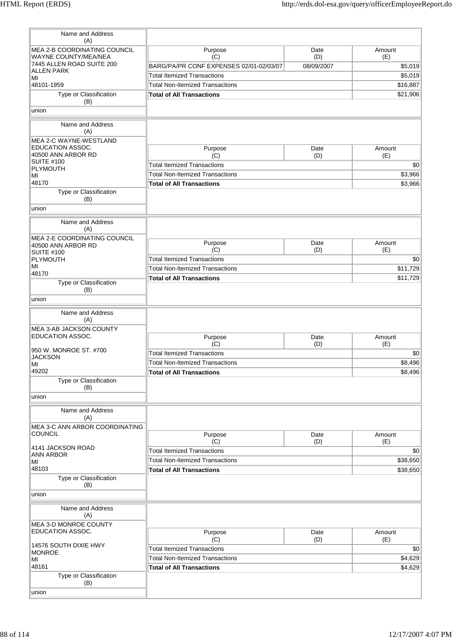| Name and Address                                                        |                                           |             |               |
|-------------------------------------------------------------------------|-------------------------------------------|-------------|---------------|
| (A)<br>MEA 2-B COORDINATING COUNCIL                                     | Purpose                                   | Date        | Amount        |
| WAYNE COUNTY/MEA/NEA                                                    | (C)                                       | (D)         | (E)           |
| 7445 ALLEN ROAD SUITE 200<br><b>ALLEN PARK</b>                          | BARG/PA/PR CONF EXPENSES 02/01-02/03/07   | 08/09/2007  | \$5,019       |
| MI                                                                      | <b>Total Itemized Transactions</b>        |             | \$5,019       |
| 48101-1959                                                              | <b>Total Non-Itemized Transactions</b>    |             | \$16,887      |
| Type or Classification                                                  | <b>Total of All Transactions</b>          |             | \$21,906      |
| (B)                                                                     |                                           |             |               |
| union                                                                   |                                           |             |               |
| Name and Address<br>(A)                                                 |                                           |             |               |
| MEA 2-C WAYNE-WESTLAND<br><b>EDUCATION ASSOC.</b><br>40500 ANN ARBOR RD | Purpose<br>(C)                            | Date<br>(D) | Amount<br>(E) |
| <b>SUITE #100</b>                                                       | <b>Total Itemized Transactions</b>        |             | \$0           |
| PLYMOUTH                                                                |                                           |             |               |
| MI                                                                      | <b>Total Non-Itemized Transactions</b>    |             | \$3,966       |
| 48170<br>Type or Classification<br>(B)                                  | <b>Total of All Transactions</b>          |             | \$3,966       |
| union                                                                   |                                           |             |               |
| Name and Address<br>(A)                                                 |                                           |             |               |
| MEA 2-E COORDINATING COUNCIL<br>40500 ANN ARBOR RD                      | Purpose                                   | Date        | Amount        |
| <b>SUITE #100</b>                                                       | (C)                                       | (D)         | (E)           |
| PLYMOUTH                                                                | <b>Total Itemized Transactions</b>        |             | \$0           |
| MI<br>48170                                                             | <b>Total Non-Itemized Transactions</b>    |             | \$11,729      |
| Type or Classification                                                  | <b>Total of All Transactions</b>          |             | \$11,729      |
| (B)                                                                     |                                           |             |               |
| union                                                                   |                                           |             |               |
| Name and Address<br>(A)<br>MEA 3-AB JACKSON COUNTY                      |                                           |             |               |
| EDUCATION ASSOC.                                                        | Purpose                                   | Date        | Amount        |
| 950 W. MONROE ST. #700                                                  | (C)                                       | (D)         | (E)           |
| <b>JACKSON</b>                                                          | <b>Total Itemized Transactions</b>        |             | \$0           |
| MI                                                                      | <b>Total Non-Itemized Transactions</b>    |             | \$8,496       |
| 49202<br>Type or Classification<br>(B)                                  | <b>Total of All Transactions</b>          |             | \$8,496       |
| union                                                                   |                                           |             |               |
| Name and Address<br>(A)<br>MEA 3-C ANN ARBOR COORDINATING               |                                           |             |               |
| <b>COUNCIL</b>                                                          | Purpose                                   | Date        | Amount        |
| 4141 JACKSON ROAD                                                       | (C)<br><b>Total Itemized Transactions</b> | (D)         | (E)<br>\$0    |
| <b>ANN ARBOR</b>                                                        | <b>Total Non-Itemized Transactions</b>    |             | \$38,650      |
| MI<br>48103                                                             |                                           |             |               |
| Type or Classification<br>(B)                                           | <b>Total of All Transactions</b>          |             | \$38,650      |
| union                                                                   |                                           |             |               |
| Name and Address<br>(A)                                                 |                                           |             |               |
| MEA 3-D MONROE COUNTY<br>EDUCATION ASSOC.                               | Purpose                                   | Date        | Amount        |
|                                                                         | (C)                                       | (D)         | (E)           |
| 14576 SOUTH DIXIE HWY                                                   | <b>Total Itemized Transactions</b>        |             | \$0           |
| <b>MONROE</b><br>MI                                                     | <b>Total Non-Itemized Transactions</b>    |             | \$4,629       |
| 48161                                                                   | <b>Total of All Transactions</b>          |             | \$4,629       |
| Type or Classification<br>(B)                                           |                                           |             |               |
| union                                                                   |                                           |             |               |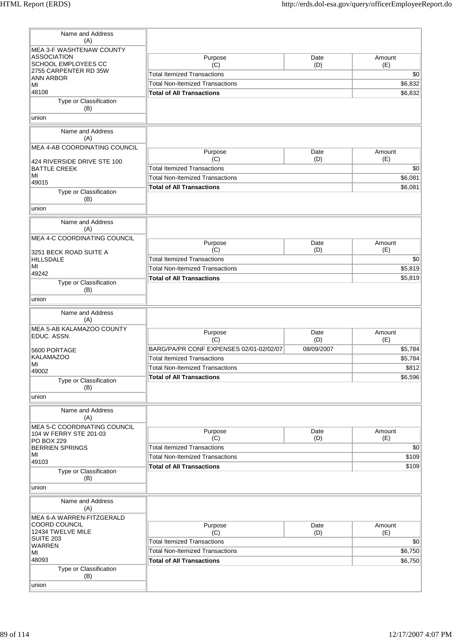| Name and Address                                                            |                                         |             |               |
|-----------------------------------------------------------------------------|-----------------------------------------|-------------|---------------|
| (A)<br><b>MEA 3-F WASHTENAW COUNTY</b>                                      |                                         |             |               |
| <b>ASSOCIATION</b>                                                          | Purpose                                 | Date        | Amount        |
| SCHOOL EMPLOYEES CC                                                         | (C)                                     | (D)         | (E)           |
| 2755 CARPENTER RD 35W                                                       | <b>Total Itemized Transactions</b>      |             | \$0           |
| ANN ARBOR<br>MI                                                             | <b>Total Non-Itemized Transactions</b>  | \$6,832     |               |
| 48108                                                                       | <b>Total of All Transactions</b>        |             | \$6,832       |
| Type or Classification<br>(B)                                               |                                         |             |               |
| union                                                                       |                                         |             |               |
| Name and Address<br>(A)                                                     |                                         |             |               |
| MEA 4-AB COORDINATING COUNCIL                                               | Purpose                                 | Date        | Amount        |
| 424 RIVERSIDE DRIVE STE 100                                                 | (C)                                     | (D)         | (E)           |
| <b>BATTLE CREEK</b>                                                         | <b>Total Itemized Transactions</b>      |             | \$0           |
| MI                                                                          | <b>Total Non-Itemized Transactions</b>  |             | \$6,081       |
| 49015                                                                       | <b>Total of All Transactions</b>        |             | \$6,081       |
| Type or Classification<br>(B)                                               |                                         |             |               |
| union                                                                       |                                         |             |               |
| Name and Address<br>(A)                                                     |                                         |             |               |
| MEA 4-C COORDINATING COUNCIL                                                | Purpose                                 | Date        | Amount        |
| 3251 BECK ROAD SUITE A                                                      | (C)                                     | (D)         | (E)           |
| <b>HILLSDALE</b>                                                            | <b>Total Itemized Transactions</b>      |             | \$0           |
| MI<br>49242                                                                 | <b>Total Non-Itemized Transactions</b>  |             | \$5,819       |
|                                                                             | <b>Total of All Transactions</b>        |             | \$5,819       |
| Type or Classification<br>(B)                                               |                                         |             |               |
| union                                                                       |                                         |             |               |
| Name and Address<br>(A)                                                     |                                         |             |               |
| MEA 5-AB KALAMAZOO COUNTY                                                   | Purpose                                 | Date        | Amount        |
| EDUC, ASSN.                                                                 | (C)                                     | (D)         | (E)           |
| 5600 PORTAGE                                                                | BARG/PA/PR CONF EXPENSES 02/01-02/02/07 | 08/09/2007  | \$5,784       |
| <b>KALAMAZOO</b>                                                            | <b>Total Itemized Transactions</b>      |             | \$5,784       |
| MI                                                                          | Total Non-Itemized Transactions         |             | \$812         |
| 49002<br>Type or Classification                                             | <b>Total of All Transactions</b>        |             | \$6,596       |
| (B)                                                                         |                                         |             |               |
| union                                                                       |                                         |             |               |
| Name and Address<br>(A)                                                     |                                         |             |               |
| <b>MEA 5-C COORDINATING COUNCIL</b><br>104 W FERRY STE 201-03<br>PO BOX 229 | Purpose<br>(C)                          | Date<br>(D) | Amount<br>(E) |
| <b>BERRIEN SPRINGS</b>                                                      | <b>Total Itemized Transactions</b>      |             | \$0           |
| MI                                                                          | <b>Total Non-Itemized Transactions</b>  |             | \$109         |
| 49103                                                                       | <b>Total of All Transactions</b>        |             | \$109         |
| Type or Classification<br>(B)                                               |                                         |             |               |
| union                                                                       |                                         |             |               |
| Name and Address<br>(A)                                                     |                                         |             |               |
| MEA 6-A WARREN-FITZGERALD                                                   |                                         |             |               |
| COORD COUNCIL                                                               | Purpose                                 | Date        | Amount        |
| 12434 TWELVE MILE<br><b>SUITE 203</b>                                       | (C)                                     | (D)         | (E)           |
| <b>WARREN</b>                                                               | <b>Total Itemized Transactions</b>      |             | \$0           |
| MI                                                                          | <b>Total Non-Itemized Transactions</b>  |             | \$6,750       |
| 48093                                                                       | <b>Total of All Transactions</b>        |             | \$6,750       |
| Type or Classification<br>(B)                                               |                                         |             |               |
| union                                                                       |                                         |             |               |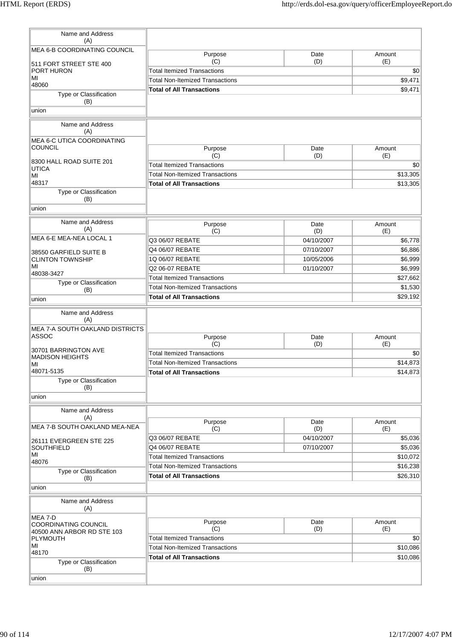| Name and Address                              |                                        |                   |                     |
|-----------------------------------------------|----------------------------------------|-------------------|---------------------|
| (A)                                           |                                        |                   |                     |
| MEA 6-B COORDINATING COUNCIL                  | Purpose                                | Date              | Amount              |
| 511 FORT STREET STE 400                       | (C)                                    | (D)               | (E)                 |
| PORT HURON                                    | <b>Total Itemized Transactions</b>     |                   | \$0                 |
| MI                                            | <b>Total Non-Itemized Transactions</b> |                   | \$9,471             |
| 48060                                         | <b>Total of All Transactions</b>       |                   | \$9,471             |
| Type or Classification<br>(B)                 |                                        |                   |                     |
| union                                         |                                        |                   |                     |
|                                               |                                        |                   |                     |
| Name and Address<br>(A)                       |                                        |                   |                     |
| MEA 6-C UTICA COORDINATING                    |                                        |                   |                     |
| <b>COUNCIL</b>                                | Purpose                                | Date              | Amount              |
|                                               | (C)                                    | (D)               | (E)                 |
| 8300 HALL ROAD SUITE 201<br><b>UTICA</b>      | <b>Total Itemized Transactions</b>     |                   | \$0                 |
| MI                                            | <b>Total Non-Itemized Transactions</b> |                   | \$13,305            |
| 48317                                         | <b>Total of All Transactions</b>       |                   | \$13,305            |
| Type or Classification                        |                                        |                   |                     |
| (B)                                           |                                        |                   |                     |
| union                                         |                                        |                   |                     |
| Name and Address                              | Purpose                                | Date              | Amount              |
| (A)                                           | (C)                                    | (D)               | (E)                 |
| MEA 6-E MEA-NEA LOCAL 1                       | Q3 06/07 REBATE                        | 04/10/2007        | \$6,778             |
| 38550 GARFIELD SUITE B                        | Q4 06/07 REBATE                        | 07/10/2007        | \$6,886             |
| <b>CLINTON TOWNSHIP</b>                       | 1Q 06/07 REBATE                        | 10/05/2006        | \$6,999             |
| MI                                            | Q2 06-07 REBATE                        | 01/10/2007        | \$6,999             |
| 48038-3427<br>Type or Classification          | <b>Total Itemized Transactions</b>     |                   | \$27,662            |
| (B)                                           | <b>Total Non-Itemized Transactions</b> |                   | \$1,530             |
| union                                         | <b>Total of All Transactions</b>       |                   | \$29,192            |
| Name and Address                              |                                        |                   |                     |
| (A)                                           |                                        |                   |                     |
| MEA 7-A SOUTH OAKLAND DISTRICTS               |                                        |                   |                     |
| ASSOC                                         | Purpose                                | Date              | Amount              |
| 30701 BARRINGTON AVE                          | (C)                                    | (D)               | (E)                 |
| <b>MADISON HEIGHTS</b>                        | <b>Total Itemized Transactions</b>     |                   | \$0                 |
| MI<br>48071-5135                              | <b>Total Non-Itemized Transactions</b> |                   | \$14,873            |
| Type or Classification                        | <b>Total of All Transactions</b>       |                   | \$14,873            |
| (B)                                           |                                        |                   |                     |
| union                                         |                                        |                   |                     |
|                                               |                                        |                   |                     |
| Name and Address<br>(A)                       |                                        |                   |                     |
| MEA 7-B SOUTH OAKLAND MEA-NEA                 | Purpose                                | Date              | Amount              |
|                                               | (C)<br>Q3 06/07 REBATE                 | (D)<br>04/10/2007 | (E)                 |
| 26111 EVERGREEN STE 225                       | Q4 06/07 REBATE                        |                   | \$5,036             |
| <b>SOUTHFIELD</b><br>MI                       | <b>Total Itemized Transactions</b>     | 07/10/2007        | \$5,036<br>\$10,072 |
| 48076                                         | <b>Total Non-Itemized Transactions</b> |                   |                     |
| Type or Classification                        |                                        |                   | \$16,238            |
| (B)                                           | <b>Total of All Transactions</b>       |                   | \$26,310            |
| union                                         |                                        |                   |                     |
| Name and Address<br>(A)                       |                                        |                   |                     |
| MEA 7-D                                       |                                        | Date              | Amount              |
| <b>COORDINATING COUNCIL</b>                   | Purpose<br>(C)                         | (D)               | (E)                 |
| 40500 ANN ARBOR RD STE 103<br><b>PLYMOUTH</b> | <b>Total Itemized Transactions</b>     |                   | \$0                 |
| MI                                            | <b>Total Non-Itemized Transactions</b> |                   | \$10,086            |
| 48170                                         | <b>Total of All Transactions</b>       |                   | \$10,086            |
| Type or Classification<br>(B)                 |                                        |                   |                     |
| union                                         |                                        |                   |                     |
|                                               |                                        |                   |                     |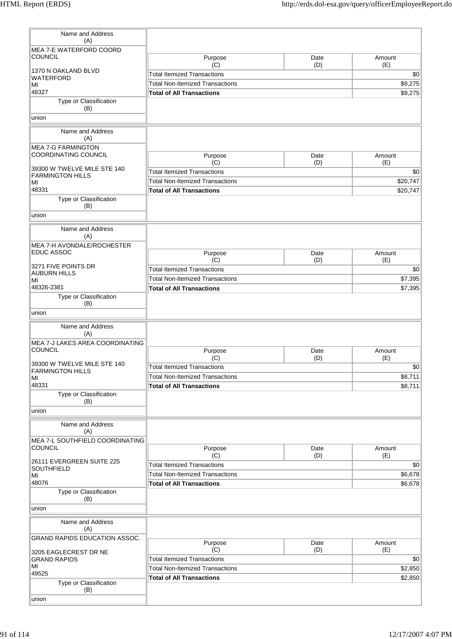| Name and Address<br>(A)                |                                        |             |               |
|----------------------------------------|----------------------------------------|-------------|---------------|
| MEA 7-E WATERFORD COORD                |                                        |             |               |
| <b>COUNCIL</b>                         | Purpose                                | Date        | Amount        |
|                                        | (C)                                    | (D)         | (E)           |
| 1370 N OAKLAND BLVD                    | <b>Total Itemized Transactions</b>     |             | \$0           |
| WATERFORD<br>MI                        | <b>Total Non-Itemized Transactions</b> | \$9,275     |               |
| 48327                                  | <b>Total of All Transactions</b>       |             | \$9,275       |
| Type or Classification                 |                                        |             |               |
| (B)                                    |                                        |             |               |
| union                                  |                                        |             |               |
| Name and Address                       |                                        |             |               |
| (A)                                    |                                        |             |               |
| <b>MEA 7-G FARMINGTON</b>              |                                        |             |               |
| COORDINATING COUNCIL                   | Purpose                                | Date        | Amount        |
| 39300 W TWELVE MILE STE 140            | (C)                                    | (D)         | (E)           |
| <b>FARMINGTON HILLS</b>                | <b>Total Itemized Transactions</b>     |             | \$0           |
| MI                                     | <b>Total Non-Itemized Transactions</b> |             | \$20,747      |
| 48331                                  | <b>Total of All Transactions</b>       |             | \$20,747      |
| Type or Classification                 |                                        |             |               |
| (B)                                    |                                        |             |               |
| union                                  |                                        |             |               |
| Name and Address                       |                                        |             |               |
| (A)                                    |                                        |             |               |
| MEA 7-H AVONDALE/ROCHESTER             |                                        |             |               |
| <b>EDUC ASSOC</b>                      | Purpose                                | Date        | Amount        |
| 3271 FIVE POINTS DR                    | (C)                                    | (D)         | (E)           |
| <b>AUBURN HILLS</b>                    | <b>Total Itemized Transactions</b>     |             | \$0           |
| MI                                     | <b>Total Non-Itemized Transactions</b> |             | \$7,395       |
| 48326-2381                             | <b>Total of All Transactions</b>       |             | \$7,395       |
| Type or Classification                 |                                        |             |               |
| (B)                                    |                                        |             |               |
| union                                  |                                        |             |               |
| Name and Address                       |                                        |             |               |
| (A)                                    |                                        |             |               |
| MEA 7-J LAKES AREA COORDINATING        |                                        |             |               |
| <b>COUNCIL</b>                         | Purpose<br>(C)                         | Date<br>(D) | Amount<br>(E) |
| 39300 W TWELVE MILE STE 140            | <b>Total Itemized Transactions</b>     |             |               |
| <b>FARMINGTON HILLS</b>                | <b>Total Non-Itemized Transactions</b> |             | \$0           |
| МI<br>48331                            | <b>Total of All Transactions</b>       |             | \$8,711       |
| Type or Classification                 |                                        |             | \$8,711       |
| (B)                                    |                                        |             |               |
| union                                  |                                        |             |               |
|                                        |                                        |             |               |
| Name and Address                       |                                        |             |               |
| (A)<br>MEA 7-L SOUTHFIELD COORDINATING |                                        |             |               |
| <b>COUNCIL</b>                         | Purpose                                | Date        | Amount        |
|                                        | (C)                                    | (D)         | (E)           |
| 26111 EVERGREEN SUITE 225              | <b>Total Itemized Transactions</b>     |             | \$0           |
| <b>SOUTHFIELD</b><br>MI                | <b>Total Non-Itemized Transactions</b> |             | \$6,678       |
| 48076                                  | <b>Total of All Transactions</b>       |             | \$6,678       |
| Type or Classification                 |                                        |             |               |
| (B)                                    |                                        |             |               |
| union                                  |                                        |             |               |
| Name and Address                       |                                        |             |               |
| (A)                                    |                                        |             |               |
| <b>GRAND RAPIDS EDUCATION ASSOC.</b>   |                                        |             |               |
|                                        | Purpose                                | Date        | Amount        |
| 3205 EAGLECREST DR NE                  | (C)                                    | (D)         | (E)           |
| <b>GRAND RAPIDS</b><br>ΜI              | <b>Total Itemized Transactions</b>     |             | \$0           |
| 49525                                  | <b>Total Non-Itemized Transactions</b> |             | \$2,850       |
| Type or Classification                 | <b>Total of All Transactions</b>       |             | \$2,850       |
| (B)                                    |                                        |             |               |
| union                                  |                                        |             |               |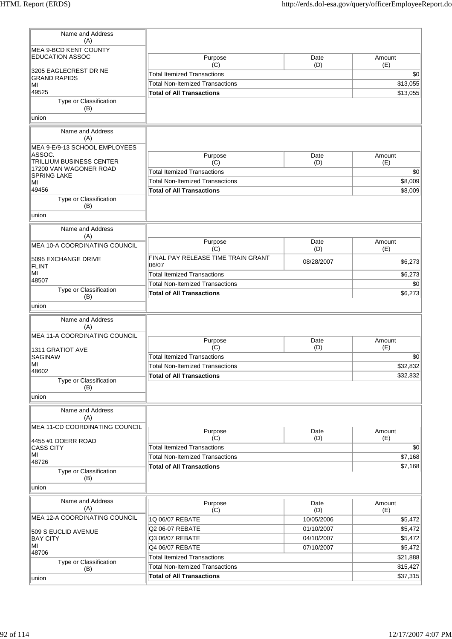| Name and Address                                          |                                                                            |             |                    |
|-----------------------------------------------------------|----------------------------------------------------------------------------|-------------|--------------------|
| (A)                                                       |                                                                            |             |                    |
| <b>MEA 9-BCD KENT COUNTY</b><br><b>EDUCATION ASSOC</b>    | Purpose                                                                    | Date        | Amount             |
| 3205 EAGLECREST DR NE                                     | (C)                                                                        | (D)         | (E)                |
| <b>Total Itemized Transactions</b><br><b>GRAND RAPIDS</b> |                                                                            |             | \$0                |
| MI                                                        | <b>Total Non-Itemized Transactions</b>                                     |             | \$13,055           |
| 49525<br>Type or Classification                           | <b>Total of All Transactions</b>                                           |             | \$13,055           |
| (B)<br>union                                              |                                                                            |             |                    |
|                                                           |                                                                            |             |                    |
| Name and Address<br>(A)                                   |                                                                            |             |                    |
| MEA 9-E/9-13 SCHOOL EMPLOYEES<br>ASSOC.                   | Purpose                                                                    | Date        | Amount             |
| TRILLIUM BUSINESS CENTER                                  | (C)                                                                        | (D)         | (E)                |
| 17200 VAN WAGONER ROAD<br><b>SPRING LAKE</b>              | <b>Total Itemized Transactions</b>                                         |             | \$0                |
| MI                                                        | <b>Total Non-Itemized Transactions</b>                                     |             | \$8,009            |
| 49456                                                     | <b>Total of All Transactions</b>                                           |             | \$8,009            |
| Type or Classification<br>(B)                             |                                                                            |             |                    |
| union                                                     |                                                                            |             |                    |
| Name and Address                                          |                                                                            |             |                    |
| (A)                                                       | Purpose                                                                    | Date        | Amount             |
| MEA 10-A COORDINATING COUNCIL                             | (C)                                                                        | (D)         | (E)                |
| 5095 EXCHANGE DRIVE<br><b>FLINT</b>                       | FINAL PAY RELEASE TIME TRAIN GRANT<br>06/07                                | 08/28/2007  | \$6,273            |
| MI<br>48507                                               | <b>Total Itemized Transactions</b>                                         |             | \$6,273            |
| Type or Classification                                    | <b>Total Non-Itemized Transactions</b>                                     |             | \$0                |
| (B)                                                       | <b>Total of All Transactions</b>                                           |             | \$6,273            |
| union                                                     |                                                                            |             |                    |
| Name and Address<br>(A)                                   |                                                                            |             |                    |
| MEA 11-A COORDINATING COUNCIL                             | Purpose                                                                    | Date        | Amount             |
| 1311 GRATIOT AVE                                          | (C)                                                                        | (D)         | (E)                |
| <b>SAGINAW</b>                                            | <b>Total Itemized Transactions</b>                                         |             | \$0                |
| MI<br>48602                                               | <b>Total Non-Itemized Transactions</b>                                     |             | \$32,832           |
| Type or Classification                                    | <b>Total of All Transactions</b>                                           |             | \$32,832           |
| (B)<br>union                                              |                                                                            |             |                    |
|                                                           |                                                                            |             |                    |
| Name and Address<br>(A)                                   |                                                                            |             |                    |
| MEA 11-CD COORDINATING COUNCIL                            | Purpose                                                                    | Date        | Amount             |
| 4455 #1 DOERR ROAD                                        | (C)                                                                        | (D)         | (E)                |
| <b>CASS CITY</b><br>MI                                    | <b>Total Itemized Transactions</b>                                         |             | \$0                |
| 48726                                                     | <b>Total Non-Itemized Transactions</b><br><b>Total of All Transactions</b> |             | \$7,168<br>\$7,168 |
| Type or Classification<br>(B)                             |                                                                            |             |                    |
| union                                                     |                                                                            |             |                    |
| Name and Address<br>(A)                                   | Purpose<br>(C)                                                             | Date<br>(D) | Amount<br>(E)      |
| MEA 12-A COORDINATING COUNCIL                             | 1Q 06/07 REBATE                                                            | 10/05/2006  | \$5,472            |
|                                                           | Q2 06-07 REBATE                                                            | 01/10/2007  | \$5,472            |
| 509 S EUCLID AVENUE<br><b>BAY CITY</b>                    | Q3 06/07 REBATE                                                            | 04/10/2007  | \$5,472            |
| MI                                                        | Q4 06/07 REBATE                                                            | 07/10/2007  | \$5,472            |
| 48706                                                     | <b>Total Itemized Transactions</b>                                         |             | \$21,888           |
| Type or Classification<br>(B)                             | <b>Total Non-Itemized Transactions</b>                                     |             | \$15,427           |
| union                                                     | <b>Total of All Transactions</b>                                           |             | \$37,315           |
|                                                           |                                                                            |             |                    |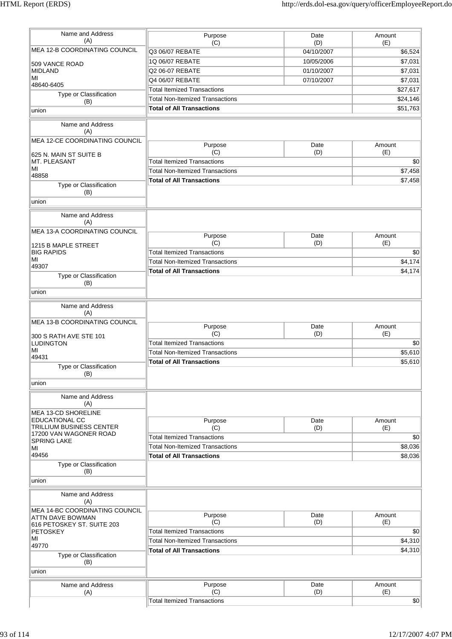| Name and Address<br>(A)<br>MEA 12-B COORDINATING COUNCIL<br>509 VANCE ROAD<br><b>MIDLAND</b><br>MI<br>48640-6405<br>Type or Classification<br>(B)<br>union      | Purpose<br>(C)<br>Q3 06/07 REBATE<br>1Q 06/07 REBATE<br>Q2 06-07 REBATE                                                            | Date<br>(D)<br>04/10/2007 | Amount<br>(E)      |
|-----------------------------------------------------------------------------------------------------------------------------------------------------------------|------------------------------------------------------------------------------------------------------------------------------------|---------------------------|--------------------|
|                                                                                                                                                                 |                                                                                                                                    |                           |                    |
|                                                                                                                                                                 |                                                                                                                                    |                           | \$6,524            |
|                                                                                                                                                                 |                                                                                                                                    | 10/05/2006                | \$7,031            |
|                                                                                                                                                                 |                                                                                                                                    | 01/10/2007                | \$7,031            |
|                                                                                                                                                                 | Q4 06/07 REBATE                                                                                                                    | 07/10/2007                | \$7,031            |
|                                                                                                                                                                 | <b>Total Itemized Transactions</b>                                                                                                 |                           | \$27,617           |
|                                                                                                                                                                 | <b>Total Non-Itemized Transactions</b>                                                                                             |                           | \$24,146           |
|                                                                                                                                                                 |                                                                                                                                    |                           |                    |
|                                                                                                                                                                 | <b>Total of All Transactions</b>                                                                                                   |                           | \$51,763           |
| Name and Address<br>(A)                                                                                                                                         |                                                                                                                                    |                           |                    |
| MEA 12-CE COORDINATING COUNCIL                                                                                                                                  |                                                                                                                                    |                           |                    |
|                                                                                                                                                                 | Purpose<br>(C)                                                                                                                     | Date<br>(D)               | Amount<br>(E)      |
| 625 N. MAIN ST SUITE B<br>MT. PLEASANT                                                                                                                          | <b>Total Itemized Transactions</b>                                                                                                 |                           |                    |
| MI                                                                                                                                                              |                                                                                                                                    |                           |                    |
| 48858                                                                                                                                                           | <b>Total Non-Itemized Transactions</b>                                                                                             |                           | \$7,458            |
| Type or Classification                                                                                                                                          | <b>Total of All Transactions</b>                                                                                                   |                           | \$7,458            |
| (B)                                                                                                                                                             |                                                                                                                                    |                           |                    |
| union                                                                                                                                                           |                                                                                                                                    |                           |                    |
| Name and Address                                                                                                                                                |                                                                                                                                    |                           |                    |
| (A)                                                                                                                                                             |                                                                                                                                    |                           |                    |
| <b>MEA 13-A COORDINATING COUNCIL</b>                                                                                                                            |                                                                                                                                    |                           |                    |
|                                                                                                                                                                 | Purpose<br>(C)                                                                                                                     | Date                      | Amount             |
| 1215 B MAPLE STREET                                                                                                                                             |                                                                                                                                    | (D)                       | (E)                |
| <b>BIG RAPIDS</b><br>MI                                                                                                                                         | <b>Total Itemized Transactions</b>                                                                                                 |                           |                    |
| 49307                                                                                                                                                           | <b>Total Non-Itemized Transactions</b>                                                                                             |                           | \$4,174            |
| Type or Classification                                                                                                                                          | <b>Total of All Transactions</b>                                                                                                   |                           | \$4,174            |
| (B)                                                                                                                                                             |                                                                                                                                    |                           |                    |
| union                                                                                                                                                           |                                                                                                                                    |                           |                    |
| Name and Address                                                                                                                                                |                                                                                                                                    |                           |                    |
| (A)                                                                                                                                                             |                                                                                                                                    |                           |                    |
| MEA 13-B COORDINATING COUNCIL                                                                                                                                   |                                                                                                                                    |                           |                    |
|                                                                                                                                                                 | Purpose                                                                                                                            | Date                      | Amount             |
| 300 S RATH AVE STE 101                                                                                                                                          | (C)                                                                                                                                | (D)                       | (E)                |
| <b>LUDINGTON</b>                                                                                                                                                | <b>Total Itemized Transactions</b>                                                                                                 |                           |                    |
| MI<br>49431                                                                                                                                                     | <b>Total Non-Itemized Transactions</b>                                                                                             |                           | \$5,610            |
| Type or Classification                                                                                                                                          | <b>Total of All Transactions</b>                                                                                                   |                           | \$5,610            |
|                                                                                                                                                                 |                                                                                                                                    |                           |                    |
|                                                                                                                                                                 |                                                                                                                                    |                           |                    |
|                                                                                                                                                                 |                                                                                                                                    |                           |                    |
|                                                                                                                                                                 |                                                                                                                                    |                           |                    |
|                                                                                                                                                                 |                                                                                                                                    |                           |                    |
|                                                                                                                                                                 |                                                                                                                                    |                           |                    |
|                                                                                                                                                                 |                                                                                                                                    |                           | Amount<br>(E)      |
| 17200 VAN WAGONER ROAD                                                                                                                                          |                                                                                                                                    |                           |                    |
| <b>SPRING LAKE</b>                                                                                                                                              |                                                                                                                                    |                           |                    |
| ΜI                                                                                                                                                              |                                                                                                                                    |                           | \$8,036            |
|                                                                                                                                                                 |                                                                                                                                    |                           | \$8,036            |
|                                                                                                                                                                 |                                                                                                                                    |                           |                    |
|                                                                                                                                                                 |                                                                                                                                    |                           |                    |
|                                                                                                                                                                 |                                                                                                                                    |                           |                    |
|                                                                                                                                                                 |                                                                                                                                    |                           |                    |
| Name and Address                                                                                                                                                |                                                                                                                                    |                           |                    |
| (A)                                                                                                                                                             | Purpose                                                                                                                            | Date                      | Amount             |
| MEA 14-BC COORDINATING COUNCIL                                                                                                                                  |                                                                                                                                    | (D)                       | (E)                |
| <b>ATTN DAVE BOWMAN</b>                                                                                                                                         | (C)                                                                                                                                |                           |                    |
| 616 PETOSKEY ST. SUITE 203                                                                                                                                      |                                                                                                                                    |                           |                    |
| <b>PETOSKEY</b><br>MI                                                                                                                                           | <b>Total Itemized Transactions</b>                                                                                                 |                           |                    |
| 49770                                                                                                                                                           | <b>Total Non-Itemized Transactions</b>                                                                                             |                           |                    |
| Type or Classification                                                                                                                                          | <b>Total of All Transactions</b>                                                                                                   |                           |                    |
| (B)                                                                                                                                                             |                                                                                                                                    |                           | \$4,310<br>\$4,310 |
| union                                                                                                                                                           |                                                                                                                                    |                           |                    |
|                                                                                                                                                                 |                                                                                                                                    |                           |                    |
| Name and Address                                                                                                                                                | Purpose                                                                                                                            | Date                      | Amount             |
| (A)                                                                                                                                                             | (C)<br><b>Total Itemized Transactions</b>                                                                                          | (D)                       | (E)                |
| (B)<br>union<br>Name and Address<br>(A)<br>MEA 13-CD SHORELINE<br>EDUCATIONAL CC<br>TRILLIUM BUSINESS CENTER<br>49456<br>Type or Classification<br>(B)<br>union | Purpose<br>(C)<br><b>Total Itemized Transactions</b><br><b>Total Non-Itemized Transactions</b><br><b>Total of All Transactions</b> | Date<br>(D)               |                    |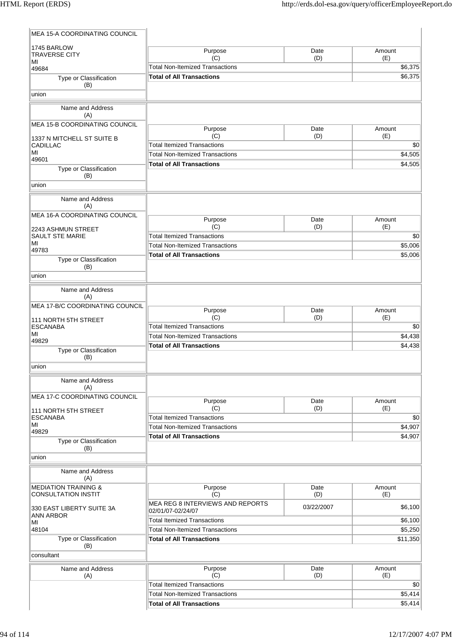| <b>MEA 15-A COORDINATING COUNCIL</b>                          |                                                       |             |                |
|---------------------------------------------------------------|-------------------------------------------------------|-------------|----------------|
| 1745 BARLOW<br><b>TRAVERSE CITY</b><br>ΜI                     | Purpose<br>(C)                                        | Date<br>(D) | Amount<br>(E)  |
| 49684                                                         | <b>Total Non-Itemized Transactions</b>                |             |                |
| Type or Classification                                        | <b>Total of All Transactions</b>                      |             | \$6,375        |
| (B)<br>union                                                  |                                                       |             |                |
|                                                               |                                                       |             |                |
| Name and Address<br>(A)                                       |                                                       |             |                |
| MEA 15-B COORDINATING COUNCIL                                 | Purpose<br>(C)                                        | Date<br>(D) | Amount<br>(E)  |
| 1337 N MITCHELL ST SUITE B<br><b>CADILLAC</b>                 | <b>Total Itemized Transactions</b>                    |             | \$0            |
| MI                                                            | <b>Total Non-Itemized Transactions</b>                |             | \$4,505        |
| 49601<br>Type or Classification                               | <b>Total of All Transactions</b>                      |             | \$4,505        |
| (B)                                                           |                                                       |             |                |
| union                                                         |                                                       |             |                |
| Name and Address<br>(A)                                       |                                                       |             |                |
| MEA 16-A COORDINATING COUNCIL                                 | Purpose                                               | Date        | Amount         |
| 2243 ASHMUN STREET                                            | (C)                                                   | (D)         | (E)            |
| <b>SAULT STE MARIE</b>                                        | <b>Total Itemized Transactions</b>                    |             | \$0            |
| MI<br>49783                                                   | <b>Total Non-Itemized Transactions</b>                |             | \$5,006        |
| Type or Classification                                        | <b>Total of All Transactions</b>                      |             | \$5,006        |
| (B)<br>union                                                  |                                                       |             |                |
|                                                               |                                                       |             |                |
| Name and Address<br>(A)                                       |                                                       |             |                |
| MEA 17-B/C COORDINATING COUNCIL                               |                                                       |             |                |
| 111 NORTH 5TH STREET                                          | Purpose<br>(C)                                        | Date<br>(D) | Amount<br>(E)  |
| <b>ESCANABA</b>                                               | <b>Total Itemized Transactions</b>                    |             | \$0            |
| MI<br>49829                                                   | <b>Total Non-Itemized Transactions</b>                |             | \$4,438        |
| Type or Classification                                        | <b>Total of All Transactions</b>                      |             | \$4,438        |
| (B)<br>union                                                  |                                                       |             |                |
| Name and Address                                              |                                                       |             |                |
| (A)                                                           |                                                       |             |                |
| <b>MEA 17-C COORDINATING COUNCIL</b>                          | Purpose                                               | Date        | Amount         |
| 111 NORTH 5TH STREET                                          | (C)<br><b>Total Itemized Transactions</b>             | (D)         | (E)            |
| <b>ESCANABA</b><br>MI                                         | <b>Total Non-Itemized Transactions</b>                |             | \$0<br>\$4,907 |
| 49829                                                         | <b>Total of All Transactions</b>                      |             | \$4,907        |
| Type or Classification<br>(B)<br>union                        |                                                       |             |                |
| Name and Address                                              |                                                       |             |                |
| (A)                                                           |                                                       |             |                |
| <b>MEDIATION TRAINING &amp;</b><br><b>CONSULTATION INSTIT</b> | Purpose<br>(C)                                        | Date<br>(D) | Amount<br>(E)  |
| 330 EAST LIBERTY SUITE 3A                                     | MEA REG 8 INTERVIEWS AND REPORTS<br>02/01/07-02/24/07 | 03/22/2007  | \$6,100        |
| <b>ANN ARBOR</b>                                              | <b>Total Itemized Transactions</b>                    |             | \$6,100        |
| MI<br>48104                                                   | <b>Total Non-Itemized Transactions</b>                |             | \$5,250        |
| Type or Classification<br>(B)                                 | <b>Total of All Transactions</b>                      |             | \$11,350       |
| consultant                                                    |                                                       |             |                |
| Name and Address<br>(A)                                       | Purpose<br>(C)                                        | Date<br>(D) | Amount<br>(E)  |
|                                                               | <b>Total Itemized Transactions</b>                    |             | \$0            |
|                                                               | <b>Total Non-Itemized Transactions</b>                |             | \$5,414        |
|                                                               | <b>Total of All Transactions</b>                      |             | \$5,414        |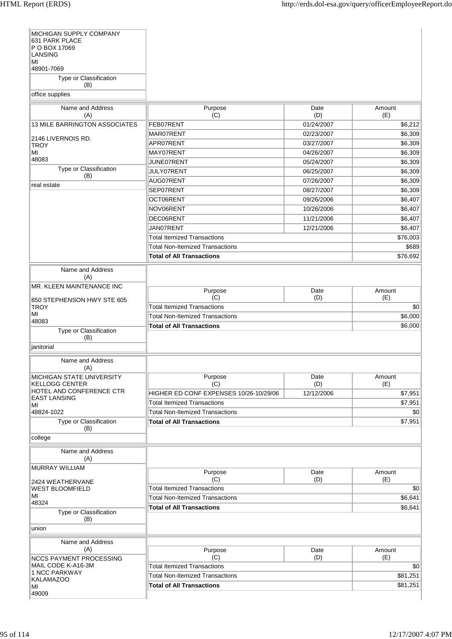| MICHIGAN SUPPLY COMPANY<br>631 PARK PLACE          |                                        |             |               |
|----------------------------------------------------|----------------------------------------|-------------|---------------|
| P O BOX 17069<br>LANSING                           |                                        |             |               |
| ΜI<br>48901-7069                                   |                                        |             |               |
| Type or Classification<br>(B)                      |                                        |             |               |
| office supplies                                    |                                        |             |               |
| Name and Address<br>(A)                            | Purpose<br>(C)                         | Date<br>(D) | Amount<br>(E) |
| 13 MILE BARRINGTON ASSOCIATES                      | FEB07RENT                              | 01/24/2007  | \$6,212       |
| 2146 LIVERNOIS RD.                                 | MAR07RENT                              | 02/23/2007  | \$6,309       |
| <b>TROY</b>                                        | APR07RENT                              | 03/27/2007  | \$6,309       |
| MI                                                 | MAY07RENT                              | 04/26/2007  | \$6,309       |
| 48083                                              | JUNE07RENT                             | 05/24/2007  | \$6,309       |
| Type or Classification<br>(B)                      | JULY07RENT                             | 06/25/2007  | \$6,309       |
| real estate                                        | AUG07RENT                              | 07/26/2007  | \$6,309       |
|                                                    | SEP07RENT                              | 08/27/2007  | \$6,309       |
|                                                    | OCT06RENT                              | 09/26/2006  | \$6,407       |
|                                                    | NOV06RENT                              | 10/26/2006  | \$6,407       |
|                                                    | DEC06RENT                              | 11/21/2006  | \$6,407       |
|                                                    | JAN07RENT                              | 12/21/2006  | \$6,407       |
|                                                    | <b>Total Itemized Transactions</b>     |             | \$76,003      |
|                                                    | <b>Total Non-Itemized Transactions</b> |             | \$689         |
|                                                    | <b>Total of All Transactions</b>       |             | \$76,692      |
| Name and Address<br>(A)                            |                                        |             |               |
| MR. KLEEN MAINTENANCE INC                          |                                        |             |               |
|                                                    | Purpose<br>(C)                         | Date<br>(D) | Amount<br>(E) |
| 850 STEPHENSON HWY STE 605<br><b>TROY</b>          | <b>Total Itemized Transactions</b>     |             | \$0           |
| MI                                                 | <b>Total Non-Itemized Transactions</b> |             | \$6,000       |
| 48083                                              | <b>Total of All Transactions</b>       |             | \$6,000       |
| Type or Classification<br>(B)                      |                                        |             |               |
| janitorial                                         |                                        |             |               |
| Name and Address<br>(A)                            |                                        |             |               |
| MICHIGAN STATE UNIVERSITY<br><b>KELLOGG CENTER</b> | Purpose<br>(C)                         | Date<br>(D) | Amount<br>(E) |
| HOTEL AND CONFERENCE CTR                           | HIGHER ED CONF EXPENSES 10/26-10/29/06 | 12/12/2006  | \$7,951       |
| <b>EAST LANSING</b>                                | <b>Total Itemized Transactions</b>     |             | \$7,951       |
| ΜI<br>48824-1022                                   | <b>Total Non-Itemized Transactions</b> |             | \$0           |
| Type or Classification                             | <b>Total of All Transactions</b>       |             | \$7,951       |
| (B)<br>college                                     |                                        |             |               |
|                                                    |                                        |             |               |
| Name and Address<br>(A)                            |                                        |             |               |
| <b>MURRAY WILLIAM</b>                              | Purpose                                | Date        | Amount        |
| 2424 WEATHERVANE                                   | (C)                                    | (D)         | (E)           |
| WEST BLOOMFIELD                                    | <b>Total Itemized Transactions</b>     |             | \$0           |
| MI<br>48324                                        | <b>Total Non-Itemized Transactions</b> |             | \$6,641       |
| Type or Classification                             | <b>Total of All Transactions</b>       |             | \$6,641       |
| (B)<br>union                                       |                                        |             |               |
| Name and Address                                   |                                        |             |               |
| (A)<br><b>NCCS PAYMENT PROCESSING</b>              | Purpose<br>(C)                         | Date<br>(D) | Amount<br>(E) |
| MAIL CODE K-A16-3M                                 | <b>Total Itemized Transactions</b>     |             | \$0           |
| 1 NCC PARKWAY                                      | <b>Total Non-Itemized Transactions</b> |             | \$81,251      |
| <b>KALAMAZOO</b>                                   |                                        |             |               |
| MI                                                 | <b>Total of All Transactions</b>       |             | \$81,251      |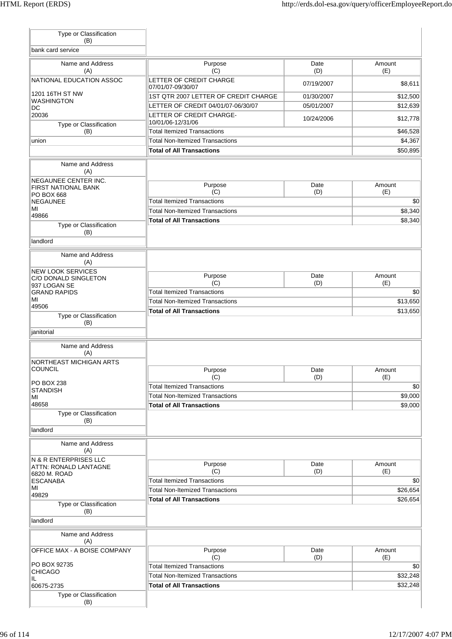| Type or Classification<br>(B)            |                                                                              |             |                     |
|------------------------------------------|------------------------------------------------------------------------------|-------------|---------------------|
| bank card service                        |                                                                              |             |                     |
| Name and Address<br>(A)                  | Purpose<br>(C)                                                               | Date<br>(D) | Amount<br>(E)       |
| NATIONAL EDUCATION ASSOC                 | LETTER OF CREDIT CHARGE<br>07/01/07-09/30/07                                 | 07/19/2007  | \$8,611             |
| 1201 16TH ST NW                          | 1ST QTR 2007 LETTER OF CREDIT CHARGE                                         | 01/30/2007  | \$12,500            |
| WASHINGTON<br>DC                         | LETTER OF CREDIT 04/01/07-06/30/07                                           | 05/01/2007  | \$12,639            |
| 20036                                    | LETTER OF CREDIT CHARGE-                                                     | 10/24/2006  | \$12,778            |
| Type or Classification                   | 10/01/06-12/31/06                                                            |             |                     |
| (B)                                      | <b>Total Itemized Transactions</b><br><b>Total Non-Itemized Transactions</b> |             | \$46,528<br>\$4,367 |
| union                                    | <b>Total of All Transactions</b>                                             |             | \$50,895            |
|                                          |                                                                              |             |                     |
| Name and Address<br>(A)                  |                                                                              |             |                     |
| NEGAUNEE CENTER INC.                     | Purpose                                                                      | Date        | Amount              |
| <b>FIRST NATIONAL BANK</b><br>PO BOX 668 | (C)                                                                          | (D)         | (E)                 |
| <b>NEGAUNEE</b>                          | <b>Total Itemized Transactions</b>                                           |             | \$0                 |
| MI                                       | <b>Total Non-Itemized Transactions</b>                                       |             | \$8,340             |
| 49866                                    | <b>Total of All Transactions</b>                                             |             | \$8,340             |
| Type or Classification<br>(B)            |                                                                              |             |                     |
| landlord                                 |                                                                              |             |                     |
| Name and Address<br>(A)                  |                                                                              |             |                     |
| <b>NEW LOOK SERVICES</b>                 | Purpose                                                                      | Date        | Amount              |
| C/O DONALD SINGLETON<br>937 LOGAN SE     | (C)                                                                          | (D)         | (E)                 |
| <b>GRAND RAPIDS</b>                      | <b>Total Itemized Transactions</b>                                           |             | \$0                 |
| MI                                       | <b>Total Non-Itemized Transactions</b>                                       |             | \$13,650            |
| 49506                                    | <b>Total of All Transactions</b>                                             |             | \$13,650            |
| Type or Classification<br>(B)            |                                                                              |             |                     |
| janitorial                               |                                                                              |             |                     |
| Name and Address                         |                                                                              |             |                     |
| (A)                                      |                                                                              |             |                     |
| NORTHEAST MICHIGAN ARTS                  |                                                                              |             |                     |
| COUNCIL                                  | Purpose<br>(C)                                                               | Date<br>(D) | Amount<br>(E)       |
| PO BOX 238                               | <b>Total Itemized Transactions</b>                                           |             | \$0                 |
| <b>STANDISH</b><br>MI                    | <b>Total Non-Itemized Transactions</b>                                       |             | \$9,000             |
| 48658                                    | <b>Total of All Transactions</b>                                             |             | \$9,000             |
| Type or Classification                   |                                                                              |             |                     |
| (B)                                      |                                                                              |             |                     |
| landlord                                 |                                                                              |             |                     |
| Name and Address                         |                                                                              |             |                     |
| (A)<br>N & R ENTERPRISES LLC             |                                                                              |             |                     |
| ATTN: RONALD LANTAGNE                    | Purpose                                                                      | Date        | Amount              |
| 6820 M. ROAD                             | (C)                                                                          | (D)         | (E)                 |
| <b>ESCANABA</b><br>MI                    | <b>Total Itemized Transactions</b>                                           |             | \$0                 |
| 49829                                    | <b>Total Non-Itemized Transactions</b>                                       |             | \$26,654            |
| Type or Classification                   | <b>Total of All Transactions</b>                                             |             | \$26,654            |
| (B)<br>landlord                          |                                                                              |             |                     |
| Name and Address                         |                                                                              |             |                     |
| (A)                                      |                                                                              |             |                     |
| OFFICE MAX - A BOISE COMPANY             | Purpose                                                                      | Date        | Amount              |
| PO BOX 92735                             | (C)                                                                          | (D)         | (E)                 |
| <b>CHICAGO</b>                           | <b>Total Itemized Transactions</b>                                           |             | \$0                 |
| IL.                                      | <b>Total Non-Itemized Transactions</b>                                       |             | \$32,248            |
| 60675-2735                               | <b>Total of All Transactions</b>                                             |             | \$32,248            |
| Type or Classification<br>(B)            |                                                                              |             |                     |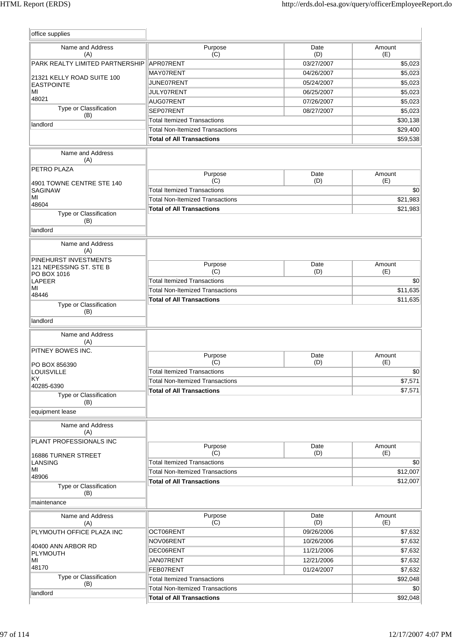| office supplies                                 |                                        |             |               |
|-------------------------------------------------|----------------------------------------|-------------|---------------|
| Name and Address<br>(A)                         | Purpose<br>(C)                         | Date<br>(D) | Amount<br>(E) |
| PARK REALTY LIMITED PARTNERSHIP                 | APR07RENT                              | 03/27/2007  | \$5,023       |
|                                                 | MAY07RENT                              | 04/26/2007  | \$5,023       |
| 21321 KELLY ROAD SUITE 100<br><b>EASTPOINTE</b> | JUNE07RENT                             | 05/24/2007  | \$5,023       |
| MI                                              | JULY07RENT                             | 06/25/2007  | \$5,023       |
| 48021                                           | AUG07RENT                              | 07/26/2007  | \$5,023       |
| Type or Classification                          | SEP07RENT                              | 08/27/2007  | \$5,023       |
| (B)                                             | <b>Total Itemized Transactions</b>     |             | \$30,138      |
| landlord                                        | <b>Total Non-Itemized Transactions</b> |             | \$29,400      |
|                                                 | <b>Total of All Transactions</b>       |             | \$59,538      |
| Name and Address                                |                                        |             |               |
| (A)                                             |                                        |             |               |
| PETRO PLAZA                                     | Purpose                                | Date        | Amount        |
| 4901 TOWNE CENTRE STE 140                       | (C)                                    | (D)         | (E)           |
| SAGINAW                                         | <b>Total Itemized Transactions</b>     |             | \$0           |
| MI                                              | <b>Total Non-Itemized Transactions</b> |             | \$21,983      |
| 48604                                           | <b>Total of All Transactions</b>       |             | \$21,983      |
| Type or Classification<br>(B)                   |                                        |             |               |
| landlord                                        |                                        |             |               |
| Name and Address<br>(A)                         |                                        |             |               |
| PINEHURST INVESTMENTS                           | Purpose                                | Date        | Amount        |
| 121 NEPESSING ST. STE B                         | (C)                                    | (D)         | (E)           |
| PO BOX 1016<br><b>LAPEER</b>                    | <b>Total Itemized Transactions</b>     |             | \$0           |
| MI                                              | <b>Total Non-Itemized Transactions</b> |             | \$11,635      |
| 48446                                           | <b>Total of All Transactions</b>       |             | \$11,635      |
| Type or Classification<br>(B)<br>landlord       |                                        |             |               |
| Name and Address<br>(A)                         |                                        |             |               |
| PITNEY BOWES INC.                               |                                        |             |               |
|                                                 | Purpose<br>(C)                         | Date<br>(D) | Amount<br>(E) |
| PO BOX 856390<br>LOUISVILLE                     | <b>Total Itemized Transactions</b>     |             | \$0           |
| KY                                              | <b>Total Non-Itemized Transactions</b> |             | \$7,571       |
| 40285-6390                                      |                                        |             |               |
| Type or Classification<br>(B)                   | <b>Total of All Transactions</b>       |             | \$7,571       |
| equipment lease                                 |                                        |             |               |
| Name and Address<br>(A)                         |                                        |             |               |
| PLANT PROFESSIONALS INC                         | Purpose                                | Date        | Amount        |
| 16886 TURNER STREET                             | (C)                                    | (D)         | (E)           |
| <b>LANSING</b>                                  | <b>Total Itemized Transactions</b>     |             | \$0           |
| МI                                              | <b>Total Non-Itemized Transactions</b> |             | \$12,007      |
| 48906                                           | <b>Total of All Transactions</b>       |             | \$12,007      |
| Type or Classification<br>(B)                   |                                        |             |               |
| maintenance                                     |                                        |             |               |
| Name and Address<br>(A)                         | Purpose<br>(C)                         | Date<br>(D) | Amount<br>(E) |
| PLYMOUTH OFFICE PLAZA INC                       | OCT06RENT                              | 09/26/2006  | \$7,632       |
|                                                 | NOV06RENT                              | 10/26/2006  | \$7,632       |
| 40400 ANN ARBOR RD                              | DEC06RENT                              | 11/21/2006  | \$7,632       |
| PLYMOUTH                                        | JAN07RENT                              | 12/21/2006  | \$7,632       |
| MI<br>48170                                     |                                        |             |               |
| Type or Classification                          | FEB07RENT                              | 01/24/2007  | \$7,632       |
| (B)                                             | <b>Total Itemized Transactions</b>     |             | \$92,048      |
| landlord                                        | <b>Total Non-Itemized Transactions</b> |             | \$0           |
|                                                 | <b>Total of All Transactions</b>       |             | \$92,048      |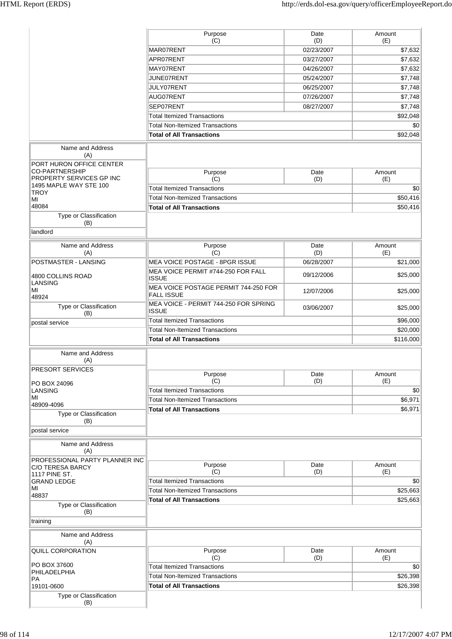| Purpose<br>Date<br>Amount<br>(C)<br>(D)<br>(E)<br>MAR07RENT<br>02/23/2007<br>\$7,632<br>APR07RENT<br>03/27/2007<br>\$7,632<br>MAY07RENT<br>\$7,632<br>04/26/2007<br>JUNE07RENT<br>\$7,748<br>05/24/2007<br>JULY07RENT<br>06/25/2007<br>\$7,748<br>\$7,748<br>AUG07RENT<br>07/26/2007<br>\$7,748<br>SEP07RENT<br>08/27/2007<br><b>Total Itemized Transactions</b><br>\$92,048<br><b>Total Non-Itemized Transactions</b><br>\$0<br>\$92,048<br><b>Total of All Transactions</b><br>Name and Address<br>(A)<br>PORT HURON OFFICE CENTER<br>CO-PARTNERSHIP<br>Purpose<br>Amount<br>Date<br>PROPERTY SERVICES GP INC<br>(C)<br>(D)<br>(E)<br>1495 MAPLE WAY STE 100<br><b>Total Itemized Transactions</b><br>\$0<br><b>TROY</b><br><b>Total Non-Itemized Transactions</b><br>\$50,416<br>MI<br>48084<br><b>Total of All Transactions</b><br>\$50,416<br>Type or Classification<br>(B)<br>landlord<br>Name and Address<br>Purpose<br>Date<br>Amount<br>(C)<br>(D)<br>(E)<br>(A)<br>POSTMASTER - LANSING<br><b>MEA VOICE POSTAGE - 8PGR ISSUE</b><br>06/28/2007<br>\$21,000<br>MEA VOICE PERMIT #744-250 FOR FALL<br>\$25,000<br>09/12/2006<br>4800 COLLINS ROAD<br><b>ISSUE</b><br>LANSING<br>MEA VOICE POSTAGE PERMIT 744-250 FOR<br>MI<br>12/07/2006<br>\$25,000<br><b>FALL ISSUE</b><br>48924<br>MEA VOICE - PERMIT 744-250 FOR SPRING<br>Type or Classification<br>03/06/2007<br>\$25,000<br><b>ISSUE</b><br>(B)<br><b>Total Itemized Transactions</b><br>\$96,000<br>postal service<br><b>Total Non-Itemized Transactions</b><br>\$20,000<br>\$116,000<br><b>Total of All Transactions</b><br>Name and Address<br>(A)<br><b>PRESORT SERVICES</b><br>Purpose<br>Date<br>Amount<br>(C)<br>(D)<br>(E)<br>PO BOX 24096<br><b>Total Itemized Transactions</b><br>\$0<br>LANSING<br>MI<br>\$6,971<br><b>Total Non-Itemized Transactions</b><br>48909-4096<br>\$6,971<br><b>Total of All Transactions</b><br>Type or Classification<br>(B)<br>postal service<br>Name and Address<br>(A)<br>PROFESSIONAL PARTY PLANNER INC<br>Purpose<br>Date<br>Amount<br><b>C/O TERESA BARCY</b><br>(E)<br>(C)<br>(D)<br>1117 PINE ST.<br><b>Total Itemized Transactions</b><br>\$0<br><b>GRAND LEDGE</b><br>MI<br><b>Total Non-Itemized Transactions</b><br>\$25,663<br><b>Total of All Transactions</b><br>\$25,663<br>Type or Classification<br>(B)<br>Name and Address<br>(A)<br>Purpose<br>Date<br>Amount<br>(C)<br>(D)<br>(E)<br>PO BOX 37600<br><b>Total Itemized Transactions</b><br>\$0<br>PHILADELPHIA<br><b>Total Non-Itemized Transactions</b><br>\$26,398<br><b>PA</b><br><b>Total of All Transactions</b><br>\$26,398<br>19101-0600<br>Type or Classification<br>(B) |                          |  |  |
|-------------------------------------------------------------------------------------------------------------------------------------------------------------------------------------------------------------------------------------------------------------------------------------------------------------------------------------------------------------------------------------------------------------------------------------------------------------------------------------------------------------------------------------------------------------------------------------------------------------------------------------------------------------------------------------------------------------------------------------------------------------------------------------------------------------------------------------------------------------------------------------------------------------------------------------------------------------------------------------------------------------------------------------------------------------------------------------------------------------------------------------------------------------------------------------------------------------------------------------------------------------------------------------------------------------------------------------------------------------------------------------------------------------------------------------------------------------------------------------------------------------------------------------------------------------------------------------------------------------------------------------------------------------------------------------------------------------------------------------------------------------------------------------------------------------------------------------------------------------------------------------------------------------------------------------------------------------------------------------------------------------------------------------------------------------------------------------------------------------------------------------------------------------------------------------------------------------------------------------------------------------------------------------------------------------------------------------------------------------------------------------------------------------------------------------------------------------------------------------------------------------------------------------------------------------------------------------------------------------------------------------------------------------|--------------------------|--|--|
|                                                                                                                                                                                                                                                                                                                                                                                                                                                                                                                                                                                                                                                                                                                                                                                                                                                                                                                                                                                                                                                                                                                                                                                                                                                                                                                                                                                                                                                                                                                                                                                                                                                                                                                                                                                                                                                                                                                                                                                                                                                                                                                                                                                                                                                                                                                                                                                                                                                                                                                                                                                                                                                             |                          |  |  |
|                                                                                                                                                                                                                                                                                                                                                                                                                                                                                                                                                                                                                                                                                                                                                                                                                                                                                                                                                                                                                                                                                                                                                                                                                                                                                                                                                                                                                                                                                                                                                                                                                                                                                                                                                                                                                                                                                                                                                                                                                                                                                                                                                                                                                                                                                                                                                                                                                                                                                                                                                                                                                                                             |                          |  |  |
|                                                                                                                                                                                                                                                                                                                                                                                                                                                                                                                                                                                                                                                                                                                                                                                                                                                                                                                                                                                                                                                                                                                                                                                                                                                                                                                                                                                                                                                                                                                                                                                                                                                                                                                                                                                                                                                                                                                                                                                                                                                                                                                                                                                                                                                                                                                                                                                                                                                                                                                                                                                                                                                             |                          |  |  |
|                                                                                                                                                                                                                                                                                                                                                                                                                                                                                                                                                                                                                                                                                                                                                                                                                                                                                                                                                                                                                                                                                                                                                                                                                                                                                                                                                                                                                                                                                                                                                                                                                                                                                                                                                                                                                                                                                                                                                                                                                                                                                                                                                                                                                                                                                                                                                                                                                                                                                                                                                                                                                                                             |                          |  |  |
|                                                                                                                                                                                                                                                                                                                                                                                                                                                                                                                                                                                                                                                                                                                                                                                                                                                                                                                                                                                                                                                                                                                                                                                                                                                                                                                                                                                                                                                                                                                                                                                                                                                                                                                                                                                                                                                                                                                                                                                                                                                                                                                                                                                                                                                                                                                                                                                                                                                                                                                                                                                                                                                             |                          |  |  |
|                                                                                                                                                                                                                                                                                                                                                                                                                                                                                                                                                                                                                                                                                                                                                                                                                                                                                                                                                                                                                                                                                                                                                                                                                                                                                                                                                                                                                                                                                                                                                                                                                                                                                                                                                                                                                                                                                                                                                                                                                                                                                                                                                                                                                                                                                                                                                                                                                                                                                                                                                                                                                                                             |                          |  |  |
|                                                                                                                                                                                                                                                                                                                                                                                                                                                                                                                                                                                                                                                                                                                                                                                                                                                                                                                                                                                                                                                                                                                                                                                                                                                                                                                                                                                                                                                                                                                                                                                                                                                                                                                                                                                                                                                                                                                                                                                                                                                                                                                                                                                                                                                                                                                                                                                                                                                                                                                                                                                                                                                             |                          |  |  |
|                                                                                                                                                                                                                                                                                                                                                                                                                                                                                                                                                                                                                                                                                                                                                                                                                                                                                                                                                                                                                                                                                                                                                                                                                                                                                                                                                                                                                                                                                                                                                                                                                                                                                                                                                                                                                                                                                                                                                                                                                                                                                                                                                                                                                                                                                                                                                                                                                                                                                                                                                                                                                                                             |                          |  |  |
|                                                                                                                                                                                                                                                                                                                                                                                                                                                                                                                                                                                                                                                                                                                                                                                                                                                                                                                                                                                                                                                                                                                                                                                                                                                                                                                                                                                                                                                                                                                                                                                                                                                                                                                                                                                                                                                                                                                                                                                                                                                                                                                                                                                                                                                                                                                                                                                                                                                                                                                                                                                                                                                             |                          |  |  |
|                                                                                                                                                                                                                                                                                                                                                                                                                                                                                                                                                                                                                                                                                                                                                                                                                                                                                                                                                                                                                                                                                                                                                                                                                                                                                                                                                                                                                                                                                                                                                                                                                                                                                                                                                                                                                                                                                                                                                                                                                                                                                                                                                                                                                                                                                                                                                                                                                                                                                                                                                                                                                                                             |                          |  |  |
|                                                                                                                                                                                                                                                                                                                                                                                                                                                                                                                                                                                                                                                                                                                                                                                                                                                                                                                                                                                                                                                                                                                                                                                                                                                                                                                                                                                                                                                                                                                                                                                                                                                                                                                                                                                                                                                                                                                                                                                                                                                                                                                                                                                                                                                                                                                                                                                                                                                                                                                                                                                                                                                             |                          |  |  |
|                                                                                                                                                                                                                                                                                                                                                                                                                                                                                                                                                                                                                                                                                                                                                                                                                                                                                                                                                                                                                                                                                                                                                                                                                                                                                                                                                                                                                                                                                                                                                                                                                                                                                                                                                                                                                                                                                                                                                                                                                                                                                                                                                                                                                                                                                                                                                                                                                                                                                                                                                                                                                                                             |                          |  |  |
|                                                                                                                                                                                                                                                                                                                                                                                                                                                                                                                                                                                                                                                                                                                                                                                                                                                                                                                                                                                                                                                                                                                                                                                                                                                                                                                                                                                                                                                                                                                                                                                                                                                                                                                                                                                                                                                                                                                                                                                                                                                                                                                                                                                                                                                                                                                                                                                                                                                                                                                                                                                                                                                             |                          |  |  |
|                                                                                                                                                                                                                                                                                                                                                                                                                                                                                                                                                                                                                                                                                                                                                                                                                                                                                                                                                                                                                                                                                                                                                                                                                                                                                                                                                                                                                                                                                                                                                                                                                                                                                                                                                                                                                                                                                                                                                                                                                                                                                                                                                                                                                                                                                                                                                                                                                                                                                                                                                                                                                                                             |                          |  |  |
|                                                                                                                                                                                                                                                                                                                                                                                                                                                                                                                                                                                                                                                                                                                                                                                                                                                                                                                                                                                                                                                                                                                                                                                                                                                                                                                                                                                                                                                                                                                                                                                                                                                                                                                                                                                                                                                                                                                                                                                                                                                                                                                                                                                                                                                                                                                                                                                                                                                                                                                                                                                                                                                             |                          |  |  |
|                                                                                                                                                                                                                                                                                                                                                                                                                                                                                                                                                                                                                                                                                                                                                                                                                                                                                                                                                                                                                                                                                                                                                                                                                                                                                                                                                                                                                                                                                                                                                                                                                                                                                                                                                                                                                                                                                                                                                                                                                                                                                                                                                                                                                                                                                                                                                                                                                                                                                                                                                                                                                                                             |                          |  |  |
|                                                                                                                                                                                                                                                                                                                                                                                                                                                                                                                                                                                                                                                                                                                                                                                                                                                                                                                                                                                                                                                                                                                                                                                                                                                                                                                                                                                                                                                                                                                                                                                                                                                                                                                                                                                                                                                                                                                                                                                                                                                                                                                                                                                                                                                                                                                                                                                                                                                                                                                                                                                                                                                             |                          |  |  |
|                                                                                                                                                                                                                                                                                                                                                                                                                                                                                                                                                                                                                                                                                                                                                                                                                                                                                                                                                                                                                                                                                                                                                                                                                                                                                                                                                                                                                                                                                                                                                                                                                                                                                                                                                                                                                                                                                                                                                                                                                                                                                                                                                                                                                                                                                                                                                                                                                                                                                                                                                                                                                                                             |                          |  |  |
|                                                                                                                                                                                                                                                                                                                                                                                                                                                                                                                                                                                                                                                                                                                                                                                                                                                                                                                                                                                                                                                                                                                                                                                                                                                                                                                                                                                                                                                                                                                                                                                                                                                                                                                                                                                                                                                                                                                                                                                                                                                                                                                                                                                                                                                                                                                                                                                                                                                                                                                                                                                                                                                             |                          |  |  |
|                                                                                                                                                                                                                                                                                                                                                                                                                                                                                                                                                                                                                                                                                                                                                                                                                                                                                                                                                                                                                                                                                                                                                                                                                                                                                                                                                                                                                                                                                                                                                                                                                                                                                                                                                                                                                                                                                                                                                                                                                                                                                                                                                                                                                                                                                                                                                                                                                                                                                                                                                                                                                                                             |                          |  |  |
|                                                                                                                                                                                                                                                                                                                                                                                                                                                                                                                                                                                                                                                                                                                                                                                                                                                                                                                                                                                                                                                                                                                                                                                                                                                                                                                                                                                                                                                                                                                                                                                                                                                                                                                                                                                                                                                                                                                                                                                                                                                                                                                                                                                                                                                                                                                                                                                                                                                                                                                                                                                                                                                             |                          |  |  |
|                                                                                                                                                                                                                                                                                                                                                                                                                                                                                                                                                                                                                                                                                                                                                                                                                                                                                                                                                                                                                                                                                                                                                                                                                                                                                                                                                                                                                                                                                                                                                                                                                                                                                                                                                                                                                                                                                                                                                                                                                                                                                                                                                                                                                                                                                                                                                                                                                                                                                                                                                                                                                                                             |                          |  |  |
|                                                                                                                                                                                                                                                                                                                                                                                                                                                                                                                                                                                                                                                                                                                                                                                                                                                                                                                                                                                                                                                                                                                                                                                                                                                                                                                                                                                                                                                                                                                                                                                                                                                                                                                                                                                                                                                                                                                                                                                                                                                                                                                                                                                                                                                                                                                                                                                                                                                                                                                                                                                                                                                             |                          |  |  |
|                                                                                                                                                                                                                                                                                                                                                                                                                                                                                                                                                                                                                                                                                                                                                                                                                                                                                                                                                                                                                                                                                                                                                                                                                                                                                                                                                                                                                                                                                                                                                                                                                                                                                                                                                                                                                                                                                                                                                                                                                                                                                                                                                                                                                                                                                                                                                                                                                                                                                                                                                                                                                                                             |                          |  |  |
|                                                                                                                                                                                                                                                                                                                                                                                                                                                                                                                                                                                                                                                                                                                                                                                                                                                                                                                                                                                                                                                                                                                                                                                                                                                                                                                                                                                                                                                                                                                                                                                                                                                                                                                                                                                                                                                                                                                                                                                                                                                                                                                                                                                                                                                                                                                                                                                                                                                                                                                                                                                                                                                             |                          |  |  |
|                                                                                                                                                                                                                                                                                                                                                                                                                                                                                                                                                                                                                                                                                                                                                                                                                                                                                                                                                                                                                                                                                                                                                                                                                                                                                                                                                                                                                                                                                                                                                                                                                                                                                                                                                                                                                                                                                                                                                                                                                                                                                                                                                                                                                                                                                                                                                                                                                                                                                                                                                                                                                                                             |                          |  |  |
|                                                                                                                                                                                                                                                                                                                                                                                                                                                                                                                                                                                                                                                                                                                                                                                                                                                                                                                                                                                                                                                                                                                                                                                                                                                                                                                                                                                                                                                                                                                                                                                                                                                                                                                                                                                                                                                                                                                                                                                                                                                                                                                                                                                                                                                                                                                                                                                                                                                                                                                                                                                                                                                             |                          |  |  |
|                                                                                                                                                                                                                                                                                                                                                                                                                                                                                                                                                                                                                                                                                                                                                                                                                                                                                                                                                                                                                                                                                                                                                                                                                                                                                                                                                                                                                                                                                                                                                                                                                                                                                                                                                                                                                                                                                                                                                                                                                                                                                                                                                                                                                                                                                                                                                                                                                                                                                                                                                                                                                                                             |                          |  |  |
|                                                                                                                                                                                                                                                                                                                                                                                                                                                                                                                                                                                                                                                                                                                                                                                                                                                                                                                                                                                                                                                                                                                                                                                                                                                                                                                                                                                                                                                                                                                                                                                                                                                                                                                                                                                                                                                                                                                                                                                                                                                                                                                                                                                                                                                                                                                                                                                                                                                                                                                                                                                                                                                             |                          |  |  |
|                                                                                                                                                                                                                                                                                                                                                                                                                                                                                                                                                                                                                                                                                                                                                                                                                                                                                                                                                                                                                                                                                                                                                                                                                                                                                                                                                                                                                                                                                                                                                                                                                                                                                                                                                                                                                                                                                                                                                                                                                                                                                                                                                                                                                                                                                                                                                                                                                                                                                                                                                                                                                                                             |                          |  |  |
|                                                                                                                                                                                                                                                                                                                                                                                                                                                                                                                                                                                                                                                                                                                                                                                                                                                                                                                                                                                                                                                                                                                                                                                                                                                                                                                                                                                                                                                                                                                                                                                                                                                                                                                                                                                                                                                                                                                                                                                                                                                                                                                                                                                                                                                                                                                                                                                                                                                                                                                                                                                                                                                             |                          |  |  |
|                                                                                                                                                                                                                                                                                                                                                                                                                                                                                                                                                                                                                                                                                                                                                                                                                                                                                                                                                                                                                                                                                                                                                                                                                                                                                                                                                                                                                                                                                                                                                                                                                                                                                                                                                                                                                                                                                                                                                                                                                                                                                                                                                                                                                                                                                                                                                                                                                                                                                                                                                                                                                                                             |                          |  |  |
|                                                                                                                                                                                                                                                                                                                                                                                                                                                                                                                                                                                                                                                                                                                                                                                                                                                                                                                                                                                                                                                                                                                                                                                                                                                                                                                                                                                                                                                                                                                                                                                                                                                                                                                                                                                                                                                                                                                                                                                                                                                                                                                                                                                                                                                                                                                                                                                                                                                                                                                                                                                                                                                             |                          |  |  |
|                                                                                                                                                                                                                                                                                                                                                                                                                                                                                                                                                                                                                                                                                                                                                                                                                                                                                                                                                                                                                                                                                                                                                                                                                                                                                                                                                                                                                                                                                                                                                                                                                                                                                                                                                                                                                                                                                                                                                                                                                                                                                                                                                                                                                                                                                                                                                                                                                                                                                                                                                                                                                                                             |                          |  |  |
|                                                                                                                                                                                                                                                                                                                                                                                                                                                                                                                                                                                                                                                                                                                                                                                                                                                                                                                                                                                                                                                                                                                                                                                                                                                                                                                                                                                                                                                                                                                                                                                                                                                                                                                                                                                                                                                                                                                                                                                                                                                                                                                                                                                                                                                                                                                                                                                                                                                                                                                                                                                                                                                             |                          |  |  |
|                                                                                                                                                                                                                                                                                                                                                                                                                                                                                                                                                                                                                                                                                                                                                                                                                                                                                                                                                                                                                                                                                                                                                                                                                                                                                                                                                                                                                                                                                                                                                                                                                                                                                                                                                                                                                                                                                                                                                                                                                                                                                                                                                                                                                                                                                                                                                                                                                                                                                                                                                                                                                                                             |                          |  |  |
|                                                                                                                                                                                                                                                                                                                                                                                                                                                                                                                                                                                                                                                                                                                                                                                                                                                                                                                                                                                                                                                                                                                                                                                                                                                                                                                                                                                                                                                                                                                                                                                                                                                                                                                                                                                                                                                                                                                                                                                                                                                                                                                                                                                                                                                                                                                                                                                                                                                                                                                                                                                                                                                             |                          |  |  |
|                                                                                                                                                                                                                                                                                                                                                                                                                                                                                                                                                                                                                                                                                                                                                                                                                                                                                                                                                                                                                                                                                                                                                                                                                                                                                                                                                                                                                                                                                                                                                                                                                                                                                                                                                                                                                                                                                                                                                                                                                                                                                                                                                                                                                                                                                                                                                                                                                                                                                                                                                                                                                                                             |                          |  |  |
|                                                                                                                                                                                                                                                                                                                                                                                                                                                                                                                                                                                                                                                                                                                                                                                                                                                                                                                                                                                                                                                                                                                                                                                                                                                                                                                                                                                                                                                                                                                                                                                                                                                                                                                                                                                                                                                                                                                                                                                                                                                                                                                                                                                                                                                                                                                                                                                                                                                                                                                                                                                                                                                             |                          |  |  |
|                                                                                                                                                                                                                                                                                                                                                                                                                                                                                                                                                                                                                                                                                                                                                                                                                                                                                                                                                                                                                                                                                                                                                                                                                                                                                                                                                                                                                                                                                                                                                                                                                                                                                                                                                                                                                                                                                                                                                                                                                                                                                                                                                                                                                                                                                                                                                                                                                                                                                                                                                                                                                                                             |                          |  |  |
|                                                                                                                                                                                                                                                                                                                                                                                                                                                                                                                                                                                                                                                                                                                                                                                                                                                                                                                                                                                                                                                                                                                                                                                                                                                                                                                                                                                                                                                                                                                                                                                                                                                                                                                                                                                                                                                                                                                                                                                                                                                                                                                                                                                                                                                                                                                                                                                                                                                                                                                                                                                                                                                             |                          |  |  |
|                                                                                                                                                                                                                                                                                                                                                                                                                                                                                                                                                                                                                                                                                                                                                                                                                                                                                                                                                                                                                                                                                                                                                                                                                                                                                                                                                                                                                                                                                                                                                                                                                                                                                                                                                                                                                                                                                                                                                                                                                                                                                                                                                                                                                                                                                                                                                                                                                                                                                                                                                                                                                                                             |                          |  |  |
|                                                                                                                                                                                                                                                                                                                                                                                                                                                                                                                                                                                                                                                                                                                                                                                                                                                                                                                                                                                                                                                                                                                                                                                                                                                                                                                                                                                                                                                                                                                                                                                                                                                                                                                                                                                                                                                                                                                                                                                                                                                                                                                                                                                                                                                                                                                                                                                                                                                                                                                                                                                                                                                             |                          |  |  |
|                                                                                                                                                                                                                                                                                                                                                                                                                                                                                                                                                                                                                                                                                                                                                                                                                                                                                                                                                                                                                                                                                                                                                                                                                                                                                                                                                                                                                                                                                                                                                                                                                                                                                                                                                                                                                                                                                                                                                                                                                                                                                                                                                                                                                                                                                                                                                                                                                                                                                                                                                                                                                                                             | 48837                    |  |  |
|                                                                                                                                                                                                                                                                                                                                                                                                                                                                                                                                                                                                                                                                                                                                                                                                                                                                                                                                                                                                                                                                                                                                                                                                                                                                                                                                                                                                                                                                                                                                                                                                                                                                                                                                                                                                                                                                                                                                                                                                                                                                                                                                                                                                                                                                                                                                                                                                                                                                                                                                                                                                                                                             |                          |  |  |
|                                                                                                                                                                                                                                                                                                                                                                                                                                                                                                                                                                                                                                                                                                                                                                                                                                                                                                                                                                                                                                                                                                                                                                                                                                                                                                                                                                                                                                                                                                                                                                                                                                                                                                                                                                                                                                                                                                                                                                                                                                                                                                                                                                                                                                                                                                                                                                                                                                                                                                                                                                                                                                                             | training                 |  |  |
|                                                                                                                                                                                                                                                                                                                                                                                                                                                                                                                                                                                                                                                                                                                                                                                                                                                                                                                                                                                                                                                                                                                                                                                                                                                                                                                                                                                                                                                                                                                                                                                                                                                                                                                                                                                                                                                                                                                                                                                                                                                                                                                                                                                                                                                                                                                                                                                                                                                                                                                                                                                                                                                             |                          |  |  |
|                                                                                                                                                                                                                                                                                                                                                                                                                                                                                                                                                                                                                                                                                                                                                                                                                                                                                                                                                                                                                                                                                                                                                                                                                                                                                                                                                                                                                                                                                                                                                                                                                                                                                                                                                                                                                                                                                                                                                                                                                                                                                                                                                                                                                                                                                                                                                                                                                                                                                                                                                                                                                                                             | <b>QUILL CORPORATION</b> |  |  |
|                                                                                                                                                                                                                                                                                                                                                                                                                                                                                                                                                                                                                                                                                                                                                                                                                                                                                                                                                                                                                                                                                                                                                                                                                                                                                                                                                                                                                                                                                                                                                                                                                                                                                                                                                                                                                                                                                                                                                                                                                                                                                                                                                                                                                                                                                                                                                                                                                                                                                                                                                                                                                                                             |                          |  |  |
|                                                                                                                                                                                                                                                                                                                                                                                                                                                                                                                                                                                                                                                                                                                                                                                                                                                                                                                                                                                                                                                                                                                                                                                                                                                                                                                                                                                                                                                                                                                                                                                                                                                                                                                                                                                                                                                                                                                                                                                                                                                                                                                                                                                                                                                                                                                                                                                                                                                                                                                                                                                                                                                             |                          |  |  |
|                                                                                                                                                                                                                                                                                                                                                                                                                                                                                                                                                                                                                                                                                                                                                                                                                                                                                                                                                                                                                                                                                                                                                                                                                                                                                                                                                                                                                                                                                                                                                                                                                                                                                                                                                                                                                                                                                                                                                                                                                                                                                                                                                                                                                                                                                                                                                                                                                                                                                                                                                                                                                                                             |                          |  |  |
|                                                                                                                                                                                                                                                                                                                                                                                                                                                                                                                                                                                                                                                                                                                                                                                                                                                                                                                                                                                                                                                                                                                                                                                                                                                                                                                                                                                                                                                                                                                                                                                                                                                                                                                                                                                                                                                                                                                                                                                                                                                                                                                                                                                                                                                                                                                                                                                                                                                                                                                                                                                                                                                             |                          |  |  |
|                                                                                                                                                                                                                                                                                                                                                                                                                                                                                                                                                                                                                                                                                                                                                                                                                                                                                                                                                                                                                                                                                                                                                                                                                                                                                                                                                                                                                                                                                                                                                                                                                                                                                                                                                                                                                                                                                                                                                                                                                                                                                                                                                                                                                                                                                                                                                                                                                                                                                                                                                                                                                                                             |                          |  |  |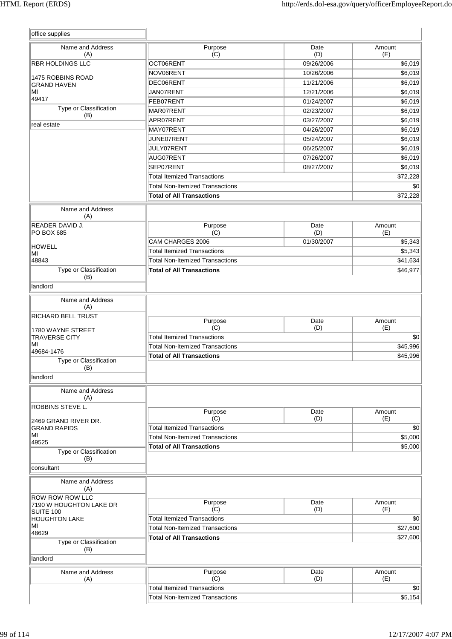| Name and Address<br>(A)                                                                                   | Purpose<br>(C)                            | Date<br>(D) | Amount<br>(E)                                                                                  |
|-----------------------------------------------------------------------------------------------------------|-------------------------------------------|-------------|------------------------------------------------------------------------------------------------|
| <b>RBR HOLDINGS LLC</b>                                                                                   | OCT06RENT                                 | 09/26/2006  | \$6,019                                                                                        |
|                                                                                                           | NOV06RENT                                 | 10/26/2006  | \$6,019                                                                                        |
| <b>1475 ROBBINS ROAD</b><br><b>GRAND HAVEN</b>                                                            | DEC06RENT                                 | 11/21/2006  | \$6,019                                                                                        |
| МI                                                                                                        | JAN07RENT                                 | 12/21/2006  | \$6,019                                                                                        |
| 49417                                                                                                     | FEB07RENT                                 | 01/24/2007  | \$6,019                                                                                        |
| Type or Classification                                                                                    | MAR07RENT                                 | 02/23/2007  | \$6,019                                                                                        |
| (B)                                                                                                       | APR07RENT                                 | 03/27/2007  | \$6,019                                                                                        |
| real estate                                                                                               | MAY07RENT                                 | 04/26/2007  | \$6,019                                                                                        |
|                                                                                                           | JUNE07RENT                                | 05/24/2007  | \$6,019                                                                                        |
|                                                                                                           | JULY07RENT                                | 06/25/2007  | \$6,019                                                                                        |
|                                                                                                           | AUG07RENT                                 | 07/26/2007  | \$6,019                                                                                        |
|                                                                                                           | SEP07RENT                                 | 08/27/2007  | \$6,019                                                                                        |
|                                                                                                           | <b>Total Itemized Transactions</b>        |             | \$72,228                                                                                       |
|                                                                                                           | <b>Total Non-Itemized Transactions</b>    |             | \$0                                                                                            |
|                                                                                                           | <b>Total of All Transactions</b>          |             | \$72,228                                                                                       |
|                                                                                                           |                                           |             |                                                                                                |
| Name and Address<br>(A)                                                                                   |                                           |             |                                                                                                |
| <b>READER DAVID J.</b><br><b>PO BOX 685</b>                                                               | Purpose<br>(C)                            | Date<br>(D) | Amount<br>(E)                                                                                  |
|                                                                                                           | CAM CHARGES 2006                          | 01/30/2007  | \$5,343                                                                                        |
| <b>HOWELL</b>                                                                                             | <b>Total Itemized Transactions</b>        |             |                                                                                                |
| МI                                                                                                        | <b>Total Non-Itemized Transactions</b>    |             | \$5,343                                                                                        |
| 48843<br>Type or Classification                                                                           |                                           |             | \$41,634                                                                                       |
| (B)                                                                                                       | <b>Total of All Transactions</b>          |             | \$46,977                                                                                       |
| landlord                                                                                                  |                                           |             |                                                                                                |
| Name and Address<br>(A)                                                                                   |                                           |             |                                                                                                |
| <b>RICHARD BELL TRUST</b>                                                                                 |                                           |             |                                                                                                |
|                                                                                                           | Purpose                                   | Date        |                                                                                                |
|                                                                                                           |                                           |             | Amount                                                                                         |
| 1780 WAYNE STREET                                                                                         | (C)                                       | (D)         | (E)                                                                                            |
| <b>TRAVERSE CITY</b><br>MI                                                                                | <b>Total Itemized Transactions</b>        |             |                                                                                                |
| 49684-1476                                                                                                | <b>Total Non-Itemized Transactions</b>    |             |                                                                                                |
| Type or Classification                                                                                    | <b>Total of All Transactions</b>          |             |                                                                                                |
| (B)<br>landlord                                                                                           |                                           |             |                                                                                                |
| Name and Address                                                                                          |                                           |             |                                                                                                |
| (A)                                                                                                       |                                           |             |                                                                                                |
| <b>ROBBINS STEVE L.</b>                                                                                   | Purpose                                   | Date        | Amount                                                                                         |
| 2469 GRAND RIVER DR.                                                                                      | (C)                                       | (D)         | (E)                                                                                            |
| <b>GRAND RAPIDS</b>                                                                                       | <b>Total Itemized Transactions</b>        |             |                                                                                                |
| MI                                                                                                        | <b>Total Non-Itemized Transactions</b>    |             |                                                                                                |
| 49525<br>Type or Classification                                                                           | <b>Total of All Transactions</b>          |             |                                                                                                |
| (B)                                                                                                       |                                           |             |                                                                                                |
| consultant                                                                                                |                                           |             |                                                                                                |
| Name and Address<br>(A)                                                                                   |                                           |             |                                                                                                |
|                                                                                                           |                                           |             |                                                                                                |
|                                                                                                           | Purpose                                   | Date        | Amount                                                                                         |
|                                                                                                           | (C)<br><b>Total Itemized Transactions</b> | (D)         | (E)                                                                                            |
|                                                                                                           | <b>Total Non-Itemized Transactions</b>    |             |                                                                                                |
| MI<br>48629                                                                                               |                                           |             |                                                                                                |
| Type or Classification                                                                                    | <b>Total of All Transactions</b>          |             |                                                                                                |
| <b>ROW ROW ROW LLC</b><br>7190 W HOUGHTON LAKE DR<br>SUITE 100<br><b>HOUGHTON LAKE</b><br>(B)<br>landlord |                                           |             |                                                                                                |
|                                                                                                           | Purpose                                   | Date        | Amount                                                                                         |
| Name and Address<br>(A)                                                                                   | (C)                                       | (D)         | (E)                                                                                            |
|                                                                                                           | <b>Total Itemized Transactions</b>        |             | \$0<br>\$45,996<br>\$45,996<br>\$0<br>\$5,000<br>\$5,000<br>\$0<br>\$27,600<br>\$27,600<br>\$0 |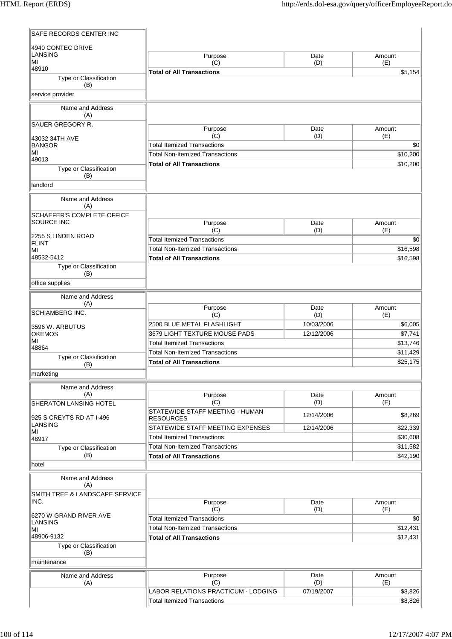| SAFE RECORDS CENTER INC              |                                                                              |             |                      |
|--------------------------------------|------------------------------------------------------------------------------|-------------|----------------------|
| 4940 CONTEC DRIVE                    |                                                                              |             |                      |
| LANSING<br>MI                        | Purpose<br>(C)                                                               | Date<br>(D) | Amount<br>(E)        |
| 48910                                | <b>Total of All Transactions</b>                                             |             | \$5,154              |
| Type or Classification<br>(B)        |                                                                              |             |                      |
| service provider                     |                                                                              |             |                      |
| Name and Address                     |                                                                              |             |                      |
| (A)                                  |                                                                              |             |                      |
| SAUER GREGORY R.                     | Purpose                                                                      | Date        | Amount               |
| 43032 34TH AVE                       | (C)                                                                          | (D)         | (E)                  |
| <b>BANGOR</b><br>MI                  | <b>Total Itemized Transactions</b>                                           |             | \$0                  |
| 49013                                | <b>Total Non-Itemized Transactions</b>                                       |             | \$10,200             |
| Type or Classification               | <b>Total of All Transactions</b>                                             |             | \$10,200             |
| (B)<br>landlord                      |                                                                              |             |                      |
|                                      |                                                                              |             |                      |
| Name and Address<br>(A)              |                                                                              |             |                      |
| SCHAEFER'S COMPLETE OFFICE           |                                                                              |             |                      |
| SOURCE INC                           | Purpose                                                                      | Date        | Amount               |
| 2255 S LINDEN ROAD                   | (C)                                                                          | (D)         | (E)                  |
| <b>FLINT</b>                         | <b>Total Itemized Transactions</b>                                           |             | \$0                  |
| МI<br>48532-5412                     | <b>Total Non-Itemized Transactions</b><br><b>Total of All Transactions</b>   |             | \$16,598<br>\$16,598 |
| Type or Classification               |                                                                              |             |                      |
| (B)                                  |                                                                              |             |                      |
| office supplies                      |                                                                              |             |                      |
| Name and Address                     |                                                                              |             |                      |
| (A)                                  | Purpose                                                                      | Date        | Amount               |
| SCHIAMBERG INC.                      | (C)                                                                          | (D)         | (E)                  |
| 3596 W. ARBUTUS                      | 2500 BLUE METAL FLASHLIGHT                                                   | 10/03/2006  | \$6,005              |
| <b>OKEMOS</b><br>MI                  | 3679 LIGHT TEXTURE MOUSE PADS                                                | 12/12/2006  | \$7,741              |
| 48864                                | <b>Total Itemized Transactions</b>                                           |             | \$13,746             |
| Type or Classification               | <b>Total Non-Itemized Transactions</b>                                       |             | \$11,429             |
| (B)                                  | <b>Total of All Transactions</b>                                             |             | \$25,175             |
| marketing                            |                                                                              |             |                      |
| Name and Address                     |                                                                              |             |                      |
| (A)<br><b>SHERATON LANSING HOTEL</b> | Purpose<br>(C)                                                               | Date<br>(D) | Amount<br>(E)        |
|                                      | STATEWIDE STAFF MEETING - HUMAN                                              |             |                      |
| 925 S CREYTS RD AT I-496             | <b>RESOURCES</b>                                                             | 12/14/2006  | \$8,269              |
| LANSING<br>MI                        | STATEWIDE STAFF MEETING EXPENSES                                             | 12/14/2006  | \$22,339             |
| 48917                                | <b>Total Itemized Transactions</b>                                           |             | \$30,608             |
| Type or Classification               | <b>Total Non-Itemized Transactions</b>                                       |             | \$11,582             |
| (B)<br>hotel                         | <b>Total of All Transactions</b>                                             |             | \$42,190             |
|                                      |                                                                              |             |                      |
| Name and Address<br>(A)              |                                                                              |             |                      |
| SMITH TREE & LANDSCAPE SERVICE       |                                                                              |             |                      |
| INC.                                 | Purpose                                                                      | Date        | Amount               |
| 6270 W GRAND RIVER AVE               | (C)                                                                          | (D)         | (E)                  |
| <b>LANSING</b>                       | <b>Total Itemized Transactions</b><br><b>Total Non-Itemized Transactions</b> |             | \$0<br>\$12,431      |
| MI<br>48906-9132                     | <b>Total of All Transactions</b>                                             |             | \$12,431             |
| Type or Classification               |                                                                              |             |                      |
| (B)                                  |                                                                              |             |                      |
| maintenance                          |                                                                              |             |                      |
| Name and Address                     | Purpose                                                                      | Date        | Amount               |
| (A)                                  | (C)                                                                          | (D)         | (E)                  |
|                                      | LABOR RELATIONS PRACTICUM - LODGING                                          | 07/19/2007  | \$8,826              |
|                                      | <b>Total Itemized Transactions</b>                                           |             | \$8,826              |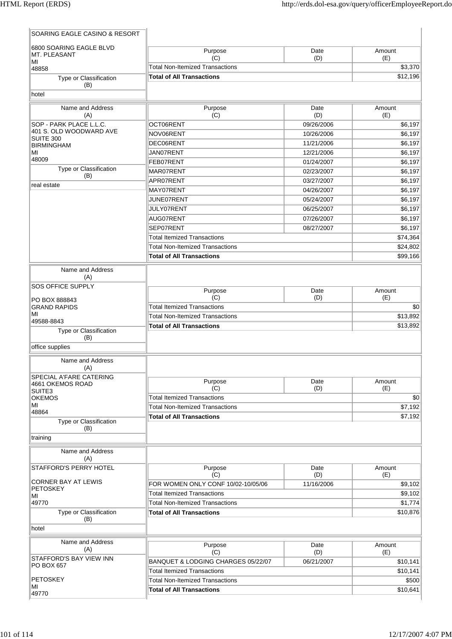| SOARING EAGLE CASINO & RESORT                 |                                        |             |               |
|-----------------------------------------------|----------------------------------------|-------------|---------------|
| 6800 SOARING EAGLE BLVD<br>MT. PLEASANT<br>MI | Purpose<br>(C)                         | Date<br>(D) | Amount<br>(E) |
| 48858                                         | <b>Total Non-Itemized Transactions</b> |             | \$3,370       |
| Type or Classification                        | <b>Total of All Transactions</b>       | \$12,196    |               |
| (B)<br>hotel                                  |                                        |             |               |
| Name and Address<br>(A)                       | Purpose<br>(C)                         | Date<br>(D) | Amount<br>(E) |
| SOP - PARK PLACE L.L.C.                       | OCT06RENT                              | 09/26/2006  | \$6,197       |
| 401 S. OLD WOODWARD AVE<br>SUITE 300          | NOV06RENT                              | 10/26/2006  | \$6,197       |
| <b>BIRMINGHAM</b>                             | DEC06RENT                              | 11/21/2006  | \$6,197       |
| MI                                            | JAN07RENT                              | 12/21/2006  | \$6,197       |
| 48009                                         | FEB07RENT                              | 01/24/2007  | \$6,197       |
| Type or Classification<br>(B)                 | MAR07RENT                              | 02/23/2007  | \$6,197       |
| real estate                                   | APR07RENT                              | 03/27/2007  | \$6,197       |
|                                               | MAY07RENT                              | 04/26/2007  | \$6,197       |
|                                               | JUNE07RENT                             | 05/24/2007  | \$6,197       |
|                                               | JULY07RENT                             | 06/25/2007  | \$6,197       |
|                                               | AUG07RENT                              | 07/26/2007  | \$6,197       |
|                                               | SEP07RENT                              | 08/27/2007  | \$6,197       |
|                                               | <b>Total Itemized Transactions</b>     |             | \$74,364      |
|                                               | <b>Total Non-Itemized Transactions</b> |             | \$24,802      |
|                                               | <b>Total of All Transactions</b>       |             | \$99,166      |
|                                               |                                        |             |               |
| Name and Address<br>(A)                       |                                        |             |               |
| SOS OFFICE SUPPLY                             | Purpose                                | Date        | Amount        |
| PO BOX 888843                                 | (C)                                    | (D)         | (E)           |
| <b>GRAND RAPIDS</b>                           | <b>Total Itemized Transactions</b>     |             | \$0           |
| ΜI<br>49588-8843                              | <b>Total Non-Itemized Transactions</b> | \$13,892    |               |
| Type or Classification                        | <b>Total of All Transactions</b>       |             | \$13,892      |
| (B)                                           |                                        |             |               |
| office supplies                               |                                        |             |               |
| Name and Address<br>(A)                       |                                        |             |               |
| SPECIAL A'FARE CATERING                       |                                        |             |               |
| 4661 OKEMOS ROAD                              | Purpose<br>(C)                         | Date<br>(D) | Amount<br>(E) |
| SUITE3<br><b>OKEMOS</b>                       | <b>Total Itemized Transactions</b>     |             | \$0           |
| ΜI                                            | <b>Total Non-Itemized Transactions</b> |             | \$7,192       |
| 48864                                         | <b>Total of All Transactions</b>       |             |               |
| Type or Classification<br>(B)                 |                                        |             | \$7,192       |
| training                                      |                                        |             |               |
| Name and Address<br>(A)                       |                                        |             |               |
| STAFFORD'S PERRY HOTEL                        | Purpose<br>(C)                         | Date<br>(D) | Amount<br>(E) |
| CORNER BAY AT LEWIS                           | FOR WOMEN ONLY CONF 10/02-10/05/06     | 11/16/2006  | \$9,102       |
| <b>PETOSKEY</b><br>ΜI                         | <b>Total Itemized Transactions</b>     |             | \$9,102       |
| 49770                                         | <b>Total Non-Itemized Transactions</b> |             | \$1,774       |
| Type or Classification<br>(B)                 | <b>Total of All Transactions</b>       |             | \$10,876      |
| hotel                                         |                                        |             |               |
| Name and Address<br>(A)                       | Purpose<br>(C)                         | Date<br>(D) | Amount<br>(E) |
| STAFFORD'S BAY VIEW INN                       | BANQUET & LODGING CHARGES 05/22/07     | 06/21/2007  | \$10,141      |
| PO BOX 657                                    | <b>Total Itemized Transactions</b>     |             | \$10,141      |
| <b>PETOSKEY</b>                               | <b>Total Non-Itemized Transactions</b> |             | \$500         |
| ΜI                                            | <b>Total of All Transactions</b>       |             |               |
| 49770                                         |                                        |             | \$10,641      |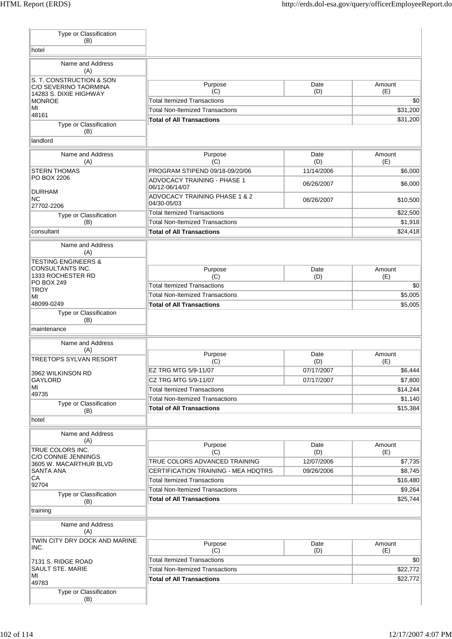| Type or Classification                            |                                                         |             |               |
|---------------------------------------------------|---------------------------------------------------------|-------------|---------------|
| (B)<br>hotel                                      |                                                         |             |               |
|                                                   |                                                         |             |               |
| Name and Address<br>(A)                           |                                                         |             |               |
| S. T. CONSTRUCTION & SON<br>C/O SEVERINO TAORMINA | Purpose<br>(C)                                          | Date<br>(D) | Amount<br>(E) |
| 14283 S. DIXIE HIGHWAY<br><b>MONROE</b>           | <b>Total Itemized Transactions</b>                      |             | \$0           |
| MI                                                | <b>Total Non-Itemized Transactions</b>                  |             | \$31,200      |
| 48161                                             | <b>Total of All Transactions</b>                        |             | \$31,200      |
| Type or Classification<br>(B)<br>landlord         |                                                         |             |               |
|                                                   |                                                         |             |               |
| Name and Address<br>(A)                           | Purpose<br>(C)                                          | Date<br>(D) | Amount<br>(E) |
| <b>STERN THOMAS</b>                               | PROGRAM STIPEND 09/18-09/20/06                          | 11/14/2006  | \$6,000       |
| PO BOX 2206                                       | <b>ADVOCACY TRAINING - PHASE 1</b><br>06/12-06/14/07    | 06/26/2007  | \$6,000       |
| <b>DURHAM</b><br><b>NC</b>                        | <b>ADVOCACY TRAINING PHASE 1 &amp; 2</b><br>04/30-05/03 | 06/26/2007  | \$10,500      |
| 27702-2206                                        | <b>Total Itemized Transactions</b>                      |             | \$22,500      |
| Type or Classification<br>(B)                     | <b>Total Non-Itemized Transactions</b>                  |             | \$1,918       |
| consultant                                        | <b>Total of All Transactions</b>                        |             | \$24,418      |
| Name and Address                                  |                                                         |             |               |
| (A)<br><b>TESTING ENGINEERS &amp;</b>             |                                                         |             |               |
| CONSULTANTS INC.                                  | Purpose                                                 | Date        | Amount        |
| 1333 ROCHESTER RD<br>PO BOX 249                   | (C)                                                     | (D)         | (E)           |
| <b>TROY</b>                                       | <b>Total Itemized Transactions</b>                      |             | \$0           |
| MI                                                | <b>Total Non-Itemized Transactions</b>                  |             | \$5,005       |
| 48099-0249<br>Type or Classification              | <b>Total of All Transactions</b>                        |             | \$5,005       |
| maintenance<br>Name and Address                   |                                                         |             |               |
| (A)<br><b>TREETOPS SYLVAN RESORT</b>              | Purpose<br>(C)                                          | Date<br>(D) | Amount<br>(E) |
| 3962 WILKINSON RD                                 | EZ TRG MTG 5/9-11/07                                    | 07/17/2007  | \$6,444       |
| GAYLORD                                           | CZ TRG MTG 5/9-11/07                                    | 07/17/2007  | \$7,800       |
| MI                                                | <b>Total Itemized Transactions</b>                      |             | \$14,244      |
| 49735<br>Type or Classification                   | <b>Total Non-Itemized Transactions</b>                  |             | \$1,140       |
| (B)                                               | <b>Total of All Transactions</b>                        |             | \$15,384      |
| hotel                                             |                                                         |             |               |
| Name and Address                                  |                                                         |             |               |
| (A)                                               | Purpose                                                 | Date        | Amount        |
| TRUE COLORS INC.<br>C/O CONNIE JENNINGS           | (C)                                                     | (D)         | (E)           |
| 3605 W. MACARTHUR BLVD                            | TRUE COLORS ADVANCED TRAINING                           | 12/07/2006  | \$7,735       |
| SANTA ANA                                         | CERTIFICATION TRAINING - MEA HDQTRS                     | 09/26/2006  | \$8,745       |
| СA<br>92704                                       | <b>Total Itemized Transactions</b>                      |             | \$16,480      |
| Type or Classification                            | <b>Total Non-Itemized Transactions</b>                  |             | \$9,264       |
| (B)<br>training                                   | <b>Total of All Transactions</b>                        |             | \$25,744      |
| Name and Address<br>(A)                           |                                                         |             |               |
| TWIN CITY DRY DOCK AND MARINE<br>INC.             | Purpose<br>(C)                                          | Date        | Amount        |
|                                                   | <b>Total Itemized Transactions</b>                      | (D)         | (E)<br>\$0    |
| 7131 S. RIDGE ROAD<br>SAULT STE. MARIE            | <b>Total Non-Itemized Transactions</b>                  |             | \$22,772      |
| MI                                                | <b>Total of All Transactions</b>                        |             | \$22,772      |
| 49783                                             |                                                         |             |               |
| Type or Classification<br>(B)                     |                                                         |             |               |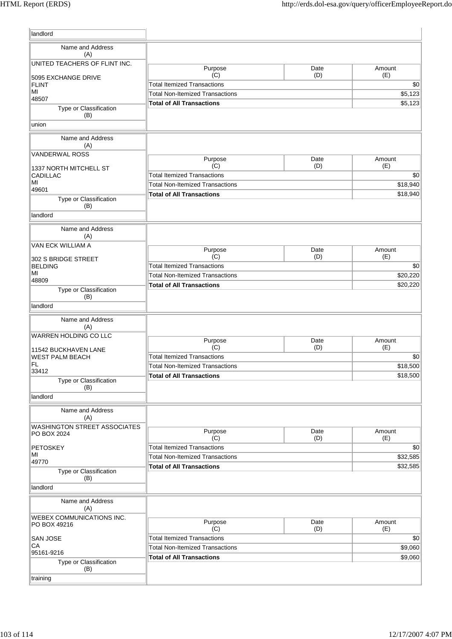| landlord                            |                                                                              |      |                      |
|-------------------------------------|------------------------------------------------------------------------------|------|----------------------|
| Name and Address                    |                                                                              |      |                      |
| (A)                                 |                                                                              |      |                      |
| UNITED TEACHERS OF FLINT INC.       | Purpose                                                                      | Date | Amount               |
| 5095 EXCHANGE DRIVE                 | (C)                                                                          | (D)  | (E)                  |
| <b>FLINT</b><br>MI                  | <b>Total Itemized Transactions</b>                                           |      | \$0                  |
| 48507                               | <b>Total Non-Itemized Transactions</b>                                       |      | \$5,123              |
| Type or Classification<br>(B)       | <b>Total of All Transactions</b>                                             |      | \$5,123              |
| union                               |                                                                              |      |                      |
| Name and Address<br>(A)             |                                                                              |      |                      |
| <b>VANDERWAL ROSS</b>               | Purpose                                                                      | Date | Amount               |
| 1337 NORTH MITCHELL ST              | (C)                                                                          | (D)  | (E)                  |
| <b>CADILLAC</b>                     | <b>Total Itemized Transactions</b>                                           |      | \$0                  |
| MI<br>49601                         | <b>Total Non-Itemized Transactions</b>                                       |      | \$18,940             |
| Type or Classification              | <b>Total of All Transactions</b>                                             |      | \$18,940             |
| (B)                                 |                                                                              |      |                      |
| landlord                            |                                                                              |      |                      |
| Name and Address                    |                                                                              |      |                      |
| (A)                                 |                                                                              |      |                      |
| VAN ECK WILLIAM A                   | Purpose                                                                      | Date | Amount               |
| 302 S BRIDGE STREET                 | (C)                                                                          | (D)  | (E)                  |
| <b>BELDING</b>                      | <b>Total Itemized Transactions</b>                                           |      | \$0                  |
| MI<br>48809                         | <b>Total Non-Itemized Transactions</b>                                       |      | \$20,220             |
| Type or Classification              | <b>Total of All Transactions</b>                                             |      | \$20,220             |
| (B)                                 |                                                                              |      |                      |
| landlord                            |                                                                              |      |                      |
| Name and Address<br>(A)             |                                                                              |      |                      |
| <b>WARREN HOLDING CO LLC</b>        | Purpose                                                                      | Date | Amount               |
| 11542 BUCKHAVEN LANE                | (C)                                                                          | (D)  | (E)                  |
| <b>WEST PALM BEACH</b>              | <b>Total Itemized Transactions</b>                                           |      | \$0                  |
| FL<br>33412                         | <b>Total Non-Itemized Transactions</b>                                       |      | \$18,500             |
| Type or Classification              | <b>Total of All Transactions</b>                                             |      | \$18,500             |
| (B)<br>landlord                     |                                                                              |      |                      |
| Name and Address                    |                                                                              |      |                      |
| (A)<br>WASHINGTON STREET ASSOCIATES |                                                                              |      |                      |
| PO BOX 2024                         | Purpose                                                                      | Date | Amount               |
|                                     | (C)                                                                          | (D)  | (E)                  |
| <b>PETOSKEY</b><br>MI               | <b>Total Itemized Transactions</b><br><b>Total Non-Itemized Transactions</b> |      | \$0                  |
| 49770                               | <b>Total of All Transactions</b>                                             |      | \$32,585<br>\$32,585 |
| Type or Classification<br>(B)       |                                                                              |      |                      |
| landlord                            |                                                                              |      |                      |
| Name and Address<br>(A)             |                                                                              |      |                      |
| WEBEX COMMUNICATIONS INC.           | Purpose                                                                      | Date | Amount               |
| PO BOX 49216                        | (C)                                                                          | (D)  | (E)                  |
| <b>SAN JOSE</b>                     | <b>Total Itemized Transactions</b>                                           |      | \$0                  |
| СA<br>95161-9216                    | <b>Total Non-Itemized Transactions</b>                                       |      | \$9,060              |
| Type or Classification              | <b>Total of All Transactions</b>                                             |      | \$9,060              |
| (B)                                 |                                                                              |      |                      |
| training                            |                                                                              |      |                      |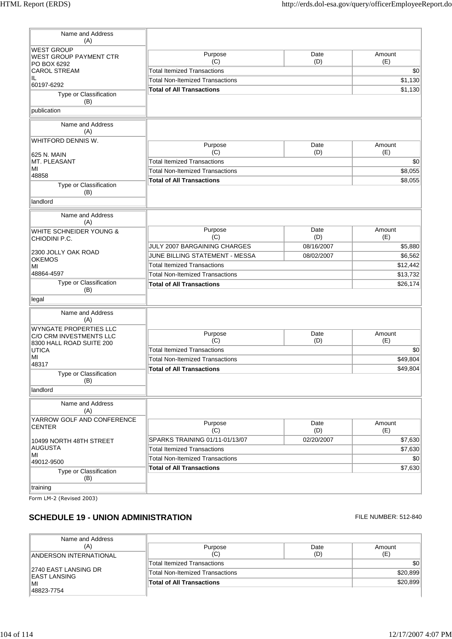| Name and Address<br>(A)                                  |                                        |                   |                     |
|----------------------------------------------------------|----------------------------------------|-------------------|---------------------|
| <b>WEST GROUP</b><br><b>WEST GROUP PAYMENT CTR</b>       | Purpose<br>(C)                         | Date<br>(D)       | Amount<br>(E)       |
| PO BOX 6292<br><b>CAROL STREAM</b>                       | <b>Total Itemized Transactions</b>     |                   | \$0                 |
| IL.                                                      | <b>Total Non-Itemized Transactions</b> | \$1,130           |                     |
| 60197-6292                                               | <b>Total of All Transactions</b>       |                   | \$1,130             |
| Type or Classification<br>(B)                            |                                        |                   |                     |
| publication                                              |                                        |                   |                     |
| Name and Address<br>(A)                                  |                                        |                   |                     |
| WHITFORD DENNIS W.                                       | Purpose                                | Date              | Amount              |
| 625 N. MAIN                                              | (C)                                    | (D)               | (E)                 |
| MT. PLEASANT                                             | <b>Total Itemized Transactions</b>     |                   | \$0                 |
| MI                                                       | <b>Total Non-Itemized Transactions</b> |                   | \$8,055             |
| 48858                                                    | <b>Total of All Transactions</b>       |                   | \$8,055             |
| Type or Classification<br>(B)                            |                                        |                   |                     |
| landlord                                                 |                                        |                   |                     |
| Name and Address<br>(A)                                  |                                        |                   |                     |
| WHITE SCHNEIDER YOUNG &                                  | Purpose                                | Date              | Amount              |
| CHIODINI P.C.                                            | (C)<br>JULY 2007 BARGAINING CHARGES    | (D)<br>08/16/2007 | (E)<br>\$5,880      |
| 2300 JOLLY OAK ROAD                                      | JUNE BILLING STATEMENT - MESSA         |                   |                     |
| <b>OKEMOS</b>                                            | <b>Total Itemized Transactions</b>     | 08/02/2007        | \$6,562<br>\$12,442 |
| MI<br>48864-4597                                         | <b>Total Non-Itemized Transactions</b> |                   | \$13,732            |
| Type or Classification                                   | <b>Total of All Transactions</b>       |                   | \$26,174            |
| (B)                                                      |                                        |                   |                     |
| legal                                                    |                                        |                   |                     |
| Name and Address<br>(A)                                  |                                        |                   |                     |
| <b>WYNGATE PROPERTIES LLC</b><br>C/O CRM INVESTMENTS LLC | Purpose                                | Date              | Amount              |
| 8300 HALL ROAD SUITE 200                                 | (C)                                    | (D)               | (E)                 |
| <b>UTICA</b>                                             | <b>Total Itemized Transactions</b>     |                   | \$0                 |
| MI<br>48317                                              | <b>Total Non-Itemized Transactions</b> |                   | \$49,804            |
| Type or Classification                                   | <b>Total of All Transactions</b>       |                   | \$49,804            |
| (B)                                                      |                                        |                   |                     |
| landlord                                                 |                                        |                   |                     |
| Name and Address<br>(A)                                  |                                        |                   |                     |
| YARROW GOLF AND CONFERENCE                               |                                        |                   |                     |
| <b>CENTER</b>                                            | Purpose<br>(C)                         | Date<br>(D)       | Amount<br>(E)       |
| 10499 NORTH 48TH STREET                                  | SPARKS TRAINING 01/11-01/13/07         | 02/20/2007        | \$7,630             |
| <b>AUGUSTA</b>                                           | <b>Total Itemized Transactions</b>     |                   | \$7,630             |
| MI                                                       | <b>Total Non-Itemized Transactions</b> |                   | \$0                 |
| 49012-9500                                               | <b>Total of All Transactions</b>       |                   | \$7,630             |
| Type or Classification<br>(B)                            |                                        |                   |                     |
| training                                                 |                                        |                   |                     |

Form LM-2 (Revised 2003)

## **SCHEDULE 19 - UNION ADMINISTRATION ELE NUMBER: 512-840**

| Name and Address                              |                                        |      |                  |
|-----------------------------------------------|----------------------------------------|------|------------------|
| (A)                                           | Purpose                                | Date | Amount           |
| ANDERSON INTERNATIONAL                        | (C)                                    | (D)  | (E)              |
| ∥2740 EAST LANSING DR<br>∥EAST LANSING<br>∣MI | <b>Total Itemized Transactions</b>     |      | \$0 <sub>0</sub> |
|                                               | <b>Total Non-Itemized Transactions</b> |      | \$20,899         |
|                                               | <b>Total of All Transactions</b>       |      | \$20.899         |
| 48823-7754                                    |                                        |      |                  |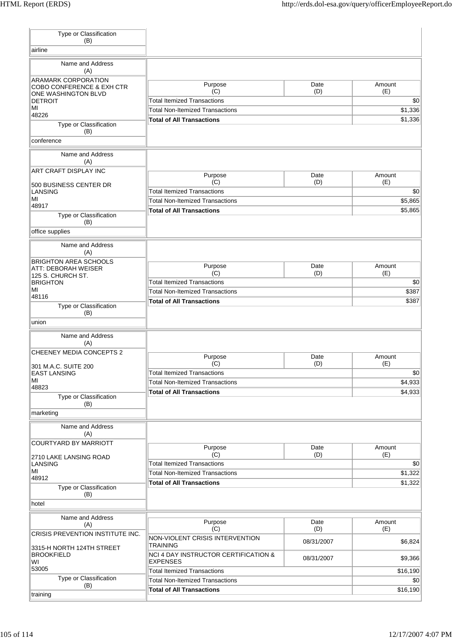| Type or Classification<br>(B)                                 |                                                                    |             |                    |
|---------------------------------------------------------------|--------------------------------------------------------------------|-------------|--------------------|
| airline                                                       |                                                                    |             |                    |
| Name and Address<br>(A)                                       |                                                                    |             |                    |
| ARAMARK CORPORATION                                           | Purpose                                                            | Date        | Amount             |
| COBO CONFERENCE & EXH CTR<br>ONE WASHINGTON BLVD              | (C)                                                                | (D)         | (E)                |
| <b>DETROIT</b>                                                | <b>Total Itemized Transactions</b>                                 |             | \$0                |
| MI<br>48226                                                   | <b>Total Non-Itemized Transactions</b>                             |             | \$1,336            |
| Type or Classification<br>(B)                                 | <b>Total of All Transactions</b>                                   |             | \$1,336            |
| conference                                                    |                                                                    |             |                    |
| Name and Address<br>(A)                                       |                                                                    |             |                    |
| ART CRAFT DISPLAY INC                                         | Purpose                                                            | Date        | Amount             |
| 500 BUSINESS CENTER DR                                        | (C)                                                                | (D)         | (E)                |
| <b>LANSING</b><br>MI                                          | <b>Total Itemized Transactions</b>                                 |             | \$0                |
| 48917                                                         | <b>Total Non-Itemized Transactions</b>                             |             | \$5,865            |
| Type or Classification<br>(B)                                 | <b>Total of All Transactions</b>                                   |             | \$5,865            |
| office supplies                                               |                                                                    |             |                    |
| Name and Address<br>(A)                                       |                                                                    |             |                    |
| <b>BRIGHTON AREA SCHOOLS</b><br><b>ATT: DEBORAH WEISER</b>    | Purpose                                                            | Date        | Amount             |
| 125 S. CHURCH ST.                                             | (C)                                                                | (D)         | (E)                |
| <b>BRIGHTON</b>                                               | <b>Total Itemized Transactions</b>                                 |             | \$0                |
| MI<br>48116                                                   | <b>Total Non-Itemized Transactions</b>                             | \$387       |                    |
| Type or Classification                                        | <b>Total of All Transactions</b>                                   |             | \$387              |
| (B)                                                           |                                                                    |             |                    |
| union                                                         |                                                                    |             |                    |
| Name and Address<br>(A)                                       |                                                                    |             |                    |
| CHEENEY MEDIA CONCEPTS 2                                      | Purpose                                                            | Date        | Amount             |
| 301 M.A.C. SUITE 200                                          | (C)                                                                | (D)         | (E)                |
| <b>EAST LANSING</b><br>MI                                     | <b>Total Itemized Transactions</b>                                 |             | \$0                |
| 48823                                                         | <b>Total Non-Itemized Transactions</b>                             |             | \$4,933            |
| Type or Classification<br>(B)                                 | <b>Total of All Transactions</b>                                   |             | \$4,933            |
| marketing                                                     |                                                                    |             |                    |
| Name and Address<br>(A)                                       |                                                                    |             |                    |
| <b>COURTYARD BY MARRIOTT</b>                                  | Purpose                                                            | Date        | Amount             |
| 2710 LAKE LANSING ROAD                                        | (C)                                                                | (D)         | (E)                |
| <b>LANSING</b><br>MI                                          | <b>Total Itemized Transactions</b>                                 |             | \$0                |
| 48912                                                         | <b>Total Non-Itemized Transactions</b>                             |             | \$1,322<br>\$1,322 |
| Type or Classification<br>(B)                                 | <b>Total of All Transactions</b>                                   |             |                    |
| hotel                                                         |                                                                    |             |                    |
| Name and Address<br>(A)                                       | Purpose<br>(C)                                                     | Date<br>(D) | Amount<br>(E)      |
| CRISIS PREVENTION INSTITUTE INC.<br>3315-H NORTH 124TH STREET | NON-VIOLENT CRISIS INTERVENTION<br><b>TRAINING</b>                 | 08/31/2007  | \$6,824            |
| <b>BROOKFIELD</b><br>WI                                       | <b>NCI 4 DAY INSTRUCTOR CERTIFICATION &amp;</b><br><b>EXPENSES</b> | 08/31/2007  | \$9,366            |
| 53005                                                         | <b>Total Itemized Transactions</b>                                 |             | \$16,190           |
| Type or Classification<br>(B)                                 | <b>Total Non-Itemized Transactions</b>                             |             | \$0                |
| training                                                      | <b>Total of All Transactions</b>                                   |             | \$16,190           |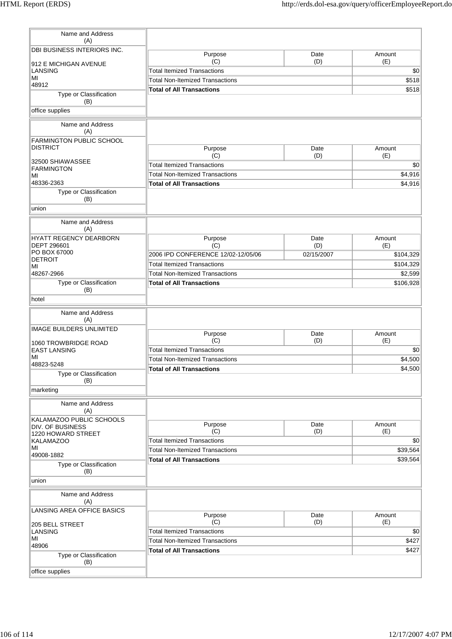| Name and Address<br>(A)                            |                                        |             |               |
|----------------------------------------------------|----------------------------------------|-------------|---------------|
| DBI BUSINESS INTERIORS INC.                        |                                        |             |               |
|                                                    | Purpose<br>(C)                         | Date<br>(D) | Amount<br>(E) |
| 912 E MICHIGAN AVENUE<br>LANSING                   | <b>Total Itemized Transactions</b>     |             | \$0           |
| MI                                                 | <b>Total Non-Itemized Transactions</b> |             | \$518         |
| 48912                                              | <b>Total of All Transactions</b>       |             | \$518         |
| Type or Classification<br>(B)                      |                                        |             |               |
| office supplies                                    |                                        |             |               |
| Name and Address                                   |                                        |             |               |
| (A)                                                |                                        |             |               |
| <b>FARMINGTON PUBLIC SCHOOL</b><br><b>DISTRICT</b> | Purpose                                | Date        | Amount        |
|                                                    | (C)                                    | (D)         | (E)           |
| 32500 SHIAWASSEE                                   | <b>Total Itemized Transactions</b>     |             | \$0           |
| <b>FARMINGTON</b><br>MI                            | <b>Total Non-Itemized Transactions</b> |             | \$4,916       |
| 48336-2363                                         | <b>Total of All Transactions</b>       |             | \$4,916       |
| Type or Classification<br>(B)                      |                                        |             |               |
| union                                              |                                        |             |               |
| Name and Address                                   |                                        |             |               |
| (A)                                                |                                        |             |               |
| HYATT REGENCY DEARBORN<br>DEPT 296601              | Purpose<br>(C)                         | Date<br>(D) | Amount<br>(E) |
| PO BOX 67000                                       | 2006 IPD CONFERENCE 12/02-12/05/06     | 02/15/2007  | \$104,329     |
| <b>DETROIT</b>                                     | <b>Total Itemized Transactions</b>     |             |               |
| MI                                                 |                                        |             | \$104,329     |
| 48267-2966                                         | <b>Total Non-Itemized Transactions</b> |             | \$2,599       |
| Type or Classification<br>(B)                      | <b>Total of All Transactions</b>       |             | \$106,928     |
| hotel                                              |                                        |             |               |
|                                                    |                                        |             |               |
| Name and Address<br>(A)                            |                                        |             |               |
| <b>IMAGE BUILDERS UNLIMITED</b>                    | Purpose                                | Date        | Amount        |
|                                                    | (C)                                    | (D)         | (E)           |
| 1060 TROWBRIDGE ROAD<br><b>EAST LANSING</b>        | <b>Total Itemized Transactions</b>     |             | \$0           |
| MI                                                 | <b>Total Non-Itemized Transactions</b> |             | \$4,500       |
| 48823-5248                                         | <b>Total of All Transactions</b>       |             | \$4,500       |
| Type or Classification                             |                                        |             |               |
| (B)                                                |                                        |             |               |
| marketing                                          |                                        |             |               |
| Name and Address<br>(A)                            |                                        |             |               |
| KALAMAZOO PUBLIC SCHOOLS                           |                                        |             |               |
| <b>DIV. OF BUSINESS</b>                            | Purpose                                | Date        | Amount        |
| 1220 HOWARD STREET                                 | (C)                                    | (D)         | (E)           |
| <b>KALAMAZOO</b><br>MI                             | <b>Total Itemized Transactions</b>     |             | \$0           |
| 49008-1882                                         | <b>Total Non-Itemized Transactions</b> |             | \$39,564      |
| Type or Classification<br>(B)                      | <b>Total of All Transactions</b>       |             | \$39,564      |
| union                                              |                                        |             |               |
| Name and Address                                   |                                        |             |               |
| (A)                                                |                                        |             |               |
| LANSING AREA OFFICE BASICS                         | Purpose                                | Date        | Amount        |
| 205 BELL STREET                                    | (C)                                    | (D)         | (E)           |
| LANSING                                            | <b>Total Itemized Transactions</b>     |             | \$0           |
| МI                                                 | <b>Total Non-Itemized Transactions</b> |             | \$427         |
| 48906                                              | <b>Total of All Transactions</b>       |             | \$427         |
| Type or Classification<br>(B)                      |                                        |             |               |
| office supplies                                    |                                        |             |               |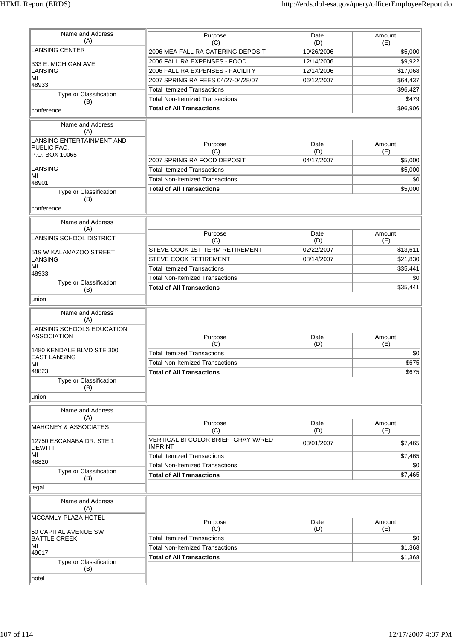| Name and Address<br>(A)                                                    | Purpose<br>(C)                                        | Date<br>(D) | Amount<br>(E) |
|----------------------------------------------------------------------------|-------------------------------------------------------|-------------|---------------|
| <b>LANSING CENTER</b>                                                      | 2006 MEA FALL RA CATERING DEPOSIT                     | 10/26/2006  | \$5,000       |
|                                                                            | 2006 FALL RA EXPENSES - FOOD                          | 12/14/2006  | \$9,922       |
| 333 E. MICHIGAN AVE<br>LANSING                                             | 2006 FALL RA EXPENSES - FACILITY                      | 12/14/2006  | \$17,068      |
| MI                                                                         | 2007 SPRING RA FEES 04/27-04/28/07                    | 06/12/2007  | \$64,437      |
| 48933                                                                      | <b>Total Itemized Transactions</b>                    |             | \$96,427      |
| Type or Classification                                                     | <b>Total Non-Itemized Transactions</b>                |             | \$479         |
| (B)                                                                        | <b>Total of All Transactions</b>                      |             | \$96,906      |
| conference                                                                 |                                                       |             |               |
| Name and Address<br>(A)                                                    |                                                       |             |               |
| LANSING ENTERTAINMENT AND<br>PUBLIC FAC.                                   | Purpose<br>(C)                                        | Date<br>(D) | Amount<br>(E) |
| P.O. BOX 10065                                                             | 2007 SPRING RA FOOD DEPOSIT                           | 04/17/2007  | \$5,000       |
| LANSING                                                                    | <b>Total Itemized Transactions</b>                    |             | \$5,000       |
| MI                                                                         | <b>Total Non-Itemized Transactions</b>                |             | \$0           |
| 48901                                                                      | <b>Total of All Transactions</b>                      |             | \$5,000       |
| Type or Classification<br>(B)                                              |                                                       |             |               |
| conference                                                                 |                                                       |             |               |
| Name and Address<br>(A)                                                    |                                                       |             |               |
| <b>LANSING SCHOOL DISTRICT</b>                                             | Purpose<br>(C)                                        | Date<br>(D) | Amount<br>(E) |
| 519 W KALAMAZOO STREET                                                     | STEVE COOK 1ST TERM RETIREMENT                        | 02/22/2007  | \$13,611      |
| LANSING                                                                    | <b>STEVE COOK RETIREMENT</b>                          | 08/14/2007  | \$21,830      |
| MI                                                                         | <b>Total Itemized Transactions</b>                    |             | \$35,441      |
| 48933                                                                      | <b>Total Non-Itemized Transactions</b>                |             | \$0           |
| Type or Classification<br>(B)                                              | <b>Total of All Transactions</b>                      |             | \$35,441      |
| union                                                                      |                                                       |             |               |
| Name and Address<br>(A)<br>LANSING SCHOOLS EDUCATION<br><b>ASSOCIATION</b> | Purpose                                               | Date        | Amount        |
|                                                                            | (C)                                                   | (D)         | (E)           |
| 1480 KENDALE BLVD STE 300<br><b>EAST LANSING</b>                           | <b>Total Itemized Transactions</b>                    |             | \$0           |
| MI                                                                         | <b>Total Non-Itemized Transactions</b>                |             | \$675         |
| 48823                                                                      | <b>Total of All Transactions</b>                      |             | \$675         |
| Type or Classification<br>(B)                                              |                                                       |             |               |
| union                                                                      |                                                       |             |               |
| Name and Address<br>(A)                                                    | Purpose                                               | Date        | Amount        |
| <b>MAHONEY &amp; ASSOCIATES</b>                                            | (C)                                                   | (D)         | (E)           |
| 12750 ESCANABA DR. STE 1<br><b>DEWITT</b>                                  | VERTICAL BI-COLOR BRIEF- GRAY W/RED<br><b>IMPRINT</b> | 03/01/2007  | \$7,465       |
| MI                                                                         | <b>Total Itemized Transactions</b>                    |             | \$7,465       |
| 48820                                                                      | <b>Total Non-Itemized Transactions</b>                |             | \$0           |
| Type or Classification<br>(B)                                              | <b>Total of All Transactions</b>                      |             | \$7,465       |
| legal                                                                      |                                                       |             |               |
| Name and Address<br>(A)                                                    |                                                       |             |               |
| MCCAMLY PLAZA HOTEL                                                        | Purpose                                               | Date        | Amount        |
|                                                                            | (C)                                                   | (D)         | (E)           |
| 50 CAPITAL AVENUE SW<br><b>BATTLE CREEK</b>                                | <b>Total Itemized Transactions</b>                    |             | \$0           |
| MI                                                                         | <b>Total Non-Itemized Transactions</b>                |             | \$1,368       |
| 49017                                                                      | <b>Total of All Transactions</b>                      |             | \$1,368       |
| Type or Classification<br>(B)                                              |                                                       |             |               |
| hotel                                                                      |                                                       |             |               |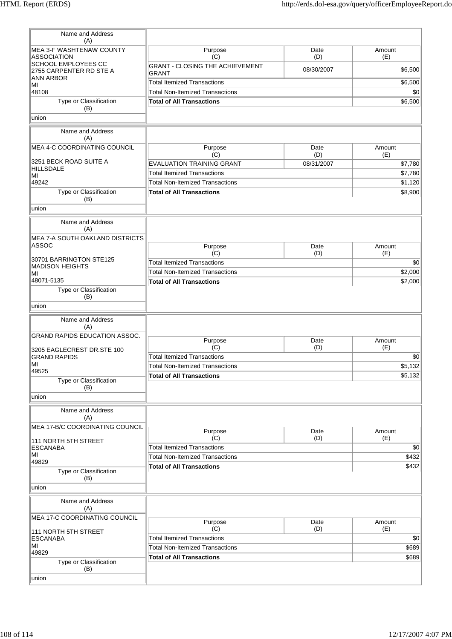| Name and Address<br>(A)                           |                                               |             |               |
|---------------------------------------------------|-----------------------------------------------|-------------|---------------|
| MEA 3-F WASHTENAW COUNTY                          | Purpose                                       | Date        | Amount        |
| ASSOCIATION<br>SCHOOL EMPLOYEES CC                | (C)<br><b>GRANT - CLOSING THE ACHIEVEMENT</b> | (D)         | (E)           |
| 2755 CARPENTER RD STE A                           | <b>GRANT</b>                                  | 08/30/2007  | \$6,500       |
| ANN ARBOR<br>MI                                   | <b>Total Itemized Transactions</b>            |             | \$6,500       |
| 48108                                             | <b>Total Non-Itemized Transactions</b>        |             | \$0           |
| Type or Classification                            | <b>Total of All Transactions</b>              |             | \$6,500       |
| (B)<br>union                                      |                                               |             |               |
|                                                   |                                               |             |               |
| Name and Address<br>(A)                           |                                               |             |               |
| MEA 4-C COORDINATING COUNCIL                      | Purpose<br>(C)                                | Date<br>(D) | Amount<br>(E) |
| 3251 BECK ROAD SUITE A                            | <b>EVALUATION TRAINING GRANT</b>              | 08/31/2007  | \$7,780       |
| HILLSDALE                                         | <b>Total Itemized Transactions</b>            |             | \$7,780       |
| MI<br>49242                                       | <b>Total Non-Itemized Transactions</b>        |             | \$1,120       |
| Type or Classification                            | <b>Total of All Transactions</b>              |             | \$8,900       |
| (B)<br>union                                      |                                               |             |               |
|                                                   |                                               |             |               |
| Name and Address<br>(A)                           |                                               |             |               |
| MEA 7-A SOUTH OAKLAND DISTRICTS<br><b>ASSOC</b>   |                                               |             |               |
|                                                   | Purpose<br>(C)                                | Date<br>(D) | Amount<br>(E) |
| 30701 BARRINGTON STE125                           | <b>Total Itemized Transactions</b>            |             | \$0           |
| <b>MADISON HEIGHTS</b><br>MI                      | <b>Total Non-Itemized Transactions</b>        |             | \$2,000       |
| 48071-5135                                        | <b>Total of All Transactions</b>              |             | \$2,000       |
| Type or Classification<br>(B)                     |                                               |             |               |
| union                                             |                                               |             |               |
| Name and Address<br>(A)                           |                                               |             |               |
| GRAND RAPIDS EDUCATION ASSOC.                     |                                               |             |               |
|                                                   | Purpose<br>(C)                                | Date<br>(D) | Amount<br>(E) |
| 3205 EAGLECREST DR.STE 100<br><b>GRAND RAPIDS</b> | <b>Total Itemized Transactions</b>            |             | \$0           |
| MI                                                | <b>Total Non-Itemized Transactions</b>        |             | \$5,132       |
| 49525                                             | <b>Total of All Transactions</b>              |             | \$5,132       |
| Type or Classification<br>(B)                     |                                               |             |               |
| union                                             |                                               |             |               |
| Name and Address<br>(A)                           |                                               |             |               |
| MEA 17-B/C COORDINATING COUNCIL                   | Purpose                                       | Date        | Amount        |
| 111 NORTH 5TH STREET                              | (C)                                           | (D)         | (E)           |
| <b>ESCANABA</b>                                   | <b>Total Itemized Transactions</b>            |             | \$0           |
| MI<br>49829                                       | <b>Total Non-Itemized Transactions</b>        |             | \$432         |
| Type or Classification<br>(B)                     | <b>Total of All Transactions</b>              |             | \$432         |
| union                                             |                                               |             |               |
| Name and Address<br>(A)                           |                                               |             |               |
| MEA 17-C COORDINATING COUNCIL                     |                                               |             |               |
|                                                   | Purpose<br>(C)                                | Date<br>(D) | Amount<br>(E) |
| 111 NORTH 5TH STREET<br><b>ESCANABA</b>           | <b>Total Itemized Transactions</b>            |             | \$0           |
| MI                                                | <b>Total Non-Itemized Transactions</b>        |             | \$689         |
| 49829                                             | <b>Total of All Transactions</b>              |             | \$689         |
| Type or Classification<br>(B)                     |                                               |             |               |
| union                                             |                                               |             |               |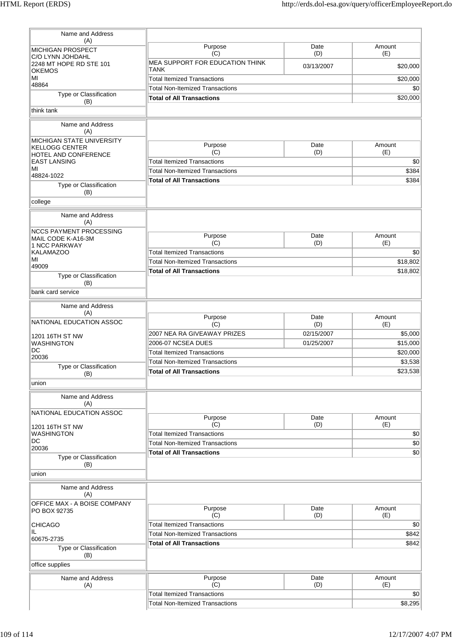| Name and Address<br>(A)                              |                                                |             |                 |
|------------------------------------------------------|------------------------------------------------|-------------|-----------------|
| <b>MICHIGAN PROSPECT</b><br>C/O LYNN JOHDAHL         | Purpose<br>(C)                                 | Date<br>(D) | Amount<br>(E)   |
| 2248 MT HOPE RD STE 101<br><b>OKEMOS</b>             | MEA SUPPORT FOR EDUCATION THINK<br><b>TANK</b> | 03/13/2007  | \$20,000        |
| MI                                                   | <b>Total Itemized Transactions</b>             |             | \$20,000        |
| 48864                                                | <b>Total Non-Itemized Transactions</b>         |             | \$0             |
| Type or Classification<br>(B)                        | <b>Total of All Transactions</b>               |             | \$20,000        |
| think tank                                           |                                                |             |                 |
| Name and Address<br>(A)                              |                                                |             |                 |
| MICHIGAN STATE UNIVERSITY<br><b>KELLOGG CENTER</b>   | Purpose                                        | Date        | Amount          |
| HOTEL AND CONFERENCE                                 | (C)                                            | (D)         | (E)             |
| <b>EAST LANSING</b>                                  | <b>Total Itemized Transactions</b>             |             | \$0             |
| MI<br>48824-1022                                     | <b>Total Non-Itemized Transactions</b>         |             | \$384           |
| Type or Classification<br>(B)                        | <b>Total of All Transactions</b>               |             | \$384           |
| college                                              |                                                |             |                 |
| Name and Address<br>(A)                              |                                                |             |                 |
| <b>NCCS PAYMENT PROCESSING</b><br>MAIL CODE K-A16-3M | Purpose                                        | Date        | Amount          |
| 1 NCC PARKWAY                                        | (C)                                            | (D)         | (E)             |
| <b>KALAMAZOO</b>                                     | <b>Total Itemized Transactions</b>             |             | \$0             |
| MI<br>49009                                          | <b>Total Non-Itemized Transactions</b>         |             | \$18,802        |
| Type or Classification                               | <b>Total of All Transactions</b>               |             | \$18,802        |
| (B)<br>bank card service                             |                                                |             |                 |
| Name and Address                                     |                                                |             |                 |
| (A)<br>NATIONAL EDUCATION ASSOC                      | Purpose<br>(C)                                 | Date<br>(D) | Amount<br>(E)   |
| 1201 16TH ST NW                                      | 2007 NEA RA GIVEAWAY PRIZES                    | 02/15/2007  | \$5,000         |
| WASHINGTON                                           | 2006-07 NCSEA DUES                             | 01/25/2007  | \$15,000        |
| DC                                                   | <b>Total Itemized Transactions</b>             |             | \$20,000        |
| 20036                                                | <b>Total Non-Itemized Transactions</b>         |             | \$3,538         |
| Type or Classification<br>(B)                        | <b>Total of All Transactions</b>               |             | \$23,538        |
| union                                                |                                                |             |                 |
| Name and Address<br>(A)                              |                                                |             |                 |
| NATIONAL EDUCATION ASSOC                             | Purpose                                        | Date        | Amount          |
| 1201 16TH ST NW                                      | (C)                                            | (D)         | (E)             |
| <b>WASHINGTON</b>                                    | <b>Total Itemized Transactions</b>             |             | \$0             |
| DC                                                   | <b>Total Non-Itemized Transactions</b>         |             | $\overline{50}$ |
| 20036                                                | <b>Total of All Transactions</b>               |             | \$0             |
| Type or Classification<br>(B)                        |                                                |             |                 |
| union                                                |                                                |             |                 |
| Name and Address<br>(A)                              |                                                |             |                 |
| OFFICE MAX - A BOISE COMPANY<br>PO BOX 92735         | Purpose<br>(C)                                 | Date<br>(D) | Amount<br>(E)   |
| <b>CHICAGO</b>                                       | <b>Total Itemized Transactions</b>             |             | \$0             |
| IL.<br>60675-2735                                    | <b>Total Non-Itemized Transactions</b>         |             | \$842           |
| Type or Classification                               | <b>Total of All Transactions</b>               |             | \$842           |
| (B)                                                  |                                                |             |                 |
|                                                      |                                                |             |                 |
| Name and Address                                     | Purpose                                        | Date        | Amount          |
| office supplies<br>(A)                               | (C)                                            | (D)         | (E)             |
|                                                      | <b>Total Itemized Transactions</b>             |             | \$0<br>\$8,295  |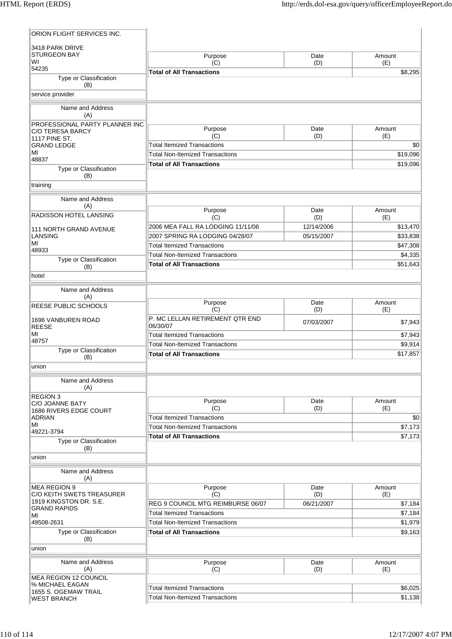| ORION FLIGHT SERVICES INC.                         |                                                                              |             |                     |
|----------------------------------------------------|------------------------------------------------------------------------------|-------------|---------------------|
| 3418 PARK DRIVE                                    |                                                                              |             |                     |
| <b>STURGEON BAY</b><br>W١                          | Purpose<br>(C)                                                               | Date<br>(D) | Amount<br>(E)       |
| 54235<br>Type or Classification                    | <b>Total of All Transactions</b>                                             |             | \$8,295             |
| (B)                                                |                                                                              |             |                     |
| service provider                                   |                                                                              |             |                     |
| Name and Address<br>(A)                            |                                                                              |             |                     |
| PROFESSIONAL PARTY PLANNER INC<br>C/O TERESA BARCY | Purpose                                                                      | Date        | Amount              |
| 1117 PINE ST.                                      | (C)                                                                          | (D)         | (E)                 |
| <b>GRAND LEDGE</b><br>MI                           | <b>Total Itemized Transactions</b>                                           |             | \$0                 |
| 48837                                              | <b>Total Non-Itemized Transactions</b>                                       |             | \$19,096            |
| Type or Classification<br>(B)                      | <b>Total of All Transactions</b>                                             |             | \$19,096            |
| training                                           |                                                                              |             |                     |
| Name and Address                                   |                                                                              |             |                     |
| (A)                                                | Purpose                                                                      | Date        | Amount              |
| RADISSON HOTEL LANSING                             | (C)                                                                          | (D)         | (E)                 |
| <b>111 NORTH GRAND AVENUE</b>                      | 2006 MEA FALL RA LODGING 11/11/06                                            | 12/14/2006  | \$13,470            |
| <b>LANSING</b><br>MI                               | 2007 SPRING RA LODGING 04/28/07                                              | 05/15/2007  | \$33,838            |
| 48933                                              | <b>Total Itemized Transactions</b><br><b>Total Non-Itemized Transactions</b> |             | \$47,308<br>\$4,335 |
| Type or Classification                             | <b>Total of All Transactions</b>                                             |             | \$51,643            |
| (B)                                                |                                                                              |             |                     |
| hotel                                              |                                                                              |             |                     |
| Name and Address<br>(A)                            |                                                                              |             |                     |
| REESE PUBLIC SCHOOLS                               | Purpose<br>(C)                                                               | Date<br>(D) | Amount<br>(E)       |
| <b>1696 VANBUREN ROAD</b><br><b>REESE</b>          | P. MC LELLAN RETIREMENT QTR END<br>06/30/07                                  | 07/03/2007  | \$7,943             |
| MI<br>48757                                        | <b>Total Itemized Transactions</b>                                           |             | \$7,943             |
| Type or Classification                             | <b>Total Non-Itemized Transactions</b>                                       |             | \$9,914             |
| (B)                                                | <b>Total of All Transactions</b>                                             |             | \$17,857            |
| union                                              |                                                                              |             |                     |
| Name and Address<br>(A)                            |                                                                              |             |                     |
| <b>REGION 3</b><br>C/O JOANNE BATY                 | Purpose                                                                      | Date        | Amount              |
| 1686 RIVERS EDGE COURT                             | (C)                                                                          | (D)         | (E)                 |
| <b>ADRIAN</b><br>ΜI                                | <b>Total Itemized Transactions</b>                                           |             | \$0                 |
| 49221-3794                                         | <b>Total Non-Itemized Transactions</b><br><b>Total of All Transactions</b>   |             | \$7,173<br>\$7,173  |
| Type or Classification                             |                                                                              |             |                     |
| (B)<br>union                                       |                                                                              |             |                     |
| Name and Address<br>(A)                            |                                                                              |             |                     |
| <b>MEA REGION 9</b>                                | Purpose                                                                      | Date        | Amount              |
| C/O KEITH SWETS TREASURER                          | (C)                                                                          | (D)         | (E)                 |
| 1919 KINGSTON DR. S.E.<br><b>GRAND RAPIDS</b>      | REG 9 COUNCIL MTG REIMBURSE 06/07                                            | 06/21/2007  | \$7,184             |
| MI                                                 | <b>Total Itemized Transactions</b>                                           |             | \$7,184             |
| 49508-2631<br>Type or Classification               | <b>Total Non-Itemized Transactions</b><br><b>Total of All Transactions</b>   |             | \$1,979<br>\$9,163  |
| (B)                                                |                                                                              |             |                     |
| union                                              |                                                                              |             |                     |
| Name and Address<br>(A)                            | Purpose<br>(C)                                                               | Date<br>(D) | Amount<br>(E)       |
| <b>MEA REGION 12 COUNCIL</b>                       |                                                                              |             |                     |
| % MICHAEL EAGAN<br>1655 S. OGEMAW TRAIL            | <b>Total Itemized Transactions</b>                                           |             | \$6,025             |
| <b>WEST BRANCH</b>                                 | <b>Total Non-Itemized Transactions</b>                                       |             | \$1,138             |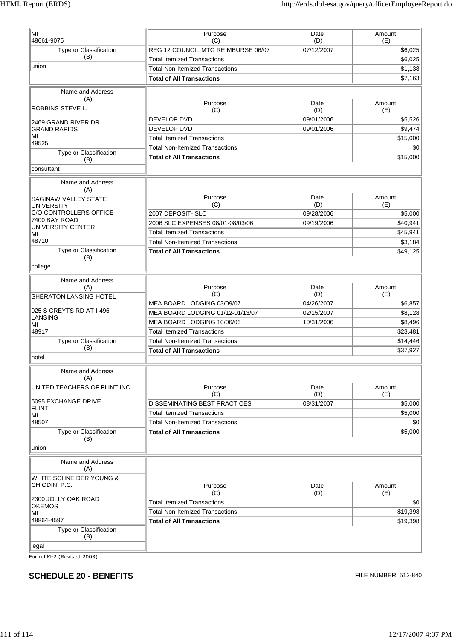| МI                                        | Purpose                                                                      | Date                     | Amount             |
|-------------------------------------------|------------------------------------------------------------------------------|--------------------------|--------------------|
| 48661-9075                                | (C)                                                                          | (D)                      | (E)                |
| Type or Classification<br>(B)             | REG 12 COUNCIL MTG REIMBURSE 06/07                                           | 07/12/2007               | \$6,025            |
| union                                     | <b>Total Itemized Transactions</b>                                           |                          | \$6,025            |
|                                           | <b>Total Non-Itemized Transactions</b>                                       |                          | \$1,138            |
|                                           | <b>Total of All Transactions</b>                                             |                          | \$7.163            |
| Name and Address                          |                                                                              |                          |                    |
| (A)                                       | Purpose                                                                      | Date                     | Amount             |
| ROBBINS STEVE L.                          | (C)                                                                          | (D)                      | (E)                |
| 2469 GRAND RIVER DR.                      | <b>DEVELOP DVD</b>                                                           | 09/01/2006               | \$5,526            |
| <b>GRAND RAPIDS</b>                       | <b>DEVELOP DVD</b>                                                           | 09/01/2006               | \$9,474            |
| MI<br>49525                               | <b>Total Itemized Transactions</b>                                           |                          | \$15,000           |
| Type or Classification                    | <b>Total Non-Itemized Transactions</b>                                       |                          | \$0                |
| (B)                                       | <b>Total of All Transactions</b>                                             |                          | \$15,000           |
| consuttant                                |                                                                              |                          |                    |
| Name and Address                          |                                                                              |                          |                    |
| (A)                                       |                                                                              |                          |                    |
| SAGINAW VALLEY STATE<br><b>UNIVERSITY</b> | Purpose<br>(C)                                                               | Date<br>(D)              | Amount<br>(E)      |
| <b>C/O CONTROLLERS OFFICE</b>             | 2007 DEPOSIT- SLC                                                            | 09/28/2006               | \$5,000            |
| 7400 BAY ROAD                             | 2006 SLC EXPENSES 08/01-08/03/06                                             | 09/19/2006               | \$40,941           |
| <b>UNIVERSITY CENTER</b><br>МI            | <b>Total Itemized Transactions</b>                                           |                          | \$45.941           |
| 48710                                     | <b>Total Non-Itemized Transactions</b>                                       |                          | \$3,184            |
| Type or Classification                    | <b>Total of All Transactions</b>                                             |                          | \$49,125           |
| (B)                                       |                                                                              |                          |                    |
| college                                   |                                                                              |                          |                    |
| Name and Address                          |                                                                              |                          |                    |
| (A)                                       | Purpose                                                                      | Date                     | Amount             |
| <b>SHERATON LANSING HOTEL</b>             | (C)                                                                          | (D)                      | (E)                |
| 925 S CREYTS RD AT I-496                  | MEA BOARD LODGING 03/09/07                                                   | 04/26/2007               | \$6,857            |
| <b>LANSING</b>                            | MEA BOARD LODGING 01/12-01/13/07<br>MEA BOARD LODGING 10/06/06               | 02/15/2007<br>10/31/2006 | \$8,128<br>\$8,496 |
| МI<br>48917                               |                                                                              |                          | \$23,481           |
| Type or Classification                    | <b>Total Itemized Transactions</b><br><b>Total Non-Itemized Transactions</b> |                          | \$14,446           |
| (B)                                       | <b>Total of All Transactions</b>                                             |                          | \$37,927           |
| hotel                                     |                                                                              |                          |                    |
| Name and Address                          |                                                                              |                          |                    |
| (A)                                       |                                                                              |                          |                    |
| UNITED TEACHERS OF FLINT INC.             | Purpose                                                                      | Date                     | Amount             |
| 5095 EXCHANGE DRIVE                       | (C)                                                                          | (D)                      | (E)                |
| FLINT                                     | DISSEMINATING BEST PRACTICES                                                 | 08/31/2007               | \$5,000            |
| МI                                        | <b>Total Itemized Transactions</b>                                           |                          | \$5,000            |
| 48507                                     | <b>Total Non-Itemized Transactions</b>                                       |                          | \$0                |
| Type or Classification<br>(B)             | <b>Total of All Transactions</b>                                             |                          | \$5,000            |
| union                                     |                                                                              |                          |                    |
| Name and Address                          |                                                                              |                          |                    |
| (A)                                       |                                                                              |                          |                    |
| WHITE SCHNEIDER YOUNG &                   |                                                                              |                          |                    |
| CHIODINI P.C.                             | Purpose                                                                      | Date                     | Amount             |
| 2300 JOLLY OAK ROAD                       | (C)                                                                          | (D)                      | (E)                |
| <b>OKEMOS</b>                             | <b>Total Itemized Transactions</b><br><b>Total Non-Itemized Transactions</b> |                          | \$0                |
| MI                                        |                                                                              |                          | \$19,398           |
| 48864-4597<br>Type or Classification      | <b>Total of All Transactions</b>                                             |                          | \$19,398           |
| (B)                                       |                                                                              |                          |                    |
| legal                                     |                                                                              |                          |                    |
|                                           |                                                                              |                          |                    |

Form LM-2 (Revised 2003)

## **SCHEDULE 20 - BENEFITS** FILE NUMBER: 512-840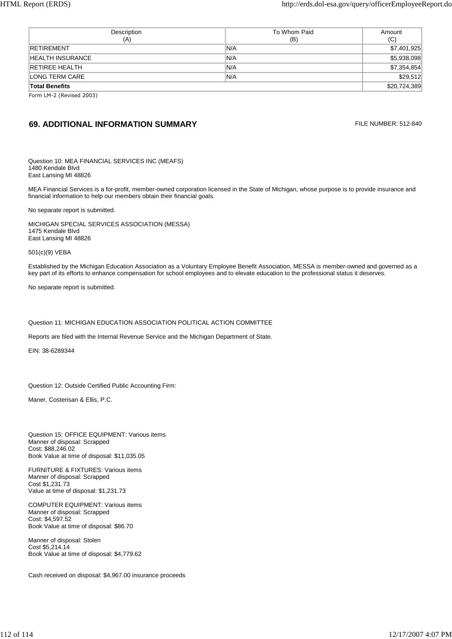| Description<br>(A)    | To Whom Paid<br>(B) | Amount<br>(C) |
|-----------------------|---------------------|---------------|
| RETIREMENT            | 'N/A                | \$7,401,925   |
| HEALTH INSURANCE      | N/A                 | \$5,938,098   |
| <b>RETIREE HEALTH</b> | N/A                 | \$7,354,854   |
| LONG TERM CARE        | N/A                 | \$29,512      |
| <b>Total Benefits</b> |                     | \$20,724,389  |

Form LM-2 (Revised 2003)

## **69. ADDITIONAL INFORMATION SUMMARY EXAMPLE 2008 12-840** FILE NUMBER: 512-840

Question 10: MEA FINANCIAL SERVICES INC (MEAFS) 1480 Kendale Blvd East Lansing MI 48826

MEA Financial Services is a for-profit, member-owned corporation licensed in the State of Michigan, whose purpose is to provide insurance and financial information to help our members obtain their financial goals.

No separate report is submitted.

MICHIGAN SPECIAL SERVICES ASSOCIATION (MESSA) 1475 Kendale Blvd East Lansing MI 48826

501(c)(9) VEBA

Established by the Michigan Education Association as a Voluntary Employee Benefit Association, MESSA is member-owned and governed as a key part of its efforts to enhance compensation for school employees and to elevate education to the professional status it deserves.

No separate report is submitted.

Question 11: MICHIGAN EDUCATION ASSOCIATION POLITICAL ACTION COMMITTEE

Reports are filed with the Internal Revenue Service and the Michigan Department of State.

EIN: 38-6289344

Question 12: Outside Certified Public Accounting Firm:

Maner, Costerisan & Ellis, P.C.

Question 15: OFFICE EQUIPMENT: Various items Manner of disposal: Scrapped Cost: \$88,246.02 Book Value at time of disposal: \$11,035.05

FURNITURE & FIXTURES: Various items Manner of disposal: Scrapped Cost \$1,231.73 Value at time of disposal: \$1,231.73

COMPUTER EQUIPMENT: Various items Manner of disposal: Scrapped Cost: \$4,597.52 Book Value at time of disposal: \$86.70

Manner of disposal: Stolen Cost \$5,214.14 Book Value at time of disposal: \$4,779.62

Cash received on disposal: \$4,967.00 insurance proceeds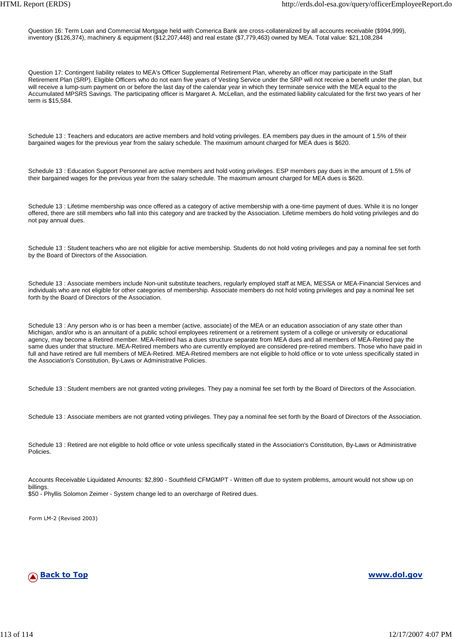Question 16: Term Loan and Commercial Mortgage held with Comerica Bank are cross-collateralized by all accounts receivable (\$994,999), inventory (\$126,374), machinery & equipment (\$12,207,448) and real estate (\$7,779,463) owned by MEA. Total value: \$21,108,284

Question 17: Contingent liability relates to MEA's Officer Supplemental Retirement Plan, whereby an officer may participate in the Staff Retirement Plan (SRP). Eligible Officers who do not earn five years of Vesting Service under the SRP will not receive a benefit under the plan, but will receive a lump-sum payment on or before the last day of the calendar year in which they terminate service with the MEA equal to the Accumulated MPSRS Savings. The participating officer is Margaret A. McLellan, and the estimated liability calculated for the first two years of her term is \$15,584.

Schedule 13 : Teachers and educators are active members and hold voting privileges. EA members pay dues in the amount of 1.5% of their bargained wages for the previous year from the salary schedule. The maximum amount charged for MEA dues is \$620.

Schedule 13 : Education Support Personnel are active members and hold voting privileges. ESP members pay dues in the amount of 1.5% of their bargained wages for the previous year from the salary schedule. The maximum amount charged for MEA dues is \$620.

Schedule 13 : Lifetime membership was once offered as a category of active membership with a one-time payment of dues. While it is no longer offered, there are still members who fall into this category and are tracked by the Association. Lifetime members do hold voting privileges and do not pay annual dues.

Schedule 13 : Student teachers who are not eligible for active membership. Students do not hold voting privileges and pay a nominal fee set forth by the Board of Directors of the Association.

Schedule 13 : Associate members include Non-unit substitute teachers, regularly employed staff at MEA, MESSA or MEA-Financial Services and individuals who are not eligible for other categories of membership. Associate members do not hold voting privileges and pay a nominal fee set forth by the Board of Directors of the Association.

Schedule 13 : Any person who is or has been a member (active, associate) of the MEA or an education association of any state other than Michigan, and/or who is an annuitant of a public school employees retirement or a retirement system of a college or university or educational agency, may become a Retired member. MEA-Retired has a dues structure separate from MEA dues and all members of MEA-Retired pay the same dues under that structure. MEA-Retired members who are currently employed are considered pre-retired members. Those who have paid in full and have retired are full members of MEA-Retired. MEA-Retired members are not eligible to hold office or to vote unless specifically stated in the Association's Constitution, By-Laws or Administrative Policies.

Schedule 13 : Student members are not granted voting privileges. They pay a nominal fee set forth by the Board of Directors of the Association.

Schedule 13 : Associate members are not granted voting privileges. They pay a nominal fee set forth by the Board of Directors of the Association.

Schedule 13 : Retired are not eligible to hold office or vote unless specifically stated in the Association's Constitution, By-Laws or Administrative Policies.

Accounts Receivable Liquidated Amounts: \$2,890 - Southfield CFMGMPT - Written off due to system problems, amount would not show up on billings. \$50 - Phyllis Solomon Zeimer - System change led to an overcharge of Retired dues.

Form LM-2 (Revised 2003)